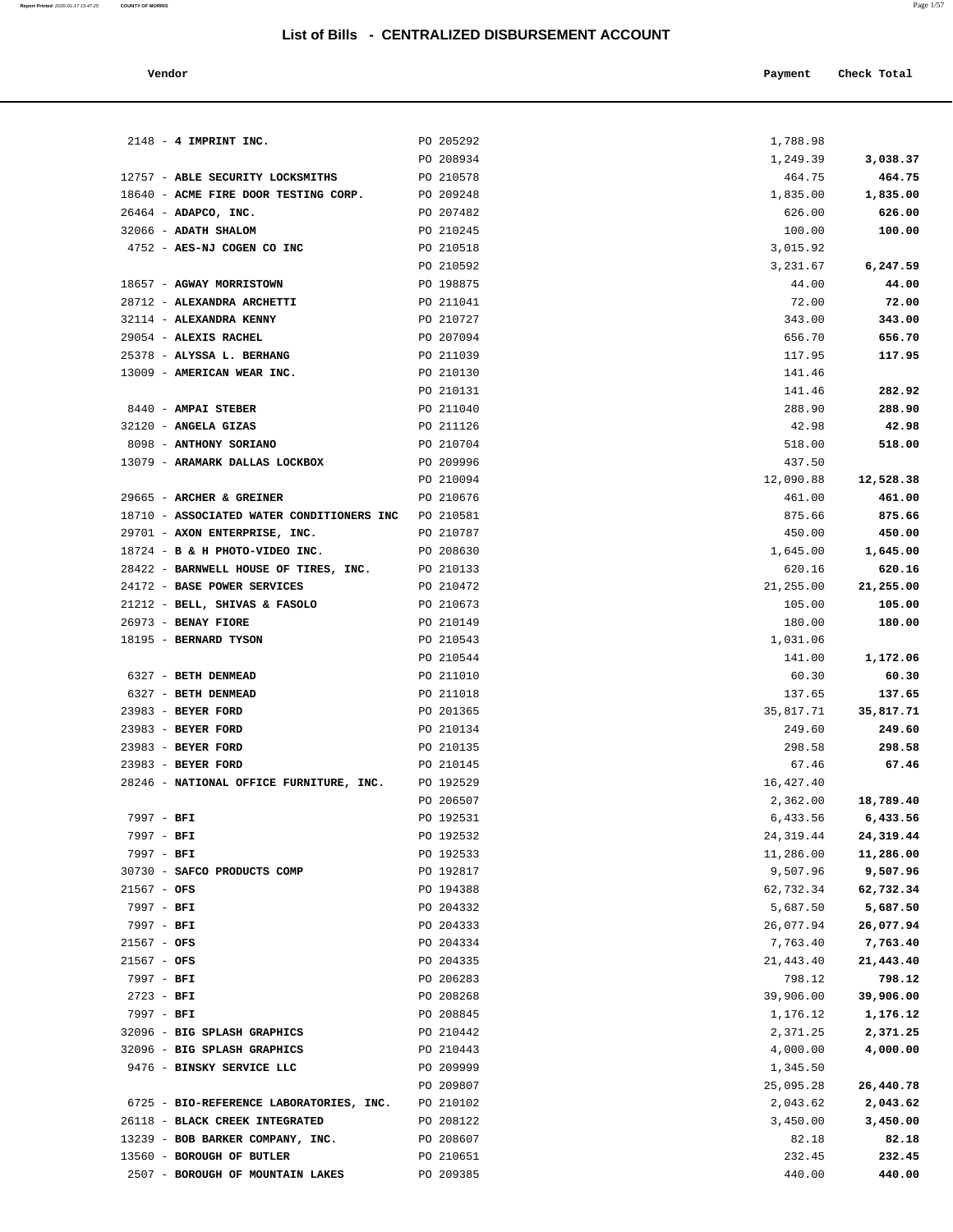| Vendor | Payment | Check Total |
|--------|---------|-------------|
|--------|---------|-------------|

| $2148$ - 4 IMPRINT INC.                                            | PO 205292              | 1,788.98           |                    |
|--------------------------------------------------------------------|------------------------|--------------------|--------------------|
|                                                                    | PO 208934              | 1,249.39           | 3,038.37           |
| 12757 - ABLE SECURITY LOCKSMITHS                                   | PO 210578              | 464.75             | 464.75             |
| 18640 - ACME FIRE DOOR TESTING CORP.                               | PO 209248              | 1,835.00           | 1,835.00           |
| $26464$ - ADAPCO, INC.                                             | PO 207482              | 626.00             | 626.00             |
| 32066 - ADATH SHALOM                                               | PO 210245              | 100.00             | 100.00             |
| 4752 - AES-NJ COGEN CO INC                                         | PO 210518              | 3,015.92           |                    |
|                                                                    | PO 210592              | 3,231.67           | 6,247.59           |
| 18657 - AGWAY MORRISTOWN                                           | PO 198875              | 44.00              | 44.00              |
| 28712 - ALEXANDRA ARCHETTI                                         | PO 211041              | 72.00              | 72.00              |
| 32114 - ALEXANDRA KENNY                                            | PO 210727              | 343.00             | 343.00             |
| 29054 - ALEXIS RACHEL<br>25378 - ALYSSA L. BERHANG                 | PO 207094<br>PO 211039 | 656.70<br>117.95   | 656.70<br>117.95   |
| 13009 - AMERICAN WEAR INC.                                         | PO 210130              | 141.46             |                    |
|                                                                    | PO 210131              | 141.46             | 282.92             |
| 8440 - AMPAI STEBER                                                | PO 211040              | 288.90             | 288.90             |
| 32120 - ANGELA GIZAS                                               | PO 211126              | 42.98              | 42.98              |
| 8098 - ANTHONY SORIANO                                             | PO 210704              | 518.00             | 518.00             |
| 13079 - ARAMARK DALLAS LOCKBOX                                     | PO 209996              | 437.50             |                    |
|                                                                    | PO 210094              | 12,090.88          | 12,528.38          |
| 29665 - ARCHER & GREINER                                           | PO 210676              | 461.00             | 461.00             |
| 18710 - ASSOCIATED WATER CONDITIONERS INC                          | PO 210581              | 875.66             | 875.66             |
| 29701 - AXON ENTERPRISE, INC.                                      | PO 210787              | 450.00             | 450.00             |
| 18724 - B & H PHOTO-VIDEO INC.                                     | PO 208630              | 1,645.00           | 1,645.00           |
| 28422 - BARNWELL HOUSE OF TIRES, INC.                              | PO 210133              | 620.16             | 620.16             |
| 24172 - BASE POWER SERVICES                                        | PO 210472              | 21,255.00          | 21,255.00          |
| 21212 - BELL, SHIVAS & FASOLO                                      | PO 210673              | 105.00             | 105.00             |
| $26973$ - BENAY FIORE                                              | PO 210149              | 180.00             | 180.00             |
| 18195 - BERNARD TYSON                                              | PO 210543              | 1,031.06           |                    |
|                                                                    | PO 210544              | 141.00             | 1,172.06           |
| 6327 - BETH DENMEAD                                                | PO 211010              | 60.30              | 60.30              |
| 6327 - BETH DENMEAD                                                | PO 211018              | 137.65             | 137.65             |
| 23983 - BEYER FORD                                                 | PO 201365              | 35,817.71          | 35,817.71          |
| 23983 - BEYER FORD                                                 | PO 210134              | 249.60             | 249.60             |
| 23983 - BEYER FORD                                                 | PO 210135              | 298.58             | 298.58             |
| 23983 - BEYER FORD<br>28246 - NATIONAL OFFICE FURNITURE, INC.      | PO 210145<br>PO 192529 | 67.46<br>16,427.40 | 67.46              |
|                                                                    | PO 206507              |                    | 2,362.00 18,789.40 |
| 7997 - BFI                                                         | PO 192531              | 6,433.56           | 6,433.56           |
| $7997 - BFI$                                                       | PO 192532              | 24,319.44          | 24,319.44          |
| $7997 - BFI$                                                       | PO 192533              | 11,286.00          | 11,286.00          |
| 30730 - SAFCO PRODUCTS COMP                                        | PO 192817              | 9,507.96           | 9,507.96           |
| $21567 - OFS$                                                      | PO 194388              | 62,732.34          | 62,732.34          |
| 7997 - BFI                                                         | PO 204332              | 5,687.50           | 5,687.50           |
| 7997 - BFI                                                         | PO 204333              | 26,077.94          | 26,077.94          |
| $21567 - OFS$                                                      | PO 204334              | 7,763.40           | 7,763.40           |
| $21567 - OFS$                                                      | PO 204335              | 21,443.40          | 21,443.40          |
| $7997 - BFI$                                                       | PO 206283              | 798.12             | 798.12             |
| $2723 - BFI$                                                       | PO 208268              | 39,906.00          | 39,906.00          |
| $7997 - BFI$                                                       | PO 208845              | 1,176.12           | 1,176.12           |
| 32096 - BIG SPLASH GRAPHICS                                        | PO 210442              | 2,371.25           | 2,371.25           |
| 32096 - BIG SPLASH GRAPHICS                                        | PO 210443              | 4,000.00           | 4,000.00           |
| 9476 - BINSKY SERVICE LLC                                          | PO 209999              | 1,345.50           |                    |
|                                                                    | PO 209807              | 25,095.28          | 26,440.78          |
| 6725 - BIO-REFERENCE LABORATORIES, INC.                            | PO 210102              | 2,043.62           | 2,043.62           |
| 26118 - BLACK CREEK INTEGRATED<br>13239 - BOB BARKER COMPANY, INC. | PO 208122              | 3,450.00           | 3,450.00           |
| 13560 - BOROUGH OF BUTLER                                          | PO 208607<br>PO 210651 | 82.18<br>232.45    | 82.18<br>232.45    |
| 2507 - BOROUGH OF MOUNTAIN LAKES                                   | PO 209385              | 440.00             | 440.00             |
|                                                                    |                        |                    |                    |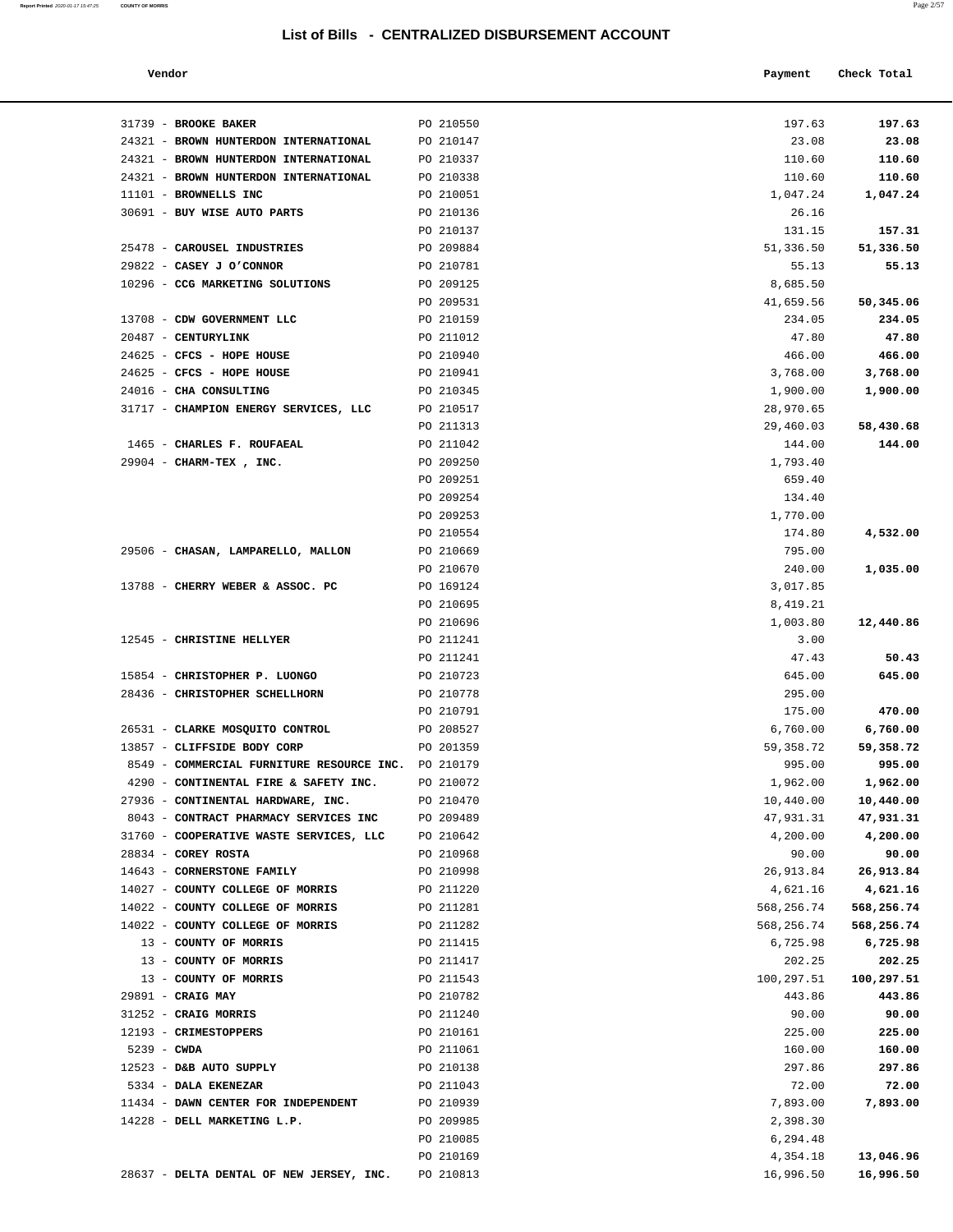| Vendor                                              |           | Payment    | Check Total |
|-----------------------------------------------------|-----------|------------|-------------|
| 31739 - BROOKE BAKER                                | PO 210550 | 197.63     | 197.63      |
| 24321 - BROWN HUNTERDON INTERNATIONAL               | PO 210147 | 23.08      | 23.08       |
| 24321 - BROWN HUNTERDON INTERNATIONAL               | PO 210337 | 110.60     | 110.60      |
| 24321 - BROWN HUNTERDON INTERNATIONAL               | PO 210338 | 110.60     | 110.60      |
| 11101 - BROWNELLS INC                               | PO 210051 | 1,047.24   | 1,047.24    |
| 30691 - BUY WISE AUTO PARTS                         | PO 210136 | 26.16      |             |
|                                                     | PO 210137 | 131.15     | 157.31      |
| 25478 - CAROUSEL INDUSTRIES                         | PO 209884 | 51,336.50  | 51,336.50   |
| 29822 - CASEY J O'CONNOR                            | PO 210781 | 55.13      | 55.13       |
| 10296 - CCG MARKETING SOLUTIONS                     | PO 209125 | 8,685.50   |             |
|                                                     | PO 209531 | 41,659.56  | 50,345.06   |
| 13708 - CDW GOVERNMENT LLC                          | PO 210159 | 234.05     | 234.05      |
| 20487 - CENTURYLINK                                 | PO 211012 | 47.80      | 47.80       |
| 24625 - CFCS - HOPE HOUSE                           | PO 210940 | 466.00     | 466.00      |
| 24625 - CFCS - HOPE HOUSE                           | PO 210941 | 3,768.00   | 3,768.00    |
| 24016 - CHA CONSULTING                              | PO 210345 | 1,900.00   | 1,900.00    |
| 31717 - CHAMPION ENERGY SERVICES, LLC               | PO 210517 | 28,970.65  |             |
|                                                     | PO 211313 | 29,460.03  | 58,430.68   |
| 1465 - CHARLES F. ROUFAEAL                          | PO 211042 | 144.00     | 144.00      |
| 29904 - CHARM-TEX, INC.                             | PO 209250 | 1,793.40   |             |
|                                                     | PO 209251 | 659.40     |             |
|                                                     | PO 209254 | 134.40     |             |
|                                                     | PO 209253 | 1,770.00   |             |
|                                                     | PO 210554 | 174.80     | 4,532.00    |
| 29506 - CHASAN, LAMPARELLO, MALLON                  | PO 210669 | 795.00     |             |
|                                                     | PO 210670 | 240.00     | 1,035.00    |
| 13788 - CHERRY WEBER & ASSOC. PC                    | PO 169124 | 3,017.85   |             |
|                                                     | PO 210695 | 8,419.21   |             |
|                                                     | PO 210696 | 1,003.80   | 12,440.86   |
| 12545 - CHRISTINE HELLYER                           | PO 211241 | 3.00       |             |
|                                                     | PO 211241 | 47.43      | 50.43       |
| 15854 - CHRISTOPHER P. LUONGO                       | PO 210723 | 645.00     | 645.00      |
| 28436 - CHRISTOPHER SCHELLHORN                      | PO 210778 | 295.00     |             |
|                                                     | PO 210791 | 175.00     | 470.00      |
| 26531 - CLARKE MOSQUITO CONTROL                     | PO 208527 | 6,760.00   | 6,760.00    |
| 13857 - CLIFFSIDE BODY CORP                         | PO 201359 | 59, 358.72 | 59,358.72   |
| 8549 - COMMERCIAL FURNITURE RESOURCE INC. PO 210179 |           | 995.00     | 995.00      |
| 4290 - CONTINENTAL FIRE & SAFETY INC.               | PO 210072 | 1,962.00   | 1,962.00    |
| 27936 - CONTINENTAL HARDWARE, INC.                  | PO 210470 | 10,440.00  | 10,440.00   |
| 8043 - CONTRACT PHARMACY SERVICES INC               | PO 209489 | 47,931.31  | 47,931.31   |
| 31760 - COOPERATIVE WASTE SERVICES, LLC             | PO 210642 | 4,200.00   | 4,200.00    |
| 28834 - COREY ROSTA                                 | PO 210968 | 90.00      | 90.00       |
| 14643 - CORNERSTONE FAMILY                          | PO 210998 | 26,913.84  | 26,913.84   |
| 14027 - COUNTY COLLEGE OF MORRIS                    | PO 211220 | 4,621.16   | 4,621.16    |
| 14022 - COUNTY COLLEGE OF MORRIS                    | PO 211281 | 568,256.74 | 568,256.74  |
| 14022 - COUNTY COLLEGE OF MORRIS                    | PO 211282 | 568,256.74 | 568,256.74  |
| 13 - COUNTY OF MORRIS                               | PO 211415 | 6,725.98   | 6,725.98    |
| 13 - COUNTY OF MORRIS                               | PO 211417 | 202.25     | 202.25      |
| 13 - COUNTY OF MORRIS                               | PO 211543 | 100,297.51 | 100,297.51  |
| 29891 - CRAIG MAY                                   | PO 210782 | 443.86     | 443.86      |
| 31252 - CRAIG MORRIS                                | PO 211240 | 90.00      | 90.00       |
| 12193 - CRIMESTOPPERS                               | PO 210161 | 225.00     | 225.00      |
| 5239 - CWDA                                         | PO 211061 | 160.00     | 160.00      |
| 12523 - D&B AUTO SUPPLY                             | PO 210138 | 297.86     | 297.86      |
| 5334 - DALA EKENEZAR                                | PO 211043 | 72.00      | 72.00       |
| 11434 - DAWN CENTER FOR INDEPENDENT                 | PO 210939 | 7,893.00   | 7,893.00    |
| 14228 - DELL MARKETING L.P.                         | PO 209985 | 2,398.30   |             |
|                                                     | PO 210085 | 6,294.48   |             |
|                                                     | PO 210169 | 4,354.18   | 13,046.96   |
| 28637 - DELTA DENTAL OF NEW JERSEY, INC.            | PO 210813 | 16,996.50  | 16,996.50   |

**Report Printed** 2020-01-17 15:47:25 **COUNTY OF MORRIS** Page 2/57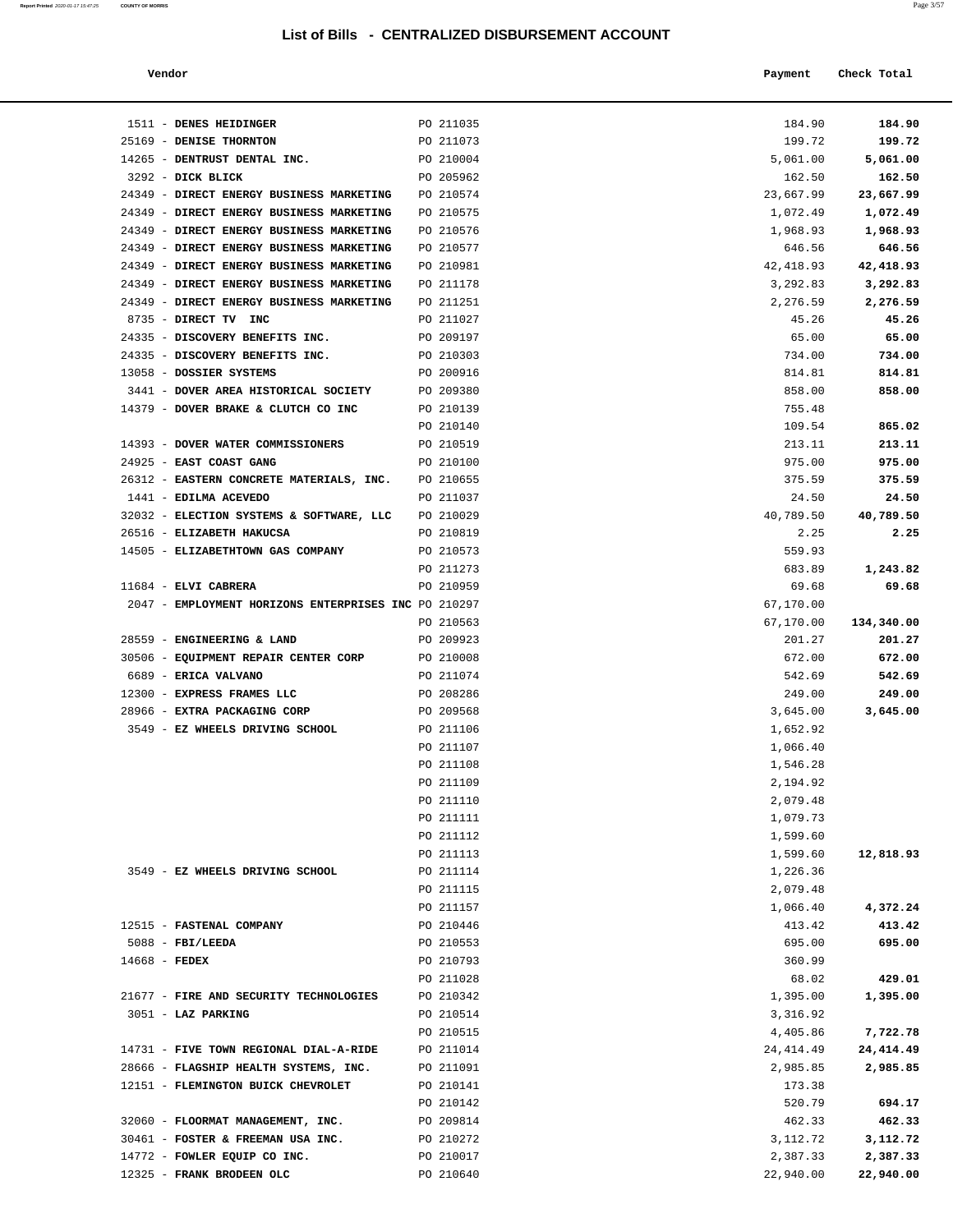| Report Printed 2020-01-17 15:47:25 COUNTY OF MORRIS |  |  | -----<br>Page 3/57 |
|-----------------------------------------------------|--|--|--------------------|
|                                                     |  |  |                    |

| Vendor<br>. | Payment | Check Total<br>. |
|-------------|---------|------------------|
|             |         |                  |
|             |         |                  |

| 1511 - DENES HEIDINGER                               | PO 211035 | 184.90     | 184.90     |
|------------------------------------------------------|-----------|------------|------------|
| 25169 - DENISE THORNTON                              | PO 211073 | 199.72     | 199.72     |
| 14265 - DENTRUST DENTAL INC.                         | PO 210004 | 5,061.00   | 5,061.00   |
| 3292 - DICK BLICK                                    | PO 205962 | 162.50     | 162.50     |
| 24349 - DIRECT ENERGY BUSINESS MARKETING PO 210574   |           | 23,667.99  | 23,667.99  |
| 24349 - DIRECT ENERGY BUSINESS MARKETING             | PO 210575 | 1,072.49   | 1,072.49   |
| 24349 - DIRECT ENERGY BUSINESS MARKETING             | PO 210576 | 1,968.93   | 1,968.93   |
| 24349 - DIRECT ENERGY BUSINESS MARKETING             | PO 210577 | 646.56     | 646.56     |
| 24349 - DIRECT ENERGY BUSINESS MARKETING             | PO 210981 | 42, 418.93 | 42,418.93  |
| 24349 - DIRECT ENERGY BUSINESS MARKETING             | PO 211178 | 3,292.83   | 3,292.83   |
| 24349 - DIRECT ENERGY BUSINESS MARKETING             | PO 211251 | 2,276.59   | 2,276.59   |
| 8735 - DIRECT TV INC                                 | PO 211027 | 45.26      | 45.26      |
| 24335 - DISCOVERY BENEFITS INC.                      | PO 209197 | 65.00      | 65.00      |
| 24335 - DISCOVERY BENEFITS INC.                      | PO 210303 | 734.00     | 734.00     |
| 13058 - DOSSIER SYSTEMS                              | PO 200916 | 814.81     | 814.81     |
| 3441 - DOVER AREA HISTORICAL SOCIETY PO 209380       |           | 858.00     | 858.00     |
| 14379 - DOVER BRAKE & CLUTCH CO INC PO 210139        |           | 755.48     |            |
|                                                      | PO 210140 | 109.54     | 865.02     |
| 14393 - DOVER WATER COMMISSIONERS                    | PO 210519 | 213.11     | 213.11     |
| 24925 - EAST COAST GANG                              | PO 210100 | 975.00     | 975.00     |
| 26312 - EASTERN CONCRETE MATERIALS, INC. PO 210655   |           | 375.59     | 375.59     |
| 1441 - EDILMA ACEVEDO                                | PO 211037 | 24.50      | 24.50      |
| 32032 - ELECTION SYSTEMS & SOFTWARE, LLC PO 210029   |           | 40,789.50  | 40,789.50  |
| 26516 - ELIZABETH HAKUCSA                            | PO 210819 | 2.25       | 2.25       |
| 14505 - ELIZABETHTOWN GAS COMPANY                    | PO 210573 | 559.93     |            |
|                                                      | PO 211273 | 683.89     | 1,243.82   |
| 11684 - ELVI CABRERA                                 | PO 210959 | 69.68      | 69.68      |
| 2047 - EMPLOYMENT HORIZONS ENTERPRISES INC PO 210297 |           | 67,170.00  |            |
|                                                      | PO 210563 | 67,170.00  | 134,340.00 |
| 28559 - ENGINEERING & LAND                           | PO 209923 | 201.27     | 201.27     |
| 30506 - EQUIPMENT REPAIR CENTER CORP                 | PO 210008 | 672.00     | 672.00     |
| 6689 - ERICA VALVANO                                 | PO 211074 | 542.69     | 542.69     |
| 12300 - EXPRESS FRAMES LLC                           | PO 208286 | 249.00     | 249.00     |
| 28966 - EXTRA PACKAGING CORP                         | PO 209568 | 3,645.00   | 3,645.00   |
| 3549 - EZ WHEELS DRIVING SCHOOL                      | PO 211106 | 1,652.92   |            |
|                                                      | PO 211107 | 1,066.40   |            |
|                                                      | PO 211108 | 1,546.28   |            |
|                                                      | PO 211109 | 2,194.92   |            |
|                                                      | PO 211110 | 2,079.48   |            |
|                                                      | PO 211111 | 1,079.73   |            |
|                                                      | PO 211112 | 1,599.60   |            |
|                                                      | PO 211113 | 1,599.60   | 12,818.93  |
| 3549 - EZ WHEELS DRIVING SCHOOL                      | PO 211114 | 1,226.36   |            |
|                                                      | PO 211115 | 2,079.48   |            |
|                                                      | PO 211157 | 1,066.40   | 4,372.24   |
| 12515 - FASTENAL COMPANY                             | PO 210446 | 413.42     | 413.42     |
| $5088 - FBI/LEEDA$                                   |           | 695.00     | 695.00     |
|                                                      | PO 210553 |            |            |
| $14668$ - FEDEX                                      | PO 210793 | 360.99     |            |
|                                                      | PO 211028 | 68.02      | 429.01     |
| 21677 - FIRE AND SECURITY TECHNOLOGIES               | PO 210342 | 1,395.00   | 1,395.00   |
| 3051 - LAZ PARKING                                   | PO 210514 | 3,316.92   |            |
|                                                      | PO 210515 | 4,405.86   | 7,722.78   |
| 14731 - FIVE TOWN REGIONAL DIAL-A-RIDE               | PO 211014 | 24, 414.49 | 24, 414.49 |
| 28666 - FLAGSHIP HEALTH SYSTEMS, INC.                | PO 211091 | 2,985.85   | 2,985.85   |
| 12151 - FLEMINGTON BUICK CHEVROLET                   | PO 210141 | 173.38     |            |
|                                                      | PO 210142 | 520.79     | 694.17     |
| 32060 - FLOORMAT MANAGEMENT, INC.                    | PO 209814 | 462.33     | 462.33     |
| 30461 - FOSTER & FREEMAN USA INC.                    | PO 210272 | 3, 112. 72 | 3,112.72   |
| 14772 - FOWLER EQUIP CO INC.                         | PO 210017 | 2,387.33   | 2,387.33   |

12325 - **FRANK BRODEEN OLC** PO 210640 22,940.00 **22,940.00**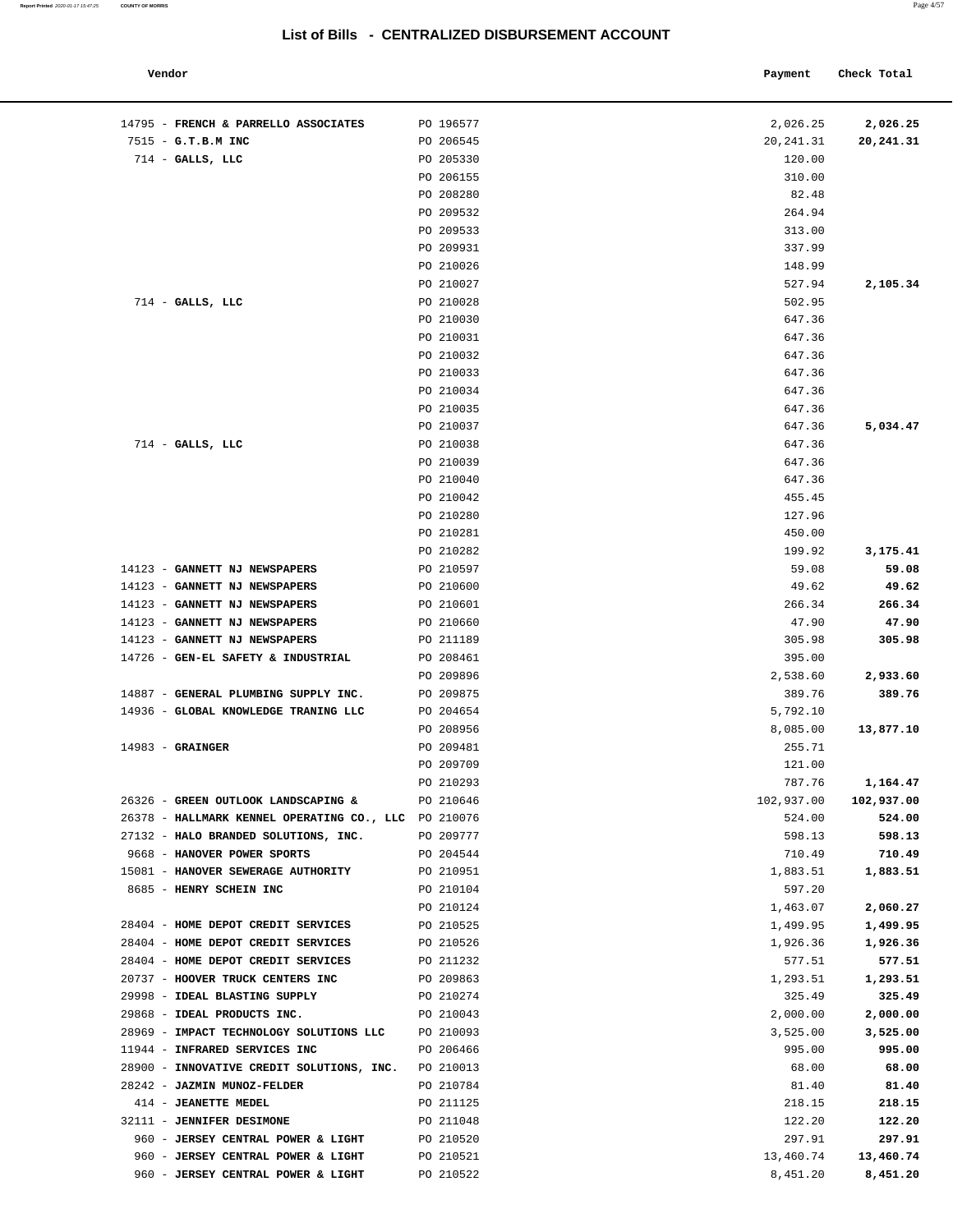#### **Report Printed** 2020-01-17 15:47:25 **COUNTY OF MORRIS** Page 4/57

| Vendor                                               |           | Payment    | Check Total |
|------------------------------------------------------|-----------|------------|-------------|
|                                                      |           |            |             |
| 14795 - FRENCH & PARRELLO ASSOCIATES                 | PO 196577 | 2,026.25   | 2,026.25    |
| 7515 - G.T.B.M INC                                   | PO 206545 | 20, 241.31 | 20,241.31   |
| $714$ - GALLS, LLC                                   | PO 205330 | 120.00     |             |
|                                                      | PO 206155 | 310.00     |             |
|                                                      | PO 208280 | 82.48      |             |
|                                                      | PO 209532 | 264.94     |             |
|                                                      | PO 209533 | 313.00     |             |
|                                                      | PO 209931 | 337.99     |             |
|                                                      | PO 210026 | 148.99     |             |
|                                                      | PO 210027 | 527.94     | 2,105.34    |
| $714$ - GALLS, LLC                                   | PO 210028 | 502.95     |             |
|                                                      | PO 210030 | 647.36     |             |
|                                                      | PO 210031 | 647.36     |             |
|                                                      | PO 210032 | 647.36     |             |
|                                                      | PO 210033 | 647.36     |             |
|                                                      | PO 210034 | 647.36     |             |
|                                                      | PO 210035 | 647.36     |             |
|                                                      | PO 210037 | 647.36     | 5,034.47    |
| $714$ - GALLS, LLC                                   | PO 210038 | 647.36     |             |
|                                                      | PO 210039 | 647.36     |             |
|                                                      | PO 210040 | 647.36     |             |
|                                                      | PO 210042 | 455.45     |             |
|                                                      | PO 210280 | 127.96     |             |
|                                                      | PO 210281 | 450.00     |             |
|                                                      | PO 210282 | 199.92     | 3,175.41    |
| 14123 - GANNETT NJ NEWSPAPERS                        | PO 210597 | 59.08      | 59.08       |
| 14123 - GANNETT NJ NEWSPAPERS                        | PO 210600 | 49.62      | 49.62       |
| 14123 - GANNETT NJ NEWSPAPERS                        | PO 210601 | 266.34     | 266.34      |
| 14123 - GANNETT NJ NEWSPAPERS                        | PO 210660 | 47.90      | 47.90       |
| 14123 - GANNETT NJ NEWSPAPERS                        | PO 211189 | 305.98     | 305.98      |
| 14726 - GEN-EL SAFETY & INDUSTRIAL                   | PO 208461 | 395.00     |             |
|                                                      | PO 209896 | 2,538.60   | 2,933.60    |
| 14887 - GENERAL PLUMBING SUPPLY INC.                 | PO 209875 | 389.76     | 389.76      |
| 14936 - GLOBAL KNOWLEDGE TRANING LLC                 | PO 204654 | 5,792.10   |             |
|                                                      | PO 208956 | 8,085.00   | 13,877.10   |
| $14983 -$ GRAINGER                                   | PO 209481 | 255.71     |             |
|                                                      | PO 209709 | 121.00     |             |
|                                                      | PO 210293 | 787.76     | 1,164.47    |
| 26326 - GREEN OUTLOOK LANDSCAPING &                  | PO 210646 | 102,937.00 | 102,937.00  |
| 26378 - HALLMARK KENNEL OPERATING CO., LLC PO 210076 |           | 524.00     | 524.00      |
| 27132 - HALO BRANDED SOLUTIONS, INC.                 | PO 209777 | 598.13     | 598.13      |
| 9668 - HANOVER POWER SPORTS                          | PO 204544 | 710.49     | 710.49      |
| 15081 - HANOVER SEWERAGE AUTHORITY                   | PO 210951 | 1,883.51   | 1,883.51    |
| 8685 - HENRY SCHEIN INC                              | PO 210104 | 597.20     |             |
|                                                      | PO 210124 | 1,463.07   | 2,060.27    |
| 28404 - HOME DEPOT CREDIT SERVICES                   | PO 210525 | 1,499.95   | 1,499.95    |
| 28404 - HOME DEPOT CREDIT SERVICES                   | PO 210526 | 1,926.36   | 1,926.36    |
| 28404 - HOME DEPOT CREDIT SERVICES                   | PO 211232 | 577.51     | 577.51      |
| 20737 - HOOVER TRUCK CENTERS INC                     | PO 209863 | 1,293.51   | 1,293.51    |
| 29998 - IDEAL BLASTING SUPPLY                        | PO 210274 | 325.49     | 325.49      |
| 29868 - IDEAL PRODUCTS INC.                          | PO 210043 | 2,000.00   | 2,000.00    |
| 28969 - IMPACT TECHNOLOGY SOLUTIONS LLC              | PO 210093 | 3,525.00   | 3,525.00    |
| 11944 - INFRARED SERVICES INC                        | PO 206466 | 995.00     | 995.00      |
| 28900 - INNOVATIVE CREDIT SOLUTIONS, INC.            | PO 210013 | 68.00      | 68.00       |
| 28242 - JAZMIN MUNOZ-FELDER                          | PO 210784 | 81.40      | 81.40       |
| 414 - JEANETTE MEDEL                                 | PO 211125 | 218.15     | 218.15      |
| 32111 - JENNIFER DESIMONE                            | PO 211048 | 122.20     | 122.20      |
| 960 - JERSEY CENTRAL POWER & LIGHT                   | PO 210520 | 297.91     | 297.91      |
| 960 - JERSEY CENTRAL POWER & LIGHT                   | PO 210521 | 13,460.74  | 13,460.74   |
| 960 - JERSEY CENTRAL POWER & LIGHT                   | PO 210522 | 8,451.20   | 8,451.20    |
|                                                      |           |            |             |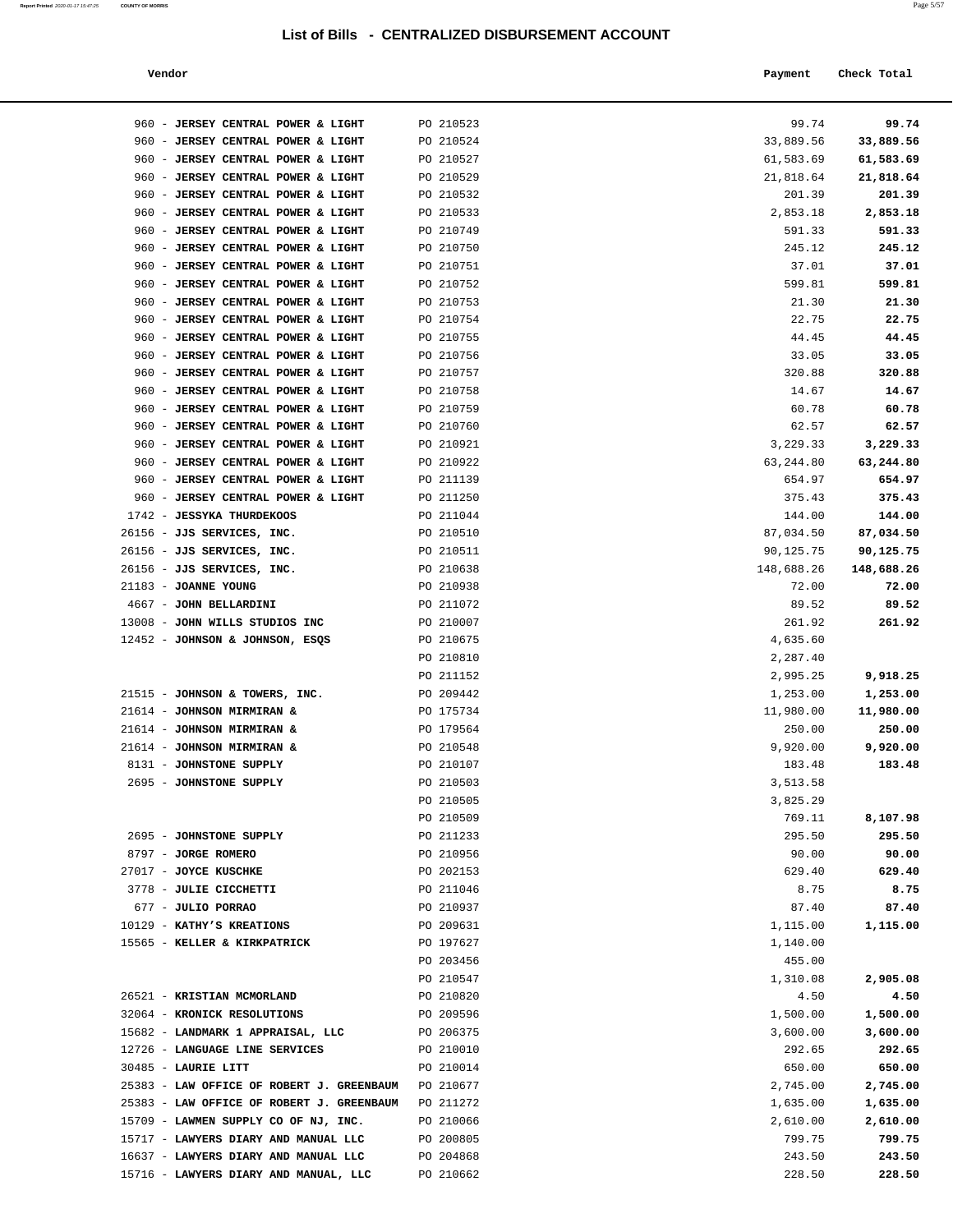| Vendor                                                       |                        | Payment              | Check Total           |
|--------------------------------------------------------------|------------------------|----------------------|-----------------------|
| 960 - JERSEY CENTRAL POWER & LIGHT                           | PO 210523              | 99.74                | 99.74                 |
| 960 - JERSEY CENTRAL POWER & LIGHT                           | PO 210524              | 33,889.56            | 33,889.56             |
| 960 - JERSEY CENTRAL POWER & LIGHT                           | PO 210527              | 61,583.69            | 61,583.69             |
| 960 - JERSEY CENTRAL POWER & LIGHT                           | PO 210529              | 21,818.64            | 21,818.64             |
| 960 - JERSEY CENTRAL POWER & LIGHT                           | PO 210532              | 201.39               | 201.39                |
| 960 - JERSEY CENTRAL POWER & LIGHT                           | PO 210533              | 2,853.18             | 2,853.18              |
| 960 - JERSEY CENTRAL POWER & LIGHT                           | PO 210749              | 591.33               | 591.33                |
| 960 - JERSEY CENTRAL POWER & LIGHT                           | PO 210750              | 245.12               | 245.12                |
| 960 - JERSEY CENTRAL POWER & LIGHT                           | PO 210751              | 37.01                | 37.01                 |
| 960 - JERSEY CENTRAL POWER & LIGHT                           | PO 210752              | 599.81               | 599.81                |
| 960 - JERSEY CENTRAL POWER & LIGHT                           | PO 210753              | 21.30                | 21.30                 |
| 960 - JERSEY CENTRAL POWER & LIGHT                           | PO 210754              | 22.75                | 22.75                 |
| 960 - JERSEY CENTRAL POWER & LIGHT                           | PO 210755              | 44.45                | 44.45                 |
| 960 - JERSEY CENTRAL POWER & LIGHT                           | PO 210756              | 33.05                | 33.05                 |
| 960 - JERSEY CENTRAL POWER & LIGHT                           | PO 210757              | 320.88               | 320.88                |
| 960 - JERSEY CENTRAL POWER & LIGHT                           | PO 210758              | 14.67                | 14.67                 |
| 960 - JERSEY CENTRAL POWER & LIGHT                           | PO 210759              | 60.78                | 60.78                 |
| 960 - JERSEY CENTRAL POWER & LIGHT                           | PO 210760              | 62.57                | 62.57                 |
| 960 - JERSEY CENTRAL POWER & LIGHT                           | PO 210921              | 3,229.33             | 3,229.33              |
| 960 - JERSEY CENTRAL POWER & LIGHT                           | PO 210922              | 63,244.80            | 63,244.80             |
| 960 - JERSEY CENTRAL POWER & LIGHT                           | PO 211139              | 654.97               | 654.97                |
| 960 - JERSEY CENTRAL POWER & LIGHT                           | PO 211250              | 375.43               | 375.43                |
| 1742 - JESSYKA THURDEKOOS                                    | PO 211044              | 144.00               | 144.00                |
| 26156 - JJS SERVICES, INC.                                   | PO 210510              | 87,034.50            | 87,034.50             |
| 26156 - JJS SERVICES, INC.                                   | PO 210511              | 90,125.75            | 90,125.75             |
| 26156 - JJS SERVICES, INC.                                   | PO 210638              | 148,688.26           | 148,688.26            |
| 21183 - JOANNE YOUNG                                         | PO 210938              | 72.00                | 72.00                 |
| 4667 - JOHN BELLARDINI                                       | PO 211072              | 89.52                | 89.52                 |
| 13008 - JOHN WILLS STUDIOS INC                               | PO 210007              | 261.92               | 261.92                |
| 12452 - JOHNSON & JOHNSON, ESQS                              | PO 210675              | 4,635.60             |                       |
|                                                              | PO 210810              | 2,287.40             |                       |
|                                                              | PO 211152<br>PO 209442 | 2,995.25<br>1,253.00 | 9,918.25              |
| 21515 - JOHNSON & TOWERS, INC.<br>21614 - JOHNSON MIRMIRAN & |                        |                      | 1,253.00<br>11,980.00 |
| 21614 - JOHNSON MIRMIRAN &                                   | PO 175734<br>PO 179564 | 11,980.00<br>250.00  | 250.00                |
| 21614 - JOHNSON MIRMIRAN &                                   | PO 210548              | 9,920.00             | 9,920.00              |
| 8131 - JOHNSTONE SUPPLY                                      | PO 210107              | 183.48               | 183.48                |
| 2695 - JOHNSTONE SUPPLY                                      | PO 210503              | 3,513.58             |                       |
|                                                              | PO 210505              | 3,825.29             |                       |
|                                                              | PO 210509              | 769.11               | 8,107.98              |
| 2695 - JOHNSTONE SUPPLY                                      | PO 211233              | 295.50               | 295.50                |
| 8797 - JORGE ROMERO                                          | PO 210956              | 90.00                | 90.00                 |
| 27017 - JOYCE KUSCHKE                                        | PO 202153              | 629.40               | 629.40                |
| 3778 - JULIE CICCHETTI                                       | PO 211046              | 8.75                 | 8.75                  |
| 677 - JULIO PORRAO                                           | PO 210937              | 87.40                | 87.40                 |
| 10129 - KATHY'S KREATIONS                                    | PO 209631              | 1,115.00             | 1,115.00              |
| 15565 - KELLER & KIRKPATRICK                                 | PO 197627              | 1,140.00             |                       |
|                                                              | PO 203456              | 455.00               |                       |
|                                                              | PO 210547              | 1,310.08             | 2,905.08              |
| 26521 - KRISTIAN MCMORLAND                                   | PO 210820              | 4.50                 | 4.50                  |
| 32064 - KRONICK RESOLUTIONS                                  | PO 209596              | 1,500.00             | 1,500.00              |
| 15682 - LANDMARK 1 APPRAISAL, LLC                            | PO 206375              | 3,600.00             | 3,600.00              |
| 12726 - LANGUAGE LINE SERVICES                               | PO 210010              | 292.65               | 292.65                |
| 30485 - LAURIE LITT                                          | PO 210014              | 650.00               | 650.00                |
| 25383 - LAW OFFICE OF ROBERT J. GREENBAUM PO 210677          |                        | 2,745.00             | 2,745.00              |
| 25383 - LAW OFFICE OF ROBERT J. GREENBAUM                    | PO 211272              | 1,635.00             | 1,635.00              |
| 15709 - LAWMEN SUPPLY CO OF NJ, INC.                         | PO 210066              | 2,610.00             | 2,610.00              |
| 15717 - LAWYERS DIARY AND MANUAL LLC                         | PO 200805              | 799.75               | 799.75                |
| 16637 - LAWYERS DIARY AND MANUAL LLC                         | PO 204868              | 243.50               | 243.50                |
| 15716 - LAWYERS DIARY AND MANUAL, LLC                        | PO 210662              | 228.50               | 228.50                |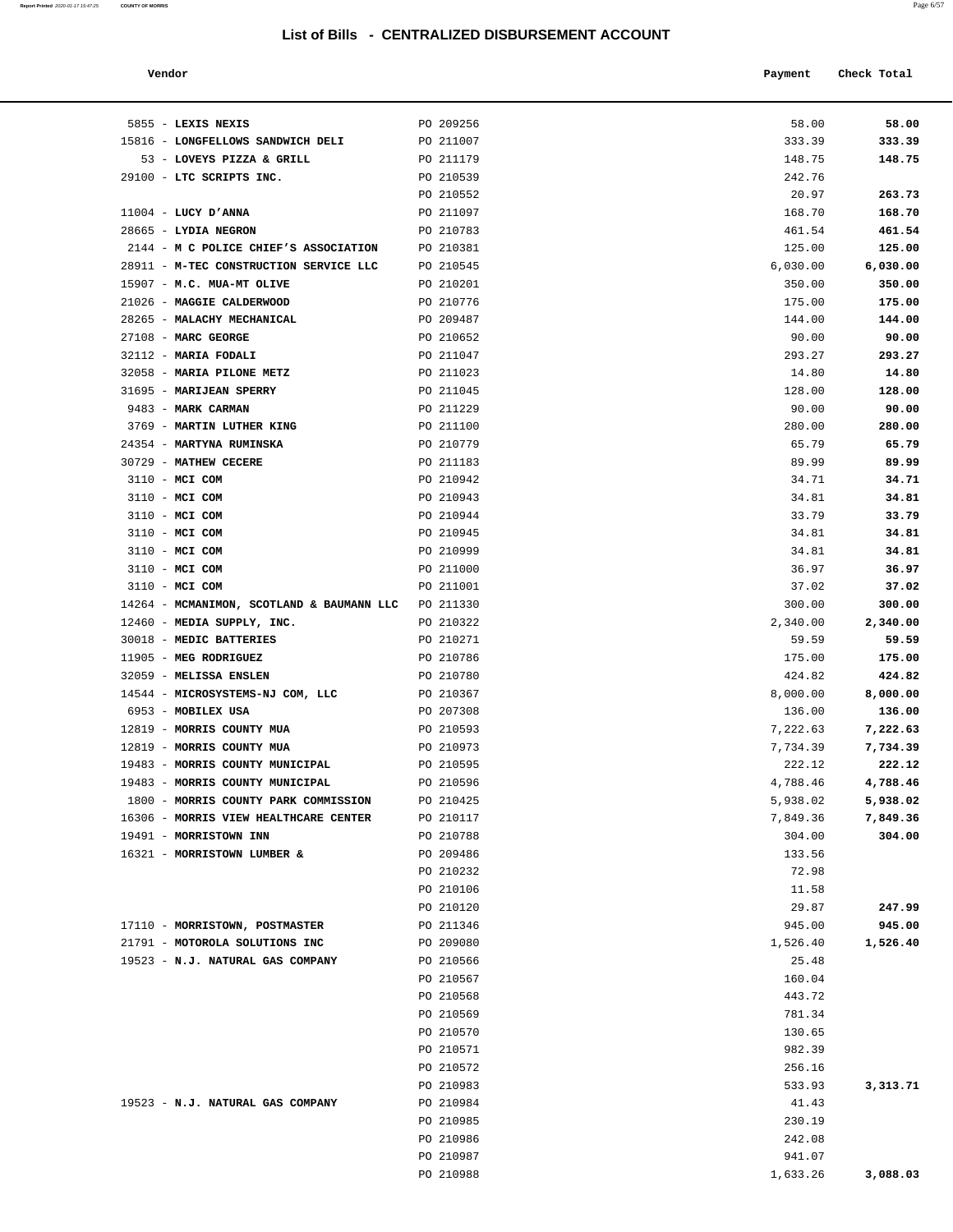| Vendor | Payment Check Total |
|--------|---------------------|
|        |                     |

| 5855 - LEXIS NEXIS                        | PO 209256 | 58.00           | 58.00    |
|-------------------------------------------|-----------|-----------------|----------|
| 15816 - LONGFELLOWS SANDWICH DELI         | PO 211007 | 333.39          | 333.39   |
| 53 - LOVEYS PIZZA & GRILL                 | PO 211179 | 148.75          | 148.75   |
| 29100 - LTC SCRIPTS INC.                  | PO 210539 | 242.76          |          |
|                                           | PO 210552 | 20.97           | 263.73   |
| $11004$ - LUCY D'ANNA                     | PO 211097 | 168.70          | 168.70   |
| 28665 - LYDIA NEGRON                      | PO 210783 | 461.54          | 461.54   |
| 2144 - M C POLICE CHIEF'S ASSOCIATION     | PO 210381 | 125.00          | 125.00   |
| 28911 - M-TEC CONSTRUCTION SERVICE LLC    | PO 210545 | 6,030.00        | 6,030.00 |
| 15907 - M.C. MUA-MT OLIVE                 | PO 210201 | 350.00          | 350.00   |
| 21026 - MAGGIE CALDERWOOD                 | PO 210776 | 175.00          | 175.00   |
| 28265 - MALACHY MECHANICAL                | PO 209487 | 144.00          | 144.00   |
| $27108$ - MARC GEORGE                     | PO 210652 | 90.00           | 90.00    |
| 32112 - MARIA FODALI                      | PO 211047 | 293.27          | 293.27   |
| 32058 - MARIA PILONE METZ                 |           |                 |          |
|                                           | PO 211023 | 14.80           | 14.80    |
| 31695 - MARIJEAN SPERRY                   | PO 211045 | 128.00          | 128.00   |
| 9483 - MARK CARMAN                        | PO 211229 | 90.00           | 90.00    |
| 3769 - MARTIN LUTHER KING                 | PO 211100 | 280.00          | 280.00   |
| 24354 - MARTYNA RUMINSKA                  | PO 210779 | 65.79           | 65.79    |
| 30729 - MATHEW CECERE                     | PO 211183 | 89.99           | 89.99    |
| 3110 - MCI COM                            | PO 210942 | 34.71           | 34.71    |
| 3110 - MCI COM                            | PO 210943 | 34.81           | 34.81    |
| 3110 - MCI COM                            | PO 210944 | 33.79           | 33.79    |
| 3110 - MCI COM                            | PO 210945 | 34.81           | 34.81    |
| 3110 - MCI COM                            | PO 210999 | 34.81           | 34.81    |
| 3110 - MCI COM                            | PO 211000 | 36.97           | 36.97    |
| 3110 - MCI COM                            | PO 211001 | 37.02           | 37.02    |
| 14264 - MCMANIMON, SCOTLAND & BAUMANN LLC | PO 211330 | 300.00          | 300.00   |
| 12460 - MEDIA SUPPLY, INC.                | PO 210322 | 2,340.00        | 2,340.00 |
| 30018 - MEDIC BATTERIES                   | PO 210271 | 59.59           | 59.59    |
| 11905 - MEG RODRIGUEZ                     | PO 210786 | 175.00          | 175.00   |
| 32059 - MELISSA ENSLEN                    | PO 210780 | 424.82          | 424.82   |
| 14544 - MICROSYSTEMS-NJ COM, LLC          | PO 210367 | 8,000.00        | 8,000.00 |
| 6953 - MOBILEX USA                        | PO 207308 | 136.00          | 136.00   |
| 12819 - MORRIS COUNTY MUA                 | PO 210593 | 7,222.63        | 7,222.63 |
| 12819 - MORRIS COUNTY MUA                 | PO 210973 | 7,734.39        | 7,734.39 |
| 19483 - MORRIS COUNTY MUNICIPAL           | PO 210595 | 222.12          | 222.12   |
| 19483 - MORRIS COUNTY MUNICIPAL           | PO 210596 | 4,788.46        | 4,788.46 |
| 1800 - MORRIS COUNTY PARK COMMISSION      | PO 210425 | 5,938.02        | 5,938.02 |
| 16306 - MORRIS VIEW HEALTHCARE CENTER     | PO 210117 | 7,849.36        | 7,849.36 |
| 19491 - MORRISTOWN INN                    | PO 210788 | 304.00          | 304.00   |
| 16321 - MORRISTOWN LUMBER &               | PO 209486 | 133.56          |          |
|                                           | PO 210232 | 72.98           |          |
|                                           | PO 210106 | 11.58           |          |
|                                           | PO 210120 | 29.87           | 247.99   |
| 17110 - MORRISTOWN, POSTMASTER            | PO 211346 | 945.00          | 945.00   |
| 21791 - MOTOROLA SOLUTIONS INC            | PO 209080 | 1,526.40        | 1,526.40 |
|                                           |           |                 |          |
| 19523 - N.J. NATURAL GAS COMPANY          | PO 210566 | 25.48<br>160.04 |          |
|                                           | PO 210567 |                 |          |
|                                           | PO 210568 | 443.72          |          |
|                                           | PO 210569 | 781.34          |          |
|                                           | PO 210570 | 130.65          |          |
|                                           | PO 210571 | 982.39          |          |
|                                           | PO 210572 | 256.16          |          |
|                                           | PO 210983 | 533.93          | 3,313.71 |
| 19523 - N.J. NATURAL GAS COMPANY          | PO 210984 | 41.43           |          |
|                                           | PO 210985 | 230.19          |          |
|                                           | PO 210986 | 242.08          |          |
|                                           | PO 210987 | 941.07          |          |
|                                           | PO 210988 | 1,633.26        | 3,088.03 |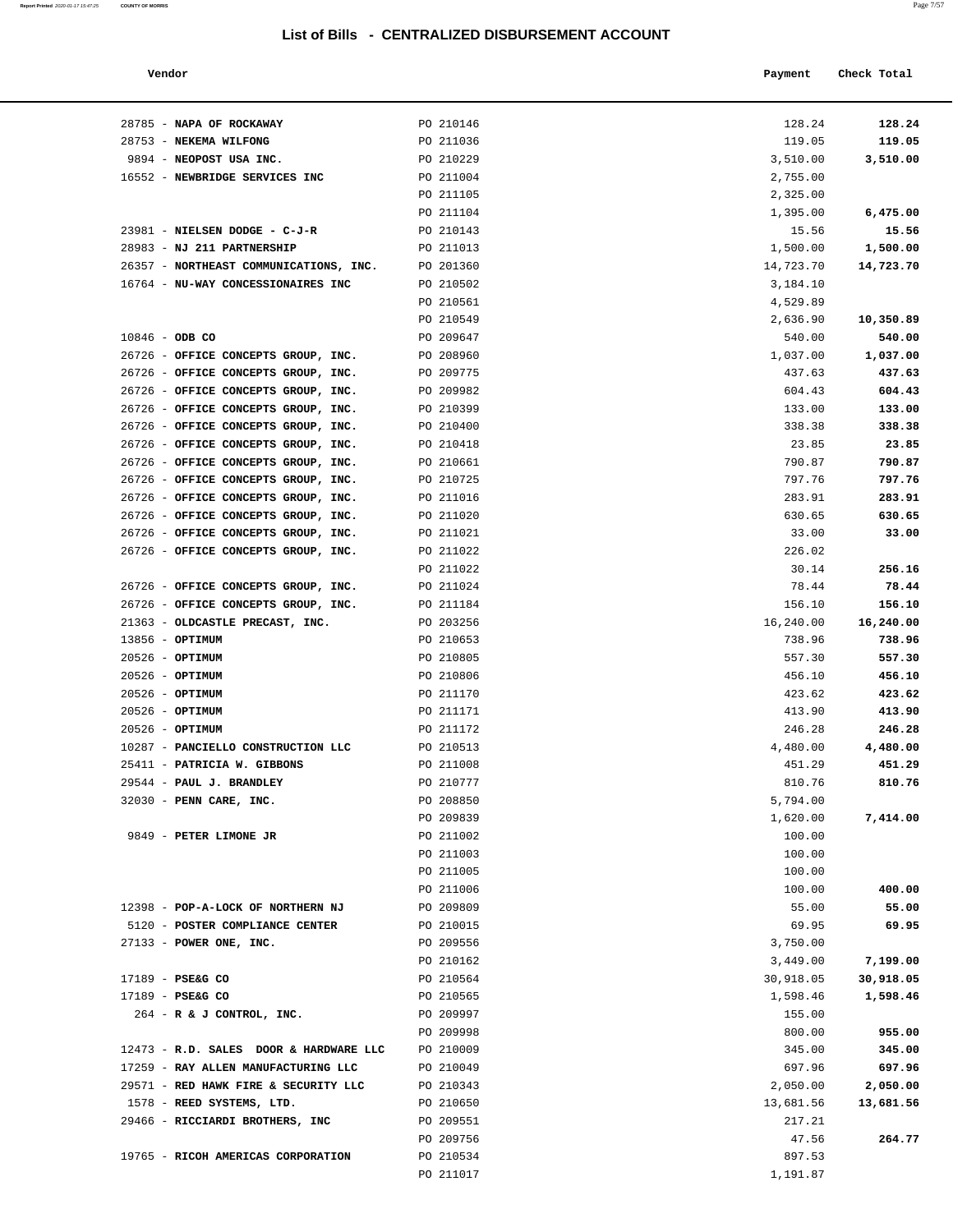#### **Vendor Payment Check Total**

| 28785 - NAPA OF ROCKAWAY                                                   | PO 210146              | 128.24          | 128.24          |
|----------------------------------------------------------------------------|------------------------|-----------------|-----------------|
| 28753 - NEKEMA WILFONG                                                     | PO 211036              | 119.05          | 119.05          |
| 9894 - NEOPOST USA INC.                                                    | PO 210229              | 3,510.00        | 3,510.00        |
| 16552 - NEWBRIDGE SERVICES INC                                             | PO 211004              | 2,755.00        |                 |
|                                                                            | PO 211105              | 2,325.00        |                 |
|                                                                            | PO 211104              | 1,395.00        | 6,475.00        |
| 23981 - NIELSEN DODGE - C-J-R                                              | PO 210143              | 15.56           | 15.56           |
| 28983 - NJ 211 PARTNERSHIP                                                 | PO 211013              | 1,500.00        | 1,500.00        |
| 26357 - NORTHEAST COMMUNICATIONS, INC.                                     | PO 201360              | 14,723.70       | 14,723.70       |
| 16764 - NU-WAY CONCESSIONAIRES INC                                         | PO 210502              | 3,184.10        |                 |
|                                                                            | PO 210561              | 4,529.89        |                 |
|                                                                            | PO 210549              | 2,636.90        | 10,350.89       |
| $10846 - ODB CO$                                                           | PO 209647              | 540.00          | 540.00          |
| 26726 - OFFICE CONCEPTS GROUP, INC.                                        | PO 208960              | 1,037.00        | 1,037.00        |
| 26726 - OFFICE CONCEPTS GROUP, INC.                                        | PO 209775              | 437.63          | 437.63          |
| 26726 - OFFICE CONCEPTS GROUP, INC.                                        | PO 209982              | 604.43          | 604.43          |
| 26726 - OFFICE CONCEPTS GROUP, INC.                                        | PO 210399              | 133.00          | 133.00          |
| 26726 - OFFICE CONCEPTS GROUP, INC.                                        | PO 210400              | 338.38          | 338.38          |
| 26726 - OFFICE CONCEPTS GROUP, INC.                                        | PO 210418              | 23.85           | 23.85           |
| 26726 - OFFICE CONCEPTS GROUP, INC.                                        | PO 210661              | 790.87          | 790.87          |
| 26726 - OFFICE CONCEPTS GROUP, INC.                                        | PO 210725              | 797.76          | 797.76          |
| 26726 - OFFICE CONCEPTS GROUP, INC.                                        | PO 211016              | 283.91          | 283.91          |
| 26726 - OFFICE CONCEPTS GROUP, INC.<br>26726 - OFFICE CONCEPTS GROUP, INC. | PO 211020<br>PO 211021 | 630.65          | 630.65<br>33.00 |
| 26726 - OFFICE CONCEPTS GROUP, INC.                                        | PO 211022              | 33.00<br>226.02 |                 |
|                                                                            | PO 211022              | 30.14           | 256.16          |
| 26726 - OFFICE CONCEPTS GROUP, INC.                                        | PO 211024              | 78.44           | 78.44           |
| 26726 - OFFICE CONCEPTS GROUP, INC.                                        | PO 211184              | 156.10          | 156.10          |
| 21363 - OLDCASTLE PRECAST, INC.                                            | PO 203256              | 16,240.00       | 16,240.00       |
| $13856 - OPTIMUM$                                                          | PO 210653              | 738.96          | 738.96          |
| $20526$ - OPTIMUM                                                          | PO 210805              | 557.30          | 557.30          |
| $20526$ - OPTIMUM                                                          | PO 210806              | 456.10          | 456.10          |
| 20526 - OPTIMUM                                                            | PO 211170              | 423.62          | 423.62          |
| $20526$ - OPTIMUM                                                          | PO 211171              | 413.90          | 413.90          |
| 20526 - OPTIMUM                                                            | PO 211172              | 246.28          | 246.28          |
| 10287 - PANCIELLO CONSTRUCTION LLC                                         | PO 210513              | 4,480.00        | 4,480.00        |
| 25411 - PATRICIA W. GIBBONS                                                | PO 211008              | 451.29          | 451.29          |
| 29544 - PAUL J. BRANDLEY                                                   | PO 210777              | 810.76          | 810.76          |
| 32030 - PENN CARE, INC.                                                    | PO 208850              | 5,794.00        |                 |
|                                                                            | PO 209839              | 1,620.00        | 7,414.00        |
| 9849 - PETER LIMONE JR                                                     | PO 211002              | 100.00          |                 |
|                                                                            | PO 211003              | 100.00          |                 |
|                                                                            | PO 211005              | 100.00          |                 |
|                                                                            | PO 211006              | 100.00          | 400.00          |
| 12398 - POP-A-LOCK OF NORTHERN NJ                                          | PO 209809              | 55.00           | 55.00           |
| 5120 - POSTER COMPLIANCE CENTER                                            | PO 210015              | 69.95           | 69.95           |
| 27133 - POWER ONE, INC.                                                    | PO 209556              | 3,750.00        |                 |
|                                                                            | PO 210162              | 3,449.00        | 7,199.00        |
| 17189 - PSE&G CO                                                           | PO 210564              | 30,918.05       | 30,918.05       |
| 17189 - PSE&G CO                                                           | PO 210565              | 1,598.46        | 1,598.46        |
| $264$ - R & J CONTROL, INC.                                                | PO 209997              | 155.00          |                 |
|                                                                            | PO 209998              | 800.00          | 955.00          |
| 12473 - R.D. SALES DOOR & HARDWARE LLC                                     | PO 210009              | 345.00          | 345.00          |
| 17259 - RAY ALLEN MANUFACTURING LLC                                        | PO 210049              | 697.96          | 697.96          |
| 29571 - RED HAWK FIRE & SECURITY LLC                                       | PO 210343              | 2,050.00        | 2,050.00        |
| 1578 - REED SYSTEMS, LTD.                                                  | PO 210650              | 13,681.56       | 13,681.56       |
| 29466 - RICCIARDI BROTHERS, INC                                            | PO 209551              | 217.21          |                 |
|                                                                            | PO 209756              | 47.56           | 264.77          |
| 19765 - RICOH AMERICAS CORPORATION                                         | PO 210534              | 897.53          |                 |
|                                                                            | PO 211017              | 1,191.87        |                 |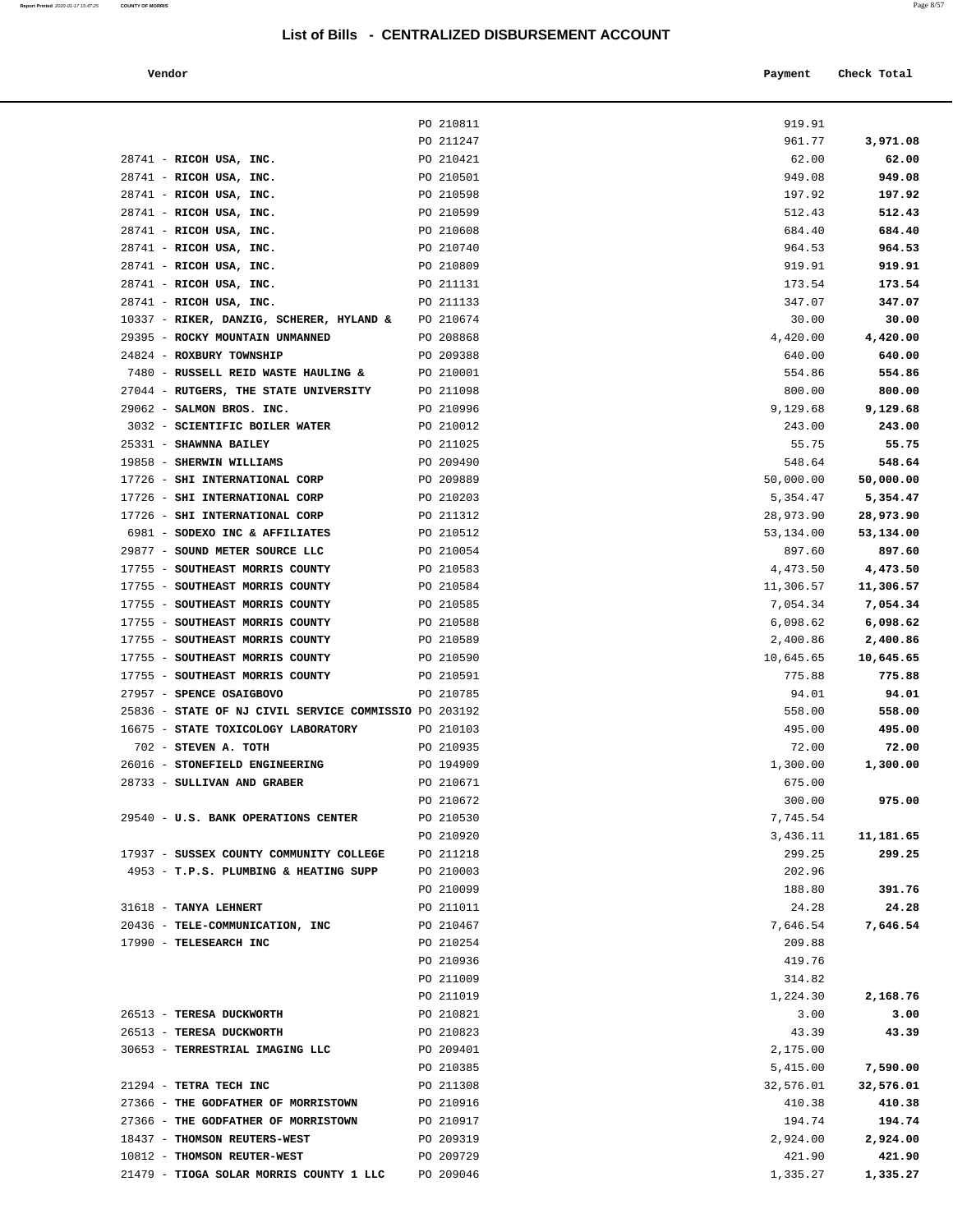**Vendor Payment Check Total**

|                                                       | PO 210811 | 919.91    |           |
|-------------------------------------------------------|-----------|-----------|-----------|
|                                                       | PO 211247 | 961.77    | 3,971.08  |
| 28741 - RICOH USA, INC.                               | PO 210421 | 62.00     | 62.00     |
| 28741 - RICOH USA, INC.                               | PO 210501 | 949.08    | 949.08    |
| 28741 - RICOH USA, INC.                               | PO 210598 | 197.92    | 197.92    |
| $28741$ - RICOH USA, INC.                             | PO 210599 | 512.43    | 512.43    |
| 28741 - RICOH USA, INC.                               | PO 210608 | 684.40    | 684.40    |
| 28741 - RICOH USA, INC.                               | PO 210740 | 964.53    | 964.53    |
| 28741 - RICOH USA, INC.                               | PO 210809 | 919.91    | 919.91    |
| 28741 - RICOH USA, INC.                               | PO 211131 | 173.54    | 173.54    |
| 28741 - RICOH USA, INC.                               | PO 211133 | 347.07    | 347.07    |
| 10337 - RIKER, DANZIG, SCHERER, HYLAND &              | PO 210674 | 30.00     | 30.00     |
| 29395 - ROCKY MOUNTAIN UNMANNED                       | PO 208868 | 4,420.00  | 4,420.00  |
| 24824 - ROXBURY TOWNSHIP                              | PO 209388 | 640.00    | 640.00    |
| 7480 - RUSSELL REID WASTE HAULING &                   | PO 210001 | 554.86    | 554.86    |
| 27044 - RUTGERS, THE STATE UNIVERSITY                 | PO 211098 | 800.00    | 800.00    |
| 29062 - SALMON BROS. INC.                             | PO 210996 | 9,129.68  | 9,129.68  |
| 3032 - SCIENTIFIC BOILER WATER                        | PO 210012 | 243.00    | 243.00    |
| 25331 - SHAWNNA BAILEY                                | PO 211025 | 55.75     | 55.75     |
| 19858 - SHERWIN WILLIAMS                              | PO 209490 | 548.64    | 548.64    |
| 17726 - SHI INTERNATIONAL CORP                        | PO 209889 | 50,000.00 | 50,000.00 |
| 17726 - SHI INTERNATIONAL CORP                        | PO 210203 | 5,354.47  | 5,354.47  |
| 17726 - SHI INTERNATIONAL CORP                        | PO 211312 | 28,973.90 | 28,973.90 |
| 6981 - SODEXO INC & AFFILIATES                        | PO 210512 | 53,134.00 | 53,134.00 |
| 29877 - SOUND METER SOURCE LLC                        | PO 210054 | 897.60    | 897.60    |
| 17755 - SOUTHEAST MORRIS COUNTY                       | PO 210583 | 4,473.50  | 4,473.50  |
| 17755 - SOUTHEAST MORRIS COUNTY                       | PO 210584 | 11,306.57 | 11,306.57 |
| 17755 - SOUTHEAST MORRIS COUNTY                       | PO 210585 | 7,054.34  | 7,054.34  |
| 17755 - SOUTHEAST MORRIS COUNTY                       | PO 210588 | 6,098.62  | 6,098.62  |
| 17755 - SOUTHEAST MORRIS COUNTY                       | PO 210589 | 2,400.86  | 2,400.86  |
| 17755 - SOUTHEAST MORRIS COUNTY                       | PO 210590 | 10,645.65 | 10,645.65 |
| 17755 - SOUTHEAST MORRIS COUNTY                       | PO 210591 | 775.88    | 775.88    |
| 27957 - SPENCE OSAIGBOVO                              | PO 210785 | 94.01     | 94.01     |
| 25836 - STATE OF NJ CIVIL SERVICE COMMISSIO PO 203192 |           | 558.00    | 558.00    |
| 16675 - STATE TOXICOLOGY LABORATORY                   | PO 210103 | 495.00    | 495.00    |
| 702 - STEVEN A. TOTH                                  | PO 210935 | 72.00     | 72.00     |
| 26016 - STONEFIELD ENGINEERING                        | PO 194909 | 1,300.00  | 1,300.00  |
| 28733 - SULLIVAN AND GRABER                           | PO 210671 | 675.00    |           |
|                                                       | PO 210672 | 300.00    | 975.00    |
| 29540 - U.S. BANK OPERATIONS CENTER                   | PO 210530 | 7,745.54  |           |
|                                                       | PO 210920 | 3,436.11  | 11,181.65 |
| 17937 - SUSSEX COUNTY COMMUNITY COLLEGE               | PO 211218 | 299.25    | 299.25    |
| 4953 - T.P.S. PLUMBING & HEATING SUPP                 | PO 210003 | 202.96    |           |
|                                                       | PO 210099 | 188.80    | 391.76    |
| 31618 - TANYA LEHNERT                                 | PO 211011 | 24.28     | 24.28     |
| 20436 - TELE-COMMUNICATION, INC                       | PO 210467 | 7,646.54  | 7,646.54  |
| 17990 - TELESEARCH INC                                | PO 210254 | 209.88    |           |
|                                                       | PO 210936 | 419.76    |           |
|                                                       | PO 211009 | 314.82    |           |
|                                                       | PO 211019 | 1,224.30  | 2,168.76  |
| 26513 - TERESA DUCKWORTH                              | PO 210821 | 3.00      | 3.00      |
| 26513 - TERESA DUCKWORTH                              | PO 210823 | 43.39     | 43.39     |
| 30653 - TERRESTRIAL IMAGING LLC                       | PO 209401 | 2,175.00  |           |
|                                                       | PO 210385 | 5,415.00  | 7,590.00  |
| 21294 - TETRA TECH INC                                | PO 211308 | 32,576.01 | 32,576.01 |
| 27366 - THE GODFATHER OF MORRISTOWN                   | PO 210916 | 410.38    | 410.38    |
| 27366 - THE GODFATHER OF MORRISTOWN                   | PO 210917 | 194.74    | 194.74    |
| 18437 - THOMSON REUTERS-WEST                          | PO 209319 | 2,924.00  | 2,924.00  |
| 10812 - THOMSON REUTER-WEST                           | PO 209729 | 421.90    | 421.90    |
| 21479 - TIOGA SOLAR MORRIS COUNTY 1 LLC               | PO 209046 | 1,335.27  | 1,335.27  |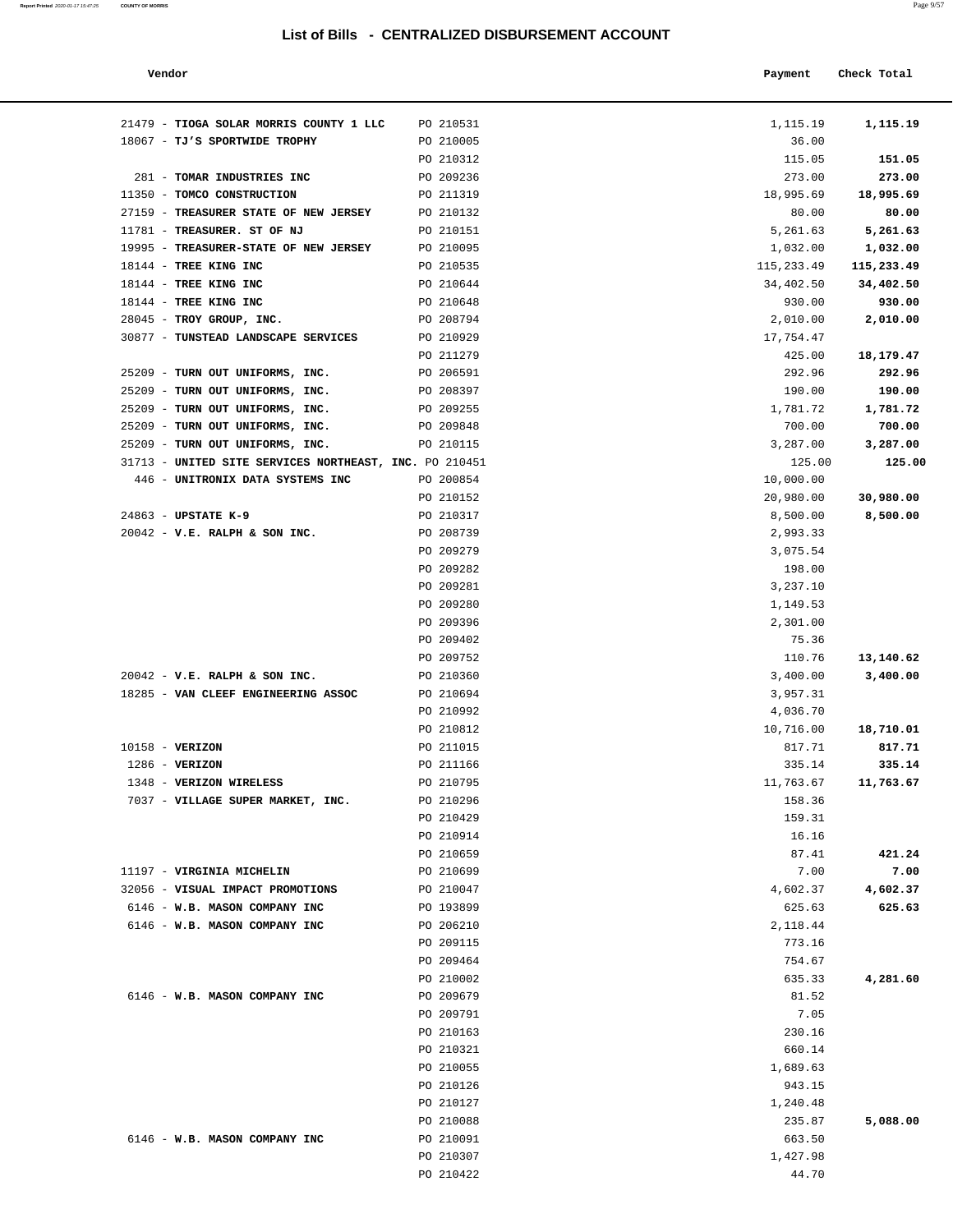| Vendor                                                 |           | Payment    | Check Total |
|--------------------------------------------------------|-----------|------------|-------------|
| 21479 - TIOGA SOLAR MORRIS COUNTY 1 LLC                | PO 210531 | 1,115.19   | 1,115.19    |
| 18067 - TJ'S SPORTWIDE TROPHY                          | PO 210005 | 36.00      |             |
|                                                        | PO 210312 | 115.05     | 151.05      |
| 281 - TOMAR INDUSTRIES INC                             | PO 209236 | 273.00     | 273.00      |
| 11350 - TOMCO CONSTRUCTION                             | PO 211319 | 18,995.69  | 18,995.69   |
| 27159 - TREASURER STATE OF NEW JERSEY                  | PO 210132 | 80.00      | 80.00       |
| 11781 - TREASURER. ST OF NJ                            | PO 210151 | 5,261.63   | 5,261.63    |
| 19995 - TREASURER-STATE OF NEW JERSEY                  | PO 210095 | 1,032.00   | 1,032.00    |
| 18144 - TREE KING INC                                  | PO 210535 | 115,233.49 | 115,233.49  |
| 18144 - TREE KING INC                                  | PO 210644 | 34,402.50  | 34,402.50   |
| 18144 - TREE KING INC                                  | PO 210648 | 930.00     | 930.00      |
| 28045 - TROY GROUP, INC.                               | PO 208794 | 2,010.00   | 2,010.00    |
| 30877 - TUNSTEAD LANDSCAPE SERVICES                    | PO 210929 | 17,754.47  |             |
|                                                        | PO 211279 | 425.00     | 18,179.47   |
| 25209 - TURN OUT UNIFORMS, INC.                        | PO 206591 | 292.96     | 292.96      |
| 25209 - TURN OUT UNIFORMS, INC.                        | PO 208397 | 190.00     | 190.00      |
| 25209 - TURN OUT UNIFORMS, INC.                        | PO 209255 | 1,781.72   | 1,781.72    |
| 25209 - TURN OUT UNIFORMS, INC.                        | PO 209848 | 700.00     | 700.00      |
| 25209 - TURN OUT UNIFORMS, INC.                        | PO 210115 | 3,287.00   | 3,287.00    |
| 31713 - UNITED SITE SERVICES NORTHEAST, INC. PO 210451 |           | 125.00     | 125.00      |
| 446 - UNITRONIX DATA SYSTEMS INC                       | PO 200854 | 10,000.00  |             |
|                                                        | PO 210152 | 20,980.00  | 30,980.00   |
| 24863 - UPSTATE K-9                                    | PO 210317 |            | 8,500.00    |
|                                                        |           | 8,500.00   |             |
| $20042$ - V.E. RALPH & SON INC.                        | PO 208739 | 2,993.33   |             |
|                                                        | PO 209279 | 3,075.54   |             |
|                                                        | PO 209282 | 198.00     |             |
|                                                        | PO 209281 | 3,237.10   |             |
|                                                        | PO 209280 | 1,149.53   |             |
|                                                        | PO 209396 | 2,301.00   |             |
|                                                        | PO 209402 | 75.36      |             |
|                                                        | PO 209752 | 110.76     | 13,140.62   |
| $20042$ - V.E. RALPH & SON INC.                        | PO 210360 | 3,400.00   | 3,400.00    |
| 18285 - VAN CLEEF ENGINEERING ASSOC                    | PO 210694 | 3,957.31   |             |
|                                                        | PO 210992 | 4,036.70   |             |
|                                                        | PO 210812 | 10,716.00  | 18,710.01   |
| 10158 - VERIZON                                        | PO 211015 | 817.71     | 817.71      |
| 1286 - VERIZON                                         | PO 211166 | 335.14     | 335.14      |
| 1348 - VERIZON WIRELESS                                | PO 210795 | 11,763.67  | 11,763.67   |
| 7037 - VILLAGE SUPER MARKET, INC.                      | PO 210296 | 158.36     |             |
|                                                        | PO 210429 | 159.31     |             |
|                                                        | PO 210914 | 16.16      |             |
|                                                        | PO 210659 | 87.41      | 421.24      |
| 11197 - VIRGINIA MICHELIN                              | PO 210699 | 7.00       | 7.00        |
| 32056 - VISUAL IMPACT PROMOTIONS                       | PO 210047 | 4,602.37   | 4,602.37    |
| 6146 - W.B. MASON COMPANY INC                          | PO 193899 | 625.63     | 625.63      |
| 6146 - W.B. MASON COMPANY INC                          | PO 206210 | 2,118.44   |             |
|                                                        | PO 209115 | 773.16     |             |
|                                                        | PO 209464 | 754.67     |             |
|                                                        | PO 210002 | 635.33     | 4,281.60    |
| 6146 - W.B. MASON COMPANY INC                          | PO 209679 | 81.52      |             |
|                                                        | PO 209791 | 7.05       |             |
|                                                        | PO 210163 | 230.16     |             |
|                                                        | PO 210321 | 660.14     |             |
|                                                        | PO 210055 | 1,689.63   |             |
|                                                        | PO 210126 | 943.15     |             |
|                                                        | PO 210127 | 1,240.48   |             |
|                                                        | PO 210088 | 235.87     | 5,088.00    |
| 6146 - W.B. MASON COMPANY INC                          | PO 210091 | 663.50     |             |
|                                                        | PO 210307 | 1,427.98   |             |
|                                                        | PO 210422 | 44.70      |             |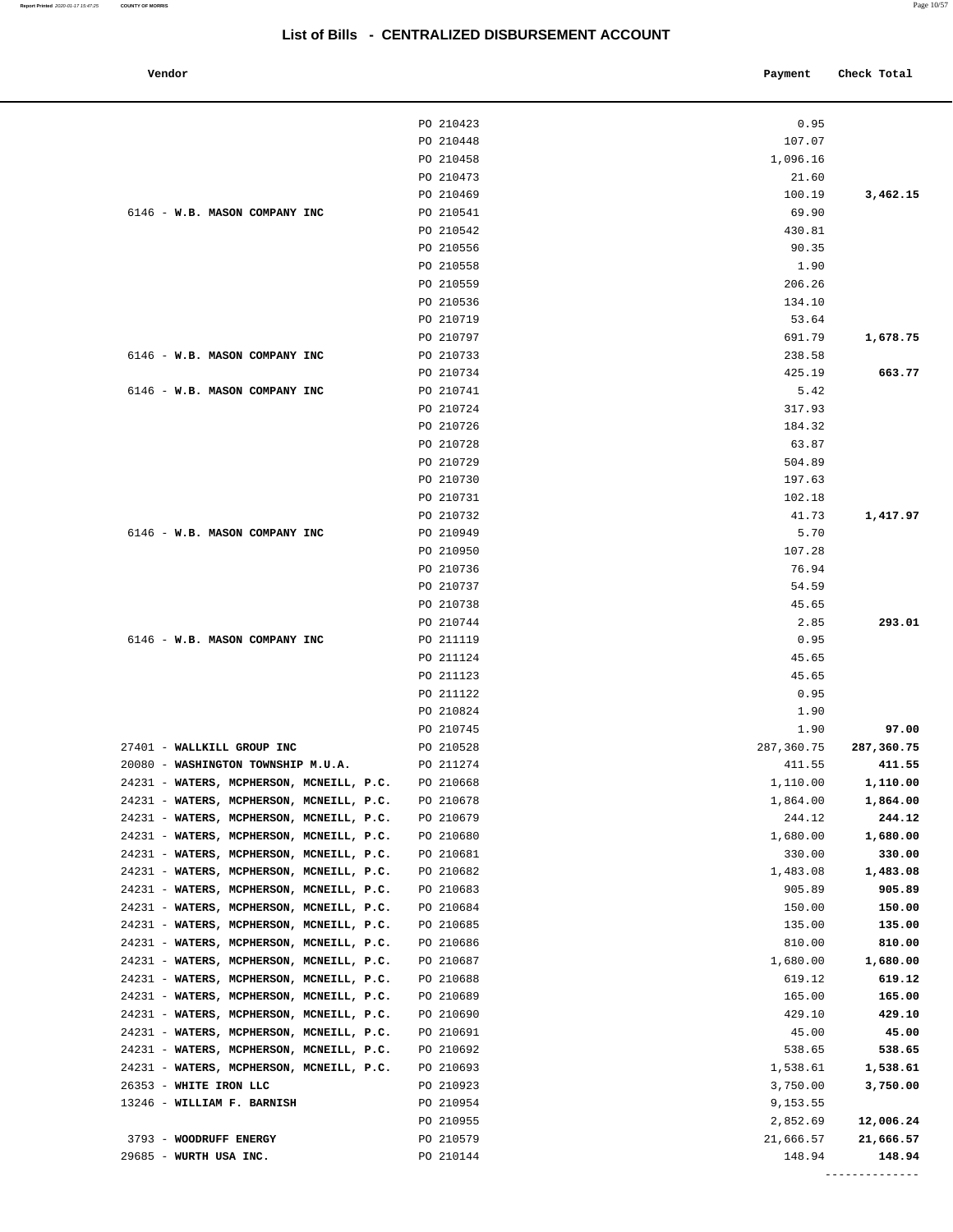| Vendor                                                                               |                        | Payment            | Check Total        |
|--------------------------------------------------------------------------------------|------------------------|--------------------|--------------------|
|                                                                                      |                        |                    |                    |
|                                                                                      | PO 210423              | 0.95               |                    |
|                                                                                      | PO 210448              | 107.07             |                    |
|                                                                                      | PO 210458              | 1,096.16           |                    |
|                                                                                      | PO 210473              | 21.60              |                    |
|                                                                                      | PO 210469              | 100.19             | 3,462.15           |
| 6146 - W.B. MASON COMPANY INC                                                        | PO 210541              | 69.90              |                    |
|                                                                                      | PO 210542              | 430.81             |                    |
|                                                                                      | PO 210556<br>PO 210558 | 90.35<br>1.90      |                    |
|                                                                                      | PO 210559              | 206.26             |                    |
|                                                                                      | PO 210536              | 134.10             |                    |
|                                                                                      | PO 210719              | 53.64              |                    |
|                                                                                      | PO 210797              | 691.79             | 1,678.75           |
| 6146 - W.B. MASON COMPANY INC                                                        | PO 210733              | 238.58             |                    |
|                                                                                      | PO 210734              | 425.19             | 663.77             |
| 6146 - W.B. MASON COMPANY INC                                                        | PO 210741              | 5.42               |                    |
|                                                                                      | PO 210724              | 317.93             |                    |
|                                                                                      | PO 210726              | 184.32             |                    |
|                                                                                      | PO 210728              | 63.87              |                    |
|                                                                                      | PO 210729              | 504.89             |                    |
|                                                                                      | PO 210730              | 197.63             |                    |
|                                                                                      | PO 210731<br>PO 210732 | 102.18<br>41.73    | 1,417.97           |
| 6146 - W.B. MASON COMPANY INC                                                        | PO 210949              | 5.70               |                    |
|                                                                                      | PO 210950              | 107.28             |                    |
|                                                                                      | PO 210736              | 76.94              |                    |
|                                                                                      | PO 210737              | 54.59              |                    |
|                                                                                      | PO 210738              | 45.65              |                    |
|                                                                                      | PO 210744              | 2.85               | 293.01             |
| 6146 - W.B. MASON COMPANY INC                                                        | PO 211119              | 0.95               |                    |
|                                                                                      | PO 211124              | 45.65              |                    |
|                                                                                      | PO 211123              | 45.65              |                    |
|                                                                                      | PO 211122              | 0.95               |                    |
|                                                                                      | PO 210824<br>PO 210745 | 1.90<br>1.90       | 97.00              |
| 27401 - WALLKILL GROUP INC                                                           | PO 210528              | 287,360.75         | 287,360.75         |
| 20080 - WASHINGTON TOWNSHIP M.U.A.                                                   | PO 211274              | 411.55             | 411.55             |
| 24231 - WATERS, MCPHERSON, MCNEILL, P.C.                                             | PO 210668              | 1,110.00           | 1,110.00           |
| 24231 - WATERS, MCPHERSON, MCNEILL, P.C.                                             | PO 210678              | 1,864.00           | 1,864.00           |
| 24231 - WATERS, MCPHERSON, MCNEILL, P.C.                                             | PO 210679              | 244.12             | 244.12             |
| 24231 - WATERS, MCPHERSON, MCNEILL, P.C.                                             | PO 210680              | 1,680.00           | 1,680.00           |
| 24231 - WATERS, MCPHERSON, MCNEILL, P.C.                                             | PO 210681              | 330.00             | 330.00             |
| 24231 - WATERS, MCPHERSON, MCNEILL, P.C.                                             | PO 210682              | 1,483.08           | 1,483.08           |
| 24231 - WATERS, MCPHERSON, MCNEILL, P.C.                                             | PO 210683              | 905.89             | 905.89             |
| 24231 - WATERS, MCPHERSON, MCNEILL, P.C.                                             | PO 210684              | 150.00             | 150.00             |
| 24231 - WATERS, MCPHERSON, MCNEILL, P.C.                                             | PO 210685              | 135.00             | 135.00             |
| 24231 - WATERS, MCPHERSON, MCNEILL, P.C.                                             | PO 210686              | 810.00             | 810.00             |
| 24231 - WATERS, MCPHERSON, MCNEILL, P.C.<br>24231 - WATERS, MCPHERSON, MCNEILL, P.C. | PO 210687<br>PO 210688 | 1,680.00<br>619.12 | 1,680.00<br>619.12 |
| 24231 - WATERS, MCPHERSON, MCNEILL, P.C.                                             | PO 210689              | 165.00             | 165.00             |
| 24231 - WATERS, MCPHERSON, MCNEILL, P.C.                                             | PO 210690              | 429.10             | 429.10             |
| 24231 - WATERS, MCPHERSON, MCNEILL, P.C.                                             | PO 210691              | 45.00              | 45.00              |
| 24231 - WATERS, MCPHERSON, MCNEILL, P.C.                                             | PO 210692              | 538.65             | 538.65             |
| 24231 - WATERS, MCPHERSON, MCNEILL, P.C.                                             | PO 210693              | 1,538.61           | 1,538.61           |
| 26353 - WHITE IRON LLC                                                               | PO 210923              | 3,750.00           | 3,750.00           |
| 13246 - WILLIAM F. BARNISH                                                           | PO 210954              | 9,153.55           |                    |
|                                                                                      | PO 210955              | 2,852.69           | 12,006.24          |
| 3793 - WOODRUFF ENERGY                                                               | PO 210579              | 21,666.57          | 21,666.57          |
| 29685 - WURTH USA INC.                                                               | PO 210144              | 148.94             | 148.94             |

--------------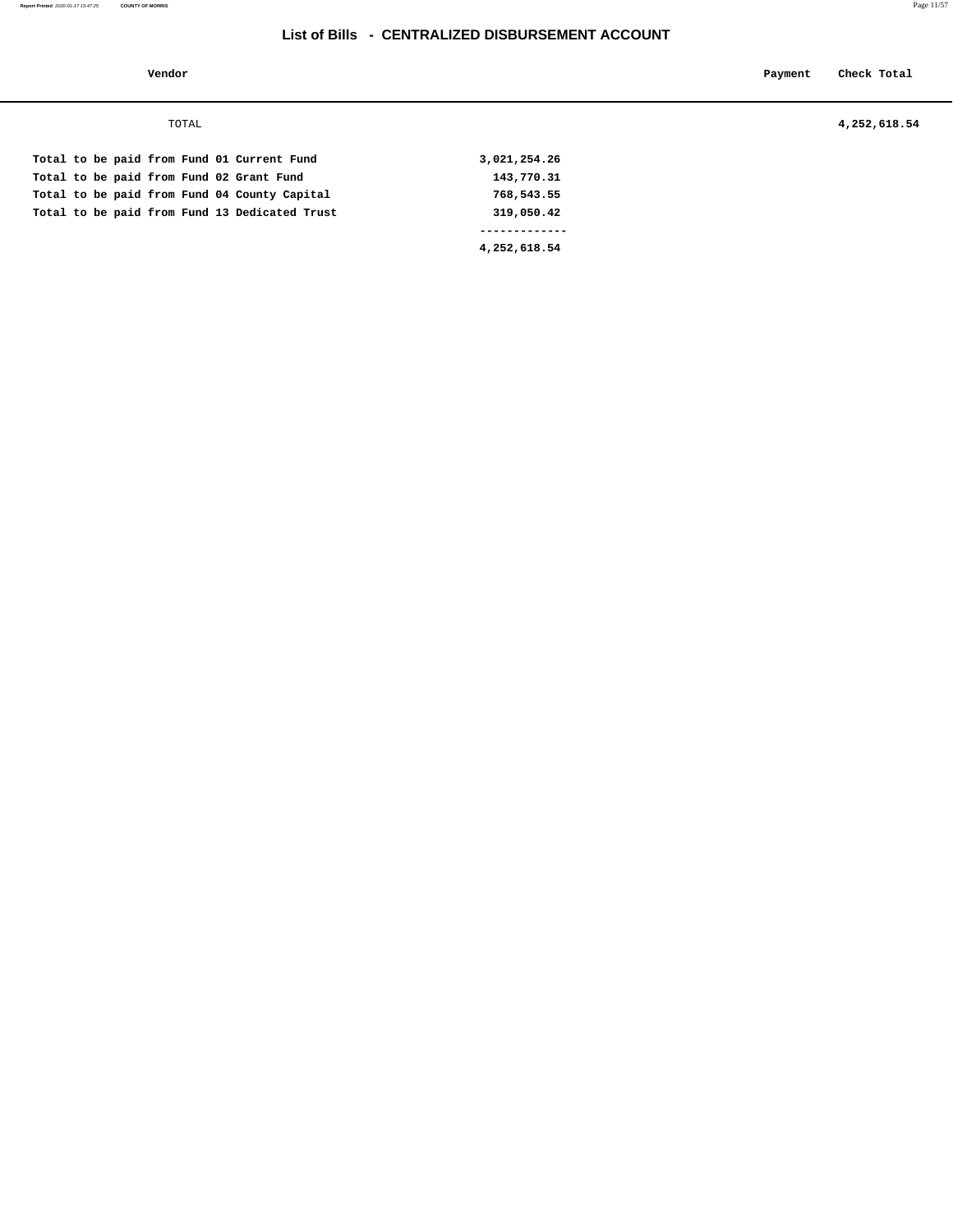**Vendor Payment Check Total**

TOTAL **4,252,618.54**

|  |  |  |  |                                               | 4,252,618.54 |  |
|--|--|--|--|-----------------------------------------------|--------------|--|
|  |  |  |  | Total to be paid from Fund 13 Dedicated Trust | 319,050.42   |  |
|  |  |  |  | Total to be paid from Fund 04 County Capital  | 768,543.55   |  |
|  |  |  |  | Total to be paid from Fund 02 Grant Fund      | 143,770.31   |  |
|  |  |  |  | Total to be paid from Fund 01 Current Fund    | 3,021,254.26 |  |
|  |  |  |  |                                               |              |  |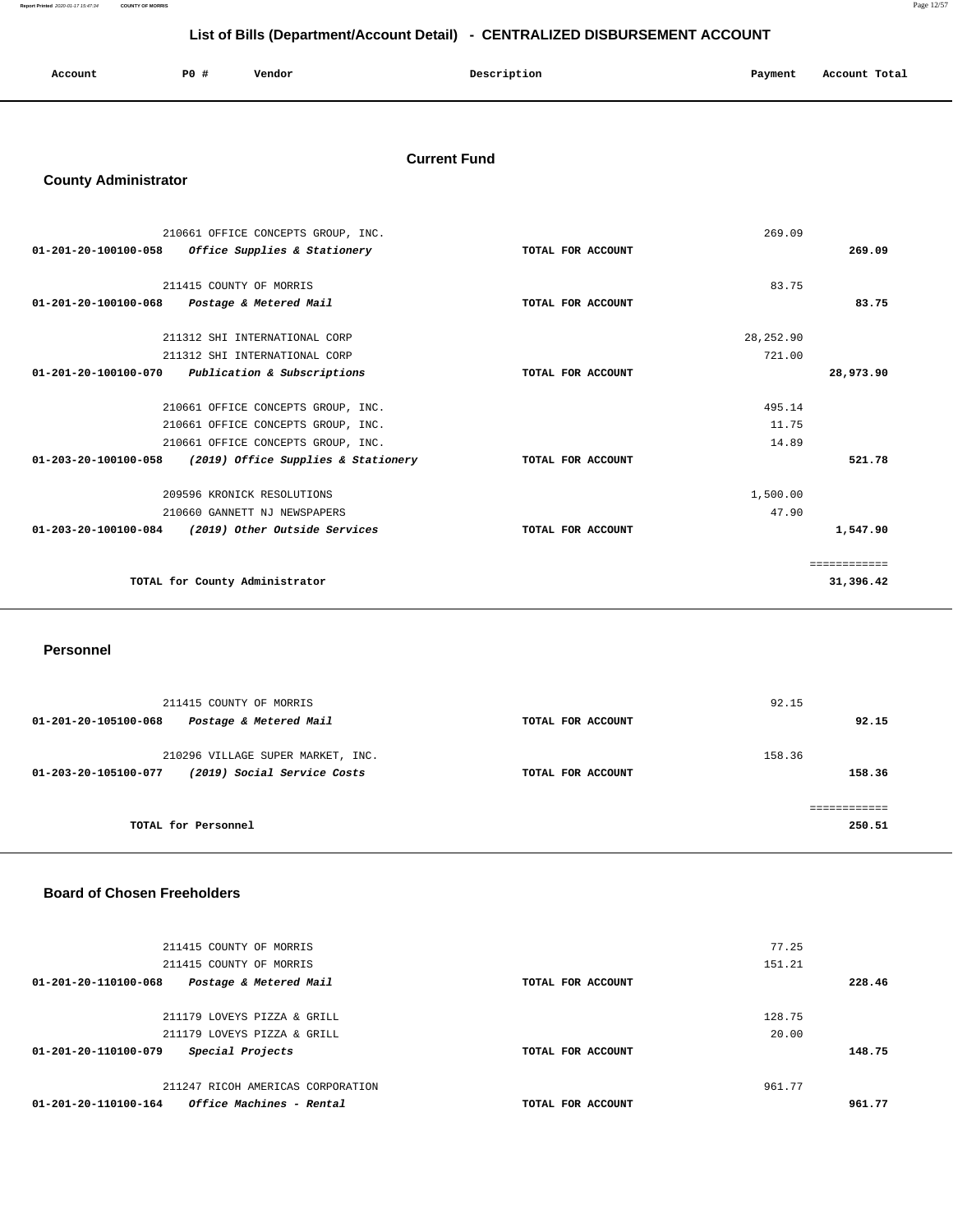**Report Printed** 2020-01-17 15:47:34 **COUNTY OF MORRIS** Page 12/57

# **List of Bills (Department/Account Detail) - CENTRALIZED DISBURSEMENT ACCOUNT**

| Account | P0 # | Vendor | Description | Payment | Account Total |
|---------|------|--------|-------------|---------|---------------|
|         |      |        |             |         |               |

### **Current Fund**

# **County Administrator**

|                      | 210661 OFFICE CONCEPTS GROUP, INC.  |                   | 269.09     |              |
|----------------------|-------------------------------------|-------------------|------------|--------------|
| 01-201-20-100100-058 | Office Supplies & Stationery        | TOTAL FOR ACCOUNT |            | 269.09       |
|                      | 211415 COUNTY OF MORRIS             |                   | 83.75      |              |
| 01-201-20-100100-068 | Postage & Metered Mail              | TOTAL FOR ACCOUNT |            | 83.75        |
|                      | 211312 SHI INTERNATIONAL CORP       |                   | 28, 252.90 |              |
|                      | 211312 SHI INTERNATIONAL CORP       |                   | 721.00     |              |
| 01-201-20-100100-070 | Publication & Subscriptions         | TOTAL FOR ACCOUNT |            | 28,973.90    |
|                      | 210661 OFFICE CONCEPTS GROUP, INC.  |                   | 495.14     |              |
|                      | 210661 OFFICE CONCEPTS GROUP, INC.  |                   | 11.75      |              |
|                      | 210661 OFFICE CONCEPTS GROUP, INC.  |                   | 14.89      |              |
| 01-203-20-100100-058 | (2019) Office Supplies & Stationery | TOTAL FOR ACCOUNT |            | 521.78       |
|                      | 209596 KRONICK RESOLUTIONS          |                   | 1,500.00   |              |
|                      | 210660 GANNETT NJ NEWSPAPERS        |                   | 47.90      |              |
| 01-203-20-100100-084 | (2019) Other Outside Services       | TOTAL FOR ACCOUNT |            | 1,547.90     |
|                      |                                     |                   |            | ============ |
|                      | TOTAL for County Administrator      |                   |            | 31,396.42    |
|                      |                                     |                   |            |              |

#### **Personnel**

| 211415 COUNTY OF MORRIS<br>Postage & Metered Mail<br>01-201-20-105100-068                | TOTAL FOR ACCOUNT | 92.15<br>92.15   |
|------------------------------------------------------------------------------------------|-------------------|------------------|
| 210296 VILLAGE SUPER MARKET, INC.<br>(2019) Social Service Costs<br>01-203-20-105100-077 | TOTAL FOR ACCOUNT | 158.36<br>158.36 |
| TOTAL for Personnel                                                                      |                   | 250.51           |

#### **Board of Chosen Freeholders**

| 211415 COUNTY OF MORRIS                                        | 77.25             |        |
|----------------------------------------------------------------|-------------------|--------|
| 211415 COUNTY OF MORRIS                                        | 151.21            |        |
| 01-201-20-110100-068<br>Postage & Metered Mail                 | TOTAL FOR ACCOUNT | 228.46 |
|                                                                |                   |        |
| 211179 LOVEYS PIZZA & GRILL                                    | 128.75            |        |
| 211179 LOVEYS PIZZA & GRILL                                    | 20.00             |        |
| Special Projects<br>01-201-20-110100-079                       | TOTAL FOR ACCOUNT | 148.75 |
| 211247 RICOH AMERICAS CORPORATION                              | 961.77            |        |
| 01-201-20-110100-164<br><i><b>Office Machines - Rental</b></i> | TOTAL FOR ACCOUNT | 961.77 |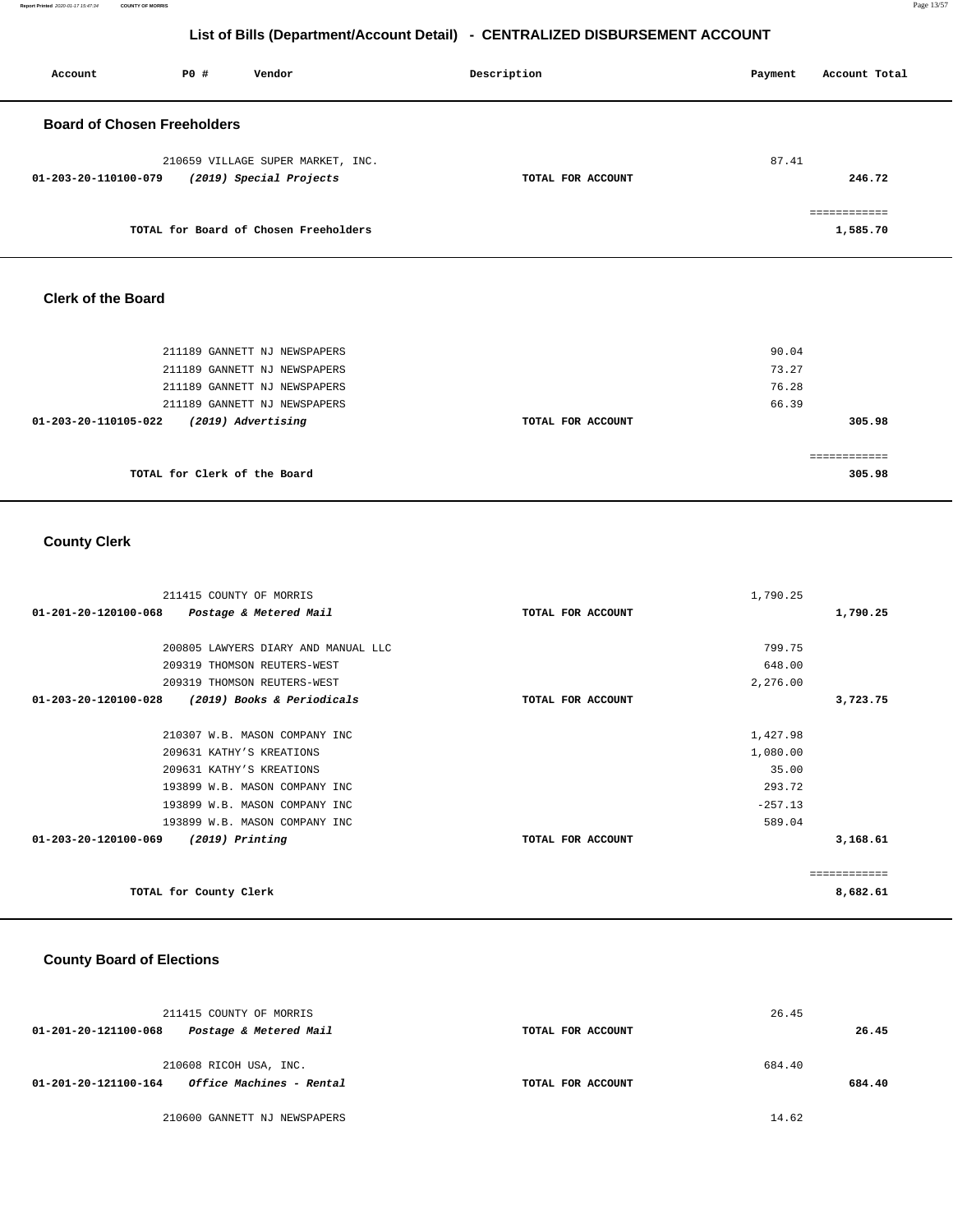**Report Printed** 2020-01-17 15:47:34 **COUNTY OF MORRIS** Page 13/57

# **List of Bills (Department/Account Detail) - CENTRALIZED DISBURSEMENT ACCOUNT**

| Account                            | PO# | Vendor                                                       | Description       | Account Total<br>Payment |
|------------------------------------|-----|--------------------------------------------------------------|-------------------|--------------------------|
| <b>Board of Chosen Freeholders</b> |     |                                                              |                   |                          |
| 01-203-20-110100-079               |     | 210659 VILLAGE SUPER MARKET, INC.<br>(2019) Special Projects | TOTAL FOR ACCOUNT | 87.41<br>246.72          |
|                                    |     | TOTAL for Board of Chosen Freeholders                        |                   | eessessesses<br>1,585.70 |

#### **Clerk of the Board**

| 211189 GANNETT NJ NEWSPAPERS<br>211189 GANNETT NJ NEWSPAPERS |                   | 90.04<br>73.27         |
|--------------------------------------------------------------|-------------------|------------------------|
| 211189 GANNETT NJ NEWSPAPERS                                 |                   | 76.28                  |
| 211189 GANNETT NJ NEWSPAPERS                                 |                   | 66.39                  |
| (2019) Advertising<br>01-203-20-110105-022                   | TOTAL FOR ACCOUNT | 305.98                 |
| TOTAL for Clerk of the Board                                 |                   | ============<br>305.98 |

# **County Clerk**

| 211415 COUNTY OF MORRIS                                  |                   | 1,790.25  |              |
|----------------------------------------------------------|-------------------|-----------|--------------|
| $01 - 201 - 20 - 120100 - 068$<br>Postage & Metered Mail | TOTAL FOR ACCOUNT |           | 1,790.25     |
|                                                          |                   |           |              |
| 200805 LAWYERS DIARY AND MANUAL LLC                      |                   | 799.75    |              |
| 209319 THOMSON REUTERS-WEST                              |                   | 648.00    |              |
| 209319 THOMSON REUTERS-WEST                              |                   | 2,276.00  |              |
| (2019) Books & Periodicals<br>01-203-20-120100-028       | TOTAL FOR ACCOUNT |           | 3,723.75     |
|                                                          |                   |           |              |
| 210307 W.B. MASON COMPANY INC                            |                   | 1,427.98  |              |
| 209631 KATHY'S KREATIONS                                 |                   | 1,080.00  |              |
| 209631 KATHY'S KREATIONS                                 |                   | 35.00     |              |
| 193899 W.B. MASON COMPANY INC                            |                   | 293.72    |              |
| 193899 W.B. MASON COMPANY INC                            |                   | $-257.13$ |              |
| 193899 W.B. MASON COMPANY INC                            |                   | 589.04    |              |
| 01-203-20-120100-069<br>(2019) Printing                  | TOTAL FOR ACCOUNT |           | 3,168.61     |
|                                                          |                   |           |              |
|                                                          |                   |           | ============ |
| TOTAL for County Clerk                                   |                   |           | 8,682.61     |

# **County Board of Elections**

| 211415 COUNTY OF MORRIS                                        |                   | 26.45  |
|----------------------------------------------------------------|-------------------|--------|
| Postage & Metered Mail<br>01-201-20-121100-068                 | TOTAL FOR ACCOUNT | 26.45  |
| 210608 RICOH USA, INC.                                         |                   | 684.40 |
| <i><b>Office Machines - Rental</b></i><br>01-201-20-121100-164 | TOTAL FOR ACCOUNT | 684.40 |
| 210600 GANNETT NJ NEWSPAPERS                                   |                   | 14.62  |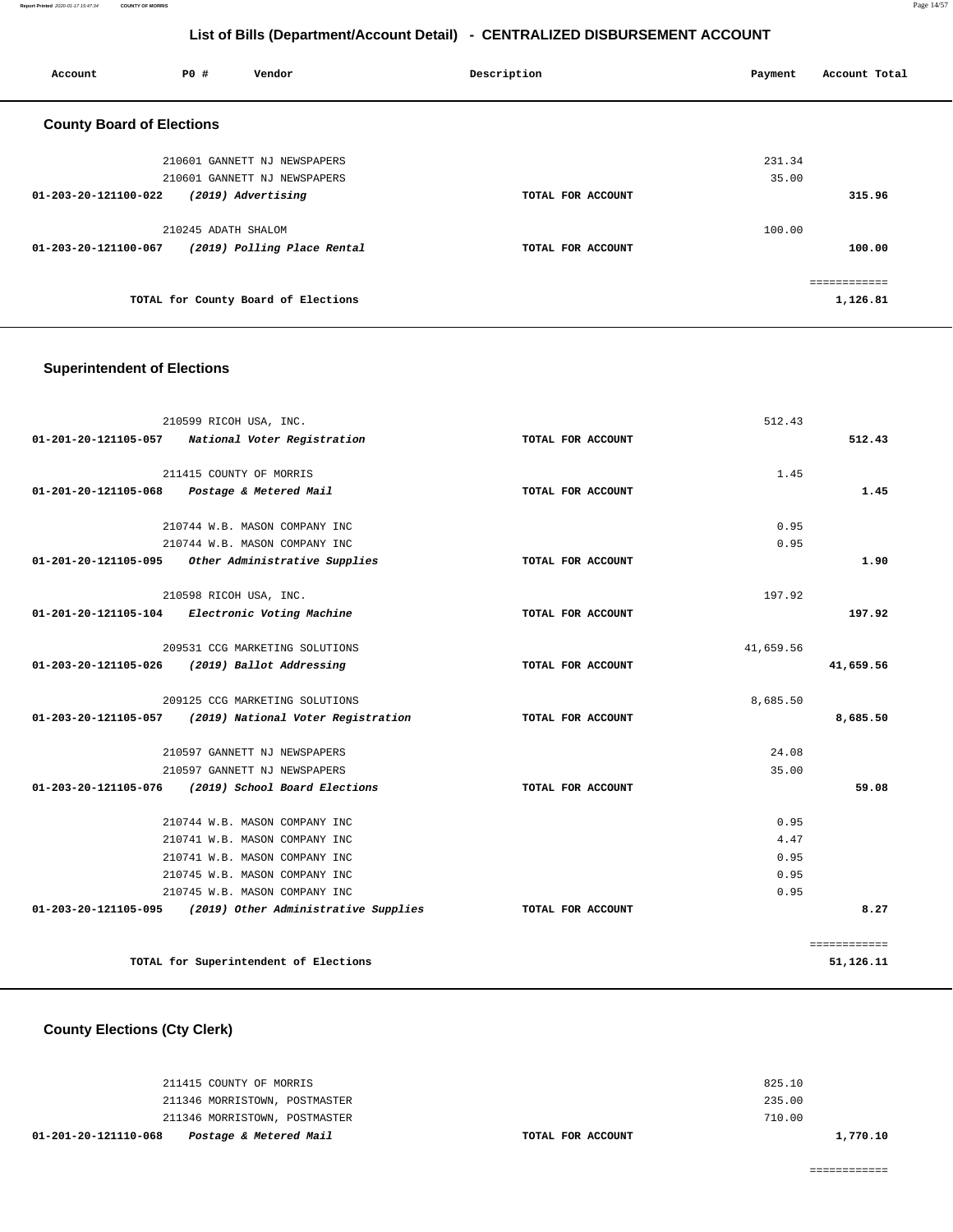| Account                          | PO#                 | Vendor                              | Description       | Account Total<br>Payment |
|----------------------------------|---------------------|-------------------------------------|-------------------|--------------------------|
| <b>County Board of Elections</b> |                     |                                     |                   |                          |
|                                  |                     | 210601 GANNETT NJ NEWSPAPERS        |                   | 231.34                   |
| 210601 GANNETT NJ NEWSPAPERS     |                     |                                     | 35.00             |                          |
| 01-203-20-121100-022             |                     | (2019) Advertising                  | TOTAL FOR ACCOUNT | 315.96                   |
|                                  | 210245 ADATH SHALOM |                                     |                   | 100.00                   |
| 01-203-20-121100-067             |                     | (2019) Polling Place Rental         | TOTAL FOR ACCOUNT | 100.00                   |
|                                  |                     |                                     |                   | ============             |
|                                  |                     | TOTAL for County Board of Elections |                   | 1,126.81                 |

# **Superintendent of Elections**

| 210599 RICOH USA, INC.                                     | 512.43            |              |
|------------------------------------------------------------|-------------------|--------------|
| National Voter Registration<br>01-201-20-121105-057        | TOTAL FOR ACCOUNT | 512.43       |
| 211415 COUNTY OF MORRIS                                    | 1.45              |              |
| Postage & Metered Mail<br>$01 - 201 - 20 - 121105 - 068$   | TOTAL FOR ACCOUNT | 1.45         |
| 210744 W.B. MASON COMPANY INC                              | 0.95              |              |
| 210744 W.B. MASON COMPANY INC                              | 0.95              |              |
| 01-201-20-121105-095<br>Other Administrative Supplies      | TOTAL FOR ACCOUNT | 1.90         |
| 210598 RICOH USA, INC.                                     | 197.92            |              |
| 01-201-20-121105-104 Electronic Voting Machine             | TOTAL FOR ACCOUNT | 197.92       |
| 209531 CCG MARKETING SOLUTIONS                             | 41,659.56         |              |
| 01-203-20-121105-026<br>(2019) Ballot Addressing           | TOTAL FOR ACCOUNT | 41,659.56    |
| 209125 CCG MARKETING SOLUTIONS                             | 8,685.50          |              |
| (2019) National Voter Registration<br>01-203-20-121105-057 | TOTAL FOR ACCOUNT | 8,685.50     |
| 210597 GANNETT NJ NEWSPAPERS                               | 24.08             |              |
| 210597 GANNETT NJ NEWSPAPERS                               | 35.00             |              |
| (2019) School Board Elections<br>01-203-20-121105-076      | TOTAL FOR ACCOUNT | 59.08        |
| 210744 W.B. MASON COMPANY INC                              | 0.95              |              |
| 210741 W.B. MASON COMPANY INC                              | 4.47              |              |
| 210741 W.B. MASON COMPANY INC                              | 0.95              |              |
| 210745 W.B. MASON COMPANY INC                              | 0.95              |              |
| 210745 W.B. MASON COMPANY INC                              | 0.95              |              |
| 01-203-20-121105-095 (2019) Other Administrative Supplies  | TOTAL FOR ACCOUNT | 8.27         |
|                                                            |                   | ============ |
| TOTAL for Superintendent of Elections                      |                   | 51,126.11    |

**County Elections (Cty Clerk)**

| Postage & Metered Mail<br>01-201-20-121110-068 | TOTAL FOR ACCOUNT | 1,770.10 |
|------------------------------------------------|-------------------|----------|
| 211346 MORRISTOWN, POSTMASTER                  |                   | 710.00   |
| 211346 MORRISTOWN, POSTMASTER                  |                   | 235.00   |
| 211415 COUNTY OF MORRIS                        |                   | 825.10   |
|                                                |                   |          |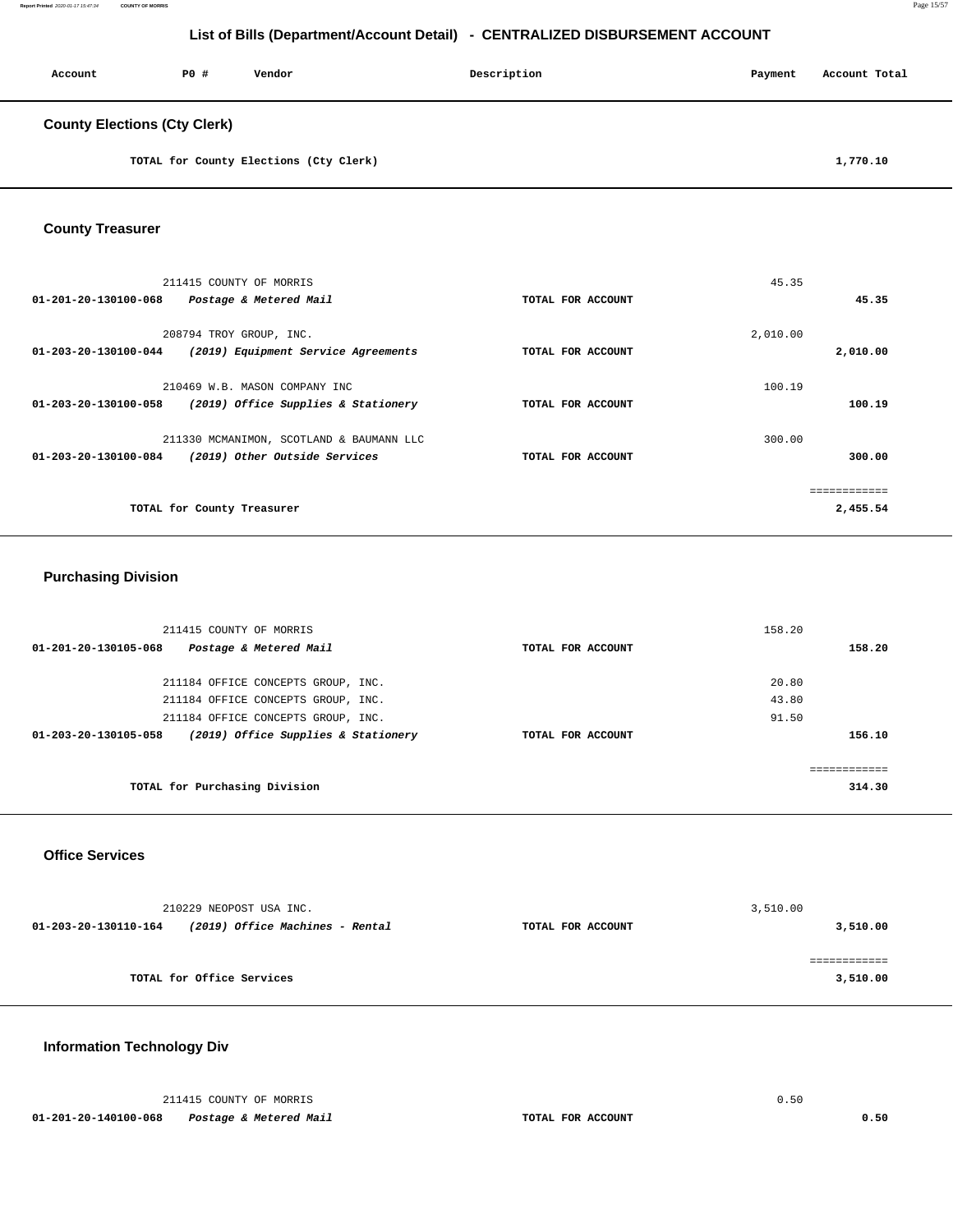| Account                             | <b>PO #</b> | Vendor | Description | Payment | Account Total |
|-------------------------------------|-------------|--------|-------------|---------|---------------|
| <b>County Elections (Cty Clerk)</b> |             |        |             |         |               |

**TOTAL for County Elections (Cty Clerk) 1,770.10** 

### **County Treasurer**

| 211415 COUNTY OF MORRIS                                     |                   | 45.35    |              |
|-------------------------------------------------------------|-------------------|----------|--------------|
| 01-201-20-130100-068<br>Postage & Metered Mail              | TOTAL FOR ACCOUNT |          | 45.35        |
| 208794 TROY GROUP, INC.                                     |                   | 2,010.00 |              |
| 01-203-20-130100-044<br>(2019) Equipment Service Agreements | TOTAL FOR ACCOUNT |          | 2,010.00     |
| 210469 W.B. MASON COMPANY INC                               |                   | 100.19   |              |
| 01-203-20-130100-058<br>(2019) Office Supplies & Stationery | TOTAL FOR ACCOUNT |          | 100.19       |
| 211330 MCMANIMON, SCOTLAND & BAUMANN LLC                    |                   | 300.00   |              |
| (2019) Other Outside Services<br>01-203-20-130100-084       | TOTAL FOR ACCOUNT |          | 300.00       |
|                                                             |                   |          | ============ |
| TOTAL for County Treasurer                                  |                   |          | 2,455.54     |

### **Purchasing Division**

| 211415 COUNTY OF MORRIS                                     |                   | 158.20 |
|-------------------------------------------------------------|-------------------|--------|
| Postage & Metered Mail<br>01-201-20-130105-068              | TOTAL FOR ACCOUNT | 158.20 |
| 211184 OFFICE CONCEPTS GROUP, INC.                          |                   | 20.80  |
| 211184 OFFICE CONCEPTS GROUP, INC.                          |                   | 43.80  |
| 211184 OFFICE CONCEPTS GROUP, INC.                          |                   | 91.50  |
| (2019) Office Supplies & Stationery<br>01-203-20-130105-058 | TOTAL FOR ACCOUNT | 156.10 |
|                                                             |                   |        |
|                                                             |                   |        |
| TOTAL for Purchasing Division                               |                   | 314.30 |

#### **Office Services**

|                      | 210229 NEOPOST USA INC.         |                   | 3,510.00 |
|----------------------|---------------------------------|-------------------|----------|
| 01-203-20-130110-164 | (2019) Office Machines - Rental | TOTAL FOR ACCOUNT | 3,510.00 |
|                      |                                 |                   |          |
|                      |                                 |                   |          |
|                      | TOTAL for Office Services       |                   | 3,510.00 |

# **Information Technology Div**

|                      | 211415 COUNTY OF MORRIS |                   |      |
|----------------------|-------------------------|-------------------|------|
| 01-201-20-140100-068 | Postage & Metered Mail  | TOTAL FOR ACCOUNT | 0.50 |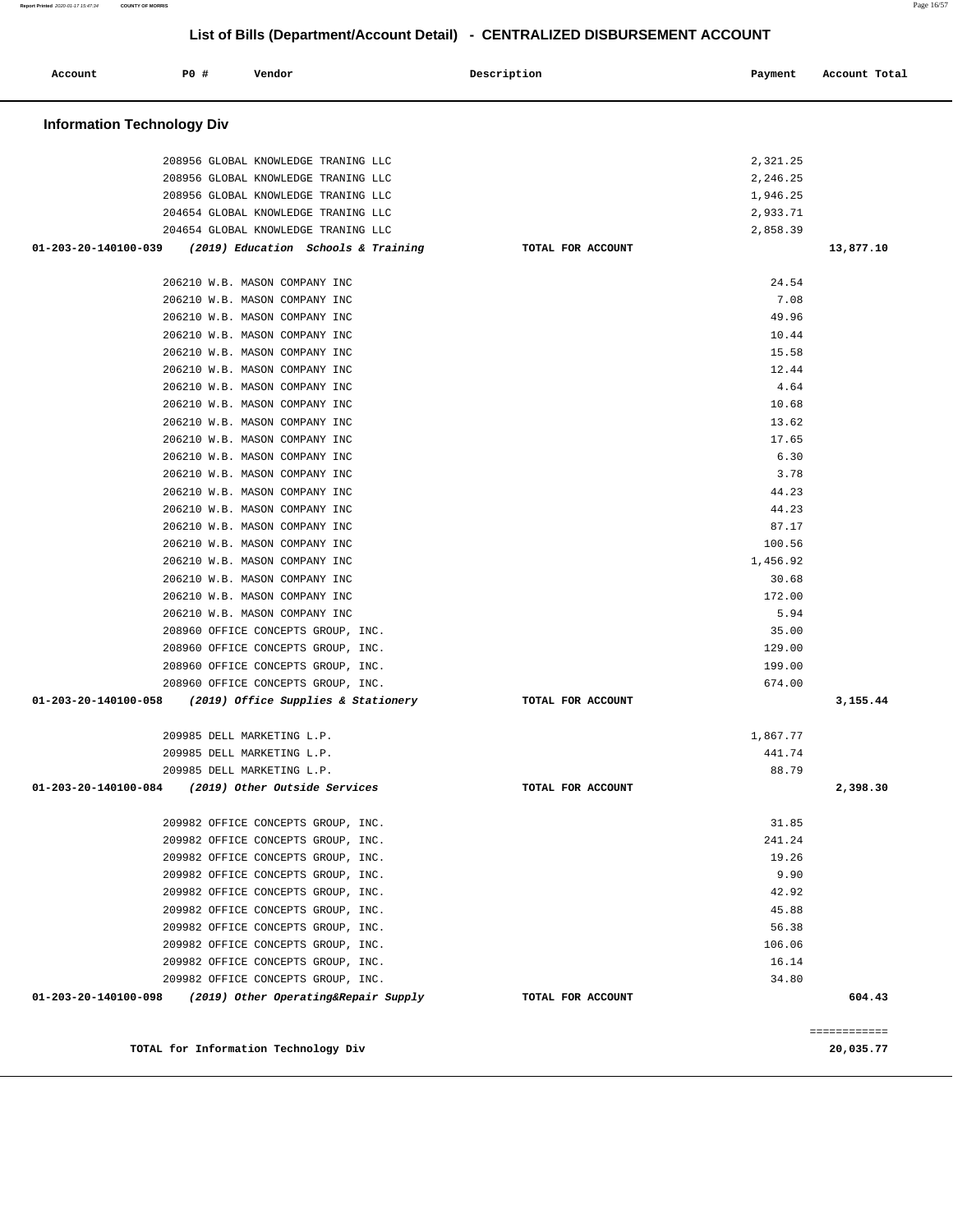| Account                           | PO# | Vendor                                                         | Description       | Payment        | Account Total |
|-----------------------------------|-----|----------------------------------------------------------------|-------------------|----------------|---------------|
| <b>Information Technology Div</b> |     |                                                                |                   |                |               |
|                                   |     | 208956 GLOBAL KNOWLEDGE TRANING LLC                            |                   | 2,321.25       |               |
|                                   |     | 208956 GLOBAL KNOWLEDGE TRANING LLC                            |                   | 2,246.25       |               |
|                                   |     | 208956 GLOBAL KNOWLEDGE TRANING LLC                            |                   | 1,946.25       |               |
|                                   |     | 204654 GLOBAL KNOWLEDGE TRANING LLC                            |                   | 2,933.71       |               |
|                                   |     | 204654 GLOBAL KNOWLEDGE TRANING LLC                            |                   | 2,858.39       |               |
| 01-203-20-140100-039              |     | (2019) Education Schools & Training                            | TOTAL FOR ACCOUNT |                | 13,877.10     |
|                                   |     | 206210 W.B. MASON COMPANY INC                                  |                   | 24.54          |               |
|                                   |     | 206210 W.B. MASON COMPANY INC                                  |                   | 7.08           |               |
|                                   |     | 206210 W.B. MASON COMPANY INC                                  |                   | 49.96          |               |
|                                   |     | 206210 W.B. MASON COMPANY INC                                  |                   | 10.44          |               |
|                                   |     | 206210 W.B. MASON COMPANY INC                                  |                   | 15.58          |               |
|                                   |     | 206210 W.B. MASON COMPANY INC                                  |                   | 12.44          |               |
|                                   |     | 206210 W.B. MASON COMPANY INC                                  |                   | 4.64           |               |
|                                   |     | 206210 W.B. MASON COMPANY INC                                  |                   | 10.68          |               |
|                                   |     | 206210 W.B. MASON COMPANY INC                                  |                   | 13.62<br>17.65 |               |
|                                   |     | 206210 W.B. MASON COMPANY INC<br>206210 W.B. MASON COMPANY INC |                   | 6.30           |               |
|                                   |     | 206210 W.B. MASON COMPANY INC                                  |                   | 3.78           |               |
|                                   |     | 206210 W.B. MASON COMPANY INC                                  |                   | 44.23          |               |
|                                   |     | 206210 W.B. MASON COMPANY INC                                  |                   | 44.23          |               |
|                                   |     | 206210 W.B. MASON COMPANY INC                                  |                   | 87.17          |               |
|                                   |     | 206210 W.B. MASON COMPANY INC                                  |                   | 100.56         |               |
|                                   |     | 206210 W.B. MASON COMPANY INC                                  |                   | 1,456.92       |               |
|                                   |     | 206210 W.B. MASON COMPANY INC                                  |                   | 30.68          |               |
|                                   |     | 206210 W.B. MASON COMPANY INC                                  |                   | 172.00         |               |
|                                   |     | 206210 W.B. MASON COMPANY INC                                  |                   | 5.94           |               |
|                                   |     | 208960 OFFICE CONCEPTS GROUP, INC.                             |                   | 35.00          |               |
|                                   |     | 208960 OFFICE CONCEPTS GROUP, INC.                             |                   | 129.00         |               |
|                                   |     | 208960 OFFICE CONCEPTS GROUP, INC.                             |                   | 199.00         |               |
|                                   |     | 208960 OFFICE CONCEPTS GROUP, INC.                             |                   | 674.00         |               |
| 01-203-20-140100-058              |     | (2019) Office Supplies & Stationery                            | TOTAL FOR ACCOUNT |                | 3,155.44      |
|                                   |     | 209985 DELL MARKETING L.P.                                     |                   | 1,867.77       |               |
|                                   |     | 209985 DELL MARKETING L.P.                                     |                   | 441.74         |               |
|                                   |     | 209985 DELL MARKETING L.P.                                     |                   | 88.79          |               |
| 01-203-20-140100-084              |     | (2019) Other Outside Services                                  | TOTAL FOR ACCOUNT |                | 2,398.30      |
|                                   |     | 209982 OFFICE CONCEPTS GROUP, INC.                             |                   | 31.85          |               |
|                                   |     | 209982 OFFICE CONCEPTS GROUP, INC.                             |                   | 241.24         |               |
|                                   |     | 209982 OFFICE CONCEPTS GROUP, INC.                             |                   | 19.26          |               |
|                                   |     | 209982 OFFICE CONCEPTS GROUP, INC.                             |                   | 9.90           |               |
|                                   |     | 209982 OFFICE CONCEPTS GROUP, INC.                             |                   | 42.92          |               |
|                                   |     | 209982 OFFICE CONCEPTS GROUP, INC.                             |                   | 45.88          |               |
|                                   |     | 209982 OFFICE CONCEPTS GROUP, INC.                             |                   | 56.38          |               |
|                                   |     | 209982 OFFICE CONCEPTS GROUP, INC.                             |                   | 106.06         |               |
|                                   |     | 209982 OFFICE CONCEPTS GROUP, INC.                             |                   | 16.14          |               |
|                                   |     | 209982 OFFICE CONCEPTS GROUP, INC.                             |                   | 34.80          |               |
| 01-203-20-140100-098              |     | (2019) Other Operating&Repair Supply                           | TOTAL FOR ACCOUNT |                | 604.43        |
|                                   |     |                                                                |                   |                | ============  |
|                                   |     | TOTAL for Information Technology Div                           |                   |                | 20,035.77     |

**Report Printed** 2020-01-17 15:47:34 **COUNTY OF MORRIS** Page 16/57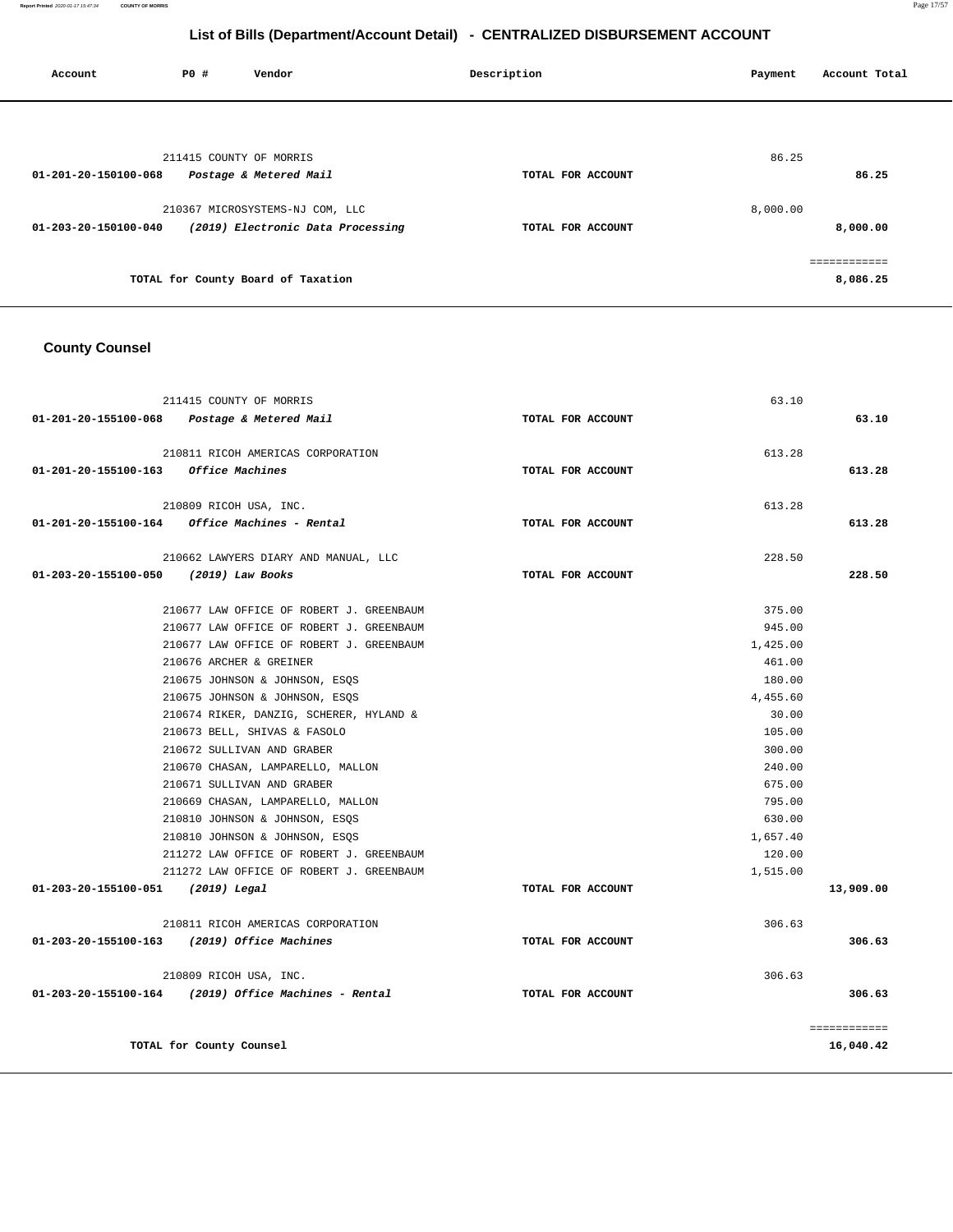| Account              | P0 # | Vendor                             | Description       | Account Total<br>Payment |
|----------------------|------|------------------------------------|-------------------|--------------------------|
|                      |      |                                    |                   |                          |
|                      |      | 211415 COUNTY OF MORRIS            |                   | 86.25                    |
| 01-201-20-150100-068 |      | Postage & Metered Mail             | TOTAL FOR ACCOUNT | 86.25                    |
|                      |      | 210367 MICROSYSTEMS-NJ COM, LLC    |                   | 8,000.00                 |
| 01-203-20-150100-040 |      | (2019) Electronic Data Processing  | TOTAL FOR ACCOUNT | 8,000.00                 |
|                      |      |                                    |                   | ============             |
|                      |      | TOTAL for County Board of Taxation |                   | 8,086.25                 |
|                      |      |                                    |                   |                          |

### **County Counsel**

|                                       | 211415 COUNTY OF MORRIS                                |                   | 63.10    |              |
|---------------------------------------|--------------------------------------------------------|-------------------|----------|--------------|
|                                       | 01-201-20-155100-068 Postage & Metered Mail            | TOTAL FOR ACCOUNT |          | 63.10        |
|                                       | 210811 RICOH AMERICAS CORPORATION                      |                   | 613.28   |              |
| 01-201-20-155100-163 Office Machines  |                                                        | TOTAL FOR ACCOUNT |          | 613.28       |
|                                       | 210809 RICOH USA, INC.                                 |                   | 613.28   |              |
|                                       | $01-201-20-155100-164$ Office Machines - Rental        | TOTAL FOR ACCOUNT |          | 613.28       |
|                                       | 210662 LAWYERS DIARY AND MANUAL, LLC                   |                   | 228.50   |              |
| 01-203-20-155100-050 (2019) Law Books |                                                        | TOTAL FOR ACCOUNT |          | 228.50       |
|                                       | 210677 LAW OFFICE OF ROBERT J. GREENBAUM               |                   | 375.00   |              |
|                                       | 210677 LAW OFFICE OF ROBERT J. GREENBAUM               |                   | 945.00   |              |
|                                       | 210677 LAW OFFICE OF ROBERT J. GREENBAUM               |                   | 1,425.00 |              |
|                                       | 210676 ARCHER & GREINER                                |                   | 461.00   |              |
|                                       | 210675 JOHNSON & JOHNSON, ESOS                         |                   | 180.00   |              |
|                                       | 210675 JOHNSON & JOHNSON, ESQS                         |                   | 4,455.60 |              |
|                                       | 210674 RIKER, DANZIG, SCHERER, HYLAND &                |                   | 30.00    |              |
|                                       | 210673 BELL, SHIVAS & FASOLO                           |                   | 105.00   |              |
|                                       | 210672 SULLIVAN AND GRABER                             |                   | 300.00   |              |
|                                       | 210670 CHASAN, LAMPARELLO, MALLON                      |                   | 240.00   |              |
|                                       | 210671 SULLIVAN AND GRABER                             |                   | 675.00   |              |
|                                       | 210669 CHASAN, LAMPARELLO, MALLON                      |                   | 795.00   |              |
|                                       | 210810 JOHNSON & JOHNSON, ESOS                         |                   | 630.00   |              |
|                                       | 210810 JOHNSON & JOHNSON, ESQS                         |                   | 1,657.40 |              |
|                                       | 211272 LAW OFFICE OF ROBERT J. GREENBAUM               |                   | 120.00   |              |
|                                       | 211272 LAW OFFICE OF ROBERT J. GREENBAUM               |                   | 1,515.00 |              |
| 01-203-20-155100-051 (2019) Legal     |                                                        | TOTAL FOR ACCOUNT |          | 13,909.00    |
|                                       | 210811 RICOH AMERICAS CORPORATION                      |                   | 306.63   |              |
|                                       | 01-203-20-155100-163 (2019) Office Machines            | TOTAL FOR ACCOUNT |          | 306.63       |
|                                       | 210809 RICOH USA, INC.                                 |                   | 306.63   |              |
|                                       | $01-203-20-155100-164$ (2019) Office Machines - Rental | TOTAL FOR ACCOUNT |          | 306.63       |
|                                       |                                                        |                   |          | ============ |
|                                       | TOTAL for County Counsel                               |                   |          | 16,040.42    |
|                                       |                                                        |                   |          |              |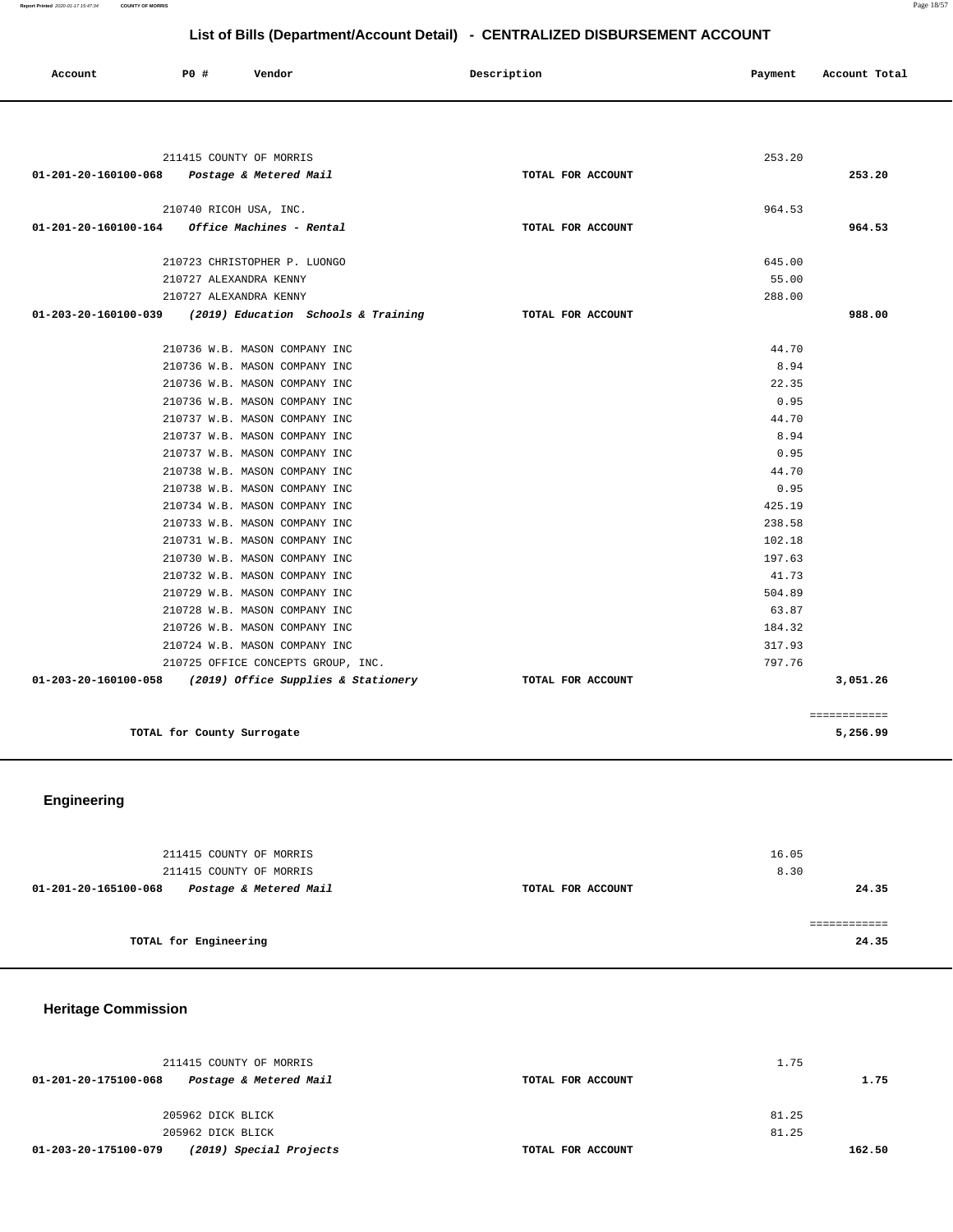| Account                                     | PO#                                                            | Vendor                                                   | Description       | Payment       | Account Total |
|---------------------------------------------|----------------------------------------------------------------|----------------------------------------------------------|-------------------|---------------|---------------|
|                                             |                                                                |                                                          |                   |               |               |
|                                             | 211415 COUNTY OF MORRIS                                        |                                                          |                   | 253.20        |               |
| 01-201-20-160100-068 Postage & Metered Mail |                                                                |                                                          | TOTAL FOR ACCOUNT |               | 253.20        |
|                                             | 210740 RICOH USA, INC.                                         |                                                          |                   | 964.53        |               |
| 01-201-20-160100-164                        | Office Machines - Rental                                       |                                                          | TOTAL FOR ACCOUNT |               | 964.53        |
|                                             | 210723 CHRISTOPHER P. LUONGO                                   |                                                          |                   | 645.00        |               |
|                                             | 210727 ALEXANDRA KENNY                                         |                                                          |                   | 55.00         |               |
|                                             | 210727 ALEXANDRA KENNY                                         |                                                          |                   | 288.00        |               |
|                                             |                                                                | 01-203-20-160100-039 (2019) Education Schools & Training | TOTAL FOR ACCOUNT |               | 988.00        |
|                                             |                                                                |                                                          |                   |               |               |
|                                             | 210736 W.B. MASON COMPANY INC                                  |                                                          |                   | 44.70<br>8.94 |               |
|                                             | 210736 W.B. MASON COMPANY INC<br>210736 W.B. MASON COMPANY INC |                                                          |                   | 22.35         |               |
|                                             | 210736 W.B. MASON COMPANY INC                                  |                                                          |                   | 0.95          |               |
|                                             | 210737 W.B. MASON COMPANY INC                                  |                                                          |                   | 44.70         |               |
|                                             | 210737 W.B. MASON COMPANY INC                                  |                                                          |                   | 8.94          |               |
|                                             | 210737 W.B. MASON COMPANY INC                                  |                                                          |                   | 0.95          |               |
|                                             | 210738 W.B. MASON COMPANY INC                                  |                                                          |                   | 44.70         |               |
|                                             | 210738 W.B. MASON COMPANY INC                                  |                                                          |                   | 0.95          |               |
|                                             | 210734 W.B. MASON COMPANY INC                                  |                                                          |                   | 425.19        |               |
|                                             | 210733 W.B. MASON COMPANY INC                                  |                                                          |                   | 238.58        |               |
|                                             | 210731 W.B. MASON COMPANY INC                                  |                                                          |                   | 102.18        |               |
|                                             | 210730 W.B. MASON COMPANY INC                                  |                                                          |                   | 197.63        |               |
|                                             | 210732 W.B. MASON COMPANY INC                                  |                                                          |                   | 41.73         |               |
|                                             | 210729 W.B. MASON COMPANY INC                                  |                                                          |                   | 504.89        |               |
|                                             | 210728 W.B. MASON COMPANY INC                                  |                                                          |                   | 63.87         |               |
|                                             | 210726 W.B. MASON COMPANY INC                                  |                                                          |                   | 184.32        |               |
|                                             | 210724 W.B. MASON COMPANY INC                                  |                                                          |                   | 317.93        |               |
|                                             |                                                                | 210725 OFFICE CONCEPTS GROUP, INC.                       |                   | 797.76        |               |
|                                             |                                                                | 01-203-20-160100-058 (2019) Office Supplies & Stationery | TOTAL FOR ACCOUNT |               | 3,051.26      |
|                                             |                                                                |                                                          |                   |               | ============  |
|                                             | TOTAL for County Surrogate                                     |                                                          |                   |               | 5,256.99      |

# **Engineering**

| 211415 COUNTY OF MORRIS<br>211415 COUNTY OF MORRIS |                   | 16.05<br>8.30 |
|----------------------------------------------------|-------------------|---------------|
| Postage & Metered Mail<br>01-201-20-165100-068     | TOTAL FOR ACCOUNT | 24.35         |
| TOTAL for Engineering                              |                   | 24.35         |

# **Heritage Commission**

| 211415 COUNTY OF MORRIS                         |                   | 1.75   |  |  |
|-------------------------------------------------|-------------------|--------|--|--|
| Postage & Metered Mail<br>01-201-20-175100-068  | TOTAL FOR ACCOUNT | 1.75   |  |  |
|                                                 |                   |        |  |  |
| 205962 DICK BLICK                               |                   | 81.25  |  |  |
| 205962 DICK BLICK                               |                   | 81.25  |  |  |
| (2019) Special Projects<br>01-203-20-175100-079 | TOTAL FOR ACCOUNT | 162.50 |  |  |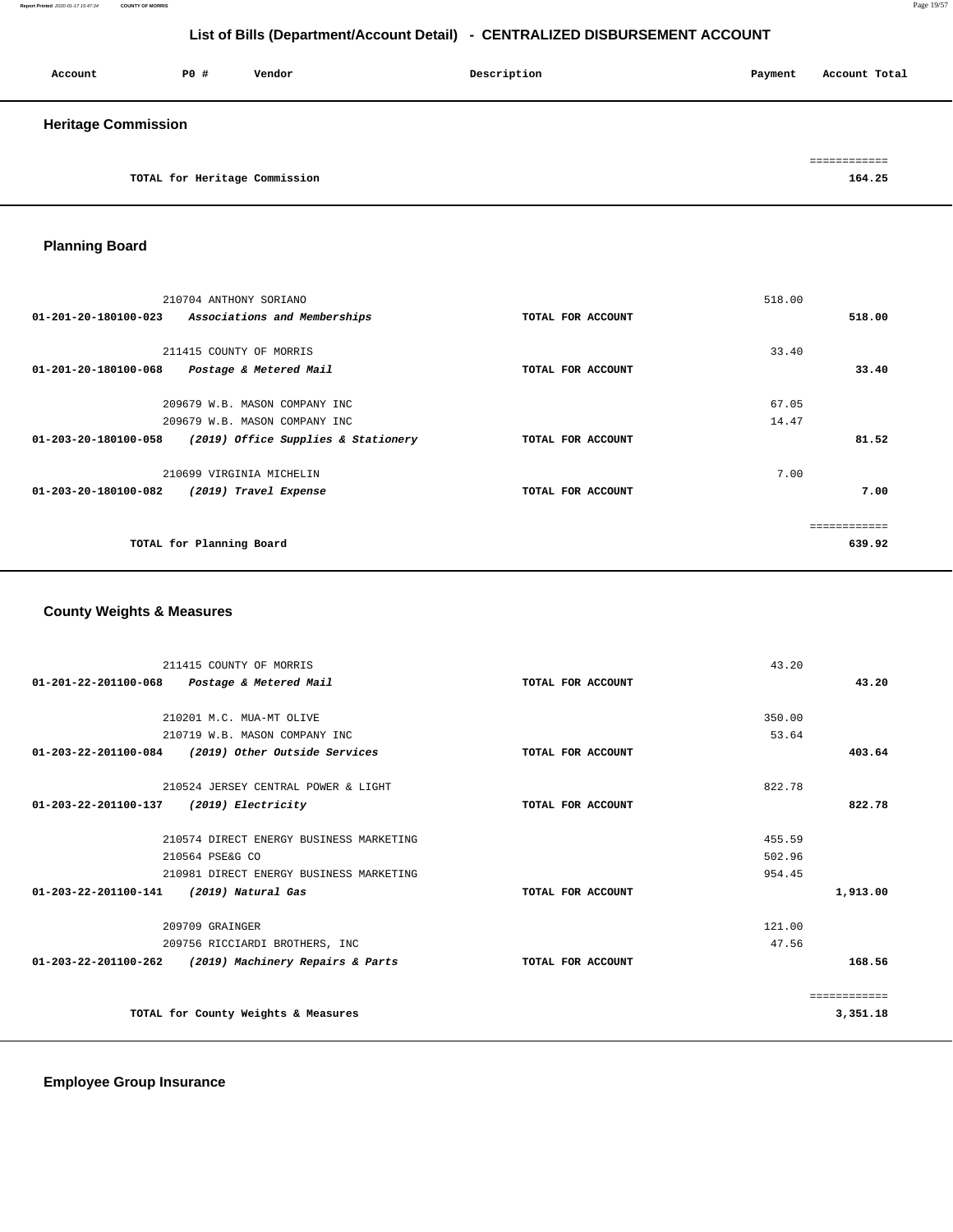| Account                    | PO#                           | Vendor | Description | Payment | Account Total |
|----------------------------|-------------------------------|--------|-------------|---------|---------------|
| <b>Heritage Commission</b> |                               |        |             |         |               |
|                            |                               |        |             |         |               |
|                            | TOTAL for Heritage Commission |        |             |         | 164.25        |

# **Planning Board**

| 210704 ANTHONY SORIANO<br>Associations and Memberships<br>01-201-20-180100-023                                                | TOTAL FOR ACCOUNT | 518.00<br>518.00        |
|-------------------------------------------------------------------------------------------------------------------------------|-------------------|-------------------------|
| 211415 COUNTY OF MORRIS<br>01-201-20-180100-068<br>Postage & Metered Mail                                                     | TOTAL FOR ACCOUNT | 33.40<br>33.40          |
| 209679 W.B. MASON COMPANY INC<br>209679 W.B. MASON COMPANY INC<br>01-203-20-180100-058<br>(2019) Office Supplies & Stationery | TOTAL FOR ACCOUNT | 67.05<br>14.47<br>81.52 |
| 210699 VIRGINIA MICHELIN<br>01-203-20-180100-082<br>(2019) Travel Expense                                                     | TOTAL FOR ACCOUNT | 7.00<br>7.00            |
| TOTAL for Planning Board                                                                                                      |                   | 639.92                  |

# **County Weights & Measures**

| 211415 COUNTY OF MORRIS                               |                   | 43.20        |
|-------------------------------------------------------|-------------------|--------------|
| 01-201-22-201100-068 Postage & Metered Mail           | TOTAL FOR ACCOUNT | 43.20        |
|                                                       |                   |              |
| 210201 M.C. MUA-MT OLIVE                              |                   | 350.00       |
| 210719 W.B. MASON COMPANY INC                         |                   | 53.64        |
| 01-203-22-201100-084 (2019) Other Outside Services    | TOTAL FOR ACCOUNT | 403.64       |
| 210524 JERSEY CENTRAL POWER & LIGHT                   |                   | 822.78       |
| 01-203-22-201100-137<br>(2019) Electricity            | TOTAL FOR ACCOUNT | 822.78       |
| 210574 DIRECT ENERGY BUSINESS MARKETING               |                   | 455.59       |
| 210564 PSE&G CO                                       |                   | 502.96       |
| 210981 DIRECT ENERGY BUSINESS MARKETING               |                   | 954.45       |
| 01-203-22-201100-141 (2019) Natural Gas               | TOTAL FOR ACCOUNT | 1,913.00     |
| 209709 GRAINGER                                       |                   | 121.00       |
| 209756 RICCIARDI BROTHERS, INC                        |                   | 47.56        |
| 01-203-22-201100-262 (2019) Machinery Repairs & Parts | TOTAL FOR ACCOUNT | 168.56       |
|                                                       |                   | ============ |
| TOTAL for County Weights & Measures                   |                   | 3,351.18     |
|                                                       |                   |              |

**Employee Group Insurance**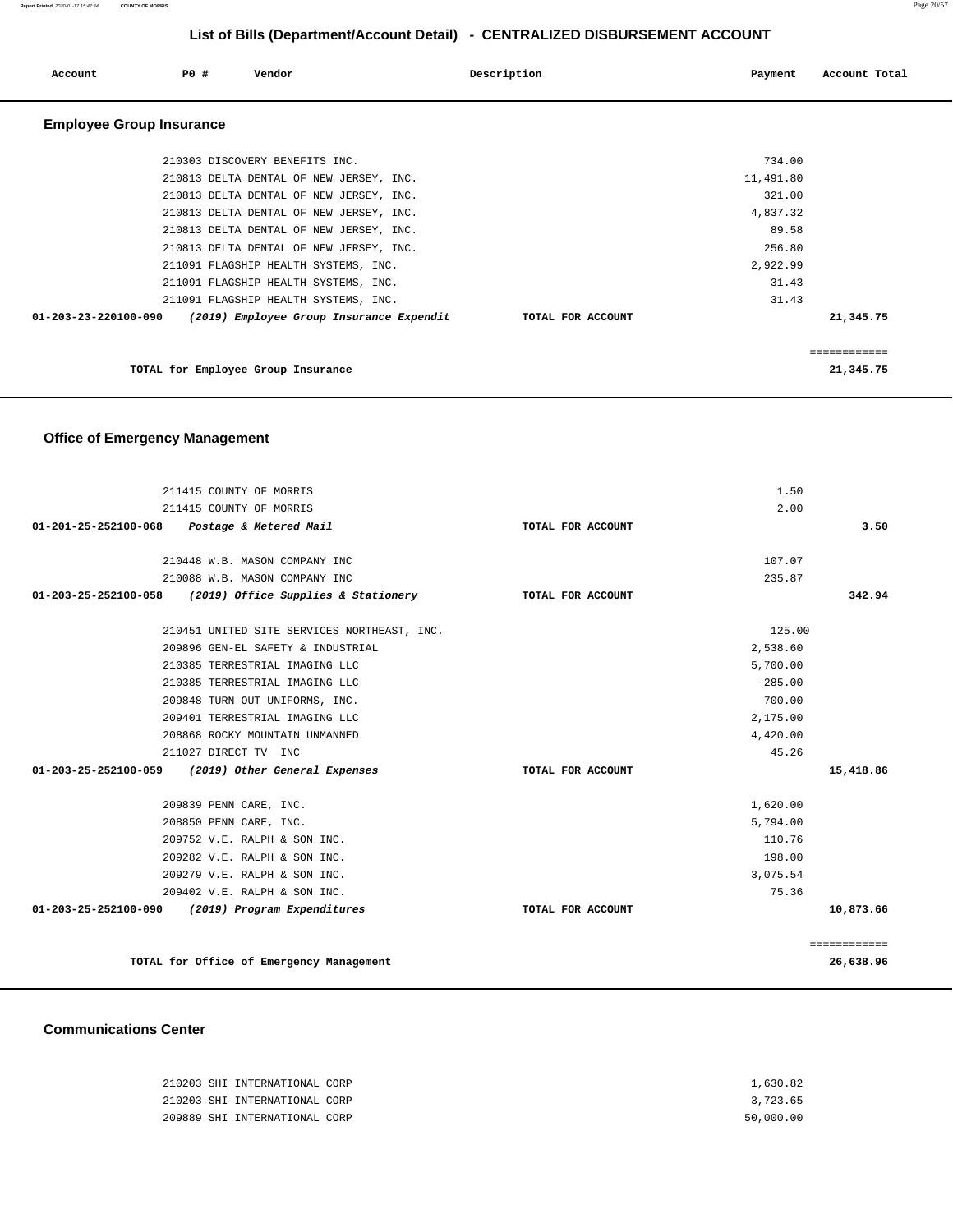**Report Printed** 2020-01-17 15:47:34 **COUNTY OF MORRIS** Page 20/57

# **List of Bills (Department/Account Detail) - CENTRALIZED DISBURSEMENT ACCOUNT**

| PO#<br>Account                  | Vendor                                   | Description       | Payment   | Account Total |
|---------------------------------|------------------------------------------|-------------------|-----------|---------------|
| <b>Employee Group Insurance</b> |                                          |                   |           |               |
|                                 | 210303 DISCOVERY BENEFITS INC.           |                   | 734.00    |               |
|                                 | 210813 DELTA DENTAL OF NEW JERSEY, INC.  |                   | 11,491.80 |               |
|                                 | 210813 DELTA DENTAL OF NEW JERSEY, INC.  |                   | 321.00    |               |
|                                 | 210813 DELTA DENTAL OF NEW JERSEY, INC.  |                   | 4,837.32  |               |
|                                 | 210813 DELTA DENTAL OF NEW JERSEY, INC.  |                   | 89.58     |               |
|                                 | 210813 DELTA DENTAL OF NEW JERSEY, INC.  |                   | 256.80    |               |
|                                 | 211091 FLAGSHIP HEALTH SYSTEMS, INC.     |                   | 2,922.99  |               |
|                                 | 211091 FLAGSHIP HEALTH SYSTEMS, INC.     |                   | 31.43     |               |
|                                 | 211091 FLAGSHIP HEALTH SYSTEMS, INC.     |                   | 31.43     |               |
| $01 - 203 - 23 - 220100 - 090$  | (2019) Employee Group Insurance Expendit | TOTAL FOR ACCOUNT |           | 21,345.75     |
|                                 |                                          |                   |           | ============  |
|                                 | TOTAL for Employee Group Insurance       |                   |           | 21,345.75     |

# **Office of Emergency Management**

| 211415 COUNTY OF MORRIS                                    |                   | 1.50         |
|------------------------------------------------------------|-------------------|--------------|
| 211415 COUNTY OF MORRIS                                    |                   | 2.00         |
| 01-201-25-252100-068 Postage & Metered Mail                | TOTAL FOR ACCOUNT | 3.50         |
| 210448 W.B. MASON COMPANY INC                              |                   | 107.07       |
| 210088 W.B. MASON COMPANY INC                              |                   | 235.87       |
| $01-203-25-252100-058$ (2019) Office Supplies & Stationery | TOTAL FOR ACCOUNT | 342.94       |
| 210451 UNITED SITE SERVICES NORTHEAST, INC.                |                   | 125.00       |
| 209896 GEN-EL SAFETY & INDUSTRIAL                          |                   | 2,538.60     |
| 210385 TERRESTRIAL IMAGING LLC                             |                   | 5,700.00     |
| 210385 TERRESTRIAL IMAGING LLC                             |                   | $-285.00$    |
| 209848 TURN OUT UNIFORMS, INC.                             |                   | 700.00       |
| 209401 TERRESTRIAL IMAGING LLC                             |                   | 2,175.00     |
| 208868 ROCKY MOUNTAIN UNMANNED                             |                   | 4,420.00     |
| 211027 DIRECT TV INC                                       |                   | 45.26        |
| 01-203-25-252100-059 (2019) Other General Expenses         | TOTAL FOR ACCOUNT | 15,418.86    |
| 209839 PENN CARE, INC.                                     |                   | 1,620.00     |
| 208850 PENN CARE, INC.                                     |                   | 5,794.00     |
| 209752 V.E. RALPH & SON INC.                               |                   | 110.76       |
| 209282 V.E. RALPH & SON INC.                               |                   | 198.00       |
| 209279 V.E. RALPH & SON INC.                               |                   | 3,075.54     |
| 209402 V.E. RALPH & SON INC.                               |                   | 75.36        |
| 01-203-25-252100-090 (2019) Program Expenditures           | TOTAL FOR ACCOUNT | 10,873.66    |
|                                                            |                   | ============ |
| TOTAL for Office of Emergency Management                   |                   | 26,638.96    |

### **Communications Center**

|  | 210203 SHI INTERNATIONAL CORP | 1,630.82  |
|--|-------------------------------|-----------|
|  | 210203 SHI INTERNATIONAL CORP | 3,723.65  |
|  | 209889 SHI INTERNATIONAL CORP | 50,000.00 |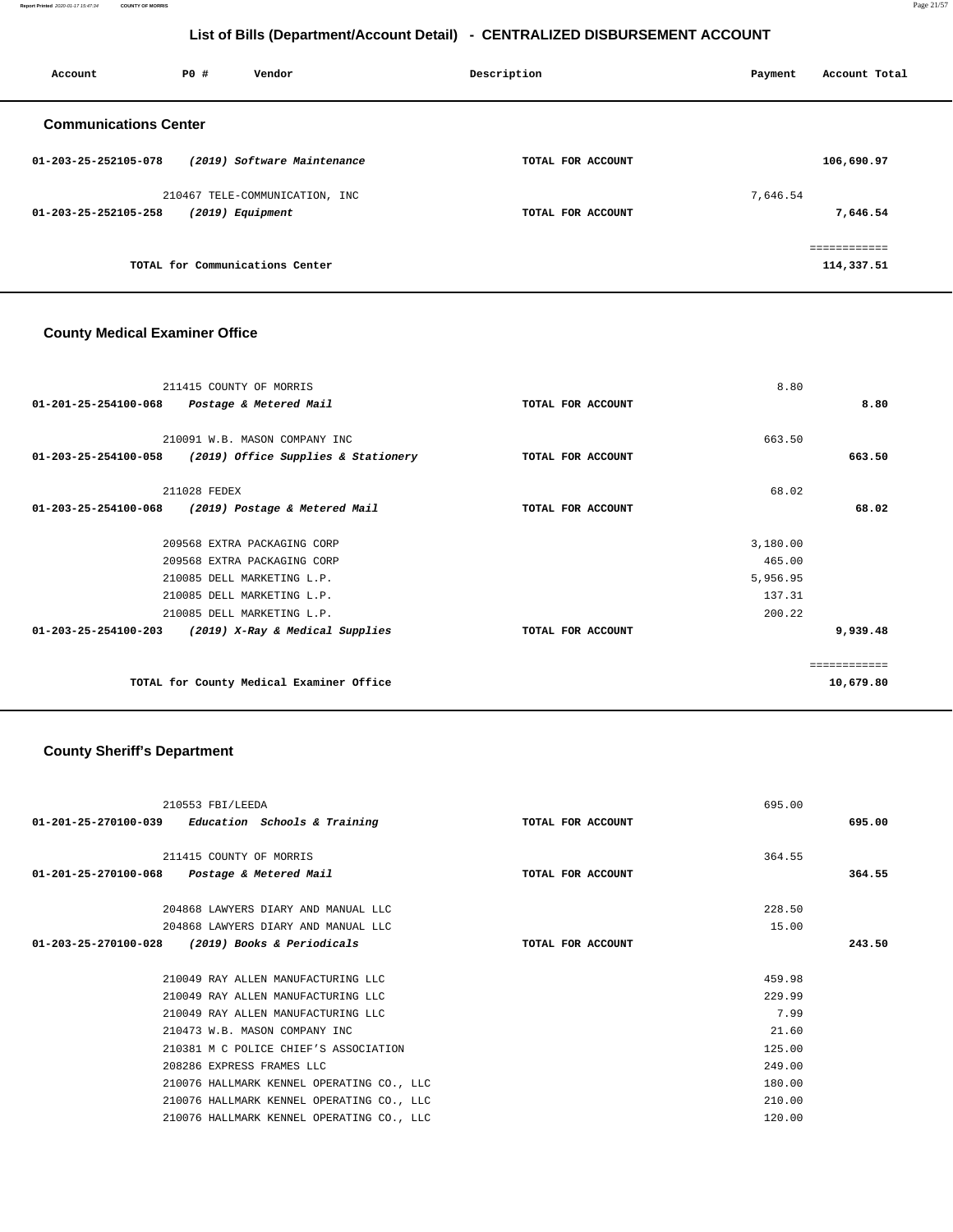**Report Printed** 2020-01-17 15:47:34 **COUNTY OF MORRIS** Page 21/57

# **List of Bills (Department/Account Detail) - CENTRALIZED DISBURSEMENT ACCOUNT**

| Account                        | PO# | Vendor                          | Description       | Payment  | Account Total |
|--------------------------------|-----|---------------------------------|-------------------|----------|---------------|
| <b>Communications Center</b>   |     |                                 |                   |          |               |
| 01-203-25-252105-078           |     | (2019) Software Maintenance     | TOTAL FOR ACCOUNT |          | 106,690.97    |
|                                |     | 210467 TELE-COMMUNICATION, INC  |                   | 7,646.54 |               |
| $01 - 203 - 25 - 252105 - 258$ |     | $(2019)$ Equipment              | TOTAL FOR ACCOUNT |          | 7,646.54      |
|                                |     |                                 |                   |          | eeeeeeeeee    |
|                                |     | TOTAL for Communications Center |                   |          | 114,337.51    |
|                                |     |                                 |                   |          |               |

### **County Medical Examiner Office**

| 211415 COUNTY OF MORRIS<br>$01 - 201 - 25 - 254100 - 068$<br>Postage & Metered Mail                                                                                                                             | TOTAL FOR ACCOUNT | 8.80<br>8.80                                                   |
|-----------------------------------------------------------------------------------------------------------------------------------------------------------------------------------------------------------------|-------------------|----------------------------------------------------------------|
| 210091 W.B. MASON COMPANY INC<br>01-203-25-254100-058<br>(2019) Office Supplies & Stationery                                                                                                                    | TOTAL FOR ACCOUNT | 663.50<br>663.50                                               |
| 211028 FEDEX<br>01-203-25-254100-068<br>(2019) Postage & Metered Mail                                                                                                                                           | TOTAL FOR ACCOUNT | 68.02<br>68.02                                                 |
| 209568 EXTRA PACKAGING CORP<br>209568 EXTRA PACKAGING CORP<br>210085 DELL MARKETING L.P.<br>210085 DELL MARKETING L.P.<br>210085 DELL MARKETING L.P.<br>01-203-25-254100-203<br>(2019) X-Ray & Medical Supplies | TOTAL FOR ACCOUNT | 3,180.00<br>465.00<br>5,956.95<br>137.31<br>200.22<br>9,939.48 |
| TOTAL for County Medical Examiner Office                                                                                                                                                                        |                   | ============<br>10,679.80                                      |

# **County Sheriff's Department**

| 210553 FBI/LEEDA<br>$01-201-25-270100-039$ Education Schools & Training | TOTAL FOR ACCOUNT | 695.00 | 695.00 |
|-------------------------------------------------------------------------|-------------------|--------|--------|
| 211415 COUNTY OF MORRIS<br>01-201-25-270100-068 Postage & Metered Mail  | TOTAL FOR ACCOUNT | 364.55 | 364.55 |
| 204868 LAWYERS DIARY AND MANUAL LLC                                     |                   | 228.50 |        |
| 204868 LAWYERS DIARY AND MANUAL LLC                                     |                   | 15.00  |        |
| (2019) Books & Periodicals<br>$01 - 203 - 25 - 270100 - 028$            | TOTAL FOR ACCOUNT |        | 243.50 |
| 210049 RAY ALLEN MANUFACTURING LLC                                      |                   | 459.98 |        |
| 210049 RAY ALLEN MANUFACTURING LLC                                      |                   | 229.99 |        |
| 210049 RAY ALLEN MANUFACTURING LLC                                      |                   | 7.99   |        |
| 210473 W.B. MASON COMPANY INC                                           |                   | 21.60  |        |
| 210381 M C POLICE CHIEF'S ASSOCIATION                                   |                   | 125.00 |        |
| 208286 EXPRESS FRAMES LLC                                               |                   | 249.00 |        |
| 210076 HALLMARK KENNEL OPERATING CO., LLC                               |                   | 180.00 |        |
| 210076 HALLMARK KENNEL OPERATING CO., LLC                               |                   | 210.00 |        |
| 210076 HALLMARK KENNEL OPERATING CO., LLC                               |                   | 120.00 |        |
|                                                                         |                   |        |        |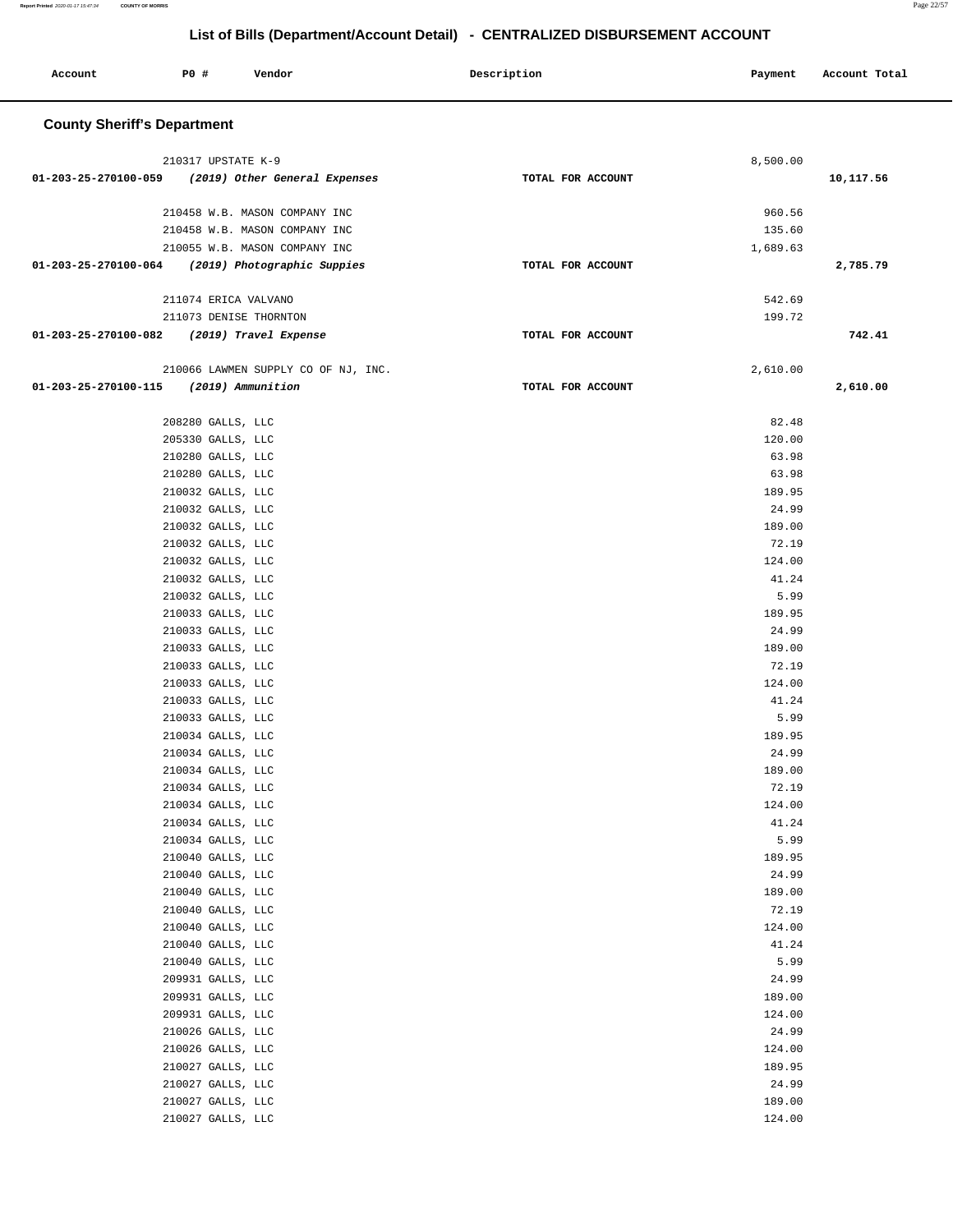| Account                                            | P0 #                                   | Vendor                              | Description       | Payment          | Account Total |
|----------------------------------------------------|----------------------------------------|-------------------------------------|-------------------|------------------|---------------|
| <b>County Sheriff's Department</b>                 |                                        |                                     |                   |                  |               |
|                                                    | 210317 UPSTATE K-9                     |                                     |                   | 8,500.00         |               |
| 01-203-25-270100-059 (2019) Other General Expenses |                                        |                                     | TOTAL FOR ACCOUNT |                  | 10,117.56     |
|                                                    |                                        | 210458 W.B. MASON COMPANY INC       |                   | 960.56           |               |
|                                                    |                                        | 210458 W.B. MASON COMPANY INC       |                   | 135.60           |               |
|                                                    |                                        | 210055 W.B. MASON COMPANY INC       |                   | 1,689.63         |               |
| 01-203-25-270100-064 (2019) Photographic Suppies   |                                        |                                     | TOTAL FOR ACCOUNT |                  | 2,785.79      |
|                                                    |                                        | 211074 ERICA VALVANO                |                   | 542.69           |               |
|                                                    |                                        | 211073 DENISE THORNTON              |                   | 199.72           |               |
| 01-203-25-270100-082 (2019) Travel Expense         |                                        |                                     | TOTAL FOR ACCOUNT |                  | 742.41        |
|                                                    |                                        | 210066 LAWMEN SUPPLY CO OF NJ, INC. |                   | 2,610.00         |               |
| 01-203-25-270100-115 (2019) Ammunition             |                                        |                                     | TOTAL FOR ACCOUNT |                  | 2,610.00      |
|                                                    |                                        |                                     |                   |                  |               |
|                                                    | 208280 GALLS, LLC<br>205330 GALLS, LLC |                                     |                   | 82.48<br>120.00  |               |
|                                                    | 210280 GALLS, LLC                      |                                     |                   | 63.98            |               |
|                                                    | 210280 GALLS, LLC                      |                                     |                   | 63.98            |               |
|                                                    | 210032 GALLS, LLC                      |                                     |                   | 189.95           |               |
|                                                    | 210032 GALLS, LLC                      |                                     |                   | 24.99            |               |
|                                                    | 210032 GALLS, LLC                      |                                     |                   | 189.00           |               |
|                                                    | 210032 GALLS, LLC                      |                                     |                   | 72.19            |               |
|                                                    | 210032 GALLS, LLC                      |                                     |                   | 124.00<br>41.24  |               |
|                                                    | 210032 GALLS, LLC<br>210032 GALLS, LLC |                                     |                   | 5.99             |               |
|                                                    | 210033 GALLS, LLC                      |                                     |                   | 189.95           |               |
|                                                    | 210033 GALLS, LLC                      |                                     |                   | 24.99            |               |
|                                                    | 210033 GALLS, LLC                      |                                     |                   | 189.00           |               |
|                                                    | 210033 GALLS, LLC                      |                                     |                   | 72.19            |               |
|                                                    | 210033 GALLS, LLC                      |                                     |                   | 124.00           |               |
|                                                    | 210033 GALLS, LLC                      |                                     |                   | 41.24            |               |
|                                                    | 210033 GALLS, LLC<br>210034 GALLS, LLC |                                     |                   | 5.99<br>189.95   |               |
|                                                    | 210034 GALLS, LLC                      |                                     |                   | 24.99            |               |
|                                                    | 210034 GALLS, LLC                      |                                     |                   | 189.00           |               |
|                                                    | 210034 GALLS, LLC                      |                                     |                   | 72.19            |               |
|                                                    | 210034 GALLS, LLC                      |                                     |                   | 124.00           |               |
|                                                    | 210034 GALLS, LLC                      |                                     |                   | 41.24            |               |
|                                                    | 210034 GALLS, LLC                      |                                     |                   | 5.99             |               |
|                                                    | 210040 GALLS, LLC<br>210040 GALLS, LLC |                                     |                   | 189.95<br>24.99  |               |
|                                                    | 210040 GALLS, LLC                      |                                     |                   | 189.00           |               |
|                                                    | 210040 GALLS, LLC                      |                                     |                   | 72.19            |               |
|                                                    | 210040 GALLS, LLC                      |                                     |                   | 124.00           |               |
|                                                    | 210040 GALLS, LLC                      |                                     |                   | 41.24            |               |
|                                                    | 210040 GALLS, LLC                      |                                     |                   | 5.99             |               |
|                                                    | 209931 GALLS, LLC                      |                                     |                   | 24.99            |               |
|                                                    | 209931 GALLS, LLC<br>209931 GALLS, LLC |                                     |                   | 189.00<br>124.00 |               |
|                                                    | 210026 GALLS, LLC                      |                                     |                   | 24.99            |               |
|                                                    | 210026 GALLS, LLC                      |                                     |                   | 124.00           |               |
|                                                    | 210027 GALLS, LLC                      |                                     |                   | 189.95           |               |
|                                                    | 210027 GALLS, LLC                      |                                     |                   | 24.99            |               |
|                                                    | 210027 GALLS, LLC                      |                                     |                   | 189.00           |               |
|                                                    | 210027 GALLS, LLC                      |                                     |                   | 124.00           |               |
|                                                    |                                        |                                     |                   |                  |               |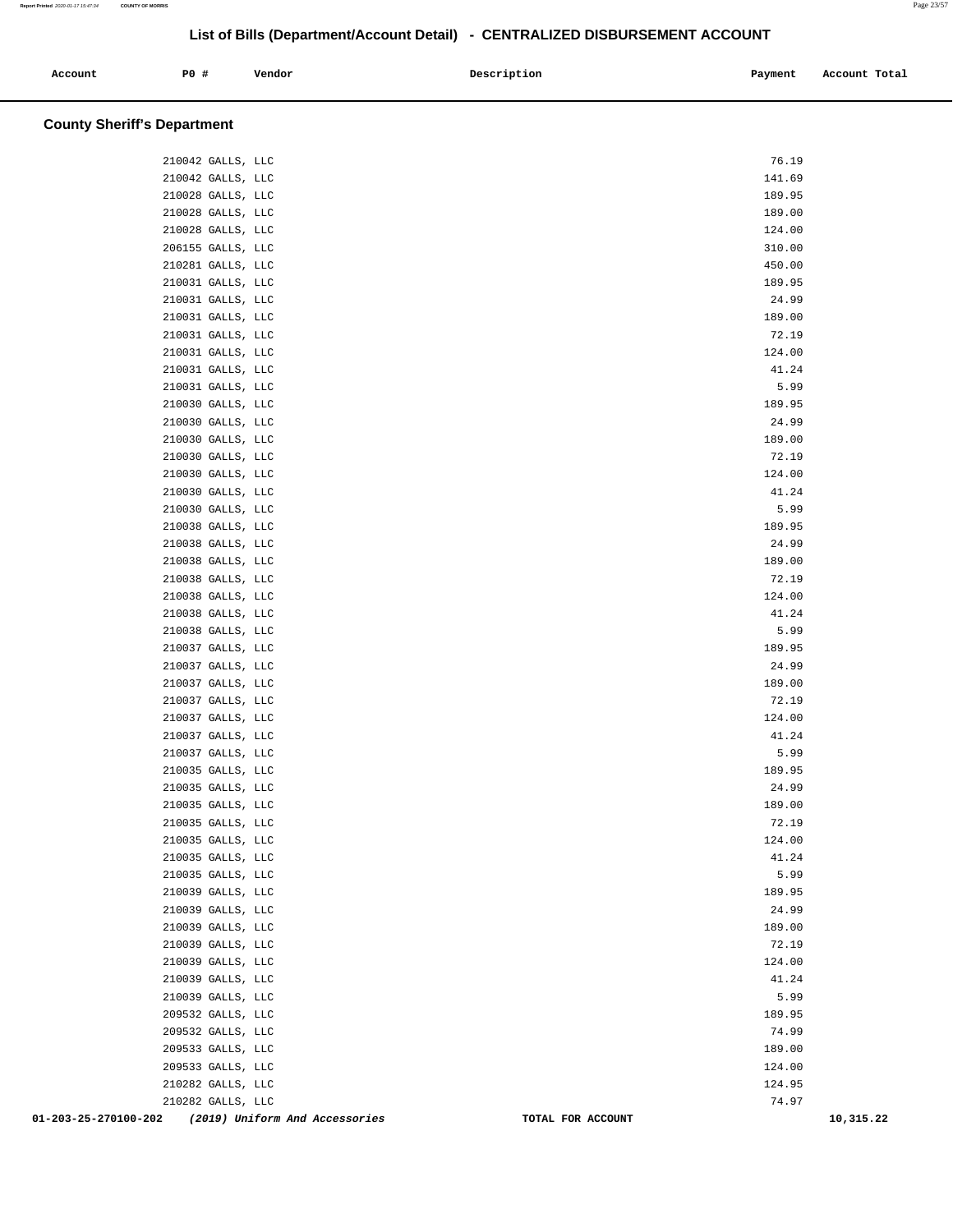| Account | P0 # | Vendor | Description | Payment<br>$\sim$ $\sim$ | Account Total<br>. |
|---------|------|--------|-------------|--------------------------|--------------------|
|         |      |        |             |                          |                    |

### **County Sheriff's Department**

| 01-203-25-270100-202<br>(2019) Uniform And Accessories | TOTAL FOR ACCOUNT | 10,315.22 |
|--------------------------------------------------------|-------------------|-----------|
| 210282 GALLS, LLC                                      | 74.97             |           |
| 210282 GALLS, LLC                                      | 124.95            |           |
| 209533 GALLS, LLC                                      | 124.00            |           |
| 209533 GALLS, LLC                                      | 189.00            |           |
| 209532 GALLS, LLC                                      | 74.99             |           |
| 209532 GALLS, LLC                                      | 189.95            |           |
| 210039 GALLS, LLC                                      | 5.99              |           |
| 210039 GALLS, LLC                                      | 41.24             |           |
| 210039 GALLS, LLC<br>210039 GALLS, LLC                 | 72.19<br>124.00   |           |
| 210039 GALLS, LLC                                      | 189.00            |           |
| 210039 GALLS, LLC                                      | 24.99             |           |
| 210039 GALLS, LLC                                      | 189.95            |           |
| 210035 GALLS, LLC                                      | 5.99              |           |
| 210035 GALLS, LLC                                      | 41.24             |           |
| 210035 GALLS, LLC                                      | 124.00            |           |
| 210035 GALLS, LLC                                      | 72.19             |           |
| 210035 GALLS, LLC                                      | 189.00            |           |
| 210035 GALLS, LLC                                      | 24.99             |           |
| 210035 GALLS, LLC                                      | 189.95            |           |
| 210037 GALLS, LLC                                      | 5.99              |           |
| 210037 GALLS, LLC                                      | 41.24             |           |
| 210037 GALLS, LLC                                      | 124.00            |           |
| 210037 GALLS, LLC                                      | 72.19             |           |
| 210037 GALLS, LLC                                      | 189.00            |           |
| 210037 GALLS, LLC                                      | 24.99             |           |
| 210037 GALLS, LLC                                      | 189.95            |           |
| 210038 GALLS, LLC                                      | 5.99              |           |
| 210038 GALLS, LLC                                      | 41.24             |           |
| 210038 GALLS, LLC                                      | 124.00            |           |
| 210038 GALLS, LLC                                      | 72.19             |           |
| 210038 GALLS, LLC                                      | 189.00            |           |
| 210038 GALLS, LLC                                      | 24.99             |           |
| 210038 GALLS, LLC                                      | 189.95            |           |
| 210030 GALLS, LLC                                      | 5.99              |           |
| 210030 GALLS, LLC                                      | 41.24             |           |
| 210030 GALLS, LLC                                      | 124.00            |           |
| 210030 GALLS, LLC                                      | 72.19             |           |
| 210030 GALLS, LLC<br>210030 GALLS, LLC                 | 189.00            |           |
|                                                        | 24.99             |           |
| 210030 GALLS, LLC                                      | 189.95            |           |
| 210031 GALLS, LLC                                      | 5.99              |           |
| 210031 GALLS, LLC                                      | 41.24             |           |
| 210031 GALLS, LLC                                      | 124.00            |           |
| 210031 GALLS, LLC                                      | 72.19             |           |
| 210031 GALLS, LLC                                      | 189.00            |           |
| 210031 GALLS, LLC                                      | 24.99             |           |
| 210281 GALLS, LLC<br>210031 GALLS, LLC                 | 189.95            |           |
|                                                        | 450.00            |           |
| 210028 GALLS, LLC<br>206155 GALLS, LLC                 | 124.00<br>310.00  |           |
| 210028 GALLS, LLC                                      | 189.00            |           |
| 210028 GALLS, LLC                                      | 189.95            |           |
| 210042 GALLS, LLC                                      | 141.69            |           |
| 210042 GALLS, LLC                                      | 76.19             |           |
|                                                        |                   |           |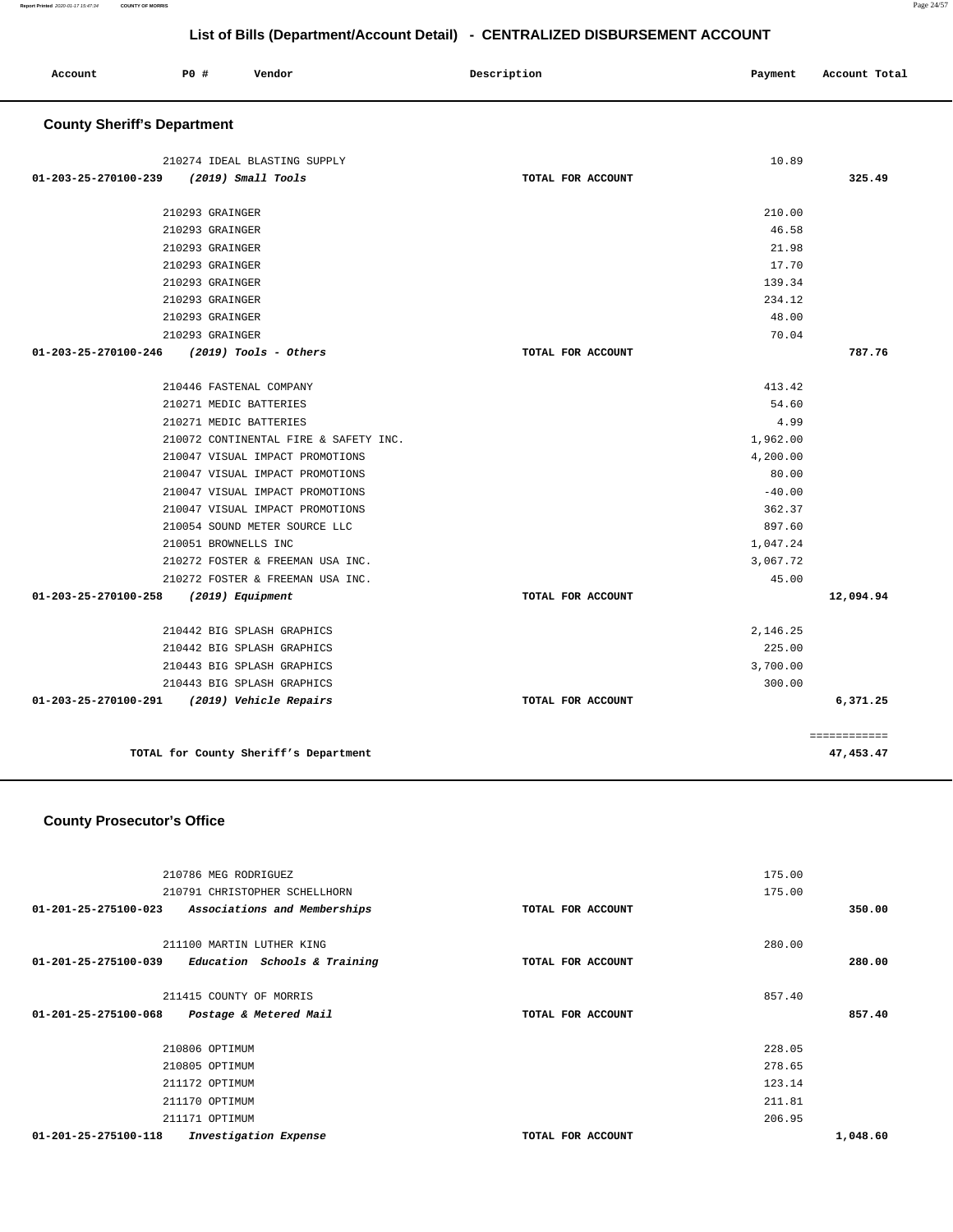| Account                            | P0#                    | Vendor                                | Description       | Payment  | Account Total |
|------------------------------------|------------------------|---------------------------------------|-------------------|----------|---------------|
| <b>County Sheriff's Department</b> |                        |                                       |                   |          |               |
|                                    |                        | 210274 IDEAL BLASTING SUPPLY          |                   | 10.89    |               |
| 01-203-25-270100-239               |                        | (2019) Small Tools                    | TOTAL FOR ACCOUNT |          | 325.49        |
|                                    | 210293 GRAINGER        |                                       |                   | 210.00   |               |
|                                    | 210293 GRAINGER        |                                       |                   | 46.58    |               |
|                                    | 210293 GRAINGER        |                                       |                   | 21.98    |               |
|                                    | 210293 GRAINGER        |                                       |                   | 17.70    |               |
|                                    | 210293 GRAINGER        |                                       |                   | 139.34   |               |
|                                    | 210293 GRAINGER        |                                       |                   | 234.12   |               |
|                                    | 210293 GRAINGER        |                                       |                   | 48.00    |               |
|                                    | 210293 GRAINGER        |                                       |                   | 70.04    |               |
| 01-203-25-270100-246               |                        | $(2019)$ Tools - Others               | TOTAL FOR ACCOUNT |          | 787.76        |
|                                    |                        | 210446 FASTENAL COMPANY               |                   | 413.42   |               |
|                                    | 210271 MEDIC BATTERIES |                                       |                   | 54.60    |               |
|                                    | 210271 MEDIC BATTERIES |                                       |                   | 4.99     |               |
|                                    |                        | 210072 CONTINENTAL FIRE & SAFETY INC. |                   | 1,962.00 |               |
|                                    |                        | 210047 VISUAL IMPACT PROMOTIONS       |                   | 4,200.00 |               |
|                                    |                        | 210047 VISUAL IMPACT PROMOTIONS       |                   | 80.00    |               |
|                                    |                        | 210047 VISUAL IMPACT PROMOTIONS       |                   | $-40.00$ |               |
|                                    |                        | 210047 VISUAL IMPACT PROMOTIONS       |                   | 362.37   |               |
|                                    |                        | 210054 SOUND METER SOURCE LLC         |                   | 897.60   |               |
|                                    | 210051 BROWNELLS INC   |                                       |                   | 1,047.24 |               |
|                                    |                        | 210272 FOSTER & FREEMAN USA INC.      |                   | 3,067.72 |               |
|                                    |                        | 210272 FOSTER & FREEMAN USA INC.      |                   | 45.00    |               |
| 01-203-25-270100-258               |                        | (2019) Equipment                      | TOTAL FOR ACCOUNT |          | 12,094.94     |
|                                    |                        | 210442 BIG SPLASH GRAPHICS            |                   | 2,146.25 |               |
|                                    |                        | 210442 BIG SPLASH GRAPHICS            |                   | 225.00   |               |
|                                    |                        | 210443 BIG SPLASH GRAPHICS            |                   | 3,700.00 |               |
|                                    |                        | 210443 BIG SPLASH GRAPHICS            |                   | 300.00   |               |
| 01-203-25-270100-291               |                        | (2019) Vehicle Repairs                | TOTAL FOR ACCOUNT |          | 6,371.25      |
|                                    |                        |                                       |                   |          | eeeeeeeeee    |
|                                    |                        | TOTAL for County Sheriff's Department |                   |          | 47,453.47     |

# **County Prosecutor's Office**

| 210786 MEG RODRIGUEZ<br>210791 CHRISTOPHER SCHELLHORN                             |                   | 175.00<br>175.00 |
|-----------------------------------------------------------------------------------|-------------------|------------------|
| Associations and Memberships<br>01-201-25-275100-023                              | TOTAL FOR ACCOUNT | 350.00           |
| 211100 MARTIN LUTHER KING<br>01-201-25-275100-039<br>Education Schools & Training | TOTAL FOR ACCOUNT | 280.00<br>280.00 |
| 211415 COUNTY OF MORRIS<br>01-201-25-275100-068<br>Postage & Metered Mail         | TOTAL FOR ACCOUNT | 857.40<br>857.40 |
| 210806 OPTIMUM                                                                    |                   | 228.05           |
| 210805 OPTIMUM                                                                    |                   | 278.65           |
| 211172 OPTIMUM                                                                    |                   | 123.14           |
| 211170 OPTIMUM                                                                    |                   | 211.81           |
| 211171 OPTIMUM                                                                    |                   | 206.95           |
| 01-201-25-275100-118<br>Investigation Expense                                     | TOTAL FOR ACCOUNT | 1,048.60         |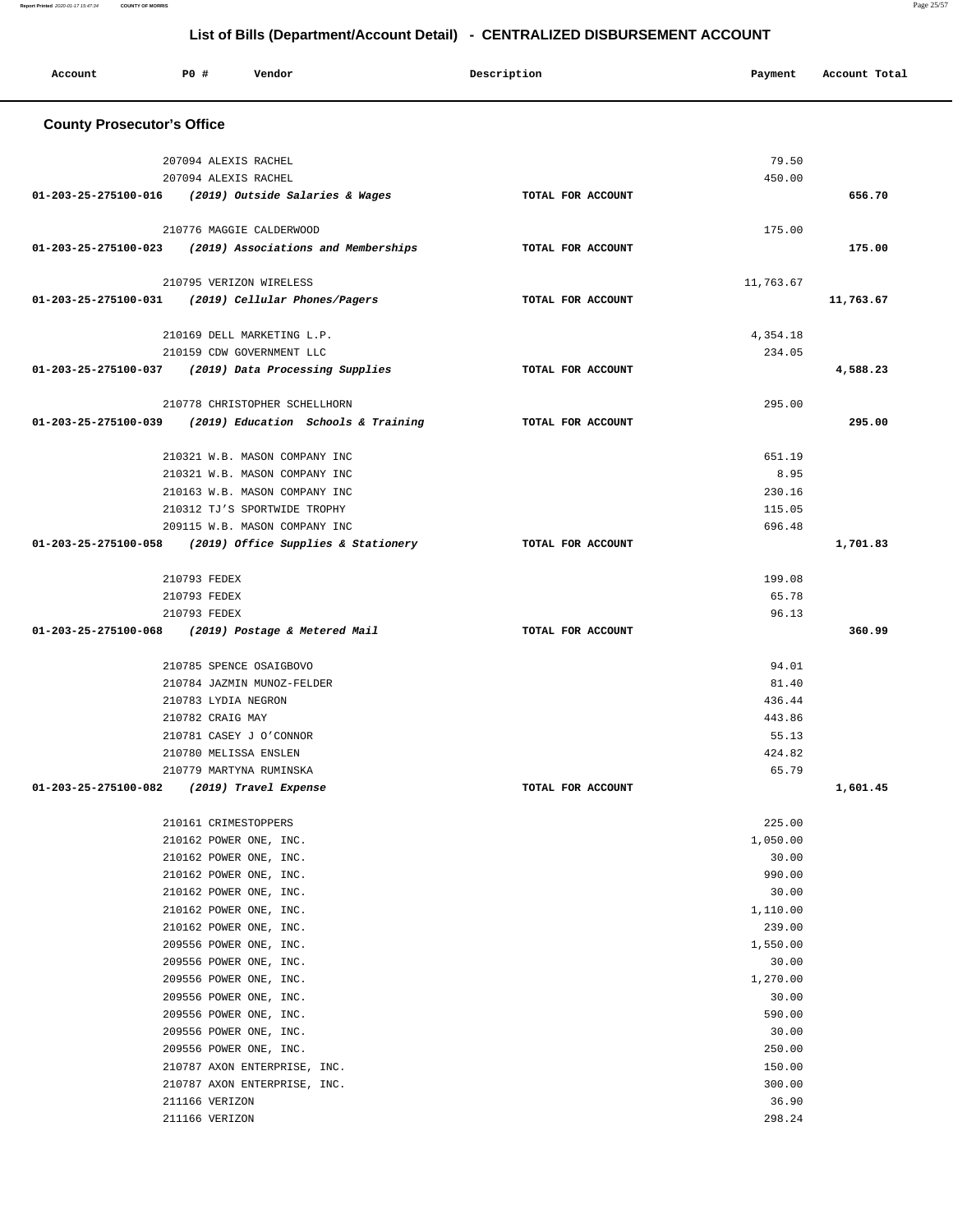| Account                                                    | <b>PO #</b>                      | Vendor                                           |  | Description       |  | Payment            | Account Total |  |
|------------------------------------------------------------|----------------------------------|--------------------------------------------------|--|-------------------|--|--------------------|---------------|--|
| <b>County Prosecutor's Office</b>                          |                                  |                                                  |  |                   |  |                    |               |  |
|                                                            | 207094 ALEXIS RACHEL             |                                                  |  |                   |  | 79.50              |               |  |
|                                                            | 207094 ALEXIS RACHEL             |                                                  |  |                   |  | 450.00             |               |  |
| 01-203-25-275100-016 (2019) Outside Salaries & Wages       |                                  |                                                  |  | TOTAL FOR ACCOUNT |  |                    | 656.70        |  |
|                                                            |                                  | 210776 MAGGIE CALDERWOOD                         |  |                   |  | 175.00             |               |  |
| $01-203-25-275100-023$ (2019) Associations and Memberships |                                  |                                                  |  | TOTAL FOR ACCOUNT |  |                    | 175.00        |  |
|                                                            |                                  |                                                  |  |                   |  |                    |               |  |
| 01-203-25-275100-031 (2019) Cellular Phones/Pagers         |                                  | 210795 VERIZON WIRELESS                          |  | TOTAL FOR ACCOUNT |  | 11,763.67          | 11,763.67     |  |
|                                                            |                                  |                                                  |  |                   |  |                    |               |  |
|                                                            |                                  | 210169 DELL MARKETING L.P.                       |  |                   |  | 4,354.18           |               |  |
|                                                            |                                  | 210159 CDW GOVERNMENT LLC                        |  |                   |  | 234.05             |               |  |
| 01-203-25-275100-037 (2019) Data Processing Supplies       |                                  |                                                  |  | TOTAL FOR ACCOUNT |  |                    | 4,588.23      |  |
|                                                            |                                  | 210778 CHRISTOPHER SCHELLHORN                    |  |                   |  | 295.00             |               |  |
| 01-203-25-275100-039 (2019) Education Schools & Training   |                                  |                                                  |  | TOTAL FOR ACCOUNT |  |                    | 295.00        |  |
|                                                            |                                  | 210321 W.B. MASON COMPANY INC                    |  |                   |  | 651.19             |               |  |
|                                                            |                                  | 210321 W.B. MASON COMPANY INC                    |  |                   |  | 8.95               |               |  |
|                                                            |                                  | 210163 W.B. MASON COMPANY INC                    |  |                   |  | 230.16             |               |  |
|                                                            |                                  | 210312 TJ'S SPORTWIDE TROPHY                     |  |                   |  | 115.05             |               |  |
|                                                            |                                  | 209115 W.B. MASON COMPANY INC                    |  |                   |  | 696.48             |               |  |
| 01-203-25-275100-058 (2019) Office Supplies & Stationery   |                                  |                                                  |  | TOTAL FOR ACCOUNT |  |                    | 1,701.83      |  |
|                                                            | 210793 FEDEX                     |                                                  |  |                   |  | 199.08             |               |  |
|                                                            | 210793 FEDEX                     |                                                  |  |                   |  | 65.78              |               |  |
|                                                            | 210793 FEDEX                     |                                                  |  |                   |  | 96.13              |               |  |
| 01-203-25-275100-068 (2019) Postage & Metered Mail         |                                  |                                                  |  | TOTAL FOR ACCOUNT |  |                    | 360.99        |  |
|                                                            |                                  | 210785 SPENCE OSAIGBOVO                          |  |                   |  | 94.01              |               |  |
|                                                            |                                  | 210784 JAZMIN MUNOZ-FELDER                       |  |                   |  | 81.40              |               |  |
|                                                            | 210783 LYDIA NEGRON              |                                                  |  |                   |  | 436.44             |               |  |
|                                                            | 210782 CRAIG MAY                 |                                                  |  |                   |  | 443.86             |               |  |
|                                                            |                                  | 210781 CASEY J O'CONNOR                          |  |                   |  | 55.13              |               |  |
|                                                            |                                  | 210780 MELISSA ENSLEN                            |  |                   |  | 424.82             |               |  |
|                                                            |                                  | 210779 MARTYNA RUMINSKA                          |  |                   |  | 65.79              |               |  |
| 01-203-25-275100-082 (2019) Travel Expense                 |                                  |                                                  |  | TOTAL FOR ACCOUNT |  |                    | 1,601.45      |  |
|                                                            |                                  | 210161 CRIMESTOPPERS                             |  |                   |  | 225.00             |               |  |
|                                                            |                                  | 210162 POWER ONE, INC.                           |  |                   |  | 1,050.00           |               |  |
|                                                            |                                  | 210162 POWER ONE, INC.                           |  |                   |  | 30.00              |               |  |
|                                                            |                                  | 210162 POWER ONE, INC.                           |  |                   |  | 990.00             |               |  |
|                                                            |                                  | 210162 POWER ONE, INC.                           |  |                   |  | 30.00              |               |  |
|                                                            |                                  | 210162 POWER ONE, INC.                           |  |                   |  | 1,110.00           |               |  |
|                                                            |                                  | 210162 POWER ONE, INC.<br>209556 POWER ONE, INC. |  |                   |  | 239.00<br>1,550.00 |               |  |
|                                                            |                                  | 209556 POWER ONE, INC.                           |  |                   |  | 30.00              |               |  |
|                                                            |                                  | 209556 POWER ONE, INC.                           |  |                   |  | 1,270.00           |               |  |
|                                                            |                                  | 209556 POWER ONE, INC.                           |  |                   |  | 30.00              |               |  |
|                                                            |                                  | 209556 POWER ONE, INC.                           |  |                   |  | 590.00             |               |  |
|                                                            |                                  | 209556 POWER ONE, INC.                           |  |                   |  | 30.00              |               |  |
|                                                            |                                  | 209556 POWER ONE, INC.                           |  |                   |  | 250.00             |               |  |
|                                                            |                                  | 210787 AXON ENTERPRISE, INC.                     |  |                   |  | 150.00             |               |  |
|                                                            |                                  | 210787 AXON ENTERPRISE, INC.                     |  |                   |  | 300.00             |               |  |
|                                                            | 211166 VERIZON<br>211166 VERIZON |                                                  |  |                   |  | 36.90<br>298.24    |               |  |
|                                                            |                                  |                                                  |  |                   |  |                    |               |  |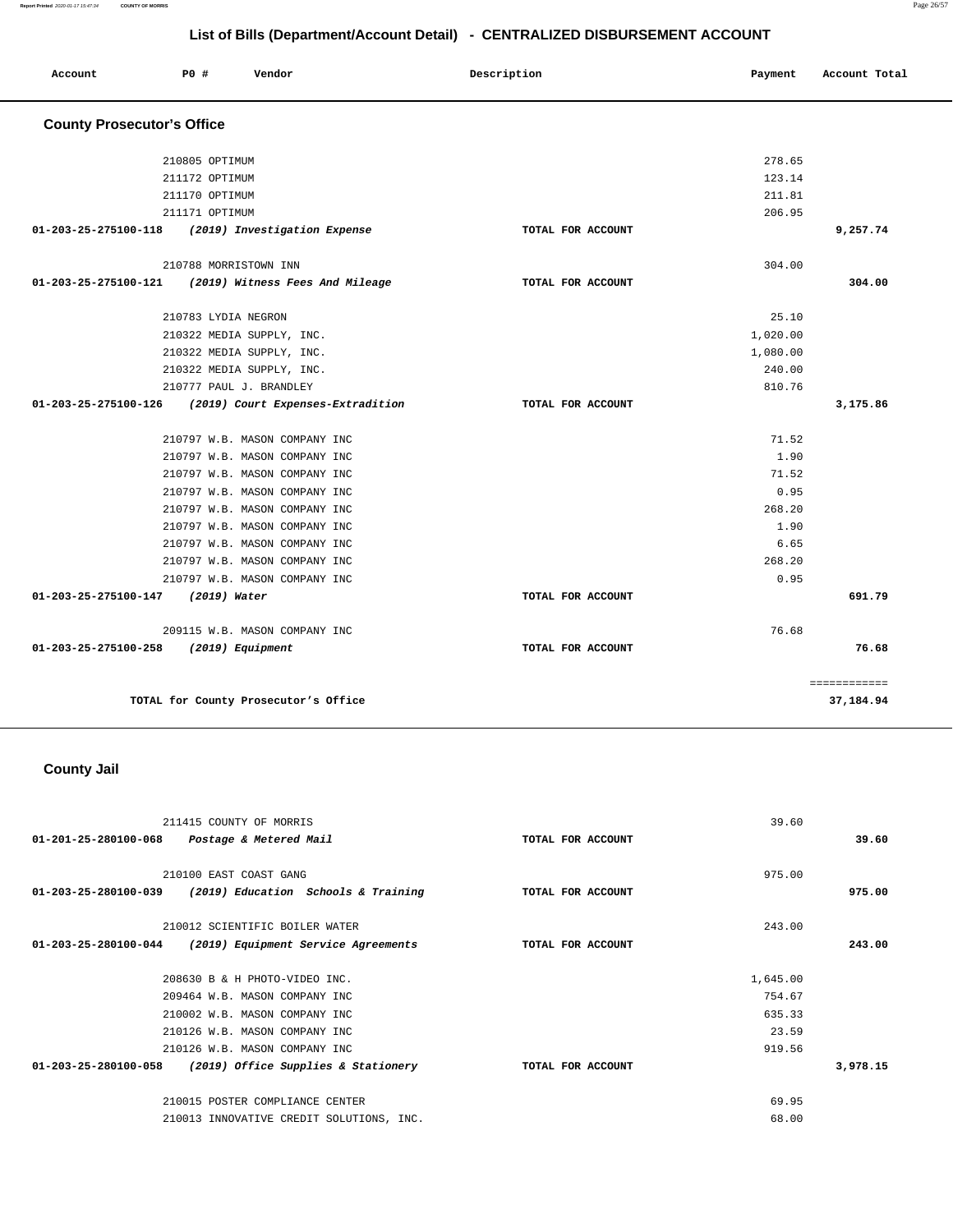| Account                           | PO#                   | Vendor                               | Description       | Payment  | Account Total |
|-----------------------------------|-----------------------|--------------------------------------|-------------------|----------|---------------|
| <b>County Prosecutor's Office</b> |                       |                                      |                   |          |               |
|                                   | 210805 OPTIMUM        |                                      |                   | 278.65   |               |
|                                   | 211172 OPTIMUM        |                                      |                   | 123.14   |               |
|                                   | 211170 OPTIMUM        |                                      |                   | 211.81   |               |
|                                   | 211171 OPTIMUM        |                                      |                   | 206.95   |               |
| 01-203-25-275100-118              |                       | (2019) Investigation Expense         | TOTAL FOR ACCOUNT |          | 9,257.74      |
|                                   | 210788 MORRISTOWN INN |                                      |                   | 304.00   |               |
| $01 - 203 - 25 - 275100 - 121$    |                       | (2019) Witness Fees And Mileage      | TOTAL FOR ACCOUNT |          | 304.00        |
|                                   | 210783 LYDIA NEGRON   |                                      |                   | 25.10    |               |
|                                   |                       | 210322 MEDIA SUPPLY, INC.            |                   | 1,020.00 |               |
|                                   |                       | 210322 MEDIA SUPPLY, INC.            |                   | 1,080.00 |               |
|                                   |                       | 210322 MEDIA SUPPLY, INC.            |                   | 240.00   |               |
|                                   |                       | 210777 PAUL J. BRANDLEY              |                   | 810.76   |               |
| 01-203-25-275100-126              |                       | (2019) Court Expenses-Extradition    | TOTAL FOR ACCOUNT |          | 3,175.86      |
|                                   |                       | 210797 W.B. MASON COMPANY INC        |                   | 71.52    |               |
|                                   |                       | 210797 W.B. MASON COMPANY INC        |                   | 1.90     |               |
|                                   |                       | 210797 W.B. MASON COMPANY INC        |                   | 71.52    |               |
|                                   |                       | 210797 W.B. MASON COMPANY INC        |                   | 0.95     |               |
|                                   |                       | 210797 W.B. MASON COMPANY INC        |                   | 268.20   |               |
|                                   |                       | 210797 W.B. MASON COMPANY INC        |                   | 1.90     |               |
|                                   |                       | 210797 W.B. MASON COMPANY INC        |                   | 6.65     |               |
|                                   |                       | 210797 W.B. MASON COMPANY INC        |                   | 268.20   |               |
|                                   |                       | 210797 W.B. MASON COMPANY INC        |                   | 0.95     |               |
| 01-203-25-275100-147              | (2019) Water          |                                      | TOTAL FOR ACCOUNT |          | 691.79        |
|                                   |                       | 209115 W.B. MASON COMPANY INC        |                   | 76.68    |               |
| 01-203-25-275100-258              | (2019) Equipment      |                                      | TOTAL FOR ACCOUNT |          | 76.68         |
|                                   |                       |                                      |                   |          | ============  |
|                                   |                       | TOTAL for County Prosecutor's Office |                   |          | 37,184.94     |

# **County Jail**

| 211415 COUNTY OF MORRIS                                     | 39.60             |          |
|-------------------------------------------------------------|-------------------|----------|
| 01-201-25-280100-068<br>Postage & Metered Mail              | TOTAL FOR ACCOUNT | 39.60    |
|                                                             |                   |          |
| 210100 EAST COAST GANG                                      | 975.00            |          |
| 01-203-25-280100-039 (2019) Education Schools & Training    | TOTAL FOR ACCOUNT | 975.00   |
|                                                             |                   |          |
| 210012 SCIENTIFIC BOILER WATER                              | 243.00            |          |
| 01-203-25-280100-044<br>(2019) Equipment Service Agreements | TOTAL FOR ACCOUNT | 243.00   |
|                                                             |                   |          |
| 208630 B & H PHOTO-VIDEO INC.                               | 1,645.00          |          |
| 209464 W.B. MASON COMPANY INC                               | 754.67            |          |
| 210002 W.B. MASON COMPANY INC                               | 635.33            |          |
| 210126 W.B. MASON COMPANY INC                               | 23.59             |          |
| 210126 W.B. MASON COMPANY INC                               | 919.56            |          |
| 01-203-25-280100-058<br>(2019) Office Supplies & Stationery | TOTAL FOR ACCOUNT | 3,978.15 |
| 210015 POSTER COMPLIANCE CENTER                             | 69.95             |          |
| 210013 INNOVATIVE CREDIT SOLUTIONS, INC.                    | 68.00             |          |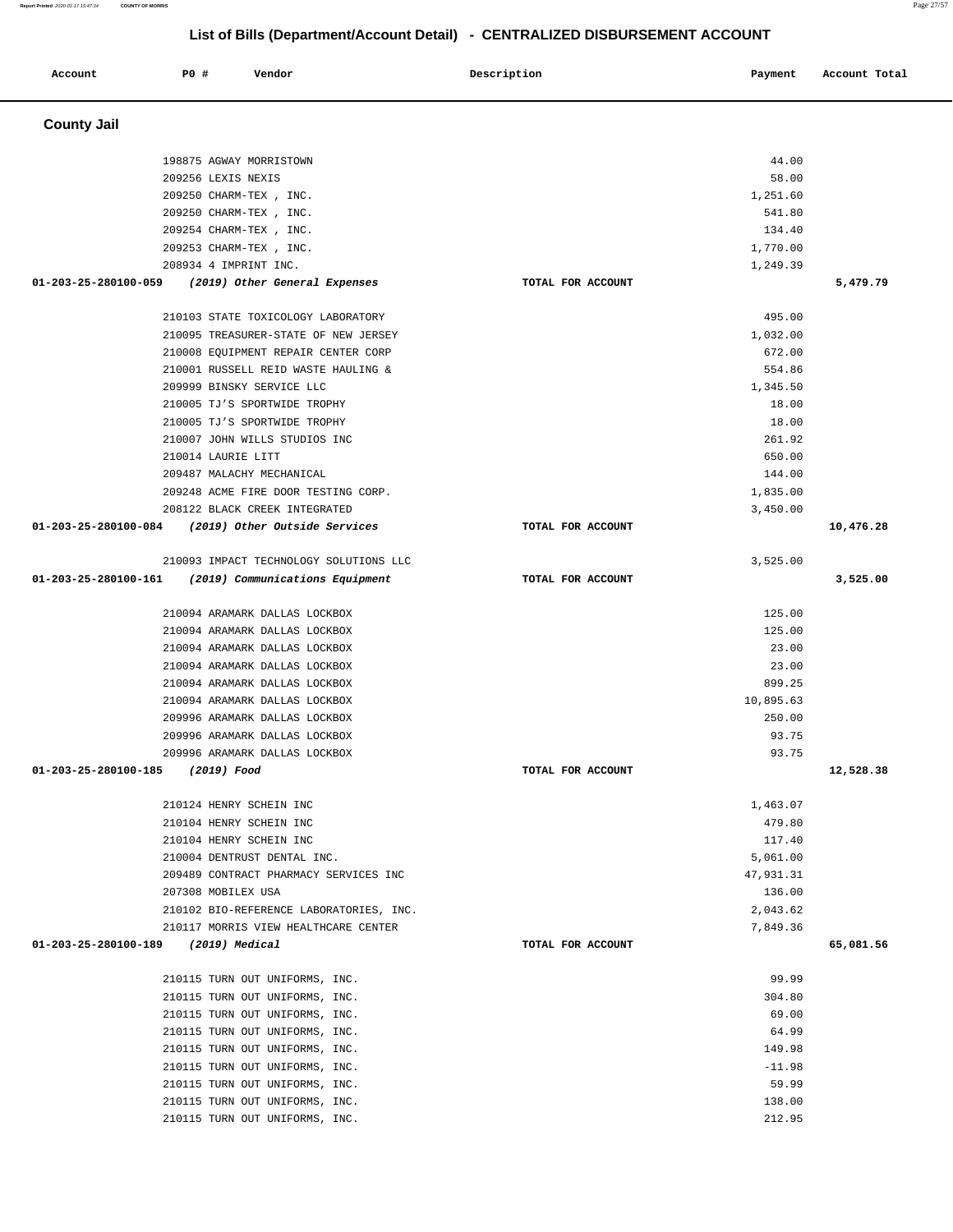| Account              | P0 # | Vendor                                  | Description       | Payment   | Account Total |
|----------------------|------|-----------------------------------------|-------------------|-----------|---------------|
| <b>County Jail</b>   |      |                                         |                   |           |               |
|                      |      | 198875 AGWAY MORRISTOWN                 |                   | 44.00     |               |
|                      |      | 209256 LEXIS NEXIS                      |                   | 58.00     |               |
|                      |      | 209250 CHARM-TEX, INC.                  |                   | 1,251.60  |               |
|                      |      | 209250 CHARM-TEX, INC.                  |                   | 541.80    |               |
|                      |      | 209254 CHARM-TEX, INC.                  |                   | 134.40    |               |
|                      |      | 209253 CHARM-TEX, INC.                  |                   | 1,770.00  |               |
|                      |      | 208934 4 IMPRINT INC.                   |                   | 1,249.39  |               |
| 01-203-25-280100-059 |      | (2019) Other General Expenses           | TOTAL FOR ACCOUNT |           | 5,479.79      |
|                      |      | 210103 STATE TOXICOLOGY LABORATORY      |                   | 495.00    |               |
|                      |      | 210095 TREASURER-STATE OF NEW JERSEY    |                   | 1,032.00  |               |
|                      |      | 210008 EQUIPMENT REPAIR CENTER CORP     |                   | 672.00    |               |
|                      |      | 210001 RUSSELL REID WASTE HAULING &     |                   | 554.86    |               |
|                      |      | 209999 BINSKY SERVICE LLC               |                   | 1,345.50  |               |
|                      |      | 210005 TJ'S SPORTWIDE TROPHY            |                   | 18.00     |               |
|                      |      | 210005 TJ'S SPORTWIDE TROPHY            |                   | 18.00     |               |
|                      |      | 210007 JOHN WILLS STUDIOS INC           |                   | 261.92    |               |
|                      |      | 210014 LAURIE LITT                      |                   | 650.00    |               |
|                      |      | 209487 MALACHY MECHANICAL               |                   | 144.00    |               |
|                      |      | 209248 ACME FIRE DOOR TESTING CORP.     |                   | 1,835.00  |               |
|                      |      | 208122 BLACK CREEK INTEGRATED           |                   | 3,450.00  |               |
| 01-203-25-280100-084 |      | (2019) Other Outside Services           | TOTAL FOR ACCOUNT |           | 10,476.28     |
|                      |      | 210093 IMPACT TECHNOLOGY SOLUTIONS LLC  |                   | 3,525.00  |               |
| 01-203-25-280100-161 |      | (2019) Communications Equipment         | TOTAL FOR ACCOUNT |           | 3,525.00      |
|                      |      | 210094 ARAMARK DALLAS LOCKBOX           |                   | 125.00    |               |
|                      |      | 210094 ARAMARK DALLAS LOCKBOX           |                   | 125.00    |               |
|                      |      | 210094 ARAMARK DALLAS LOCKBOX           |                   | 23.00     |               |
|                      |      | 210094 ARAMARK DALLAS LOCKBOX           |                   | 23.00     |               |
|                      |      | 210094 ARAMARK DALLAS LOCKBOX           |                   | 899.25    |               |
|                      |      | 210094 ARAMARK DALLAS LOCKBOX           |                   | 10,895.63 |               |
|                      |      | 209996 ARAMARK DALLAS LOCKBOX           |                   | 250.00    |               |
|                      |      | 209996 ARAMARK DALLAS LOCKBOX           |                   | 93.75     |               |
|                      |      | 209996 ARAMARK DALLAS LOCKBOX           |                   | 93.75     |               |
| 01-203-25-280100-185 |      | (2019) Food                             | TOTAL FOR ACCOUNT |           | 12,528.38     |
|                      |      | 210124 HENRY SCHEIN INC                 |                   | 1,463.07  |               |
|                      |      | 210104 HENRY SCHEIN INC                 |                   | 479.80    |               |
|                      |      | 210104 HENRY SCHEIN INC                 |                   | 117.40    |               |
|                      |      | 210004 DENTRUST DENTAL INC.             |                   | 5,061.00  |               |
|                      |      | 209489 CONTRACT PHARMACY SERVICES INC   |                   | 47,931.31 |               |
|                      |      | 207308 MOBILEX USA                      |                   | 136.00    |               |
|                      |      | 210102 BIO-REFERENCE LABORATORIES, INC. |                   | 2,043.62  |               |
|                      |      | 210117 MORRIS VIEW HEALTHCARE CENTER    |                   | 7,849.36  |               |
| 01-203-25-280100-189 |      | (2019) Medical                          | TOTAL FOR ACCOUNT |           | 65,081.56     |
|                      |      | 210115 TURN OUT UNIFORMS, INC.          |                   | 99.99     |               |
|                      |      | 210115 TURN OUT UNIFORMS, INC.          |                   | 304.80    |               |
|                      |      | 210115 TURN OUT UNIFORMS, INC.          |                   | 69.00     |               |
|                      |      | 210115 TURN OUT UNIFORMS, INC.          |                   | 64.99     |               |
|                      |      | 210115 TURN OUT UNIFORMS, INC.          |                   | 149.98    |               |
|                      |      | 210115 TURN OUT UNIFORMS, INC.          |                   | $-11.98$  |               |
|                      |      | 210115 TURN OUT UNIFORMS, INC.          |                   | 59.99     |               |
|                      |      | 210115 TURN OUT UNIFORMS, INC.          |                   | 138.00    |               |
|                      |      | 210115 TURN OUT UNIFORMS, INC.          |                   | 212.95    |               |

**Report Printed** 2020-01-17 15:47:34 **COUNTY OF MORRIS** Page 27/57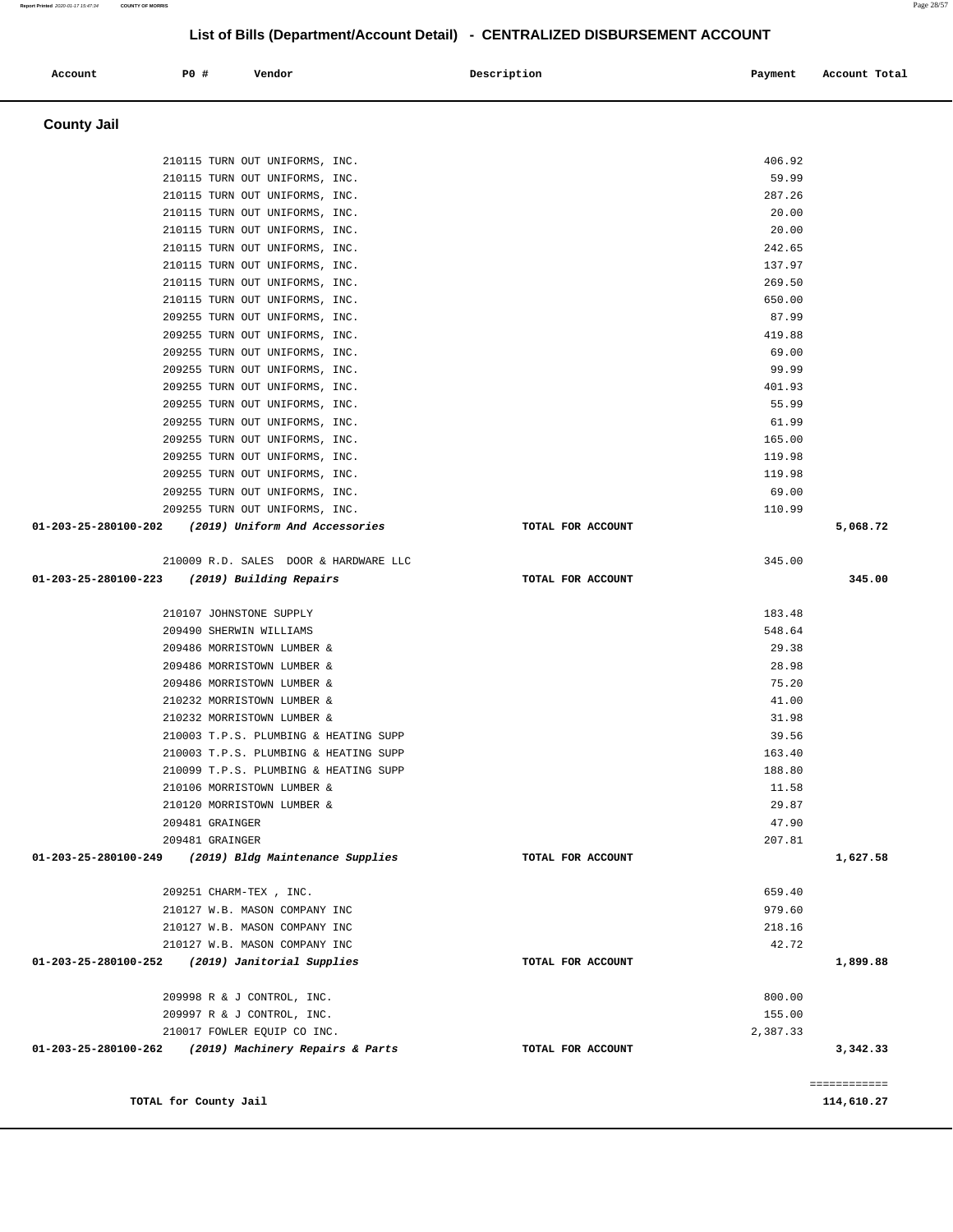| Account | PO# | Vendor | Description | Payment | Account Total |
|---------|-----|--------|-------------|---------|---------------|
|         |     |        |             |         |               |

# **County Jail**

| 210115 TURN OUT UNIFORMS, INC.                                                        |                   | 406.92   |              |
|---------------------------------------------------------------------------------------|-------------------|----------|--------------|
| 210115 TURN OUT UNIFORMS, INC.                                                        |                   | 59.99    |              |
| 210115 TURN OUT UNIFORMS, INC.                                                        |                   | 287.26   |              |
| 210115 TURN OUT UNIFORMS, INC.                                                        |                   | 20.00    |              |
| 210115 TURN OUT UNIFORMS, INC.                                                        |                   | 20.00    |              |
| 210115 TURN OUT UNIFORMS, INC.                                                        |                   | 242.65   |              |
| 210115 TURN OUT UNIFORMS, INC.                                                        |                   | 137.97   |              |
| 210115 TURN OUT UNIFORMS, INC.                                                        |                   | 269.50   |              |
| 210115 TURN OUT UNIFORMS, INC.                                                        |                   | 650.00   |              |
| 209255 TURN OUT UNIFORMS, INC.                                                        |                   | 87.99    |              |
| 209255 TURN OUT UNIFORMS, INC.                                                        |                   | 419.88   |              |
| 209255 TURN OUT UNIFORMS, INC.                                                        |                   | 69.00    |              |
| 209255 TURN OUT UNIFORMS, INC.                                                        |                   | 99.99    |              |
| 209255 TURN OUT UNIFORMS, INC.                                                        |                   | 401.93   |              |
| 209255 TURN OUT UNIFORMS, INC.                                                        |                   | 55.99    |              |
| 209255 TURN OUT UNIFORMS, INC.                                                        |                   | 61.99    |              |
| 209255 TURN OUT UNIFORMS, INC.                                                        |                   | 165.00   |              |
| 209255 TURN OUT UNIFORMS, INC.                                                        |                   | 119.98   |              |
| 209255 TURN OUT UNIFORMS, INC.                                                        |                   | 119.98   |              |
| 209255 TURN OUT UNIFORMS, INC.                                                        |                   | 69.00    |              |
| 209255 TURN OUT UNIFORMS, INC.                                                        |                   | 110.99   |              |
| 01-203-25-280100-202 (2019) Uniform And Accessories                                   | TOTAL FOR ACCOUNT |          | 5,068.72     |
|                                                                                       |                   |          |              |
| 210009 R.D. SALES DOOR & HARDWARE LLC<br>01-203-25-280100-223 (2019) Building Repairs | TOTAL FOR ACCOUNT | 345.00   | 345.00       |
|                                                                                       |                   |          |              |
| 210107 JOHNSTONE SUPPLY                                                               |                   | 183.48   |              |
| 209490 SHERWIN WILLIAMS                                                               |                   | 548.64   |              |
| 209486 MORRISTOWN LUMBER &                                                            |                   | 29.38    |              |
| 209486 MORRISTOWN LUMBER &                                                            |                   | 28.98    |              |
| 209486 MORRISTOWN LUMBER &                                                            |                   | 75.20    |              |
| 210232 MORRISTOWN LUMBER &                                                            |                   | 41.00    |              |
| 210232 MORRISTOWN LUMBER &                                                            |                   | 31.98    |              |
| 210003 T.P.S. PLUMBING & HEATING SUPP                                                 |                   | 39.56    |              |
| 210003 T.P.S. PLUMBING & HEATING SUPP                                                 |                   | 163.40   |              |
| 210099 T.P.S. PLUMBING & HEATING SUPP                                                 |                   | 188.80   |              |
| 210106 MORRISTOWN LUMBER &                                                            |                   | 11.58    |              |
| 210120 MORRISTOWN LUMBER &                                                            |                   | 29.87    |              |
| 209481 GRAINGER                                                                       |                   | 47.90    |              |
| 209481 GRAINGER                                                                       |                   | 207.81   |              |
| 01-203-25-280100-249<br>(2019) Bldg Maintenance Supplies                              | TOTAL FOR ACCOUNT |          | 1,627.58     |
|                                                                                       |                   |          |              |
| 209251 CHARM-TEX, INC.                                                                |                   | 659.40   |              |
| 210127 W.B. MASON COMPANY INC                                                         |                   | 979.60   |              |
| 210127 W.B. MASON COMPANY INC                                                         |                   | 218.16   |              |
| 210127 W.B. MASON COMPANY INC<br>(2019) Janitorial Supplies                           |                   | 42.72    |              |
| 01-203-25-280100-252                                                                  | TOTAL FOR ACCOUNT |          | 1,899.88     |
| 209998 R & J CONTROL, INC.                                                            |                   | 800.00   |              |
| 209997 R & J CONTROL, INC.                                                            |                   | 155.00   |              |
| 210017 FOWLER EQUIP CO INC.                                                           |                   | 2,387.33 |              |
| (2019) Machinery Repairs & Parts<br>01-203-25-280100-262                              | TOTAL FOR ACCOUNT |          | 3,342.33     |
|                                                                                       |                   |          |              |
|                                                                                       |                   |          | ============ |
| TOTAL for County Jail                                                                 |                   |          | 114,610.27   |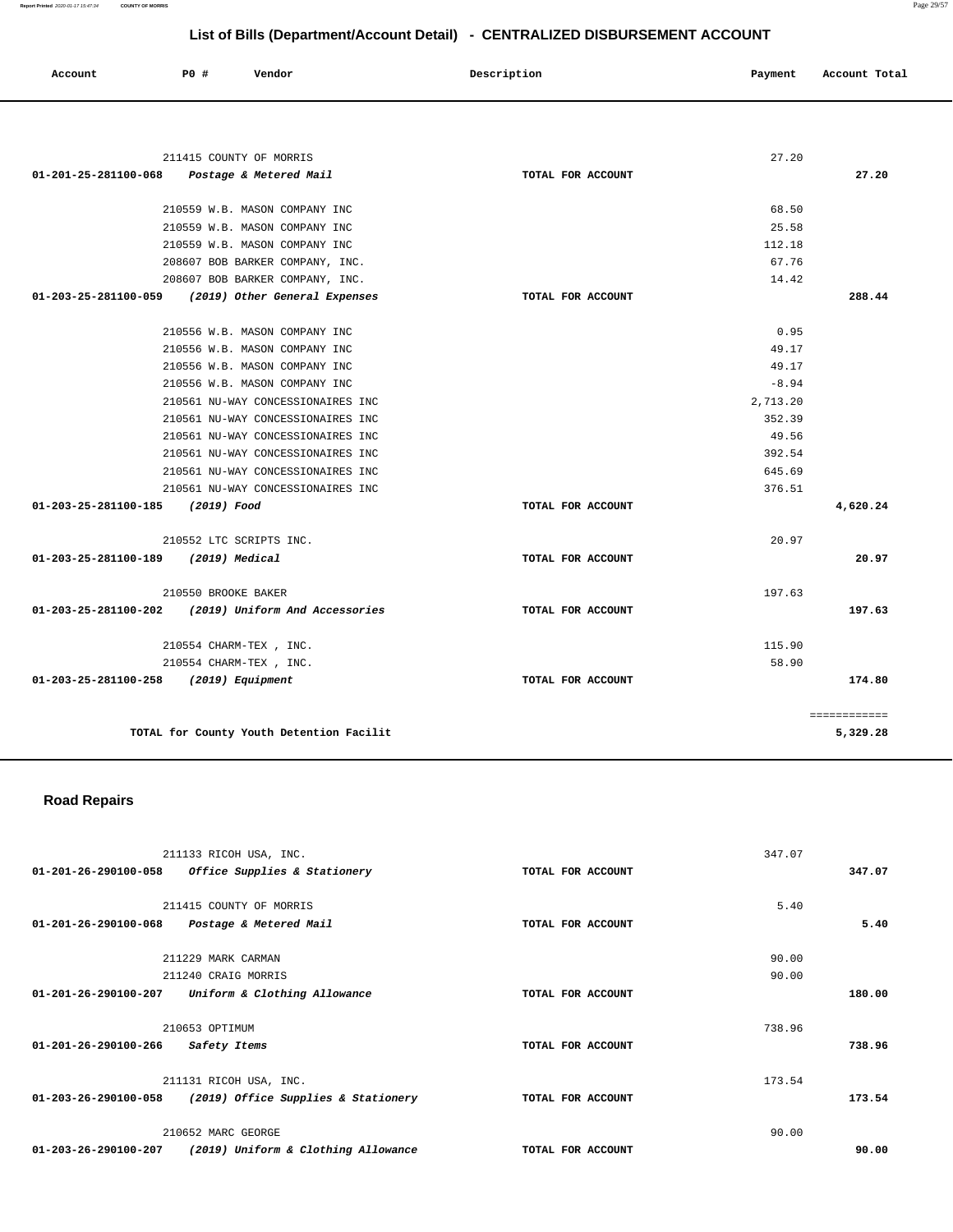| Account | P0 | Vendor<br>. | Description<br>. | Payment | Account Total<br>.<br>. |
|---------|----|-------------|------------------|---------|-------------------------|
|         |    |             |                  |         |                         |

| 211415 COUNTY OF MORRIS                               |                   | 27.20    |              |
|-------------------------------------------------------|-------------------|----------|--------------|
| Postage & Metered Mail<br>01-201-25-281100-068        | TOTAL FOR ACCOUNT |          | 27.20        |
|                                                       |                   |          |              |
| 210559 W.B. MASON COMPANY INC                         |                   | 68.50    |              |
| 210559 W.B. MASON COMPANY INC                         |                   | 25.58    |              |
| 210559 W.B. MASON COMPANY INC                         |                   | 112.18   |              |
| 208607 BOB BARKER COMPANY, INC.                       |                   | 67.76    |              |
| 208607 BOB BARKER COMPANY, INC.                       |                   | 14.42    |              |
| 01-203-25-281100-059<br>(2019) Other General Expenses | TOTAL FOR ACCOUNT |          | 288.44       |
| 210556 W.B. MASON COMPANY INC                         |                   | 0.95     |              |
| 210556 W.B. MASON COMPANY INC                         |                   | 49.17    |              |
| 210556 W.B. MASON COMPANY INC                         |                   | 49.17    |              |
| 210556 W.B. MASON COMPANY INC                         |                   | $-8.94$  |              |
| 210561 NU-WAY CONCESSIONAIRES INC                     |                   | 2,713.20 |              |
| 210561 NU-WAY CONCESSIONAIRES INC                     |                   | 352.39   |              |
| 210561 NU-WAY CONCESSIONAIRES INC                     |                   | 49.56    |              |
| 210561 NU-WAY CONCESSIONAIRES INC                     |                   | 392.54   |              |
| 210561 NU-WAY CONCESSIONAIRES INC.                    |                   | 645.69   |              |
| 210561 NU-WAY CONCESSIONAIRES INC                     |                   | 376.51   |              |
| 01-203-25-281100-185 (2019) Food                      | TOTAL FOR ACCOUNT |          | 4,620.24     |
| 210552 LTC SCRIPTS INC.                               |                   | 20.97    |              |
| 01-203-25-281100-189<br>(2019) Medical                | TOTAL FOR ACCOUNT |          | 20.97        |
| 210550 BROOKE BAKER                                   |                   | 197.63   |              |
| 01-203-25-281100-202 (2019) Uniform And Accessories   | TOTAL FOR ACCOUNT |          | 197.63       |
| 210554 CHARM-TEX , INC.                               |                   | 115.90   |              |
| 210554 CHARM-TEX, INC.                                |                   | 58.90    |              |
| 01-203-25-281100-258 (2019) Equipment                 | TOTAL FOR ACCOUNT |          | 174.80       |
|                                                       |                   |          | ============ |
| TOTAL for County Youth Detention Facilit              |                   |          | 5,329.28     |

# **Road Repairs**

|                                | 211133 RICOH USA, INC.              |                   | 347.07 |        |
|--------------------------------|-------------------------------------|-------------------|--------|--------|
| 01-201-26-290100-058           | Office Supplies & Stationery        | TOTAL FOR ACCOUNT |        | 347.07 |
|                                |                                     |                   |        |        |
|                                | 211415 COUNTY OF MORRIS             |                   | 5.40   |        |
| 01-201-26-290100-068           | Postage & Metered Mail              | TOTAL FOR ACCOUNT |        | 5.40   |
|                                |                                     |                   |        |        |
|                                | 211229 MARK CARMAN                  |                   | 90.00  |        |
|                                | 211240 CRAIG MORRIS                 |                   | 90.00  |        |
| 01-201-26-290100-207           | Uniform & Clothing Allowance        | TOTAL FOR ACCOUNT |        | 180.00 |
|                                |                                     |                   |        |        |
|                                | 210653 OPTIMUM                      |                   | 738.96 |        |
| $01 - 201 - 26 - 290100 - 266$ | Safety Items                        | TOTAL FOR ACCOUNT |        | 738.96 |
|                                |                                     |                   |        |        |
|                                | 211131 RICOH USA, INC.              |                   | 173.54 |        |
| 01-203-26-290100-058           | (2019) Office Supplies & Stationery | TOTAL FOR ACCOUNT |        | 173.54 |
|                                |                                     |                   |        |        |
|                                | 210652 MARC GEORGE                  |                   | 90.00  |        |
| 01-203-26-290100-207           | (2019) Uniform & Clothing Allowance | TOTAL FOR ACCOUNT |        | 90.00  |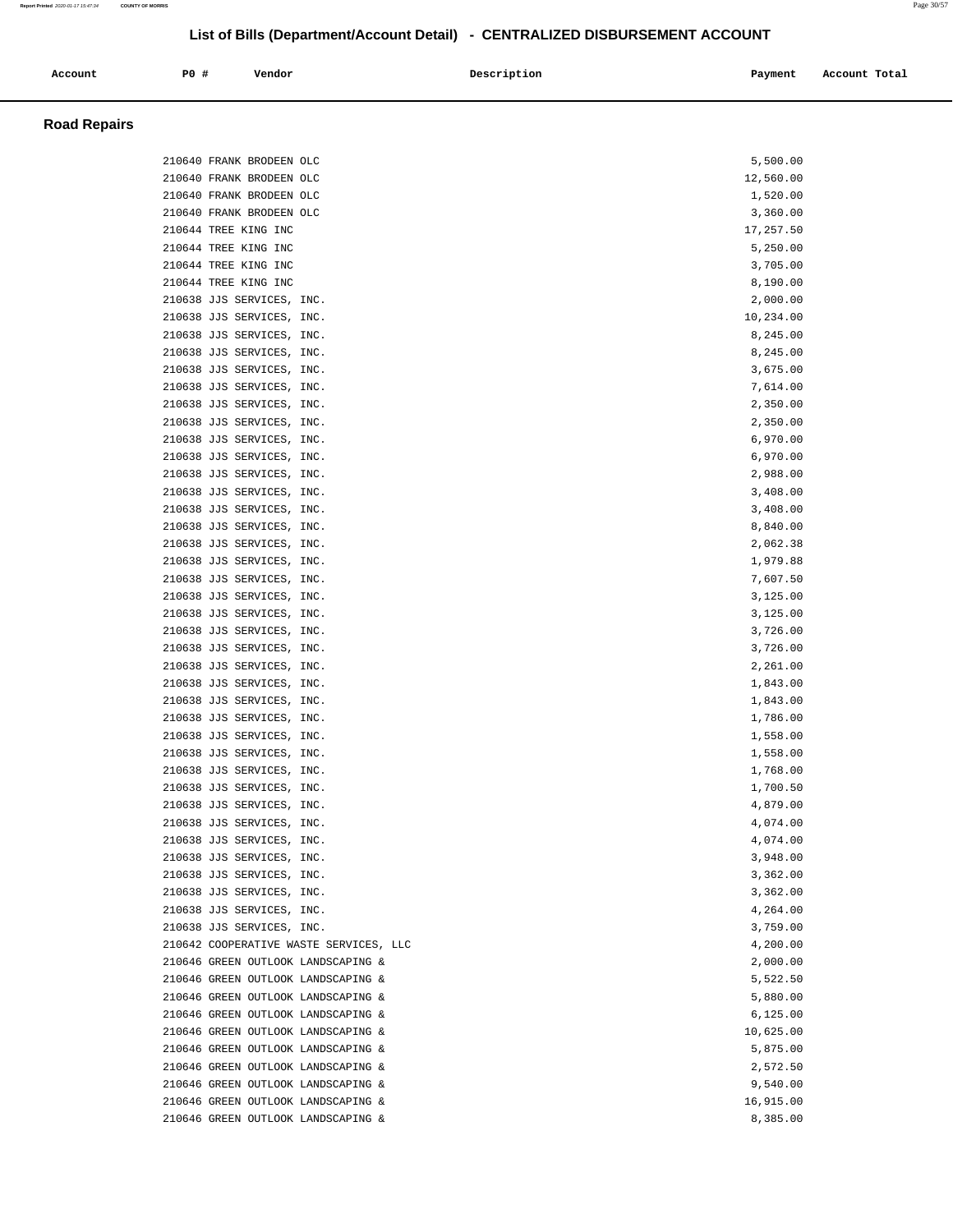| Account | P0 # | Vendor | Description | Payment | Account Total |
|---------|------|--------|-------------|---------|---------------|
|         |      |        |             |         |               |

### **Road Repairs**

| 210640 FRANK BRODEEN OLC               | 5,500.00  |
|----------------------------------------|-----------|
| 210640 FRANK BRODEEN OLC               | 12,560.00 |
| 210640 FRANK BRODEEN OLC               | 1,520.00  |
| 210640 FRANK BRODEEN OLC               | 3,360.00  |
| 210644 TREE KING INC                   | 17,257.50 |
| 210644 TREE KING INC                   | 5,250.00  |
| 210644 TREE KING INC                   | 3,705.00  |
| 210644 TREE KING INC                   | 8,190.00  |
| 210638 JJS SERVICES, INC.              | 2,000.00  |
| 210638 JJS SERVICES, INC.              | 10,234.00 |
| 210638 JJS SERVICES, INC.              | 8,245.00  |
| 210638 JJS SERVICES, INC.              | 8,245.00  |
| 210638 JJS SERVICES, INC.              | 3,675.00  |
| 210638 JJS SERVICES, INC.              | 7,614.00  |
| 210638 JJS SERVICES, INC.              | 2,350.00  |
| 210638 JJS SERVICES, INC.              | 2,350.00  |
| 210638 JJS SERVICES, INC.              | 6,970.00  |
| 210638 JJS SERVICES, INC.              | 6,970.00  |
| 210638 JJS SERVICES, INC.              | 2,988.00  |
| 210638 JJS SERVICES, INC.              | 3,408.00  |
| 210638 JJS SERVICES, INC.              | 3,408.00  |
| 210638 JJS SERVICES, INC.              | 8,840.00  |
| 210638 JJS SERVICES, INC.              | 2,062.38  |
| 210638 JJS SERVICES, INC.              | 1,979.88  |
| 210638 JJS SERVICES, INC.              | 7,607.50  |
| 210638 JJS SERVICES, INC.              | 3,125.00  |
| 210638 JJS SERVICES, INC.              | 3,125.00  |
| 210638 JJS SERVICES, INC.              | 3,726.00  |
| 210638 JJS SERVICES, INC.              | 3,726.00  |
| 210638 JJS SERVICES, INC.              | 2,261.00  |
| 210638 JJS SERVICES, INC.              | 1,843.00  |
| 210638 JJS SERVICES, INC.              | 1,843.00  |
| 210638 JJS SERVICES, INC.              | 1,786.00  |
| 210638 JJS SERVICES, INC.              | 1,558.00  |
| 210638 JJS SERVICES, INC.              | 1,558.00  |
| 210638 JJS SERVICES, INC.              | 1,768.00  |
| 210638 JJS SERVICES, INC.              | 1,700.50  |
| 210638 JJS SERVICES, INC.              | 4,879.00  |
| 210638 JJS SERVICES, INC.              | 4,074.00  |
| 210638 JJS SERVICES, INC.              | 4,074.00  |
| 210638 JJS SERVICES, INC.              | 3,948.00  |
| 210638 JJS SERVICES, INC.              | 3,362.00  |
| 210638 JJS SERVICES, INC.              | 3,362.00  |
| 210638 JJS SERVICES, INC.              | 4,264.00  |
| 210638 JJS SERVICES, INC.              | 3,759.00  |
| 210642 COOPERATIVE WASTE SERVICES, LLC | 4,200.00  |
| 210646 GREEN OUTLOOK LANDSCAPING &     | 2,000.00  |
| 210646 GREEN OUTLOOK LANDSCAPING &     | 5,522.50  |
| 210646 GREEN OUTLOOK LANDSCAPING &     | 5,880.00  |
| 210646 GREEN OUTLOOK LANDSCAPING &     | 6,125.00  |
| 210646 GREEN OUTLOOK LANDSCAPING &     | 10,625.00 |
| 210646 GREEN OUTLOOK LANDSCAPING &     | 5,875.00  |
| 210646 GREEN OUTLOOK LANDSCAPING &     | 2,572.50  |
| 210646 GREEN OUTLOOK LANDSCAPING &     | 9,540.00  |
| 210646 GREEN OUTLOOK LANDSCAPING &     | 16,915.00 |
| 210646 GREEN OUTLOOK LANDSCAPING &     | 8,385.00  |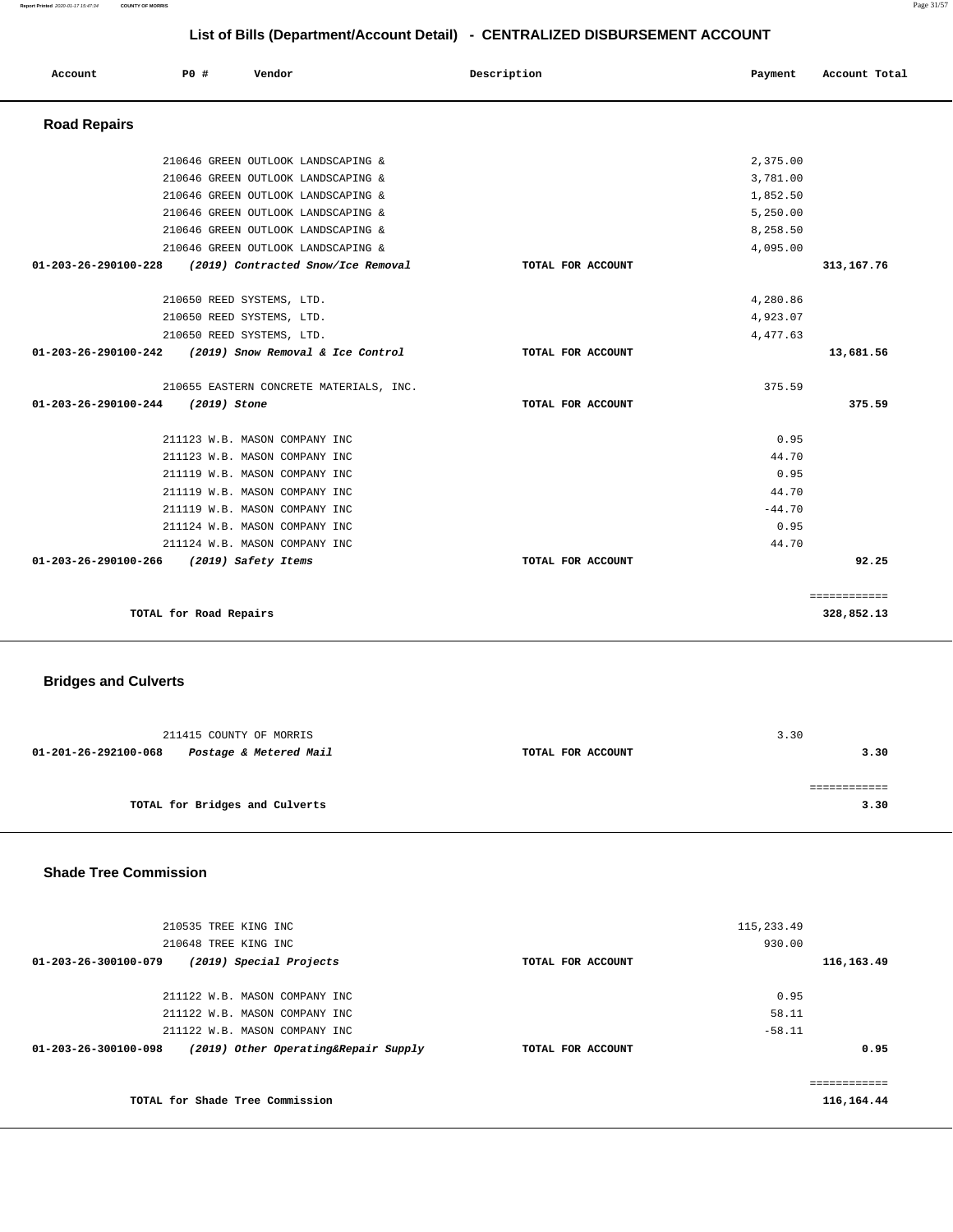**Report Printed** 2020-01-17 15:47:34 **COUNTY OF MORRIS** Page 31/57

# **List of Bills (Department/Account Detail) - CENTRALIZED DISBURSEMENT ACCOUNT**

| Account              | PO#                    | Vendor                                  | Description       | Payment  | Account Total |
|----------------------|------------------------|-----------------------------------------|-------------------|----------|---------------|
| <b>Road Repairs</b>  |                        |                                         |                   |          |               |
|                      |                        | 210646 GREEN OUTLOOK LANDSCAPING &      |                   | 2,375.00 |               |
|                      |                        | 210646 GREEN OUTLOOK LANDSCAPING &      |                   | 3,781.00 |               |
|                      |                        | 210646 GREEN OUTLOOK LANDSCAPING &      |                   | 1,852.50 |               |
|                      |                        | 210646 GREEN OUTLOOK LANDSCAPING &      |                   | 5,250.00 |               |
|                      |                        | 210646 GREEN OUTLOOK LANDSCAPING &      |                   | 8,258.50 |               |
|                      |                        | 210646 GREEN OUTLOOK LANDSCAPING &      |                   | 4,095.00 |               |
| 01-203-26-290100-228 |                        | (2019) Contracted Snow/Ice Removal      | TOTAL FOR ACCOUNT |          | 313,167.76    |
|                      |                        | 210650 REED SYSTEMS, LTD.               |                   | 4,280.86 |               |
|                      |                        | 210650 REED SYSTEMS, LTD.               |                   | 4,923.07 |               |
|                      |                        | 210650 REED SYSTEMS, LTD.               |                   | 4,477.63 |               |
| 01-203-26-290100-242 |                        | (2019) Snow Removal & Ice Control       | TOTAL FOR ACCOUNT |          | 13,681.56     |
|                      |                        | 210655 EASTERN CONCRETE MATERIALS, INC. |                   | 375.59   |               |
| 01-203-26-290100-244 | (2019) Stone           |                                         | TOTAL FOR ACCOUNT |          | 375.59        |
|                      |                        | 211123 W.B. MASON COMPANY INC           |                   | 0.95     |               |
|                      |                        | 211123 W.B. MASON COMPANY INC           |                   | 44.70    |               |
|                      |                        | 211119 W.B. MASON COMPANY INC           |                   | 0.95     |               |
|                      |                        | 211119 W.B. MASON COMPANY INC           |                   | 44.70    |               |
|                      |                        | 211119 W.B. MASON COMPANY INC           |                   | $-44.70$ |               |
|                      |                        | 211124 W.B. MASON COMPANY INC           |                   | 0.95     |               |
|                      |                        | 211124 W.B. MASON COMPANY INC           |                   | 44.70    |               |
| 01-203-26-290100-266 |                        | (2019) Safety Items                     | TOTAL FOR ACCOUNT |          | 92.25         |
|                      |                        |                                         |                   |          | ============  |
|                      | TOTAL for Road Repairs |                                         |                   |          | 328,852.13    |
|                      |                        |                                         |                   |          |               |

# **Bridges and Culverts**

| 211415 COUNTY OF MORRIS                        |                   | 3.30 |
|------------------------------------------------|-------------------|------|
| 01-201-26-292100-068<br>Postage & Metered Mail | TOTAL FOR ACCOUNT | 3.30 |
|                                                |                   |      |
|                                                |                   |      |
| TOTAL for Bridges and Culverts                 |                   | 3.30 |

# **Shade Tree Commission**

| eeeeeeeeee<br>116,164.44 |             |                   | TOTAL for Shade Tree Commission      |                      |
|--------------------------|-------------|-------------------|--------------------------------------|----------------------|
| 0.95                     |             | TOTAL FOR ACCOUNT | (2019) Other Operating&Repair Supply | 01-203-26-300100-098 |
|                          | $-58.11$    |                   | 211122 W.B. MASON COMPANY INC        |                      |
|                          | 58.11       |                   | 211122 W.B. MASON COMPANY INC        |                      |
|                          | 0.95        |                   | 211122 W.B. MASON COMPANY INC        |                      |
| 116,163.49               |             | TOTAL FOR ACCOUNT | (2019) Special Projects              | 01-203-26-300100-079 |
|                          | 930.00      |                   | 210648 TREE KING INC                 |                      |
|                          | 115, 233.49 |                   | 210535 TREE KING INC                 |                      |
|                          |             |                   |                                      |                      |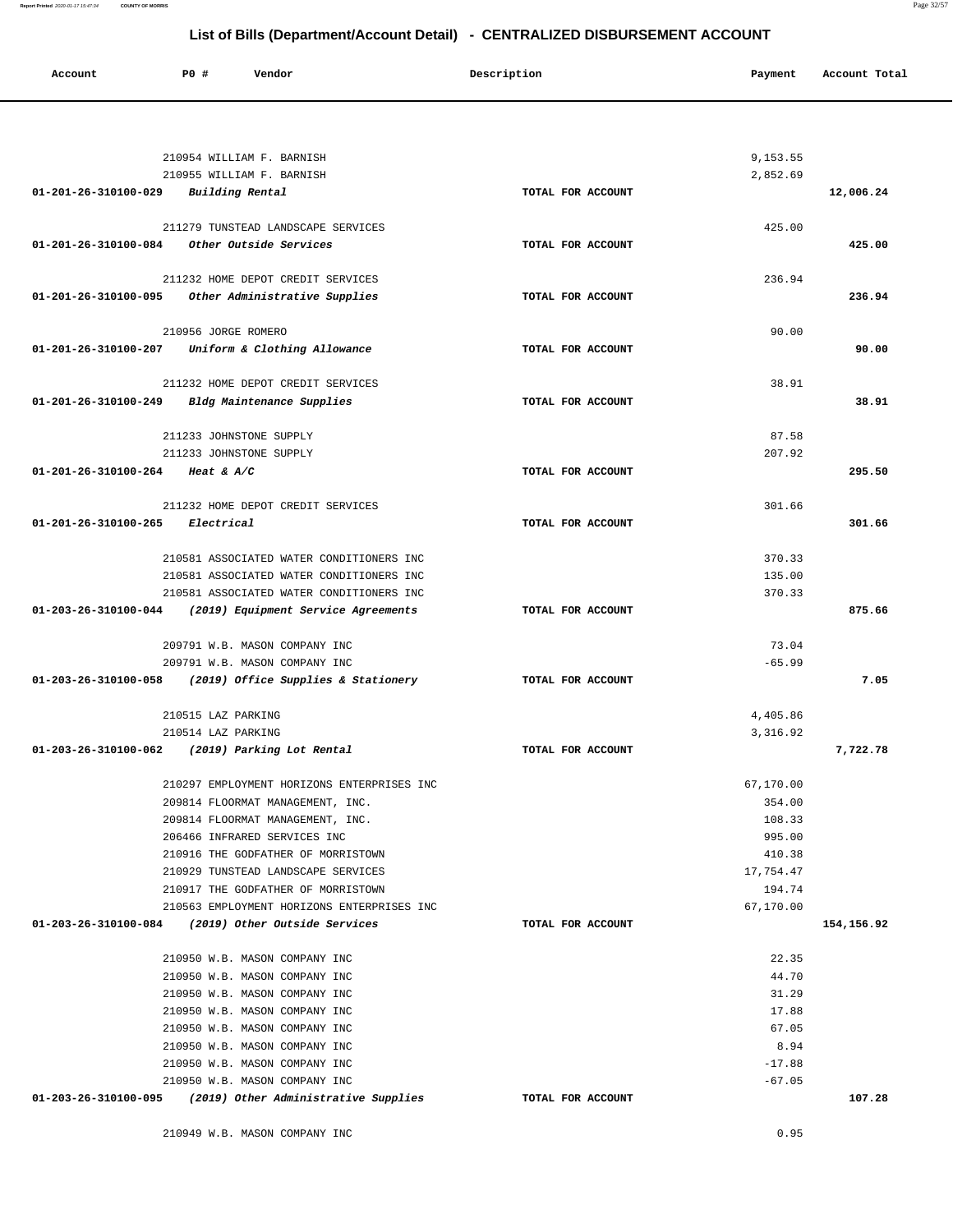| Account              | <b>PO #</b><br>Vendor                                                | Description       | Payment          | Account Total |
|----------------------|----------------------------------------------------------------------|-------------------|------------------|---------------|
|                      |                                                                      |                   |                  |               |
|                      | 210954 WILLIAM F. BARNISH                                            |                   | 9,153.55         |               |
|                      | 210955 WILLIAM F. BARNISH                                            |                   | 2,852.69         |               |
| 01-201-26-310100-029 | Building Rental                                                      | TOTAL FOR ACCOUNT |                  | 12,006.24     |
|                      | 211279 TUNSTEAD LANDSCAPE SERVICES                                   |                   | 425.00           |               |
| 01-201-26-310100-084 | Other Outside Services                                               | TOTAL FOR ACCOUNT |                  | 425.00        |
|                      | 211232 HOME DEPOT CREDIT SERVICES                                    |                   | 236.94           |               |
| 01-201-26-310100-095 | Other Administrative Supplies                                        | TOTAL FOR ACCOUNT |                  | 236.94        |
|                      | 210956 JORGE ROMERO                                                  |                   | 90.00            |               |
| 01-201-26-310100-207 | Uniform & Clothing Allowance                                         | TOTAL FOR ACCOUNT |                  | 90.00         |
|                      | 211232 HOME DEPOT CREDIT SERVICES                                    |                   | 38.91            |               |
| 01-201-26-310100-249 | Bldg Maintenance Supplies                                            | TOTAL FOR ACCOUNT |                  | 38.91         |
|                      | 211233 JOHNSTONE SUPPLY                                              |                   | 87.58            |               |
|                      | 211233 JOHNSTONE SUPPLY                                              |                   | 207.92           |               |
| 01-201-26-310100-264 | Heat & $A/C$                                                         | TOTAL FOR ACCOUNT |                  | 295.50        |
|                      | 211232 HOME DEPOT CREDIT SERVICES                                    |                   | 301.66           |               |
| 01-201-26-310100-265 | Electrical                                                           | TOTAL FOR ACCOUNT |                  | 301.66        |
|                      | 210581 ASSOCIATED WATER CONDITIONERS INC                             |                   | 370.33           |               |
|                      | 210581 ASSOCIATED WATER CONDITIONERS INC                             |                   | 135.00           |               |
|                      | 210581 ASSOCIATED WATER CONDITIONERS INC                             |                   | 370.33           |               |
| 01-203-26-310100-044 | (2019) Equipment Service Agreements                                  | TOTAL FOR ACCOUNT |                  | 875.66        |
|                      | 209791 W.B. MASON COMPANY INC                                        |                   | 73.04            |               |
|                      | 209791 W.B. MASON COMPANY INC                                        |                   | $-65.99$         |               |
| 01-203-26-310100-058 | (2019) Office Supplies & Stationery                                  | TOTAL FOR ACCOUNT |                  | 7.05          |
|                      | 210515 LAZ PARKING                                                   |                   | 4,405.86         |               |
| 01-203-26-310100-062 | 210514 LAZ PARKING<br>(2019) Parking Lot Rental                      | TOTAL FOR ACCOUNT | 3,316.92         | 7,722.78      |
|                      |                                                                      |                   |                  |               |
|                      | 210297 EMPLOYMENT HORIZONS ENTERPRISES INC                           |                   | 67,170.00        |               |
|                      | 209814 FLOORMAT MANAGEMENT, INC.<br>209814 FLOORMAT MANAGEMENT, INC. |                   | 354.00<br>108.33 |               |
|                      | 206466 INFRARED SERVICES INC                                         |                   | 995.00           |               |
|                      | 210916 THE GODFATHER OF MORRISTOWN                                   |                   | 410.38           |               |
|                      | 210929 TUNSTEAD LANDSCAPE SERVICES                                   |                   | 17.754.47        |               |
|                      | 210917 THE GODFATHER OF MORRISTOWN                                   |                   | 194.74           |               |
|                      | 210563 EMPLOYMENT HORIZONS ENTERPRISES INC                           |                   | 67,170.00        |               |
|                      | 01-203-26-310100-084 (2019) Other Outside Services                   | TOTAL FOR ACCOUNT |                  | 154,156.92    |
|                      | 210950 W.B. MASON COMPANY INC                                        |                   | 22.35            |               |
|                      | 210950 W.B. MASON COMPANY INC                                        |                   | 44.70            |               |
|                      | 210950 W.B. MASON COMPANY INC                                        |                   | 31.29            |               |
|                      | 210950 W.B. MASON COMPANY INC                                        |                   | 17.88            |               |
|                      | 210950 W.B. MASON COMPANY INC                                        |                   | 67.05            |               |
|                      | 210950 W.B. MASON COMPANY INC                                        |                   | 8.94             |               |
|                      | 210950 W.B. MASON COMPANY INC                                        |                   | $-17.88$         |               |
|                      | 210950 W.B. MASON COMPANY INC                                        |                   | $-67.05$         |               |
|                      | $01-203-26-310100-095$ (2019) Other Administrative Supplies          | TOTAL FOR ACCOUNT |                  | 107.28        |
|                      | 210949 W.B. MASON COMPANY INC                                        |                   | 0.95             |               |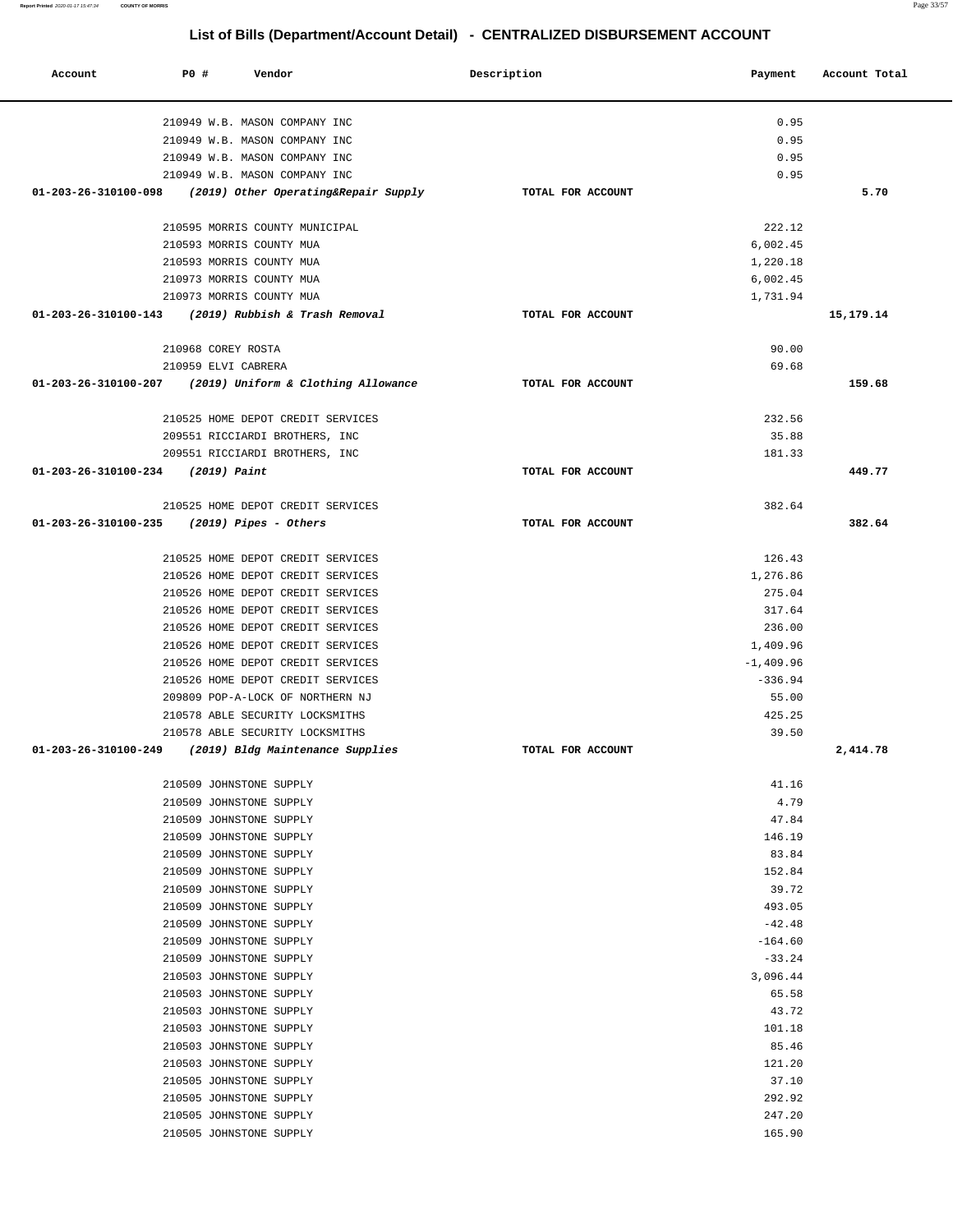| Account                                      | <b>PO #</b>                                        | Vendor                                                                 | Description       | Payment                  | Account Total |
|----------------------------------------------|----------------------------------------------------|------------------------------------------------------------------------|-------------------|--------------------------|---------------|
|                                              |                                                    | 210949 W.B. MASON COMPANY INC                                          |                   | 0.95                     |               |
|                                              |                                                    | 210949 W.B. MASON COMPANY INC                                          |                   | 0.95                     |               |
|                                              |                                                    | 210949 W.B. MASON COMPANY INC                                          |                   | 0.95                     |               |
|                                              |                                                    | 210949 W.B. MASON COMPANY INC                                          |                   | 0.95                     |               |
|                                              |                                                    | 01-203-26-310100-098 (2019) Other Operating&Repair Supply              | TOTAL FOR ACCOUNT |                          | 5.70          |
|                                              |                                                    | 210595 MORRIS COUNTY MUNICIPAL                                         |                   | 222.12                   |               |
|                                              | 210593 MORRIS COUNTY MUA                           |                                                                        |                   | 6,002.45                 |               |
|                                              | 210593 MORRIS COUNTY MUA                           |                                                                        |                   | 1,220.18                 |               |
|                                              | 210973 MORRIS COUNTY MUA                           |                                                                        |                   | 6,002.45                 |               |
|                                              | 210973 MORRIS COUNTY MUA                           | 01-203-26-310100-143 (2019) Rubbish & Trash Removal                    | TOTAL FOR ACCOUNT | 1,731.94                 | 15,179.14     |
|                                              |                                                    |                                                                        |                   |                          |               |
|                                              | 210968 COREY ROSTA                                 |                                                                        |                   | 90.00                    |               |
|                                              | 210959 ELVI CABRERA                                |                                                                        |                   | 69.68                    |               |
|                                              |                                                    | 01-203-26-310100-207 (2019) Uniform & Clothing Allowance               | TOTAL FOR ACCOUNT |                          | 159.68        |
|                                              |                                                    | 210525 HOME DEPOT CREDIT SERVICES                                      |                   | 232.56                   |               |
|                                              |                                                    | 209551 RICCIARDI BROTHERS, INC                                         |                   | 35.88                    |               |
|                                              |                                                    | 209551 RICCIARDI BROTHERS, INC                                         |                   | 181.33                   |               |
| $01-203-26-310100-234$ (2019) Paint          |                                                    |                                                                        | TOTAL FOR ACCOUNT |                          | 449.77        |
|                                              |                                                    | 210525 HOME DEPOT CREDIT SERVICES                                      |                   | 382.64                   |               |
| $01-203-26-310100-235$ (2019) Pipes - Others |                                                    |                                                                        | TOTAL FOR ACCOUNT |                          | 382.64        |
|                                              |                                                    | 210525 HOME DEPOT CREDIT SERVICES                                      |                   | 126.43                   |               |
|                                              |                                                    | 210526 HOME DEPOT CREDIT SERVICES                                      |                   | 1,276.86                 |               |
|                                              |                                                    | 210526 HOME DEPOT CREDIT SERVICES                                      |                   | 275.04                   |               |
|                                              |                                                    | 210526 HOME DEPOT CREDIT SERVICES                                      |                   | 317.64                   |               |
|                                              |                                                    | 210526 HOME DEPOT CREDIT SERVICES                                      |                   | 236.00                   |               |
|                                              |                                                    | 210526 HOME DEPOT CREDIT SERVICES                                      |                   | 1,409.96                 |               |
|                                              |                                                    | 210526 HOME DEPOT CREDIT SERVICES<br>210526 HOME DEPOT CREDIT SERVICES |                   | $-1,409.96$<br>$-336.94$ |               |
|                                              |                                                    | 209809 POP-A-LOCK OF NORTHERN NJ                                       |                   | 55.00                    |               |
|                                              |                                                    | 210578 ABLE SECURITY LOCKSMITHS                                        |                   | 425.25                   |               |
|                                              |                                                    | 210578 ABLE SECURITY LOCKSMITHS                                        |                   | 39.50                    |               |
|                                              |                                                    | 01-203-26-310100-249 (2019) Bldg Maintenance Supplies                  | TOTAL FOR ACCOUNT |                          | 2,414.78      |
|                                              | 210509 JOHNSTONE SUPPLY                            |                                                                        |                   | 41.16                    |               |
|                                              | 210509 JOHNSTONE SUPPLY                            |                                                                        |                   | 4.79                     |               |
|                                              | 210509 JOHNSTONE SUPPLY                            |                                                                        |                   | 47.84                    |               |
|                                              | 210509 JOHNSTONE SUPPLY                            |                                                                        |                   | 146.19                   |               |
|                                              | 210509 JOHNSTONE SUPPLY                            |                                                                        |                   | 83.84                    |               |
|                                              | 210509 JOHNSTONE SUPPLY                            |                                                                        |                   | 152.84                   |               |
|                                              | 210509 JOHNSTONE SUPPLY<br>210509 JOHNSTONE SUPPLY |                                                                        |                   | 39.72<br>493.05          |               |
|                                              | 210509 JOHNSTONE SUPPLY                            |                                                                        |                   | $-42.48$                 |               |
|                                              | 210509 JOHNSTONE SUPPLY                            |                                                                        |                   | $-164.60$                |               |
|                                              | 210509 JOHNSTONE SUPPLY                            |                                                                        |                   | $-33.24$                 |               |
|                                              | 210503 JOHNSTONE SUPPLY                            |                                                                        |                   | 3,096.44                 |               |
|                                              | 210503 JOHNSTONE SUPPLY                            |                                                                        |                   | 65.58                    |               |
|                                              | 210503 JOHNSTONE SUPPLY                            |                                                                        |                   | 43.72                    |               |
|                                              | 210503 JOHNSTONE SUPPLY                            |                                                                        |                   | 101.18                   |               |
|                                              | 210503 JOHNSTONE SUPPLY<br>210503 JOHNSTONE SUPPLY |                                                                        |                   | 85.46<br>121.20          |               |
|                                              | 210505 JOHNSTONE SUPPLY                            |                                                                        |                   | 37.10                    |               |
|                                              | 210505 JOHNSTONE SUPPLY                            |                                                                        |                   | 292.92                   |               |
|                                              | 210505 JOHNSTONE SUPPLY                            |                                                                        |                   | 247.20                   |               |
|                                              | 210505 JOHNSTONE SUPPLY                            |                                                                        |                   | 165.90                   |               |

**Report Printed** 2020-01-17 15:47:34 **COUNTY OF MORRIS** Page 33/57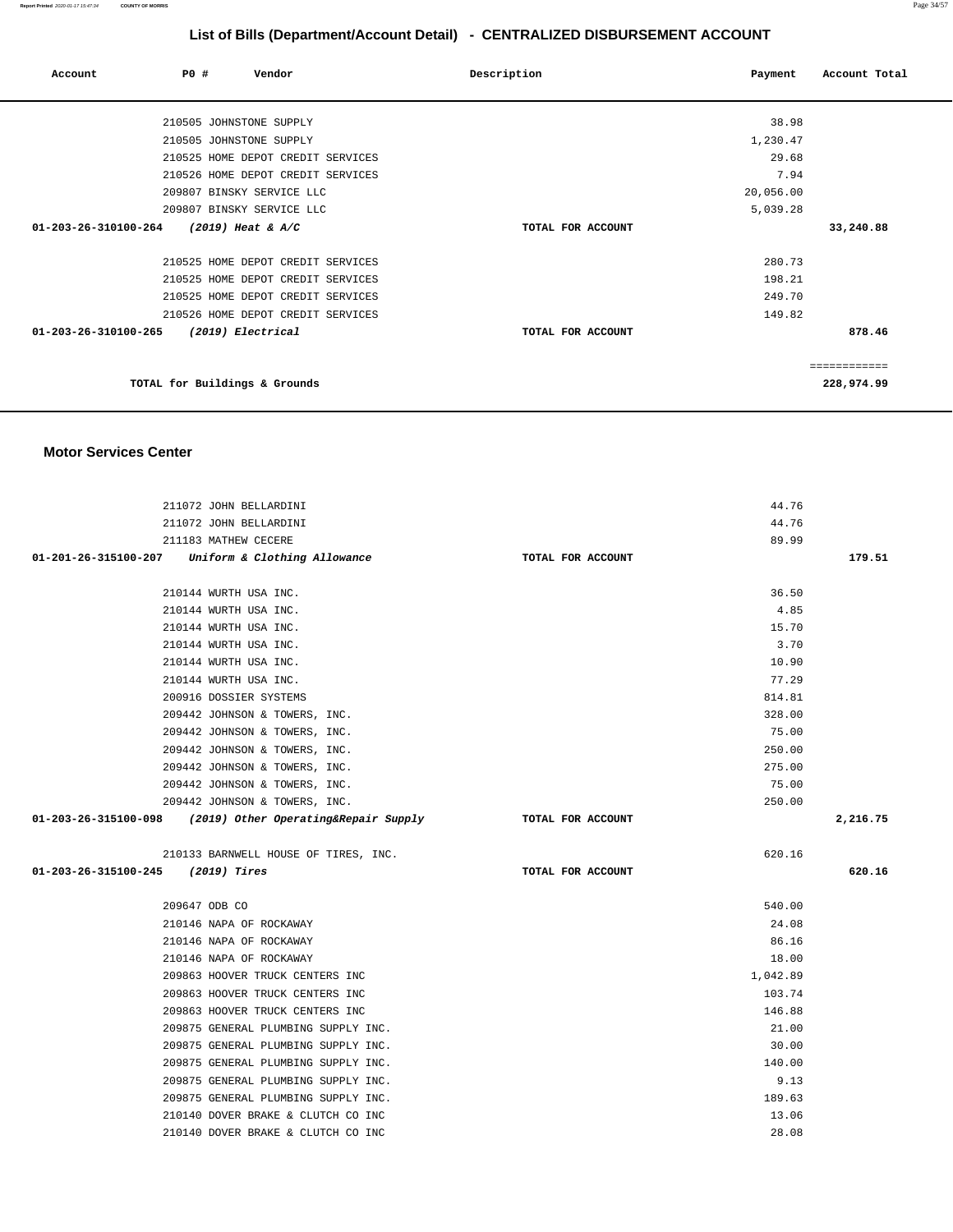| Account                        | PO# |                                   | Vendor | Description       | Payment   | Account Total |
|--------------------------------|-----|-----------------------------------|--------|-------------------|-----------|---------------|
|                                |     | 210505 JOHNSTONE SUPPLY           |        |                   | 38.98     |               |
|                                |     | 210505 JOHNSTONE SUPPLY           |        |                   | 1,230.47  |               |
|                                |     | 210525 HOME DEPOT CREDIT SERVICES |        |                   | 29.68     |               |
|                                |     | 210526 HOME DEPOT CREDIT SERVICES |        |                   | 7.94      |               |
|                                |     | 209807 BINSKY SERVICE LLC         |        |                   | 20,056.00 |               |
|                                |     | 209807 BINSKY SERVICE LLC         |        |                   | 5,039.28  |               |
| 01-203-26-310100-264           |     | $(2019)$ Heat & A/C               |        | TOTAL FOR ACCOUNT |           | 33,240.88     |
|                                |     | 210525 HOME DEPOT CREDIT SERVICES |        |                   | 280.73    |               |
|                                |     | 210525 HOME DEPOT CREDIT SERVICES |        |                   | 198.21    |               |
|                                |     | 210525 HOME DEPOT CREDIT SERVICES |        |                   | 249.70    |               |
|                                |     | 210526 HOME DEPOT CREDIT SERVICES |        |                   | 149.82    |               |
| $01 - 203 - 26 - 310100 - 265$ |     | (2019) Electrical                 |        | TOTAL FOR ACCOUNT |           | 878.46        |
|                                |     |                                   |        |                   |           | ============  |
|                                |     | TOTAL for Buildings & Grounds     |        |                   |           | 228,974.99    |

#### **Motor Services Center**

| 211072 JOHN BELLARDINI                                       |                   | 44.76    |          |
|--------------------------------------------------------------|-------------------|----------|----------|
| 211072 JOHN BELLARDINI                                       |                   | 44.76    |          |
| 211183 MATHEW CECERE                                         |                   | 89.99    |          |
| 01-201-26-315100-207 Uniform & Clothing Allowance            | TOTAL FOR ACCOUNT |          | 179.51   |
|                                                              |                   |          |          |
| 210144 WURTH USA INC.                                        |                   | 36.50    |          |
| 210144 WURTH USA INC.                                        |                   | 4.85     |          |
| 210144 WURTH USA INC.                                        |                   | 15.70    |          |
| 210144 WURTH USA INC.                                        |                   | 3.70     |          |
| 210144 WURTH USA INC.                                        |                   | 10.90    |          |
| 210144 WURTH USA INC.                                        |                   | 77.29    |          |
| 200916 DOSSIER SYSTEMS                                       |                   | 814.81   |          |
| 209442 JOHNSON & TOWERS, INC.                                |                   | 328.00   |          |
| 209442 JOHNSON & TOWERS, INC.                                |                   | 75.00    |          |
| 209442 JOHNSON & TOWERS, INC.                                |                   | 250.00   |          |
| 209442 JOHNSON & TOWERS, INC.                                |                   | 275.00   |          |
| 209442 JOHNSON & TOWERS, INC.                                |                   | 75.00    |          |
| 209442 JOHNSON & TOWERS, INC.                                |                   | 250.00   |          |
| $01-203-26-315100-098$ (2019) Other Operating& Repair Supply | TOTAL FOR ACCOUNT |          | 2,216.75 |
|                                                              |                   |          |          |
|                                                              |                   |          |          |
| 210133 BARNWELL HOUSE OF TIRES, INC.                         |                   | 620.16   |          |
| 01-203-26-315100-245 (2019) Tires                            | TOTAL FOR ACCOUNT |          | 620.16   |
|                                                              |                   |          |          |
| 209647 ODB CO                                                |                   | 540.00   |          |
| 210146 NAPA OF ROCKAWAY                                      |                   | 24.08    |          |
| 210146 NAPA OF ROCKAWAY                                      |                   | 86.16    |          |
| 210146 NAPA OF ROCKAWAY                                      |                   | 18.00    |          |
| 209863 HOOVER TRUCK CENTERS INC                              |                   | 1,042.89 |          |
| 209863 HOOVER TRUCK CENTERS INC                              |                   | 103.74   |          |
| 209863 HOOVER TRUCK CENTERS INC                              |                   | 146.88   |          |
| 209875 GENERAL PLUMBING SUPPLY INC.                          |                   | 21.00    |          |
| 209875 GENERAL PLUMBING SUPPLY INC.                          |                   | 30.00    |          |
| 209875 GENERAL PLUMBING SUPPLY INC.                          |                   | 140.00   |          |
| 209875 GENERAL PLUMBING SUPPLY INC.                          |                   | 9.13     |          |
| 209875 GENERAL PLUMBING SUPPLY INC.                          |                   | 189.63   |          |
| 210140 DOVER BRAKE & CLUTCH CO INC                           |                   | 13.06    |          |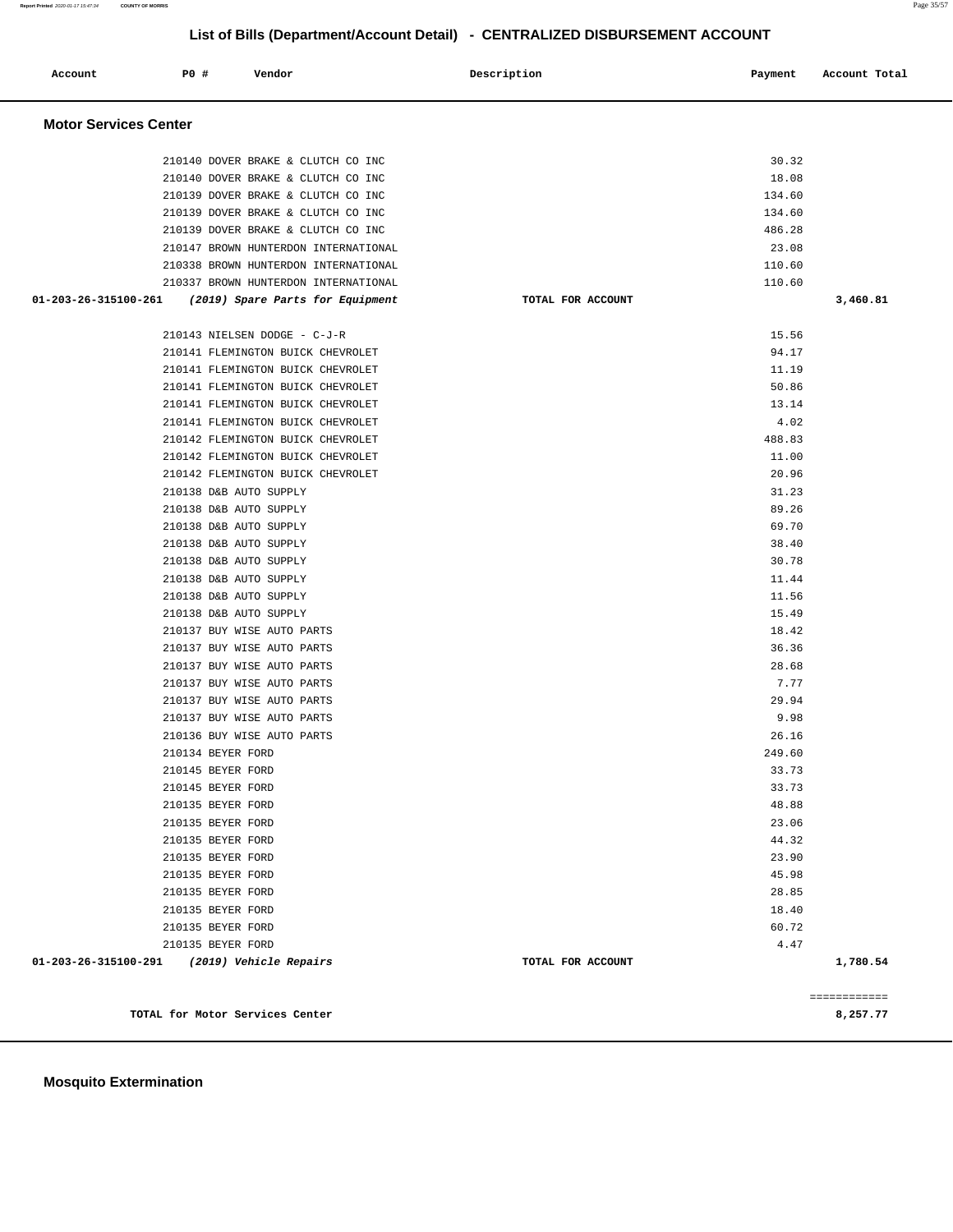| Account              | P0 #<br>Vendor                         |                                  | Description       | Payment       | Account Total |  |  |  |
|----------------------|----------------------------------------|----------------------------------|-------------------|---------------|---------------|--|--|--|
|                      | <b>Motor Services Center</b>           |                                  |                   |               |               |  |  |  |
|                      | 210140 DOVER BRAKE & CLUTCH CO INC     |                                  |                   | 30.32         |               |  |  |  |
|                      | 210140 DOVER BRAKE & CLUTCH CO INC     |                                  |                   | 18.08         |               |  |  |  |
|                      | 210139 DOVER BRAKE & CLUTCH CO INC     |                                  |                   | 134.60        |               |  |  |  |
|                      | 210139 DOVER BRAKE & CLUTCH CO INC     |                                  |                   | 134.60        |               |  |  |  |
|                      | 210139 DOVER BRAKE & CLUTCH CO INC     |                                  |                   | 486.28        |               |  |  |  |
|                      | 210147 BROWN HUNTERDON INTERNATIONAL   |                                  |                   | 23.08         |               |  |  |  |
|                      | 210338 BROWN HUNTERDON INTERNATIONAL   |                                  |                   | 110.60        |               |  |  |  |
|                      | 210337 BROWN HUNTERDON INTERNATIONAL   |                                  |                   | 110.60        |               |  |  |  |
| 01-203-26-315100-261 |                                        | (2019) Spare Parts for Equipment | TOTAL FOR ACCOUNT |               | 3,460.81      |  |  |  |
|                      | 210143 NIELSEN DODGE - C-J-R           |                                  |                   | 15.56         |               |  |  |  |
|                      | 210141 FLEMINGTON BUICK CHEVROLET      |                                  |                   | 94.17         |               |  |  |  |
|                      | 210141 FLEMINGTON BUICK CHEVROLET      |                                  |                   | 11.19         |               |  |  |  |
|                      | 210141 FLEMINGTON BUICK CHEVROLET      |                                  |                   | 50.86         |               |  |  |  |
|                      | 210141 FLEMINGTON BUICK CHEVROLET      |                                  |                   | 13.14         |               |  |  |  |
|                      | 210141 FLEMINGTON BUICK CHEVROLET      |                                  |                   | 4.02          |               |  |  |  |
|                      | 210142 FLEMINGTON BUICK CHEVROLET      |                                  |                   | 488.83        |               |  |  |  |
|                      | 210142 FLEMINGTON BUICK CHEVROLET      |                                  |                   | 11.00         |               |  |  |  |
|                      | 210142 FLEMINGTON BUICK CHEVROLET      |                                  |                   | 20.96         |               |  |  |  |
|                      | 210138 D&B AUTO SUPPLY                 |                                  |                   | 31.23         |               |  |  |  |
|                      | 210138 D&B AUTO SUPPLY                 |                                  |                   | 89.26         |               |  |  |  |
|                      | 210138 D&B AUTO SUPPLY                 |                                  |                   | 69.70         |               |  |  |  |
|                      | 210138 D&B AUTO SUPPLY                 |                                  |                   | 38.40         |               |  |  |  |
|                      | 210138 D&B AUTO SUPPLY                 |                                  |                   | 30.78         |               |  |  |  |
|                      | 210138 D&B AUTO SUPPLY                 |                                  |                   | 11.44         |               |  |  |  |
|                      | 210138 D&B AUTO SUPPLY                 |                                  |                   | 11.56         |               |  |  |  |
|                      | 210138 D&B AUTO SUPPLY                 |                                  |                   | 15.49         |               |  |  |  |
|                      | 210137 BUY WISE AUTO PARTS             |                                  |                   | 18.42         |               |  |  |  |
|                      | 210137 BUY WISE AUTO PARTS             |                                  |                   | 36.36         |               |  |  |  |
|                      | 210137 BUY WISE AUTO PARTS             |                                  |                   | 28.68         |               |  |  |  |
|                      | 210137 BUY WISE AUTO PARTS             |                                  |                   | 7.77          |               |  |  |  |
|                      | 210137 BUY WISE AUTO PARTS             |                                  |                   | 29.94         |               |  |  |  |
|                      | 210137 BUY WISE AUTO PARTS             |                                  |                   | 9.98          |               |  |  |  |
|                      | 210136 BUY WISE AUTO PARTS             |                                  |                   | 26.16         |               |  |  |  |
|                      | 210134 BEYER FORD                      |                                  |                   | 249.60        |               |  |  |  |
|                      | 210145 BEYER FORD                      |                                  |                   | 33.73         |               |  |  |  |
|                      | 210145 BEYER FORD                      |                                  |                   | 33.73         |               |  |  |  |
|                      | 210135 BEYER FORD                      |                                  |                   | 48.88         |               |  |  |  |
|                      | 210135 BEYER FORD                      |                                  |                   | 23.06         |               |  |  |  |
|                      | 210135 BEYER FORD                      |                                  |                   | 44.32         |               |  |  |  |
|                      | 210135 BEYER FORD                      |                                  |                   | 23.90         |               |  |  |  |
|                      | 210135 BEYER FORD                      |                                  |                   | 45.98         |               |  |  |  |
|                      | 210135 BEYER FORD                      |                                  |                   | 28.85         |               |  |  |  |
|                      | 210135 BEYER FORD                      |                                  |                   | 18.40         |               |  |  |  |
|                      | 210135 BEYER FORD<br>210135 BEYER FORD |                                  |                   | 60.72<br>4.47 |               |  |  |  |
| 01-203-26-315100-291 | (2019) Vehicle Repairs                 |                                  | TOTAL FOR ACCOUNT |               | 1,780.54      |  |  |  |
|                      |                                        |                                  |                   |               |               |  |  |  |
|                      |                                        |                                  |                   |               | ============  |  |  |  |
|                      | TOTAL for Motor Services Center        |                                  |                   |               | 8,257.77      |  |  |  |

**Mosquito Extermination**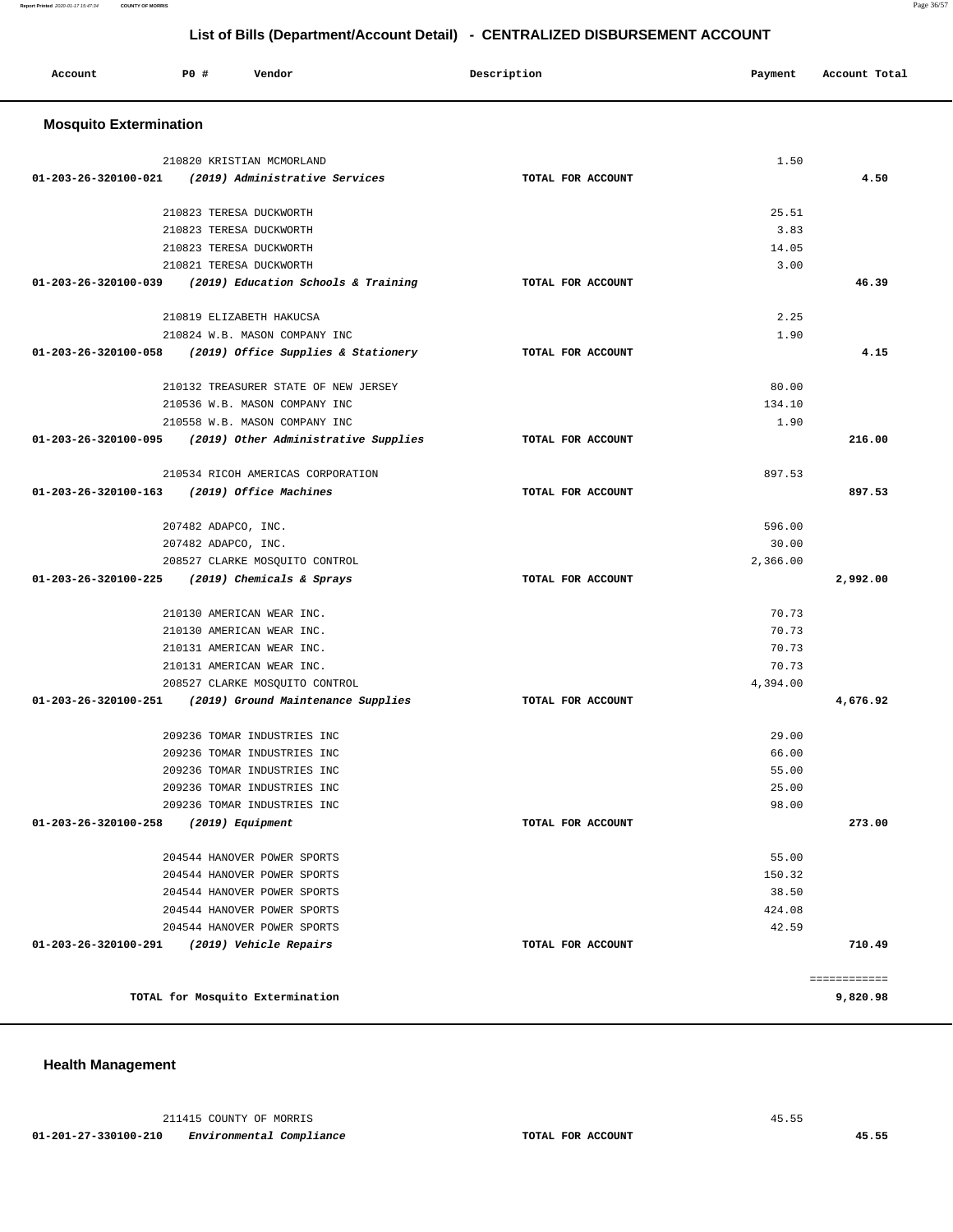| Account                        | PO# | Vendor                                                    | Description       | Payment           | Account Total |
|--------------------------------|-----|-----------------------------------------------------------|-------------------|-------------------|---------------|
| <b>Mosquito Extermination</b>  |     |                                                           |                   |                   |               |
|                                |     | 210820 KRISTIAN MCMORLAND                                 |                   | 1.50              |               |
| 01-203-26-320100-021           |     | (2019) Administrative Services                            | TOTAL FOR ACCOUNT |                   | 4.50          |
|                                |     |                                                           |                   |                   |               |
|                                |     | 210823 TERESA DUCKWORTH                                   |                   | 25.51             |               |
|                                |     | 210823 TERESA DUCKWORTH                                   |                   | 3.83              |               |
|                                |     | 210823 TERESA DUCKWORTH                                   |                   | 14.05             |               |
|                                |     | 210821 TERESA DUCKWORTH                                   |                   | 3.00              |               |
| 01-203-26-320100-039           |     | (2019) Education Schools & Training                       | TOTAL FOR ACCOUNT |                   | 46.39         |
|                                |     | 210819 ELIZABETH HAKUCSA                                  |                   | 2.25              |               |
|                                |     | 210824 W.B. MASON COMPANY INC                             |                   | 1.90              |               |
| 01-203-26-320100-058           |     | (2019) Office Supplies & Stationery                       | TOTAL FOR ACCOUNT |                   | 4.15          |
|                                |     |                                                           |                   |                   |               |
|                                |     | 210132 TREASURER STATE OF NEW JERSEY                      |                   | 80.00             |               |
|                                |     | 210536 W.B. MASON COMPANY INC                             |                   | 134.10            |               |
|                                |     | 210558 W.B. MASON COMPANY INC                             |                   | 1.90              |               |
|                                |     | 01-203-26-320100-095 (2019) Other Administrative Supplies | TOTAL FOR ACCOUNT |                   | 216.00        |
|                                |     | 210534 RICOH AMERICAS CORPORATION                         |                   | 897.53            |               |
| $01 - 203 - 26 - 320100 - 163$ |     | (2019) Office Machines                                    | TOTAL FOR ACCOUNT |                   | 897.53        |
|                                |     |                                                           |                   |                   |               |
|                                |     | 207482 ADAPCO, INC.                                       |                   | 596.00            |               |
|                                |     | 207482 ADAPCO, INC.<br>208527 CLARKE MOSQUITO CONTROL     |                   | 30.00<br>2,366.00 |               |
|                                |     | 01-203-26-320100-225 (2019) Chemicals & Sprays            | TOTAL FOR ACCOUNT |                   | 2,992.00      |
|                                |     |                                                           |                   |                   |               |
|                                |     | 210130 AMERICAN WEAR INC.                                 |                   | 70.73             |               |
|                                |     | 210130 AMERICAN WEAR INC.                                 |                   | 70.73             |               |
|                                |     | 210131 AMERICAN WEAR INC.                                 |                   | 70.73             |               |
|                                |     | 210131 AMERICAN WEAR INC.                                 |                   | 70.73             |               |
|                                |     | 208527 CLARKE MOSQUITO CONTROL                            |                   | 4,394.00          |               |
|                                |     | 01-203-26-320100-251 (2019) Ground Maintenance Supplies   | TOTAL FOR ACCOUNT |                   | 4,676.92      |
|                                |     | 209236 TOMAR INDUSTRIES INC                               |                   | 29.00             |               |
|                                |     | 209236 TOMAR INDUSTRIES INC                               |                   | 66.00             |               |
|                                |     | 209236 TOMAR INDUSTRIES INC                               |                   | 55.00             |               |
|                                |     | 209236 TOMAR INDUSTRIES INC                               |                   | 25.00             |               |
|                                |     | 209236 TOMAR INDUSTRIES INC                               |                   | 98.00             |               |
| 01-203-26-320100-258           |     | (2019) Equipment                                          | TOTAL FOR ACCOUNT |                   | 273.00        |
|                                |     | 204544 HANOVER POWER SPORTS                               |                   | 55.00             |               |
|                                |     | 204544 HANOVER POWER SPORTS                               |                   | 150.32            |               |
|                                |     | 204544 HANOVER POWER SPORTS                               |                   | 38.50             |               |
|                                |     | 204544 HANOVER POWER SPORTS                               |                   | 424.08            |               |
|                                |     | 204544 HANOVER POWER SPORTS                               |                   | 42.59             |               |
| 01-203-26-320100-291           |     | (2019) Vehicle Repairs                                    | TOTAL FOR ACCOUNT |                   | 710.49        |
|                                |     |                                                           |                   |                   | ============  |
|                                |     | TOTAL for Mosquito Extermination                          |                   |                   | 9,820.98      |
|                                |     |                                                           |                   |                   |               |

**Health Management** 

 211415 COUNTY OF MORRIS 45.55  **01-201-27-330100-210 Environmental Compliance TOTAL FOR ACCOUNT 45.55**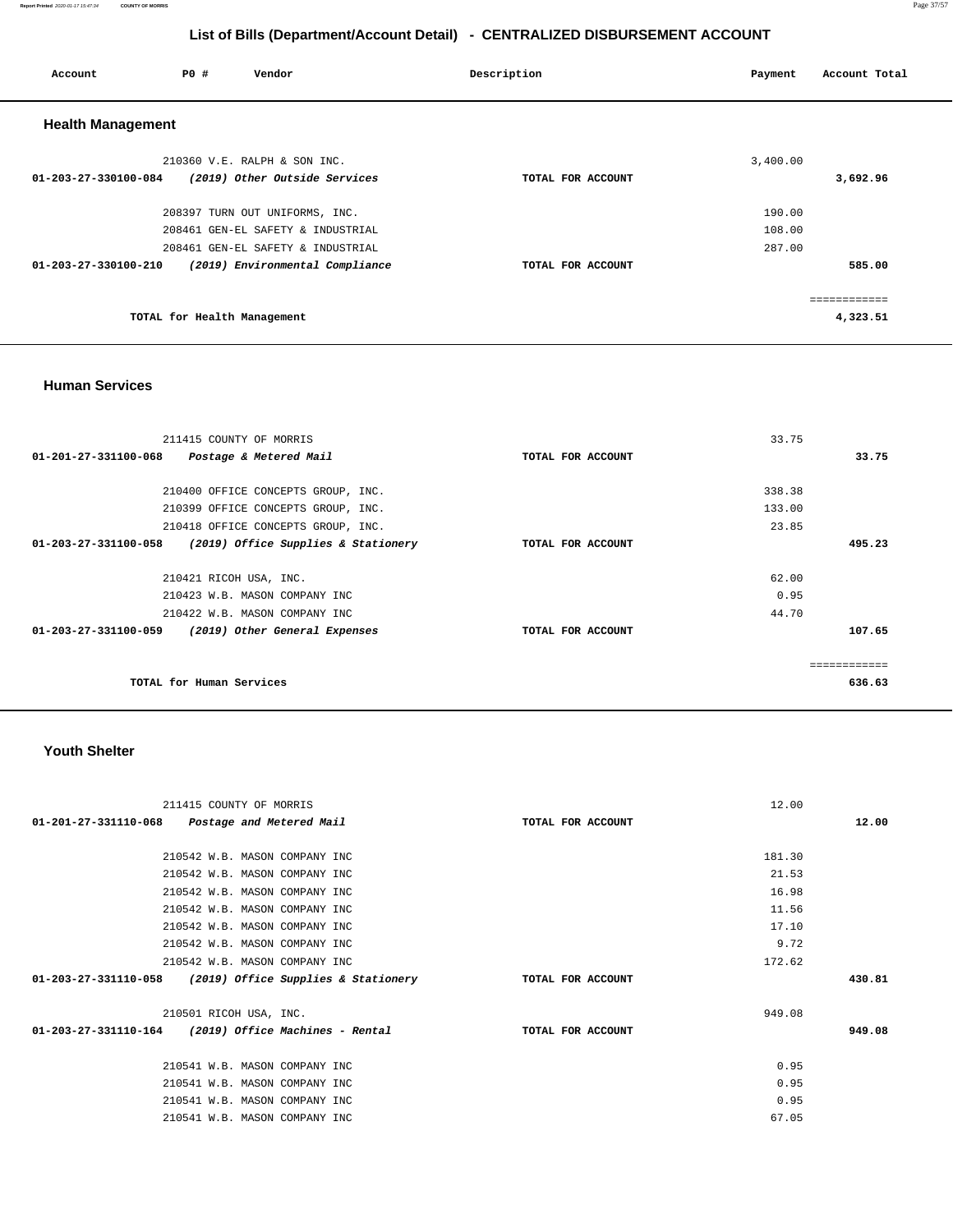#### **Report Printed** 2020-01-17 15:47:34 **COUNTY OF MORRIS** Page 37/57

# **List of Bills (Department/Account Detail) - CENTRALIZED DISBURSEMENT ACCOUNT**

| Account                  | PO#                         | Vendor                            | Description       | Account Total<br>Payment |
|--------------------------|-----------------------------|-----------------------------------|-------------------|--------------------------|
| <b>Health Management</b> |                             |                                   |                   |                          |
|                          |                             | 210360 V.E. RALPH & SON INC.      |                   | 3,400.00                 |
| 01-203-27-330100-084     |                             | (2019) Other Outside Services     | TOTAL FOR ACCOUNT | 3,692.96                 |
|                          |                             | 208397 TURN OUT UNIFORMS, INC.    |                   | 190.00                   |
|                          |                             | 208461 GEN-EL SAFETY & INDUSTRIAL |                   | 108.00                   |
|                          |                             | 208461 GEN-EL SAFETY & INDUSTRIAL |                   | 287.00                   |
| 01-203-27-330100-210     |                             | (2019) Environmental Compliance   | TOTAL FOR ACCOUNT | 585.00                   |
|                          |                             |                                   |                   | .                        |
|                          | TOTAL for Health Management |                                   |                   | 4,323.51                 |

#### **Human Services**

| 211415 COUNTY OF MORRIS                                     |                   | 33.75  |
|-------------------------------------------------------------|-------------------|--------|
| 01-201-27-331100-068<br>Postage & Metered Mail              | TOTAL FOR ACCOUNT | 33.75  |
|                                                             |                   |        |
| 210400 OFFICE CONCEPTS GROUP, INC.                          |                   | 338.38 |
| 210399 OFFICE CONCEPTS GROUP, INC.                          |                   | 133.00 |
| 210418 OFFICE CONCEPTS GROUP, INC.                          |                   | 23.85  |
| 01-203-27-331100-058<br>(2019) Office Supplies & Stationery | TOTAL FOR ACCOUNT | 495.23 |
|                                                             |                   |        |
| 210421 RICOH USA, INC.                                      |                   | 62.00  |
| 210423 W.B. MASON COMPANY INC                               |                   | 0.95   |
| 210422 W.B. MASON COMPANY INC                               |                   | 44.70  |
| 01-203-27-331100-059<br>(2019) Other General Expenses       | TOTAL FOR ACCOUNT | 107.65 |
|                                                             |                   |        |
|                                                             |                   |        |
| TOTAL for Human Services                                    |                   | 636.63 |

#### **Youth Shelter**

| 211415 COUNTY OF MORRIS                                  |                   | 12.00  |       |
|----------------------------------------------------------|-------------------|--------|-------|
| 01-201-27-331110-068 Postage and Metered Mail            | TOTAL FOR ACCOUNT |        | 12.00 |
|                                                          |                   |        |       |
| 210542 W.B. MASON COMPANY INC                            |                   | 181.30 |       |
| 210542 W.B. MASON COMPANY INC                            |                   | 21.53  |       |
| 210542 W.B. MASON COMPANY INC                            |                   | 16.98  |       |
| 210542 W.B. MASON COMPANY INC                            |                   | 11.56  |       |
| 210542 W.B. MASON COMPANY INC                            |                   | 17.10  |       |
| 210542 W.B. MASON COMPANY INC                            |                   | 9.72   |       |
| 210542 W.B. MASON COMPANY INC                            |                   | 172.62 |       |
| 01-203-27-331110-058 (2019) Office Supplies & Stationery | TOTAL FOR ACCOUNT | 430.81 |       |
|                                                          |                   |        |       |
| 210501 RICOH USA, INC.                                   |                   | 949.08 |       |
| $01-203-27-331110-164$ (2019) Office Machines - Rental   | TOTAL FOR ACCOUNT | 949.08 |       |
|                                                          |                   |        |       |
| 210541 W.B. MASON COMPANY INC                            |                   | 0.95   |       |
| 210541 W.B. MASON COMPANY INC                            |                   | 0.95   |       |
| 210541 W.B. MASON COMPANY INC                            |                   | 0.95   |       |
| 210541 W.B. MASON COMPANY INC                            |                   | 67.05  |       |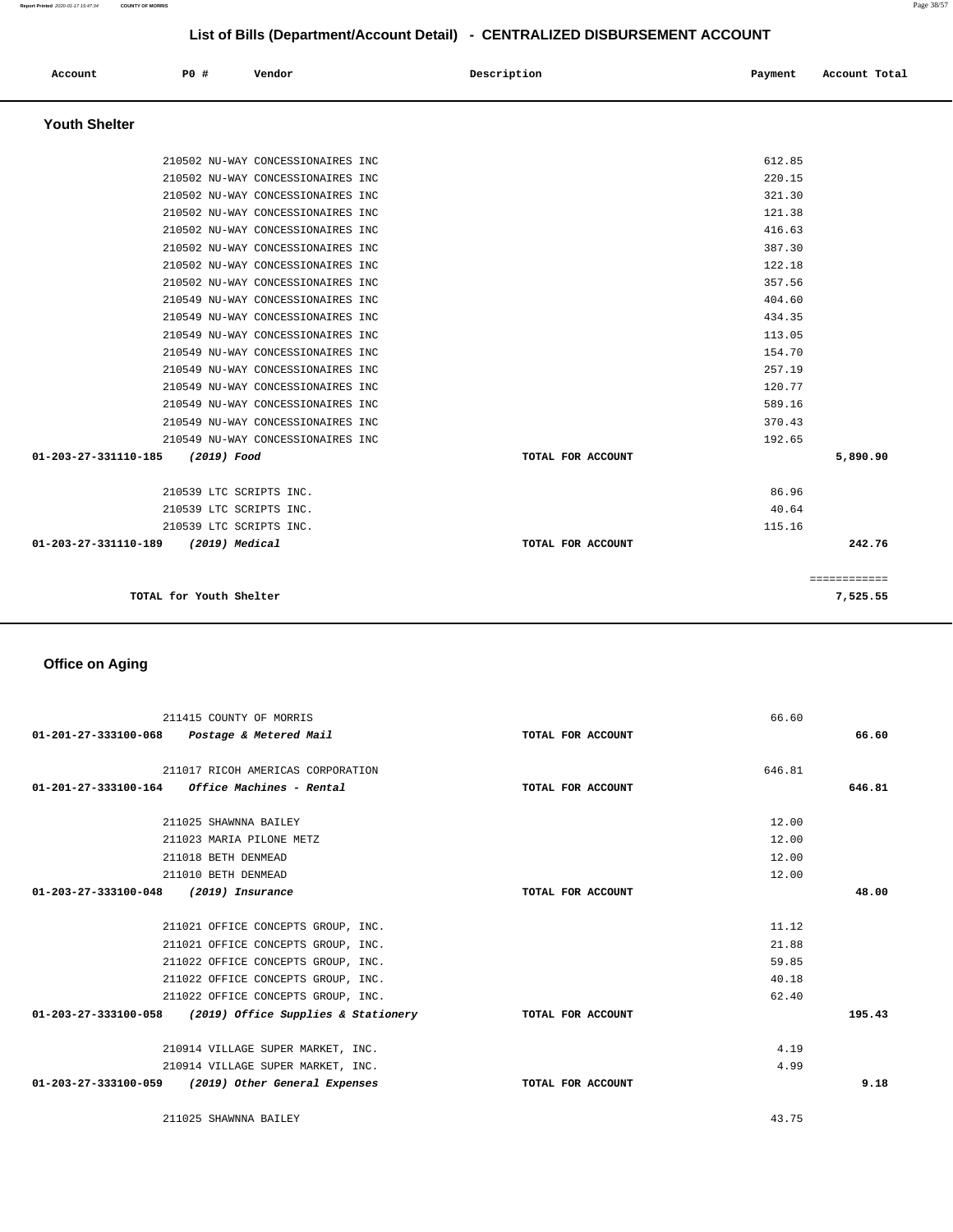| Account                                     | PO# | Vendor | Description | Payment | Account Total |
|---------------------------------------------|-----|--------|-------------|---------|---------------|
| $\mathbf{r}$ . The contract of $\mathbf{r}$ |     |        |             |         |               |

# **Youth Shelter**

| TOTAL for Youth Shelter             |                                   |                   |        | 7,525.55     |
|-------------------------------------|-----------------------------------|-------------------|--------|--------------|
|                                     |                                   |                   |        | ============ |
| 01-203-27-331110-189 (2019) Medical |                                   | TOTAL FOR ACCOUNT |        | 242.76       |
| 210539 LTC SCRIPTS INC.             |                                   |                   | 115.16 |              |
| 210539 LTC SCRIPTS INC.             |                                   |                   | 40.64  |              |
| 210539 LTC SCRIPTS INC.             |                                   |                   | 86.96  |              |
| 01-203-27-331110-185<br>(2019) Food |                                   | TOTAL FOR ACCOUNT |        | 5,890.90     |
|                                     | 210549 NU-WAY CONCESSIONAIRES INC |                   | 192.65 |              |
|                                     | 210549 NU-WAY CONCESSIONAIRES INC |                   | 370.43 |              |
|                                     | 210549 NU-WAY CONCESSIONAIRES INC |                   | 589.16 |              |
|                                     | 210549 NU-WAY CONCESSIONAIRES INC |                   | 120.77 |              |
|                                     | 210549 NU-WAY CONCESSIONAIRES INC |                   | 257.19 |              |
|                                     | 210549 NU-WAY CONCESSIONAIRES INC |                   | 154.70 |              |
|                                     | 210549 NU-WAY CONCESSIONAIRES INC |                   | 113.05 |              |
|                                     | 210549 NU-WAY CONCESSIONAIRES INC |                   | 434.35 |              |
|                                     | 210549 NU-WAY CONCESSIONAIRES INC |                   | 404.60 |              |
|                                     | 210502 NU-WAY CONCESSIONAIRES INC |                   | 357.56 |              |
|                                     | 210502 NU-WAY CONCESSIONAIRES INC |                   | 122.18 |              |
|                                     | 210502 NU-WAY CONCESSIONAIRES INC |                   | 387.30 |              |
|                                     | 210502 NU-WAY CONCESSIONAIRES INC |                   | 416.63 |              |
|                                     | 210502 NU-WAY CONCESSIONAIRES INC |                   | 121.38 |              |
|                                     | 210502 NU-WAY CONCESSIONAIRES INC |                   | 321.30 |              |
|                                     | 210502 NU-WAY CONCESSIONAIRES INC |                   | 220.15 |              |
|                                     | 210502 NU-WAY CONCESSIONAIRES INC |                   | 612.85 |              |
|                                     |                                   |                   |        |              |

# **Office on Aging**

|                      | 211415 COUNTY OF MORRIS                                  |                   | 66.60  |        |
|----------------------|----------------------------------------------------------|-------------------|--------|--------|
|                      | 01-201-27-333100-068 Postage & Metered Mail              | TOTAL FOR ACCOUNT |        | 66.60  |
|                      | 211017 RICOH AMERICAS CORPORATION                        |                   | 646.81 |        |
|                      | $01-201-27-333100-164$ Office Machines - Rental          | TOTAL FOR ACCOUNT |        | 646.81 |
|                      | 211025 SHAWNNA BAILEY                                    |                   | 12.00  |        |
|                      |                                                          |                   |        |        |
|                      | 211023 MARIA PILONE METZ                                 |                   | 12.00  |        |
|                      | 211018 BETH DENMEAD                                      |                   | 12.00  |        |
|                      | 211010 BETH DENMEAD                                      |                   | 12.00  |        |
| 01-203-27-333100-048 | (2019) Insurance                                         | TOTAL FOR ACCOUNT |        | 48.00  |
|                      |                                                          |                   |        |        |
|                      | 211021 OFFICE CONCEPTS GROUP, INC.                       |                   | 11.12  |        |
|                      | 211021 OFFICE CONCEPTS GROUP, INC.                       |                   | 21.88  |        |
|                      | 211022 OFFICE CONCEPTS GROUP, INC.                       |                   | 59.85  |        |
|                      | 211022 OFFICE CONCEPTS GROUP, INC.                       |                   | 40.18  |        |
|                      | 211022 OFFICE CONCEPTS GROUP, INC.                       |                   | 62.40  |        |
|                      | 01-203-27-333100-058 (2019) Office Supplies & Stationery | TOTAL FOR ACCOUNT |        | 195.43 |
|                      |                                                          |                   |        |        |
|                      | 210914 VILLAGE SUPER MARKET, INC.                        |                   | 4.19   |        |
|                      | 210914 VILLAGE SUPER MARKET, INC.                        |                   | 4.99   |        |
|                      | 01-203-27-333100-059 (2019) Other General Expenses       | TOTAL FOR ACCOUNT |        | 9.18   |
|                      | 211025 SHAWNNA BAILEY                                    |                   | 43.75  |        |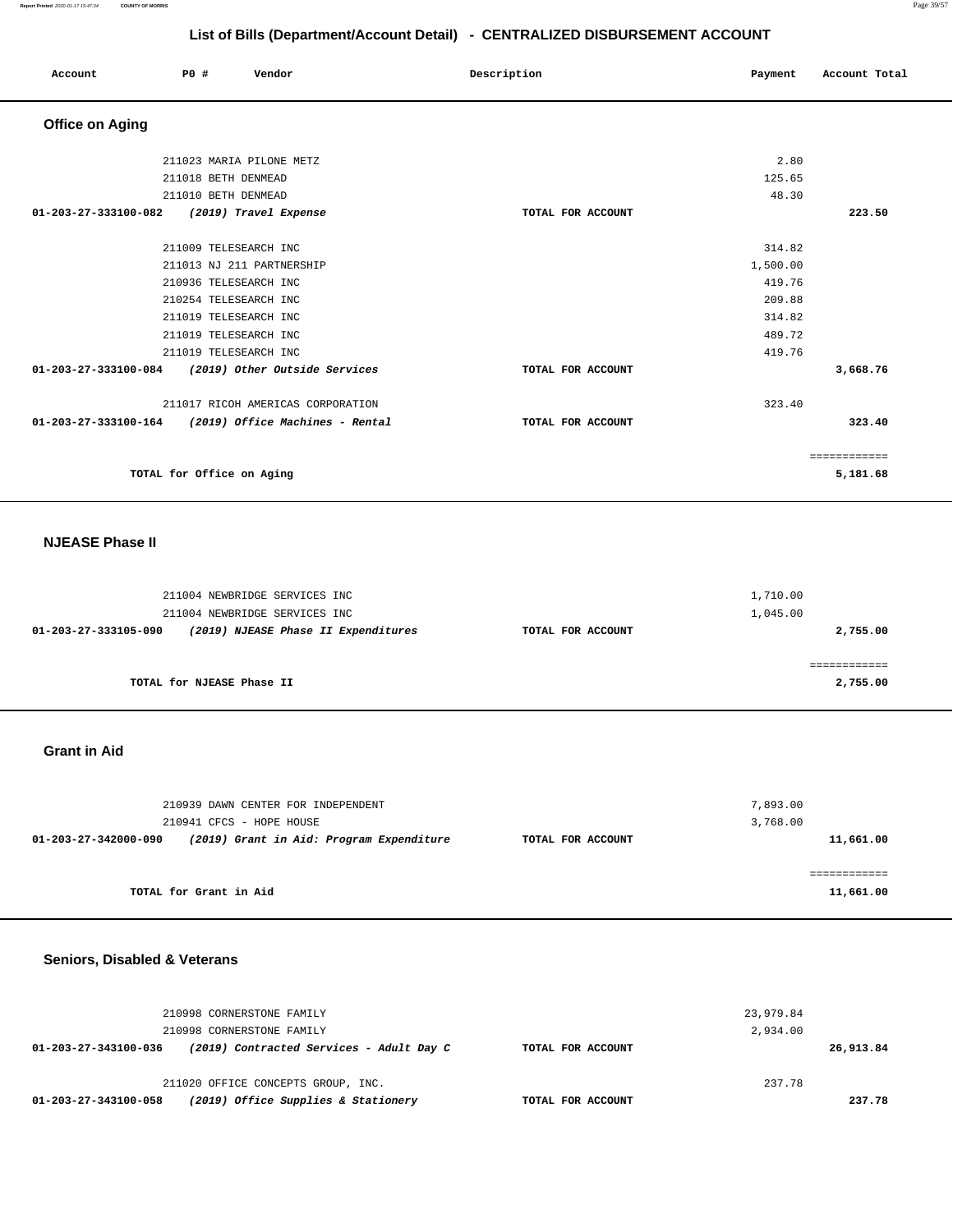| Account                | <b>PO #</b>               | Vendor                            | Description       | Payment  | Account Total |
|------------------------|---------------------------|-----------------------------------|-------------------|----------|---------------|
| <b>Office on Aging</b> |                           |                                   |                   |          |               |
|                        |                           | 211023 MARIA PILONE METZ          |                   | 2.80     |               |
|                        | 211018 BETH DENMEAD       |                                   |                   | 125.65   |               |
|                        | 211010 BETH DENMEAD       |                                   |                   | 48.30    |               |
| 01-203-27-333100-082   |                           | (2019) Travel Expense             | TOTAL FOR ACCOUNT |          | 223.50        |
|                        |                           |                                   |                   |          |               |
|                        | 211009 TELESEARCH INC     |                                   |                   | 314.82   |               |
|                        |                           | 211013 NJ 211 PARTNERSHIP         |                   | 1,500.00 |               |
|                        | 210936 TELESEARCH INC     |                                   |                   | 419.76   |               |
|                        | 210254 TELESEARCH INC     |                                   |                   | 209.88   |               |
|                        | 211019 TELESEARCH INC     |                                   |                   | 314.82   |               |
|                        | 211019 TELESEARCH INC     |                                   |                   | 489.72   |               |
|                        | 211019 TELESEARCH INC     |                                   |                   | 419.76   |               |
| 01-203-27-333100-084   |                           | (2019) Other Outside Services     | TOTAL FOR ACCOUNT |          | 3,668.76      |
|                        |                           | 211017 RICOH AMERICAS CORPORATION |                   | 323.40   |               |
| 01-203-27-333100-164   |                           | (2019) Office Machines - Rental   | TOTAL FOR ACCOUNT |          | 323.40        |
|                        |                           |                                   |                   |          | ============  |
|                        | TOTAL for Office on Aging |                                   |                   |          | 5,181.68      |

### **NJEASE Phase II**

| 211004 NEWBRIDGE SERVICES INC<br>211004 NEWBRIDGE SERVICES INC |                   | 1,710.00<br>1,045.00 |
|----------------------------------------------------------------|-------------------|----------------------|
| (2019) NJEASE Phase II Expenditures<br>01-203-27-333105-090    | TOTAL FOR ACCOUNT | 2,755.00             |
|                                                                |                   |                      |
| TOTAL for NJEASE Phase II                                      |                   | 2,755.00             |

#### **Grant in Aid**

| 210939 DAWN CENTER FOR INDEPENDENT<br>210941 CFCS - HOPE HOUSE                        | 7,893.00<br>3,768.00 |
|---------------------------------------------------------------------------------------|----------------------|
| (2019) Grant in Aid: Program Expenditure<br>01-203-27-342000-090<br>TOTAL FOR ACCOUNT | 11,661.00            |
|                                                                                       |                      |
| TOTAL for Grant in Aid                                                                | 11,661.00            |

# **Seniors, Disabled & Veterans**

|                      | 210998 CORNERSTONE FAMILY<br>210998 CORNERSTONE FAMILY |                   | 23,979.84<br>2,934.00 |           |
|----------------------|--------------------------------------------------------|-------------------|-----------------------|-----------|
| 01-203-27-343100-036 | (2019) Contracted Services - Adult Day C               | TOTAL FOR ACCOUNT |                       | 26,913.84 |
|                      | 211020 OFFICE CONCEPTS GROUP, INC.                     |                   | 237.78                |           |
| 01-203-27-343100-058 | (2019) Office Supplies & Stationery                    | TOTAL FOR ACCOUNT |                       | 237.78    |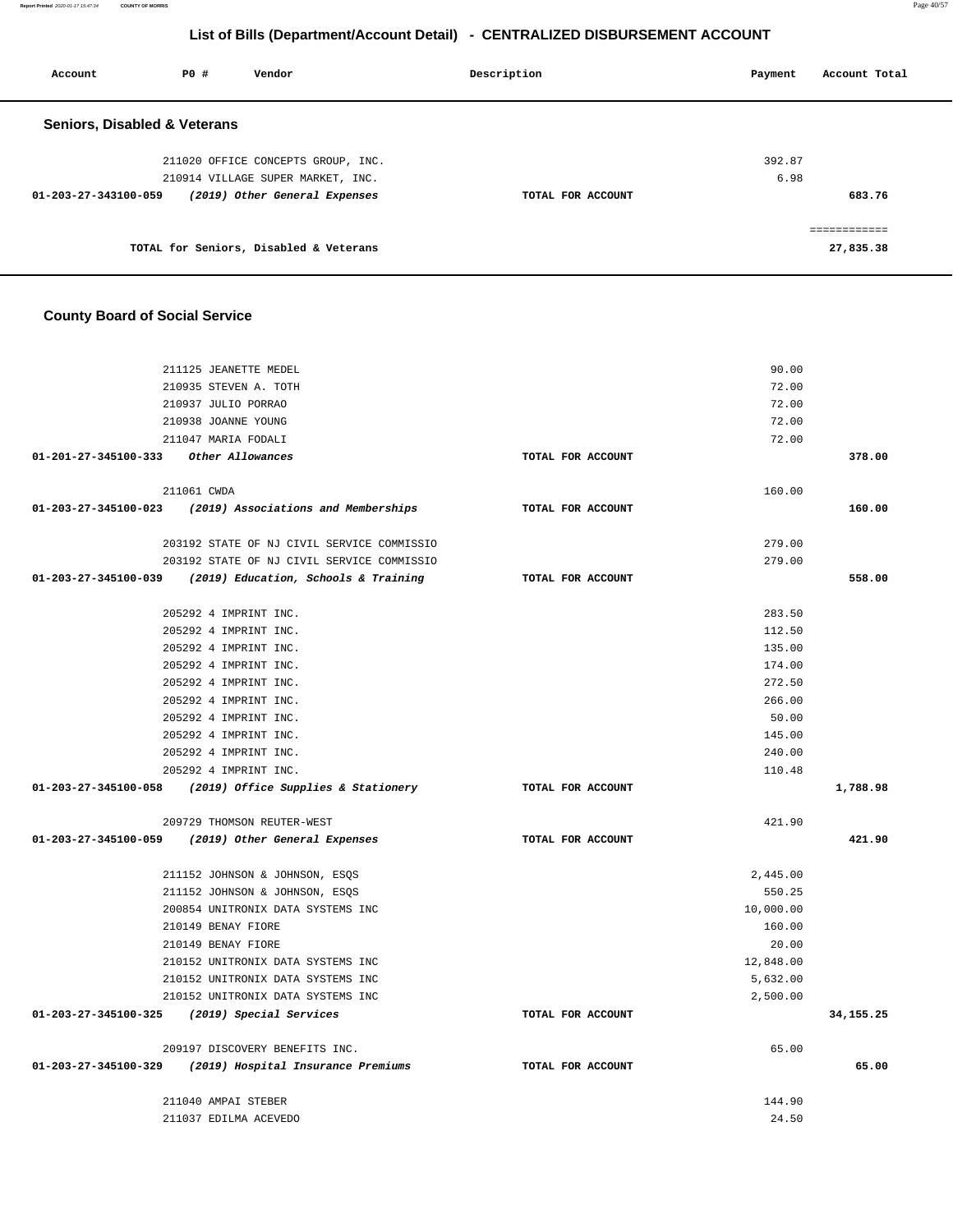| Account                                 | PO# | Vendor                                                                  | Description       | Account Total<br>Payment |
|-----------------------------------------|-----|-------------------------------------------------------------------------|-------------------|--------------------------|
| <b>Seniors, Disabled &amp; Veterans</b> |     |                                                                         |                   |                          |
|                                         |     | 211020 OFFICE CONCEPTS GROUP, INC.<br>210914 VILLAGE SUPER MARKET, INC. |                   | 392.87<br>6.98           |
| 01-203-27-343100-059                    |     | (2019) Other General Expenses                                           | TOTAL FOR ACCOUNT | 683.76                   |
|                                         |     | TOTAL for Seniors, Disabled & Veterans                                  |                   | 27,835.38                |

# **County Board of Social Service**

| 211125 JEANETTE MEDEL                                      |                   | 90.00           |             |
|------------------------------------------------------------|-------------------|-----------------|-------------|
| 210935 STEVEN A. TOTH                                      |                   | 72.00           |             |
| 210937 JULIO PORRAO                                        |                   | 72.00           |             |
| 210938 JOANNE YOUNG                                        |                   | 72.00           |             |
| 211047 MARIA FODALI                                        |                   | 72.00           |             |
| 01-201-27-345100-333 Other Allowances                      | TOTAL FOR ACCOUNT |                 | 378.00      |
| 211061 CWDA                                                |                   | 160.00          |             |
| $01-203-27-345100-023$ (2019) Associations and Memberships | TOTAL FOR ACCOUNT |                 | 160.00      |
| 203192 STATE OF NJ CIVIL SERVICE COMMISSIO                 |                   | 279.00          |             |
| 203192 STATE OF NJ CIVIL SERVICE COMMISSIO                 |                   | 279.00          |             |
| 01-203-27-345100-039 (2019) Education, Schools & Training  | TOTAL FOR ACCOUNT |                 | 558.00      |
| 205292 4 IMPRINT INC.                                      |                   | 283.50          |             |
| 205292 4 IMPRINT INC.                                      |                   | 112.50          |             |
| 205292 4 IMPRINT INC.                                      |                   | 135.00          |             |
| 205292 4 IMPRINT INC.                                      |                   | 174.00          |             |
| 205292 4 IMPRINT INC.                                      |                   | 272.50          |             |
| 205292 4 IMPRINT INC.                                      |                   | 266.00          |             |
| 205292 4 IMPRINT INC.                                      |                   | 50.00           |             |
| 205292 4 IMPRINT INC.                                      |                   | 145.00          |             |
| 205292 4 IMPRINT INC.                                      |                   | 240.00          |             |
| 205292 4 IMPRINT INC.                                      |                   | 110.48          |             |
|                                                            |                   |                 |             |
| 01-203-27-345100-058 (2019) Office Supplies & Stationery   | TOTAL FOR ACCOUNT |                 | 1,788.98    |
| 209729 THOMSON REUTER-WEST                                 |                   | 421.90          |             |
| 01-203-27-345100-059 (2019) Other General Expenses         | TOTAL FOR ACCOUNT |                 | 421.90      |
| 211152 JOHNSON & JOHNSON, ESOS                             |                   | 2,445.00        |             |
| 211152 JOHNSON & JOHNSON, ESQS                             |                   | 550.25          |             |
| 200854 UNITRONIX DATA SYSTEMS INC                          |                   | 10,000.00       |             |
| 210149 BENAY FIORE                                         |                   | 160.00          |             |
| 210149 BENAY FIORE                                         |                   | 20.00           |             |
| 210152 UNITRONIX DATA SYSTEMS INC                          |                   | 12,848.00       |             |
| 210152 UNITRONIX DATA SYSTEMS INC                          |                   | 5,632.00        |             |
| 210152 UNITRONIX DATA SYSTEMS INC                          |                   | 2,500.00        |             |
| 01-203-27-345100-325 (2019) Special Services               | TOTAL FOR ACCOUNT |                 | 34, 155. 25 |
| 209197 DISCOVERY BENEFITS INC.                             |                   | 65.00           |             |
| 01-203-27-345100-329<br>(2019) Hospital Insurance Premiums | TOTAL FOR ACCOUNT |                 | 65.00       |
| 211040 AMPAI STEBER<br>211037 EDILMA ACEVEDO               |                   | 144.90<br>24.50 |             |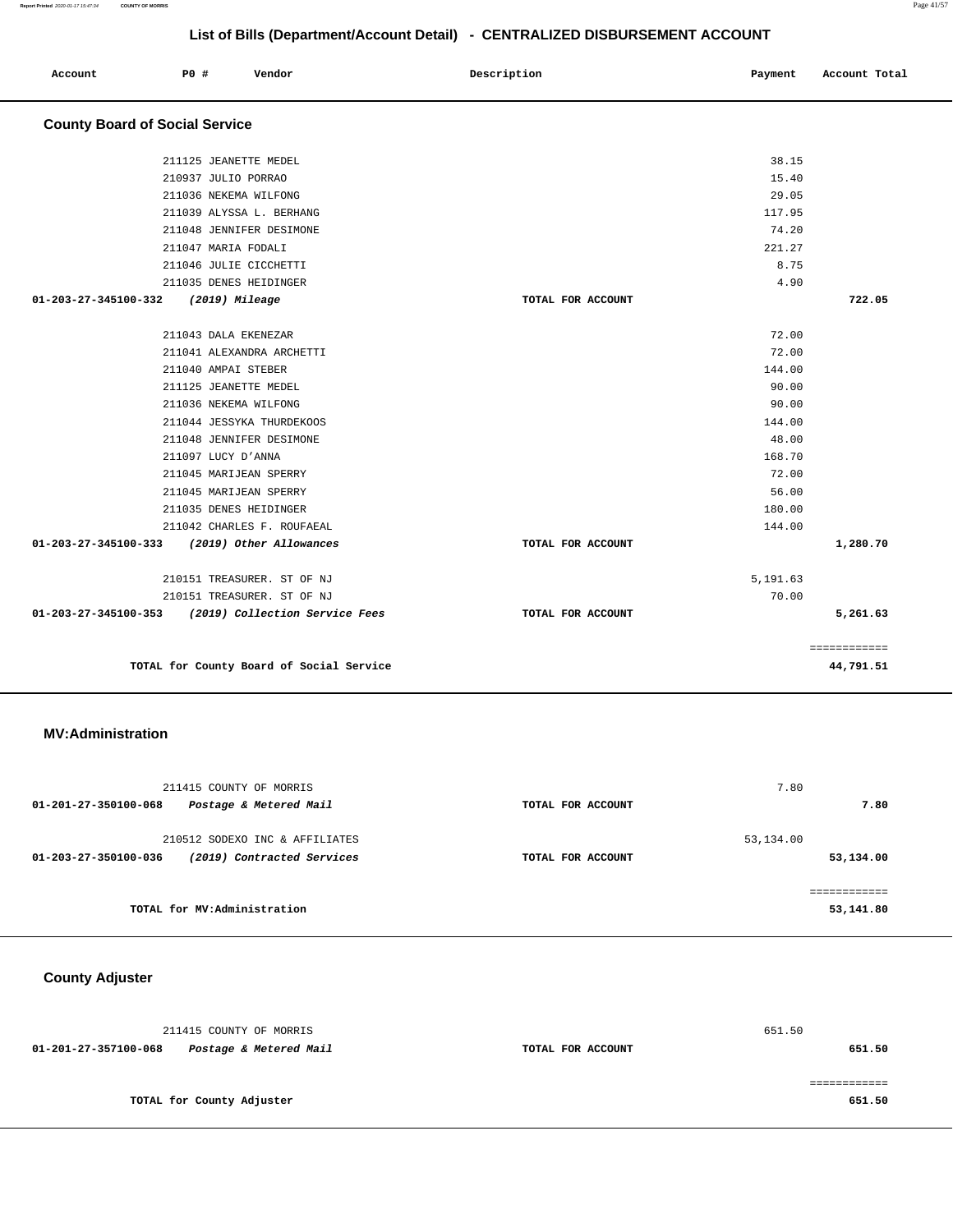|                                       |                        |                            | List of Bills (Department/Account Detail) - CENTRALIZED DISBURSEMENT ACCOUNT |                          |  |
|---------------------------------------|------------------------|----------------------------|------------------------------------------------------------------------------|--------------------------|--|
| Account                               | P0 #                   | Vendor                     | Description                                                                  | Account Total<br>Payment |  |
| <b>County Board of Social Service</b> |                        |                            |                                                                              |                          |  |
|                                       | 211125 JEANETTE MEDEL  |                            |                                                                              | 38.15                    |  |
|                                       | 210937 JULIO PORRAO    |                            |                                                                              | 15.40                    |  |
|                                       | 211036 NEKEMA WILFONG  |                            |                                                                              | 29.05                    |  |
|                                       |                        | 211039 ALYSSA L. BERHANG   |                                                                              | 117.95                   |  |
|                                       |                        | 211048 JENNIFER DESIMONE   |                                                                              | 74.20                    |  |
|                                       | 211047 MARIA FODALI    |                            |                                                                              | 221.27                   |  |
|                                       | 211046 JULIE CICCHETTI |                            |                                                                              | 8.75                     |  |
|                                       | 211035 DENES HEIDINGER |                            |                                                                              | 4.90                     |  |
| 01-203-27-345100-332                  | (2019) Mileage         |                            | TOTAL FOR ACCOUNT                                                            | 722.05                   |  |
|                                       |                        |                            |                                                                              |                          |  |
|                                       | 211043 DALA EKENEZAR   |                            |                                                                              | 72.00                    |  |
|                                       |                        | 211041 ALEXANDRA ARCHETTI  |                                                                              | 72.00                    |  |
|                                       | 211040 AMPAI STEBER    |                            |                                                                              | 144.00                   |  |
|                                       | 211125 JEANETTE MEDEL  |                            |                                                                              | 90.00                    |  |
|                                       | 211036 NEKEMA WILFONG  |                            |                                                                              | 90.00                    |  |
|                                       |                        | 211044 JESSYKA THURDEKOOS  |                                                                              | 144.00                   |  |
|                                       |                        | 211048 JENNIFER DESIMONE   |                                                                              | 48.00                    |  |
|                                       | 211097 LUCY D'ANNA     |                            |                                                                              | 168.70                   |  |
|                                       | 211045 MARIJEAN SPERRY |                            |                                                                              | 72.00                    |  |
|                                       | 211045 MARIJEAN SPERRY |                            |                                                                              | 56.00                    |  |
|                                       | 211035 DENES HEIDINGER |                            |                                                                              | 180.00                   |  |
|                                       |                        | 211042 CHARLES F. ROUFAEAL |                                                                              | 144.00                   |  |
| 01-203-27-345100-333                  |                        | (2019) Other Allowances    | TOTAL FOR ACCOUNT                                                            | 1,280.70                 |  |
|                                       |                        |                            |                                                                              |                          |  |

|           | 5,191.63 |                   | 210151 TREASURER. ST OF NJ               |                      |
|-----------|----------|-------------------|------------------------------------------|----------------------|
|           | 70.00    |                   | 210151 TREASURER. ST OF NJ               |                      |
| 5,261.63  |          | TOTAL FOR ACCOUNT | (2019) Collection Service Fees           | 01-203-27-345100-353 |
|           |          |                   |                                          |                      |
|           |          |                   |                                          |                      |
| 44,791.51 |          |                   | TOTAL for County Board of Social Service |                      |
|           |          |                   |                                          |                      |

### **MV:Administration**

| 211415 COUNTY OF MORRIS                                                              |                   | 7.80                   |
|--------------------------------------------------------------------------------------|-------------------|------------------------|
| Postage & Metered Mail<br>01-201-27-350100-068                                       | TOTAL FOR ACCOUNT | 7.80                   |
| 210512 SODEXO INC & AFFILIATES<br>(2019) Contracted Services<br>01-203-27-350100-036 | TOTAL FOR ACCOUNT | 53,134.00<br>53,134.00 |
| TOTAL for MV:Administration                                                          |                   | 53,141.80              |

**County Adjuster** 

| 211415 COUNTY OF MORRIS                        |                   | 651.50 |
|------------------------------------------------|-------------------|--------|
| 01-201-27-357100-068<br>Postage & Metered Mail | TOTAL FOR ACCOUNT | 651.50 |
|                                                |                   |        |
|                                                |                   |        |
| TOTAL for County Adjuster                      |                   | 651.50 |
|                                                |                   |        |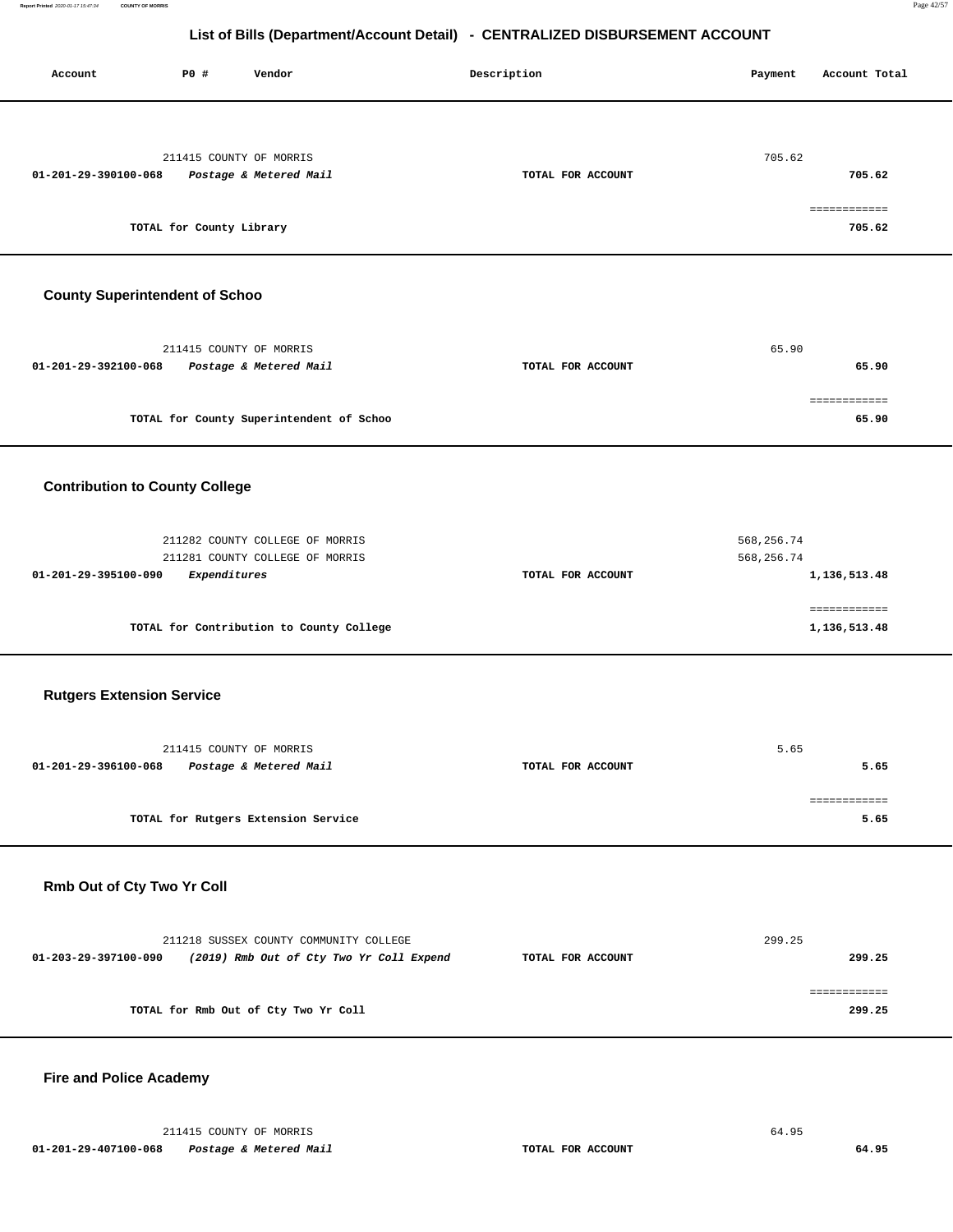| P0 #<br>Vendor<br>Account                                                                                  | Description       | Payment<br>Account Total                   |
|------------------------------------------------------------------------------------------------------------|-------------------|--------------------------------------------|
| 211415 COUNTY OF MORRIS<br>01-201-29-390100-068<br>Postage & Metered Mail<br>TOTAL for County Library      | TOTAL FOR ACCOUNT | 705.62<br>705.62<br>============<br>705.62 |
| <b>County Superintendent of Schoo</b>                                                                      |                   |                                            |
| 211415 COUNTY OF MORRIS<br>01-201-29-392100-068<br>Postage & Metered Mail                                  | TOTAL FOR ACCOUNT | 65.90<br>65.90<br>============             |
| TOTAL for County Superintendent of Schoo                                                                   |                   | 65.90                                      |
| <b>Contribution to County College</b>                                                                      |                   |                                            |
| 211282 COUNTY COLLEGE OF MORRIS<br>211281 COUNTY COLLEGE OF MORRIS<br>01-201-29-395100-090<br>Expenditures | TOTAL FOR ACCOUNT | 568, 256.74<br>568, 256.74<br>1,136,513.48 |
| TOTAL for Contribution to County College                                                                   |                   | ============<br>1,136,513.48               |
| <b>Rutgers Extension Service</b>                                                                           |                   |                                            |
| 211415 COUNTY OF MORRIS<br>01-201-29-396100-068<br>Postage & Metered Mail                                  | TOTAL FOR ACCOUNT | 5.65<br>5.65                               |
| TOTAL for Rutgers Extension Service                                                                        |                   | ============<br>5.65                       |
| Rmb Out of Cty Two Yr Coll                                                                                 |                   |                                            |
| 211218 SUSSEX COUNTY COMMUNITY COLLEGE<br>01-203-29-397100-090<br>(2019) Rmb Out of Cty Two Yr Coll Expend | TOTAL FOR ACCOUNT | 299.25<br>299.25                           |
| TOTAL for Rmb Out of Cty Two Yr Coll                                                                       |                   | ============<br>299.25                     |

### **Fire and Police Academy**

211415 COUNTY OF MORRIS 64.95

 **01-201-29-407100-068 Postage & Metered Mail TOTAL FOR ACCOUNT 64.95**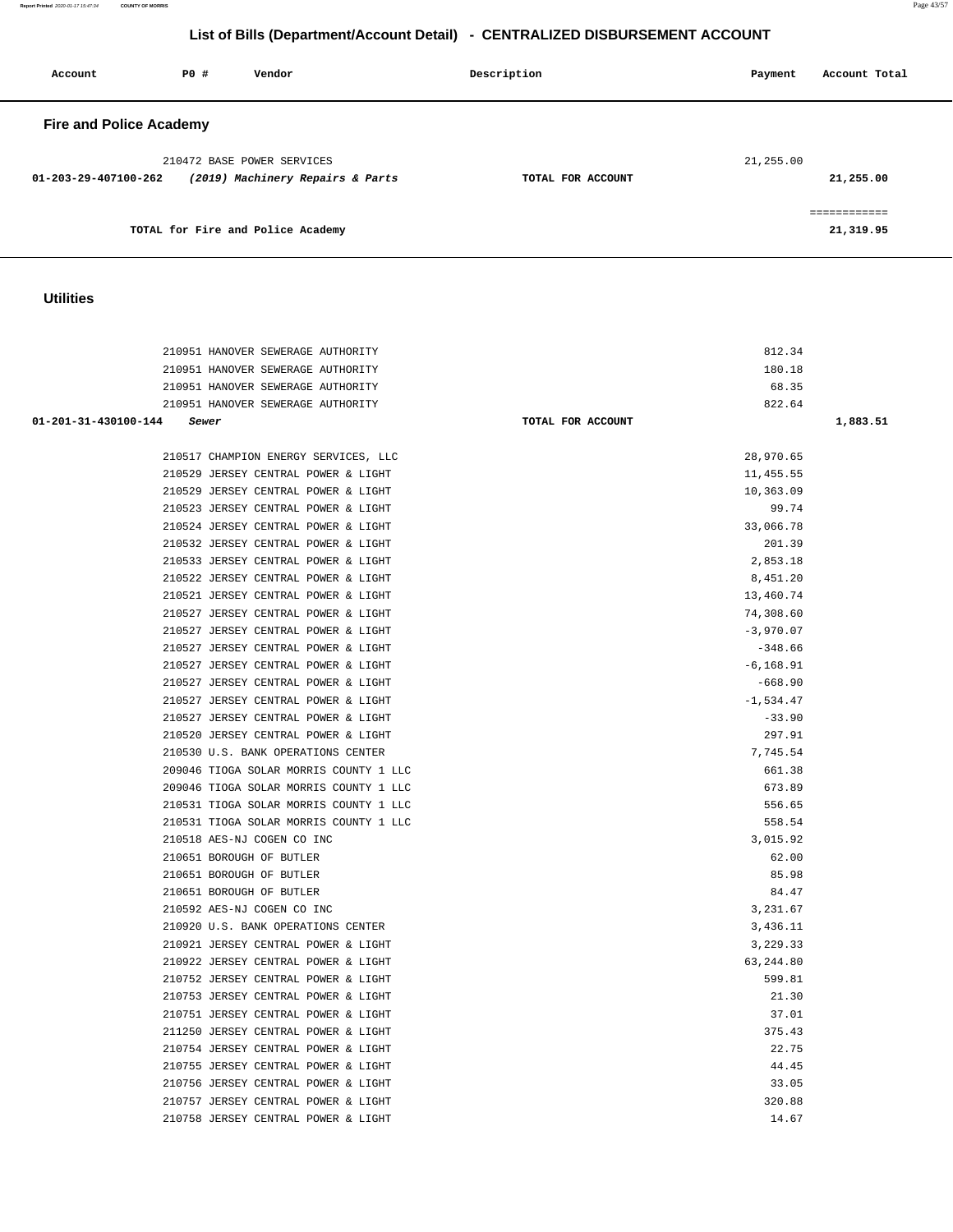**Report Printed** 2020-01-17 15:47:34 **COUNTY OF MORRIS** Page 43/57

# **List of Bills (Department/Account Detail) - CENTRALIZED DISBURSEMENT ACCOUNT**

| Account                        | PO# | Vendor                            | Description       | Account Total<br>Payment |  |
|--------------------------------|-----|-----------------------------------|-------------------|--------------------------|--|
| <b>Fire and Police Academy</b> |     |                                   |                   |                          |  |
|                                |     | 210472 BASE POWER SERVICES        |                   | 21,255.00                |  |
| $01 - 203 - 29 - 407100 - 262$ |     | (2019) Machinery Repairs & Parts  | TOTAL FOR ACCOUNT | 21,255.00                |  |
|                                |     |                                   |                   | ------------             |  |
|                                |     | TOTAL for Fire and Police Academy |                   | 21,319.95                |  |

### **Utilities**

| 210951 HANOVER SEWERAGE AUTHORITY      | 812.34            |          |
|----------------------------------------|-------------------|----------|
| 210951 HANOVER SEWERAGE AUTHORITY      | 180.18            |          |
| 210951 HANOVER SEWERAGE AUTHORITY      | 68.35             |          |
| 210951 HANOVER SEWERAGE AUTHORITY      | 822.64            |          |
| 01-201-31-430100-144<br>Sewer          | TOTAL FOR ACCOUNT | 1,883.51 |
|                                        |                   |          |
| 210517 CHAMPION ENERGY SERVICES, LLC   | 28,970.65         |          |
| 210529 JERSEY CENTRAL POWER & LIGHT    | 11, 455.55        |          |
| 210529 JERSEY CENTRAL POWER & LIGHT    | 10,363.09         |          |
| 210523 JERSEY CENTRAL POWER & LIGHT    | 99.74             |          |
| 210524 JERSEY CENTRAL POWER & LIGHT    | 33,066.78         |          |
| 210532 JERSEY CENTRAL POWER & LIGHT    | 201.39            |          |
| 210533 JERSEY CENTRAL POWER & LIGHT    | 2,853.18          |          |
| 210522 JERSEY CENTRAL POWER & LIGHT    | 8,451.20          |          |
| 210521 JERSEY CENTRAL POWER & LIGHT    | 13,460.74         |          |
| 210527 JERSEY CENTRAL POWER & LIGHT    | 74,308.60         |          |
| 210527 JERSEY CENTRAL POWER & LIGHT    | $-3,970.07$       |          |
| 210527 JERSEY CENTRAL POWER & LIGHT    | $-348.66$         |          |
| 210527 JERSEY CENTRAL POWER & LIGHT    | $-6, 168.91$      |          |
| 210527 JERSEY CENTRAL POWER & LIGHT    | $-668.90$         |          |
| 210527 JERSEY CENTRAL POWER & LIGHT    | $-1,534.47$       |          |
| 210527 JERSEY CENTRAL POWER & LIGHT    | $-33.90$          |          |
| 210520 JERSEY CENTRAL POWER & LIGHT    | 297.91            |          |
| 210530 U.S. BANK OPERATIONS CENTER     | 7,745.54          |          |
| 209046 TIOGA SOLAR MORRIS COUNTY 1 LLC | 661.38            |          |
| 209046 TIOGA SOLAR MORRIS COUNTY 1 LLC | 673.89            |          |
| 210531 TIOGA SOLAR MORRIS COUNTY 1 LLC | 556.65            |          |
| 210531 TIOGA SOLAR MORRIS COUNTY 1 LLC | 558.54            |          |
| 210518 AES-NJ COGEN CO INC             | 3,015.92          |          |
| 210651 BOROUGH OF BUTLER               | 62.00             |          |
| 210651 BOROUGH OF BUTLER               | 85.98             |          |
| 210651 BOROUGH OF BUTLER               | 84.47             |          |
| 210592 AES-NJ COGEN CO INC             | 3,231.67          |          |
| 210920 U.S. BANK OPERATIONS CENTER     | 3,436.11          |          |
| 210921 JERSEY CENTRAL POWER & LIGHT    | 3,229.33          |          |
| 210922 JERSEY CENTRAL POWER & LIGHT    | 63, 244.80        |          |
| 210752 JERSEY CENTRAL POWER & LIGHT    | 599.81            |          |
| 210753 JERSEY CENTRAL POWER & LIGHT    | 21.30             |          |
| 210751 JERSEY CENTRAL POWER & LIGHT    | 37.01             |          |
| 211250 JERSEY CENTRAL POWER & LIGHT    | 375.43            |          |
| 210754 JERSEY CENTRAL POWER & LIGHT    | 22.75             |          |
| 210755 JERSEY CENTRAL POWER & LIGHT    | 44.45             |          |
| 210756 JERSEY CENTRAL POWER & LIGHT    | 33.05             |          |
| 210757 JERSEY CENTRAL POWER & LIGHT    | 320.88            |          |
| 210758 JERSEY CENTRAL POWER & LIGHT    | 14.67             |          |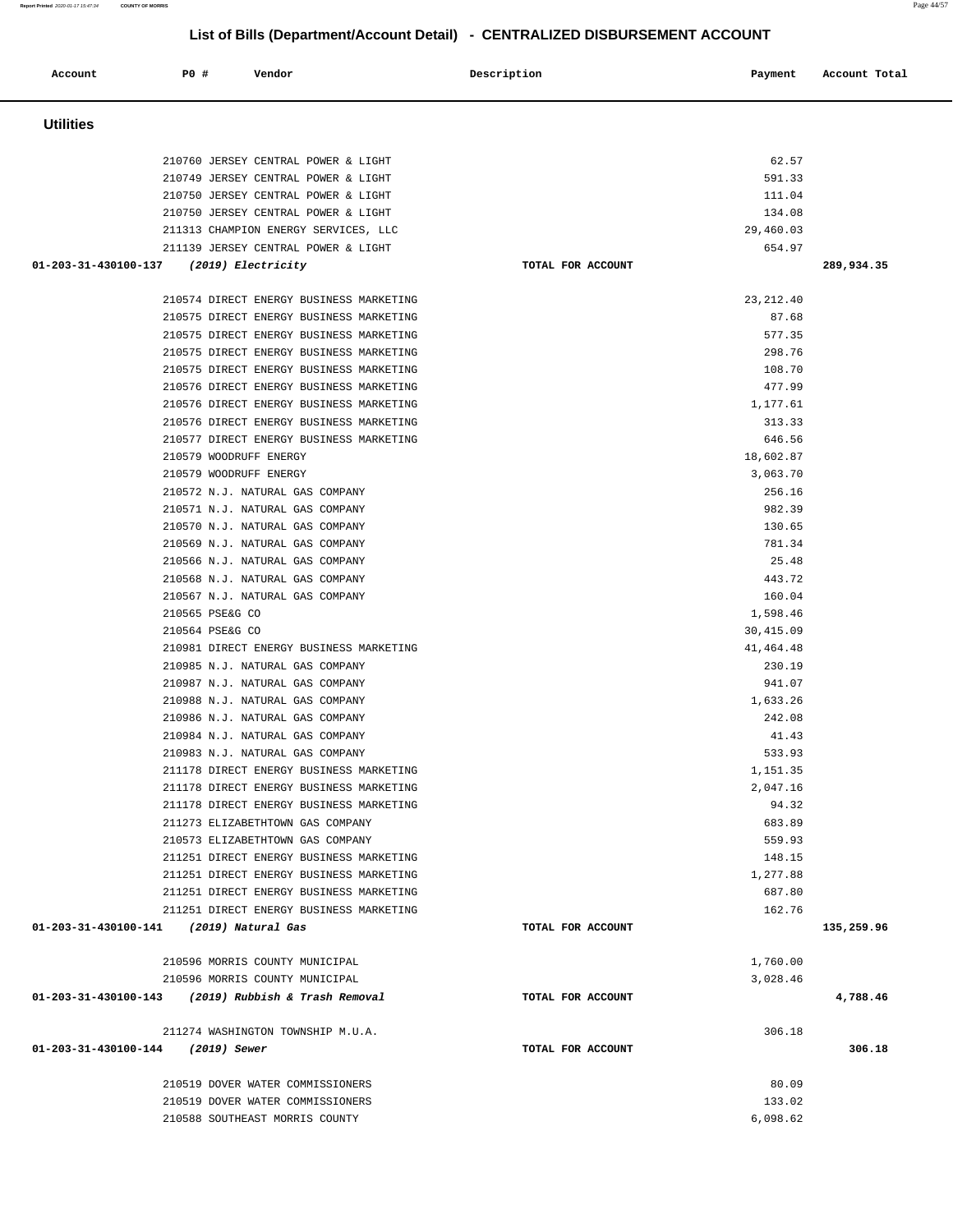| Account              | P0 #                                             | Vendor                                                                     | Description       | Payment               | Account Total |
|----------------------|--------------------------------------------------|----------------------------------------------------------------------------|-------------------|-----------------------|---------------|
| <b>Utilities</b>     |                                                  |                                                                            |                   |                       |               |
|                      |                                                  |                                                                            |                   |                       |               |
|                      |                                                  | 210760 JERSEY CENTRAL POWER & LIGHT<br>210749 JERSEY CENTRAL POWER & LIGHT |                   | 62.57<br>591.33       |               |
|                      |                                                  | 210750 JERSEY CENTRAL POWER & LIGHT                                        |                   | 111.04                |               |
|                      |                                                  | 210750 JERSEY CENTRAL POWER & LIGHT                                        |                   | 134.08                |               |
|                      |                                                  | 211313 CHAMPION ENERGY SERVICES, LLC                                       |                   | 29,460.03             |               |
|                      |                                                  | 211139 JERSEY CENTRAL POWER & LIGHT                                        |                   | 654.97                |               |
| 01-203-31-430100-137 | (2019) Electricity                               |                                                                            | TOTAL FOR ACCOUNT |                       | 289,934.35    |
|                      |                                                  | 210574 DIRECT ENERGY BUSINESS MARKETING                                    |                   | 23, 212.40            |               |
|                      |                                                  | 210575 DIRECT ENERGY BUSINESS MARKETING                                    |                   | 87.68                 |               |
|                      |                                                  | 210575 DIRECT ENERGY BUSINESS MARKETING                                    |                   | 577.35                |               |
|                      |                                                  | 210575 DIRECT ENERGY BUSINESS MARKETING                                    |                   | 298.76                |               |
|                      |                                                  | 210575 DIRECT ENERGY BUSINESS MARKETING                                    |                   | 108.70                |               |
|                      |                                                  | 210576 DIRECT ENERGY BUSINESS MARKETING                                    |                   | 477.99                |               |
|                      |                                                  | 210576 DIRECT ENERGY BUSINESS MARKETING                                    |                   | 1,177.61              |               |
|                      |                                                  | 210576 DIRECT ENERGY BUSINESS MARKETING                                    |                   | 313.33                |               |
|                      |                                                  | 210577 DIRECT ENERGY BUSINESS MARKETING                                    |                   | 646.56                |               |
|                      | 210579 WOODRUFF ENERGY<br>210579 WOODRUFF ENERGY |                                                                            |                   | 18,602.87<br>3,063.70 |               |
|                      |                                                  | 210572 N.J. NATURAL GAS COMPANY                                            |                   | 256.16                |               |
|                      |                                                  | 210571 N.J. NATURAL GAS COMPANY                                            |                   | 982.39                |               |
|                      |                                                  | 210570 N.J. NATURAL GAS COMPANY                                            |                   | 130.65                |               |
|                      |                                                  | 210569 N.J. NATURAL GAS COMPANY                                            |                   | 781.34                |               |
|                      |                                                  | 210566 N.J. NATURAL GAS COMPANY                                            |                   | 25.48                 |               |
|                      |                                                  | 210568 N.J. NATURAL GAS COMPANY                                            |                   | 443.72                |               |
|                      |                                                  | 210567 N.J. NATURAL GAS COMPANY                                            |                   | 160.04                |               |
|                      | 210565 PSE&G CO                                  |                                                                            |                   | 1,598.46              |               |
|                      | 210564 PSE&G CO                                  |                                                                            |                   | 30, 415.09            |               |
|                      |                                                  | 210981 DIRECT ENERGY BUSINESS MARKETING                                    |                   | 41, 464. 48           |               |
|                      |                                                  | 210985 N.J. NATURAL GAS COMPANY                                            |                   | 230.19                |               |
|                      |                                                  | 210987 N.J. NATURAL GAS COMPANY                                            |                   | 941.07                |               |
|                      |                                                  | 210988 N.J. NATURAL GAS COMPANY<br>210986 N.J. NATURAL GAS COMPANY         |                   | 1,633.26<br>242.08    |               |
|                      |                                                  | 210984 N.J. NATURAL GAS COMPANY                                            |                   | 41.43                 |               |
|                      |                                                  | 210983 N.J. NATURAL GAS COMPANY                                            |                   | 533.93                |               |
|                      |                                                  | 211178 DIRECT ENERGY BUSINESS MARKETING                                    |                   | 1,151.35              |               |
|                      |                                                  | 211178 DIRECT ENERGY BUSINESS MARKETING                                    |                   | 2,047.16              |               |
|                      |                                                  | 211178 DIRECT ENERGY BUSINESS MARKETING                                    |                   | 94.32                 |               |
|                      |                                                  | 211273 ELIZABETHTOWN GAS COMPANY                                           |                   | 683.89                |               |
|                      |                                                  | 210573 ELIZABETHTOWN GAS COMPANY                                           |                   | 559.93                |               |
|                      |                                                  | 211251 DIRECT ENERGY BUSINESS MARKETING                                    |                   | 148.15                |               |
|                      |                                                  | 211251 DIRECT ENERGY BUSINESS MARKETING                                    |                   | 1,277.88              |               |
|                      |                                                  | 211251 DIRECT ENERGY BUSINESS MARKETING                                    |                   | 687.80                |               |
|                      |                                                  | 211251 DIRECT ENERGY BUSINESS MARKETING                                    |                   | 162.76                |               |
|                      | 01-203-31-430100-141 (2019) Natural Gas          |                                                                            | TOTAL FOR ACCOUNT |                       | 135,259.96    |
|                      |                                                  | 210596 MORRIS COUNTY MUNICIPAL                                             |                   | 1,760.00              |               |
|                      |                                                  | 210596 MORRIS COUNTY MUNICIPAL                                             |                   | 3,028.46              |               |
|                      |                                                  | 01-203-31-430100-143 (2019) Rubbish & Trash Removal                        | TOTAL FOR ACCOUNT |                       | 4,788.46      |
|                      |                                                  | 211274 WASHINGTON TOWNSHIP M.U.A.                                          |                   | 306.18                |               |
|                      | 01-203-31-430100-144 (2019) Sewer                |                                                                            | TOTAL FOR ACCOUNT |                       | 306.18        |
|                      |                                                  | 210519 DOVER WATER COMMISSIONERS                                           |                   | 80.09                 |               |
|                      |                                                  | 210519 DOVER WATER COMMISSIONERS                                           |                   | 133.02                |               |
|                      |                                                  | 210588 SOUTHEAST MORRIS COUNTY                                             |                   | 6,098.62              |               |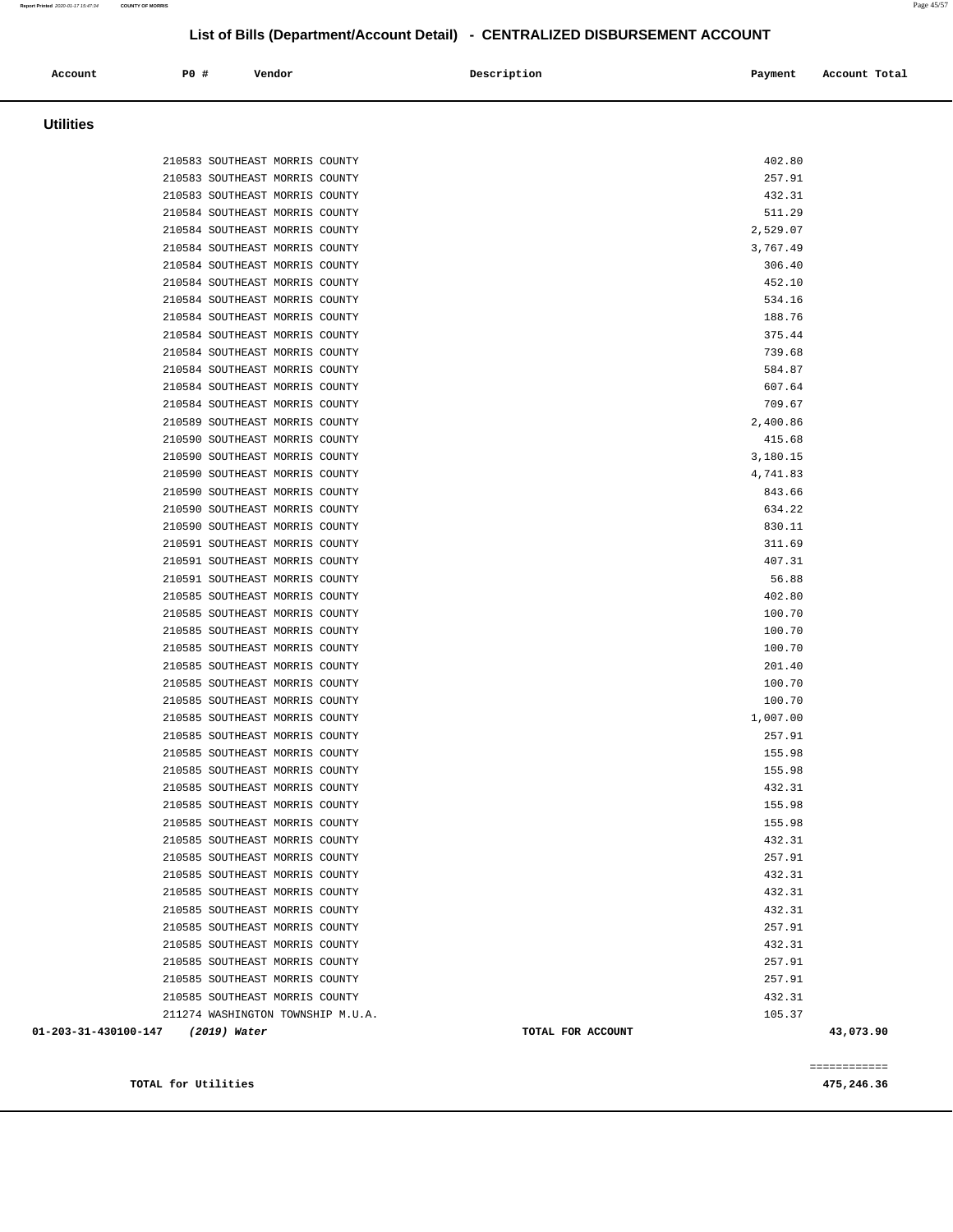| Account          | PO#<br>Vendor                  | Description | Account Total<br>Payment |
|------------------|--------------------------------|-------------|--------------------------|
| <b>Utilities</b> |                                |             |                          |
|                  | 210583 SOUTHEAST MORRIS COUNTY |             | 402.80                   |
|                  | 210583 SOUTHEAST MORRIS COUNTY |             | 257.91                   |
|                  | 210583 SOUTHEAST MORRIS COUNTY |             | 432.31                   |

| TOTAL for Utilities               |                                                                  |  |                   |                  | 475,246.36   |
|-----------------------------------|------------------------------------------------------------------|--|-------------------|------------------|--------------|
|                                   |                                                                  |  |                   |                  | ============ |
| 01-203-31-430100-147 (2019) Water |                                                                  |  | TOTAL FOR ACCOUNT |                  | 43,073.90    |
|                                   | 211274 WASHINGTON TOWNSHIP M.U.A.                                |  |                   | 105.37           |              |
|                                   | 210585 SOUTHEAST MORRIS COUNTY                                   |  |                   | 432.31           |              |
|                                   | 210585 SOUTHEAST MORRIS COUNTY                                   |  |                   | 257.91           |              |
|                                   |                                                                  |  |                   |                  |              |
|                                   | 210585 SOUTHEAST MORRIS COUNTY                                   |  |                   | 257.91           |              |
|                                   | 210585 SOUTHEAST MORRIS COUNTY<br>210585 SOUTHEAST MORRIS COUNTY |  |                   | 432.31           |              |
|                                   |                                                                  |  |                   | 257.91           |              |
|                                   | 210585 SOUTHEAST MORRIS COUNTY<br>210585 SOUTHEAST MORRIS COUNTY |  |                   | 432.31<br>432.31 |              |
|                                   |                                                                  |  |                   | 432.31           |              |
|                                   | 210585 SOUTHEAST MORRIS COUNTY<br>210585 SOUTHEAST MORRIS COUNTY |  |                   | 257.91           |              |
|                                   | 210585 SOUTHEAST MORRIS COUNTY                                   |  |                   | 432.31           |              |
|                                   | 210585 SOUTHEAST MORRIS COUNTY                                   |  |                   | 155.98           |              |
|                                   | 210585 SOUTHEAST MORRIS COUNTY                                   |  |                   | 155.98           |              |
|                                   | 210585 SOUTHEAST MORRIS COUNTY                                   |  |                   | 432.31           |              |
|                                   | 210585 SOUTHEAST MORRIS COUNTY                                   |  |                   | 155.98           |              |
|                                   | 210585 SOUTHEAST MORRIS COUNTY                                   |  |                   | 155.98           |              |
|                                   | 210585 SOUTHEAST MORRIS COUNTY                                   |  |                   | 257.91           |              |
|                                   | 210585 SOUTHEAST MORRIS COUNTY                                   |  |                   | 1,007.00         |              |
|                                   | 210585 SOUTHEAST MORRIS COUNTY                                   |  |                   | 100.70           |              |
|                                   | 210585 SOUTHEAST MORRIS COUNTY                                   |  |                   | 100.70           |              |
|                                   | 210585 SOUTHEAST MORRIS COUNTY                                   |  |                   | 201.40           |              |
|                                   | 210585 SOUTHEAST MORRIS COUNTY                                   |  |                   | 100.70           |              |
|                                   | 210585 SOUTHEAST MORRIS COUNTY                                   |  |                   | 100.70           |              |
|                                   | 210585 SOUTHEAST MORRIS COUNTY                                   |  |                   | 100.70           |              |
|                                   | 210585 SOUTHEAST MORRIS COUNTY                                   |  |                   | 402.80           |              |
|                                   | 210591 SOUTHEAST MORRIS COUNTY                                   |  |                   | 56.88            |              |
|                                   | 210591 SOUTHEAST MORRIS COUNTY                                   |  |                   | 407.31           |              |
|                                   | 210591 SOUTHEAST MORRIS COUNTY                                   |  |                   | 311.69           |              |
|                                   | 210590 SOUTHEAST MORRIS COUNTY                                   |  |                   | 830.11           |              |
|                                   | 210590 SOUTHEAST MORRIS COUNTY                                   |  |                   | 634.22           |              |
|                                   | 210590 SOUTHEAST MORRIS COUNTY                                   |  |                   | 843.66           |              |
|                                   | 210590 SOUTHEAST MORRIS COUNTY                                   |  |                   | 4,741.83         |              |
|                                   | 210590 SOUTHEAST MORRIS COUNTY                                   |  |                   | 3,180.15         |              |
|                                   | 210590 SOUTHEAST MORRIS COUNTY                                   |  |                   | 415.68           |              |
|                                   | 210589 SOUTHEAST MORRIS COUNTY                                   |  |                   | 2,400.86         |              |
|                                   | 210584 SOUTHEAST MORRIS COUNTY                                   |  |                   | 709.67           |              |
|                                   | 210584 SOUTHEAST MORRIS COUNTY                                   |  |                   | 607.64           |              |
|                                   | 210584 SOUTHEAST MORRIS COUNTY                                   |  |                   | 584.87           |              |
|                                   | 210584 SOUTHEAST MORRIS COUNTY                                   |  |                   | 739.68           |              |
|                                   | 210584 SOUTHEAST MORRIS COUNTY                                   |  |                   | 375.44           |              |
|                                   | 210584 SOUTHEAST MORRIS COUNTY                                   |  |                   | 188.76           |              |
|                                   | 210584 SOUTHEAST MORRIS COUNTY                                   |  |                   | 534.16           |              |
|                                   | 210584 SOUTHEAST MORRIS COUNTY                                   |  |                   | 452.10           |              |
|                                   | 210584 SOUTHEAST MORRIS COUNTY                                   |  |                   | 306.40           |              |
|                                   | 210584 SOUTHEAST MORRIS COUNTY                                   |  |                   | 3,767.49         |              |
|                                   | 210584 SOUTHEAST MORRIS COUNTY                                   |  |                   | 2,529.07         |              |
|                                   | 210584 SOUTHEAST MORRIS COUNTY                                   |  |                   | 511.29           |              |
|                                   | 210583 SOUTHEAST MORRIS COUNTY                                   |  |                   | 432.31           |              |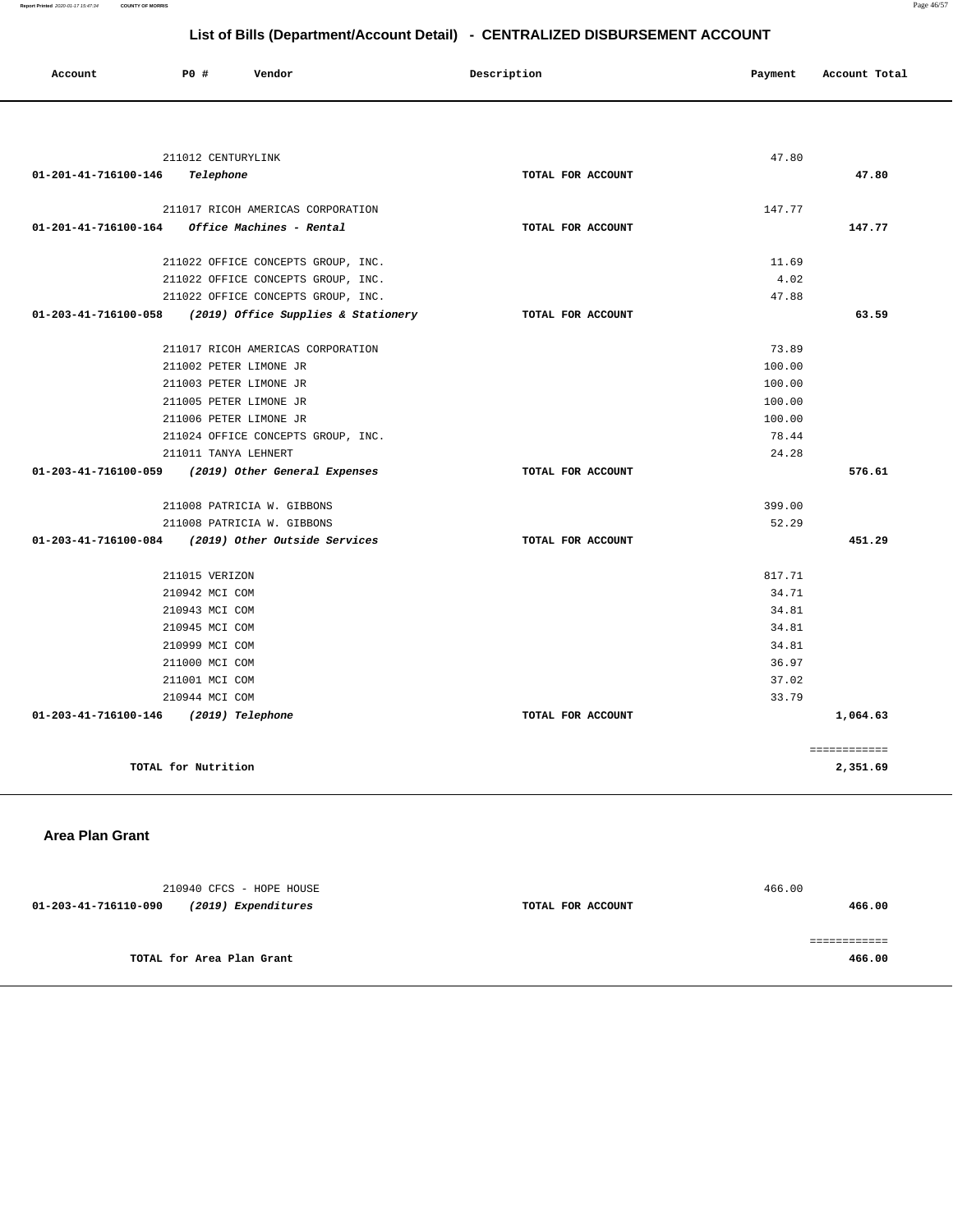| Account                               | PO #                   | Vendor                                             | Description       | Payment | Account Total |
|---------------------------------------|------------------------|----------------------------------------------------|-------------------|---------|---------------|
|                                       |                        |                                                    |                   |         |               |
|                                       | 211012 CENTURYLINK     |                                                    |                   | 47.80   |               |
| 01-201-41-716100-146                  | Telephone              |                                                    | TOTAL FOR ACCOUNT |         | 47.80         |
|                                       |                        |                                                    |                   |         |               |
|                                       |                        | 211017 RICOH AMERICAS CORPORATION                  |                   | 147.77  |               |
| 01-201-41-716100-164                  |                        | Office Machines - Rental                           | TOTAL FOR ACCOUNT |         | 147.77        |
|                                       |                        | 211022 OFFICE CONCEPTS GROUP, INC.                 |                   | 11.69   |               |
|                                       |                        | 211022 OFFICE CONCEPTS GROUP, INC.                 |                   | 4.02    |               |
|                                       |                        | 211022 OFFICE CONCEPTS GROUP, INC.                 |                   | 47.88   |               |
| 01-203-41-716100-058                  |                        | (2019) Office Supplies & Stationery                | TOTAL FOR ACCOUNT |         | 63.59         |
|                                       |                        | 211017 RICOH AMERICAS CORPORATION                  |                   | 73.89   |               |
|                                       | 211002 PETER LIMONE JR |                                                    |                   | 100.00  |               |
|                                       | 211003 PETER LIMONE JR |                                                    |                   | 100.00  |               |
|                                       | 211005 PETER LIMONE JR |                                                    |                   | 100.00  |               |
|                                       | 211006 PETER LIMONE JR |                                                    |                   | 100.00  |               |
|                                       |                        | 211024 OFFICE CONCEPTS GROUP, INC.                 |                   | 78.44   |               |
|                                       | 211011 TANYA LEHNERT   |                                                    |                   | 24.28   |               |
| 01-203-41-716100-059                  |                        | (2019) Other General Expenses                      | TOTAL FOR ACCOUNT |         | 576.61        |
|                                       |                        | 211008 PATRICIA W. GIBBONS                         |                   | 399.00  |               |
|                                       |                        | 211008 PATRICIA W. GIBBONS                         |                   | 52.29   |               |
|                                       |                        | 01-203-41-716100-084 (2019) Other Outside Services | TOTAL FOR ACCOUNT |         | 451.29        |
|                                       | 211015 VERIZON         |                                                    |                   | 817.71  |               |
|                                       | 210942 MCI COM         |                                                    |                   | 34.71   |               |
|                                       | 210943 MCI COM         |                                                    |                   | 34.81   |               |
|                                       | 210945 MCI COM         |                                                    |                   | 34.81   |               |
|                                       | 210999 MCI COM         |                                                    |                   | 34.81   |               |
|                                       | 211000 MCI COM         |                                                    |                   | 36.97   |               |
|                                       | 211001 MCI COM         |                                                    |                   | 37.02   |               |
|                                       | 210944 MCI COM         |                                                    |                   | 33.79   |               |
| 01-203-41-716100-146 (2019) Telephone |                        |                                                    | TOTAL FOR ACCOUNT |         | 1,064.63      |
|                                       |                        |                                                    |                   |         | ============  |
|                                       | TOTAL for Nutrition    |                                                    |                   |         | 2,351.69      |

#### **Area Plan Grant**

| 210940 CFCS - HOPE HOUSE                    |                   | 466.00 |
|---------------------------------------------|-------------------|--------|
| (2019) Expenditures<br>01-203-41-716110-090 | TOTAL FOR ACCOUNT | 466.00 |
|                                             |                   |        |
|                                             |                   |        |
| TOTAL for Area Plan Grant                   |                   | 466.00 |
|                                             |                   |        |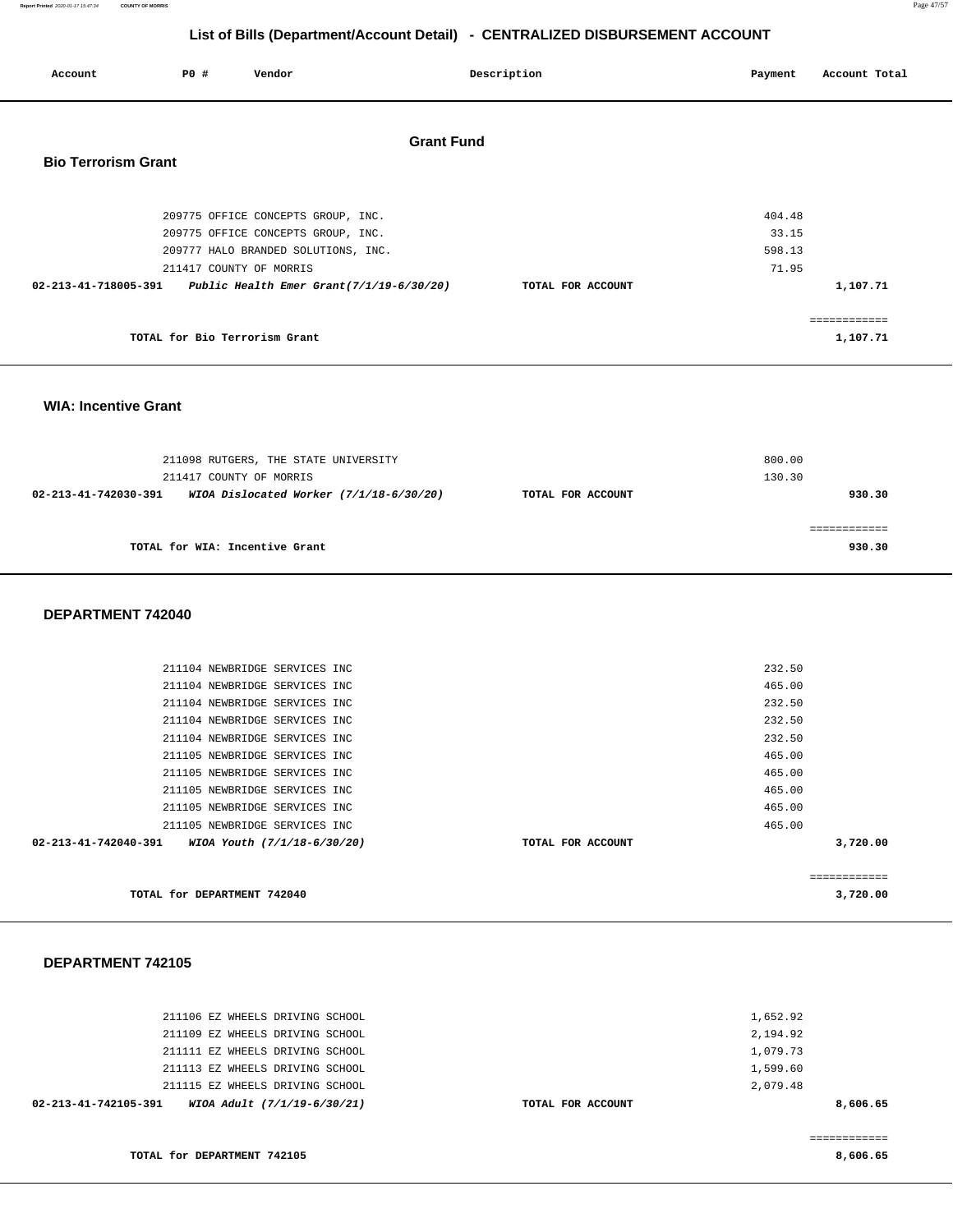| Report Printed 2020-01-17 15:47:34 COUNTY OF MORRIS | Page 47/57 |  |
|-----------------------------------------------------|------------|--|
|                                                     |            |  |

| Account                    | PO# | Vendor                              |                                             | Description       | Payment | Account Total |
|----------------------------|-----|-------------------------------------|---------------------------------------------|-------------------|---------|---------------|
| <b>Bio Terrorism Grant</b> |     |                                     | <b>Grant Fund</b>                           |                   |         |               |
|                            |     |                                     |                                             |                   |         |               |
|                            |     | 209775 OFFICE CONCEPTS GROUP, INC.  |                                             |                   | 404.48  |               |
|                            |     | 209775 OFFICE CONCEPTS GROUP, INC.  |                                             |                   | 33.15   |               |
|                            |     | 209777 HALO BRANDED SOLUTIONS, INC. |                                             |                   | 598.13  |               |
|                            |     | 211417 COUNTY OF MORRIS             |                                             |                   | 71.95   |               |
| 02-213-41-718005-391       |     |                                     | Public Health Emer Grant $(7/1/19-6/30/20)$ | TOTAL FOR ACCOUNT |         | 1,107.71      |
|                            |     |                                     |                                             |                   |         | ============  |
|                            |     | TOTAL for Bio Terrorism Grant       |                                             |                   |         | 1,107.71      |

#### **WIA: Incentive Grant**

| 211098 RUTGERS, THE STATE UNIVERSITY<br>211417 COUNTY OF MORRIS   |                   | 800.00<br>130.30 |
|-------------------------------------------------------------------|-------------------|------------------|
| WIOA Dislocated Worker $(7/1/18-6/30/20)$<br>02-213-41-742030-391 | TOTAL FOR ACCOUNT | 930.30           |
| TOTAL for WIA: Incentive Grant                                    |                   | 930.30           |

#### **DEPARTMENT 742040**

| TOTAL for DEPARTMENT 742040                         |                   | 3,720.00     |
|-----------------------------------------------------|-------------------|--------------|
|                                                     |                   | ============ |
| 02-213-41-742040-391<br>WIOA Youth (7/1/18-6/30/20) | TOTAL FOR ACCOUNT | 3,720.00     |
| 211105 NEWBRIDGE SERVICES INC                       |                   | 465.00       |
| 211105 NEWBRIDGE SERVICES INC                       |                   | 465.00       |
| 211105 NEWBRIDGE SERVICES INC                       |                   | 465.00       |
| 211105 NEWBRIDGE SERVICES INC                       |                   | 465.00       |
| 211105 NEWBRIDGE SERVICES INC                       |                   | 465.00       |
| 211104 NEWBRIDGE SERVICES INC                       |                   | 232.50       |
| 211104 NEWBRIDGE SERVICES INC                       |                   | 232.50       |
| 211104 NEWBRIDGE SERVICES INC                       |                   | 232.50       |
| 211104 NEWBRIDGE SERVICES INC                       |                   | 465.00       |
| 211104 NEWBRIDGE SERVICES INC                       |                   | 232.50       |

#### **DEPARTMENT 742105**

| WIOA Adult (7/1/19-6/30/21)<br>02-213-41-742105-391 | TOTAL FOR ACCOUNT | 8,606.65 |
|-----------------------------------------------------|-------------------|----------|
| 211115 EZ WHEELS DRIVING SCHOOL                     |                   | 2,079.48 |
| 211113 EZ WHEELS DRIVING SCHOOL                     |                   | 1,599.60 |
| 211111 EZ WHEELS DRIVING SCHOOL                     |                   | 1,079.73 |
| 211109 EZ WHEELS DRIVING SCHOOL                     |                   | 2,194.92 |
| 211106 EZ WHEELS DRIVING SCHOOL                     |                   | 1,652.92 |
|                                                     |                   |          |

**TOTAL for DEPARTMENT 742105** 

**8,606.65**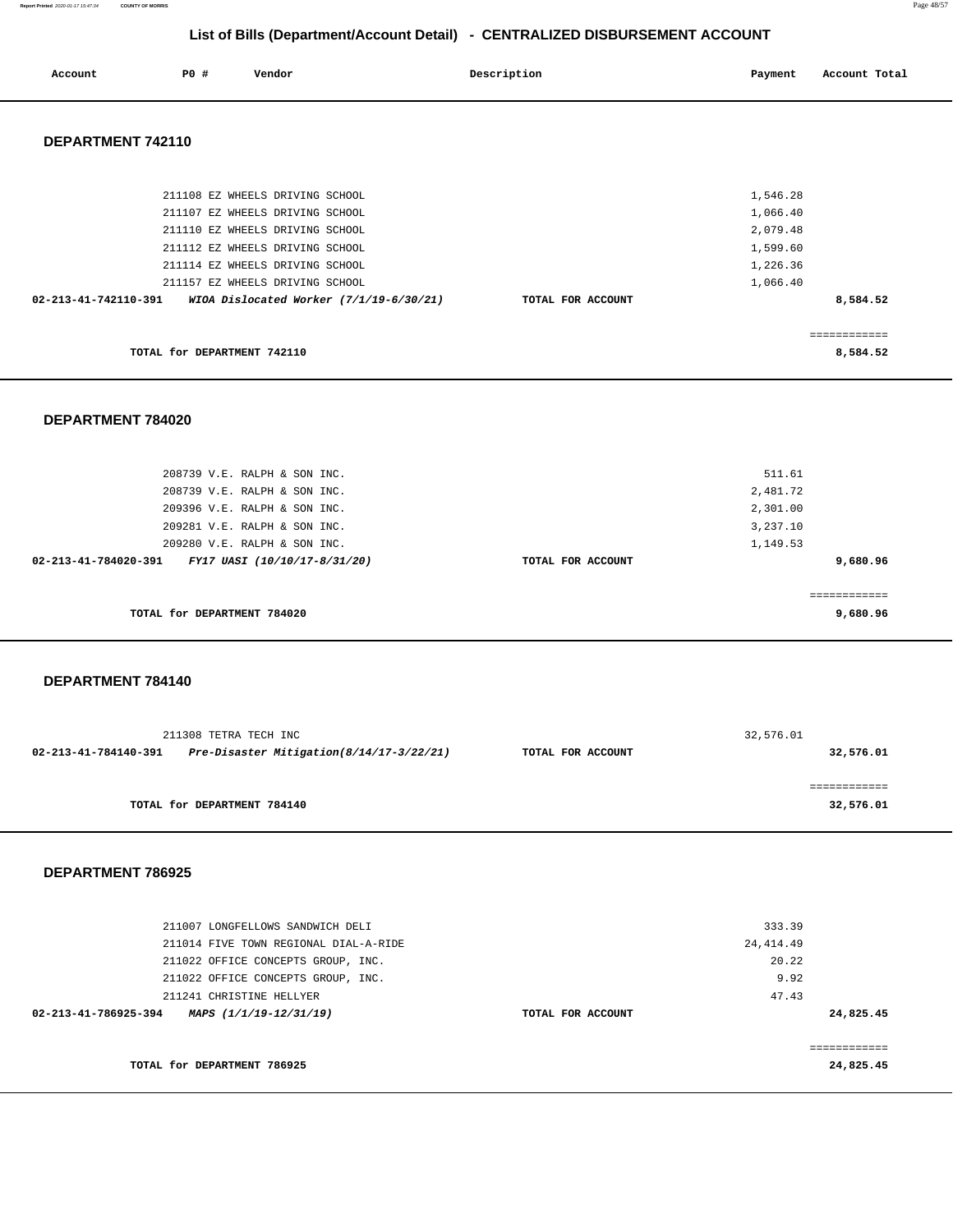**Report Printed** 2020-01-17 15:47:34 **COUNTY OF MORRIS** Page 48/57

# **List of Bills (Department/Account Detail) - CENTRALIZED DISBURSEMENT ACCOUNT**

| Account | <b>PO #</b> | Vendor | Description | Payment | Account Total<br>. |
|---------|-------------|--------|-------------|---------|--------------------|
|         |             |        |             |         |                    |

### **DEPARTMENT 742110**

| TOTAL for DEPARTMENT 742110                                     |                   | .<br>8,584.52 |
|-----------------------------------------------------------------|-------------------|---------------|
| 02-213-41-742110-391<br>WIOA Dislocated Worker (7/1/19-6/30/21) | TOTAL FOR ACCOUNT | 8,584.52      |
| 211157 EZ WHEELS DRIVING SCHOOL                                 |                   | 1,066.40      |
| 211114 EZ WHEELS DRIVING SCHOOL                                 |                   | 1,226.36      |
| 211112 EZ WHEELS DRIVING SCHOOL                                 |                   | 1,599.60      |
| 211110 EZ WHEELS DRIVING SCHOOL                                 |                   | 2,079.48      |
| 211107 EZ WHEELS DRIVING SCHOOL                                 |                   | 1,066.40      |
| 211108 EZ WHEELS DRIVING SCHOOL                                 |                   | 1,546.28      |
|                                                                 |                   |               |

#### **DEPARTMENT 784020**

| 208739 V.E. RALPH & SON INC.<br>208739 V.E. RALPH & SON INC. |                   | 511.61<br>2,481.72 |
|--------------------------------------------------------------|-------------------|--------------------|
| 209396 V.E. RALPH & SON INC.                                 |                   | 2,301.00           |
| 209281 V.E. RALPH & SON INC.                                 |                   | 3,237.10           |
| 209280 V.E. RALPH & SON INC.                                 |                   | 1,149.53           |
| 02-213-41-784020-391<br>FY17 UASI (10/10/17-8/31/20)         | TOTAL FOR ACCOUNT | 9,680.96           |
| TOTAL for DEPARTMENT 784020                                  |                   | 9,680.96           |

#### **DEPARTMENT 784140**

|                      | 211308 TETRA TECH INC                    |                   | 32,576.01 |
|----------------------|------------------------------------------|-------------------|-----------|
| 02-213-41-784140-391 | Pre-Disaster Mitigation(8/14/17-3/22/21) | TOTAL FOR ACCOUNT | 32,576.01 |
|                      |                                          |                   |           |
|                      | TOTAL for DEPARTMENT 784140              |                   | 32,576.01 |

| 211007 LONGFELLOWS SANDWICH DELI               |                   | 333.39     |
|------------------------------------------------|-------------------|------------|
| 211014 FIVE TOWN REGIONAL DIAL-A-RIDE          |                   | 24, 414.49 |
| 211022 OFFICE CONCEPTS GROUP, INC.             |                   | 20.22      |
| 211022 OFFICE CONCEPTS GROUP, INC.             |                   | 9.92       |
| 211241 CHRISTINE HELLYER                       |                   | 47.43      |
| 02-213-41-786925-394<br>MAPS (1/1/19-12/31/19) | TOTAL FOR ACCOUNT | 24,825.45  |
|                                                |                   |            |
|                                                |                   |            |
| TOTAL for DEPARTMENT 786925                    |                   | 24,825.45  |
|                                                |                   |            |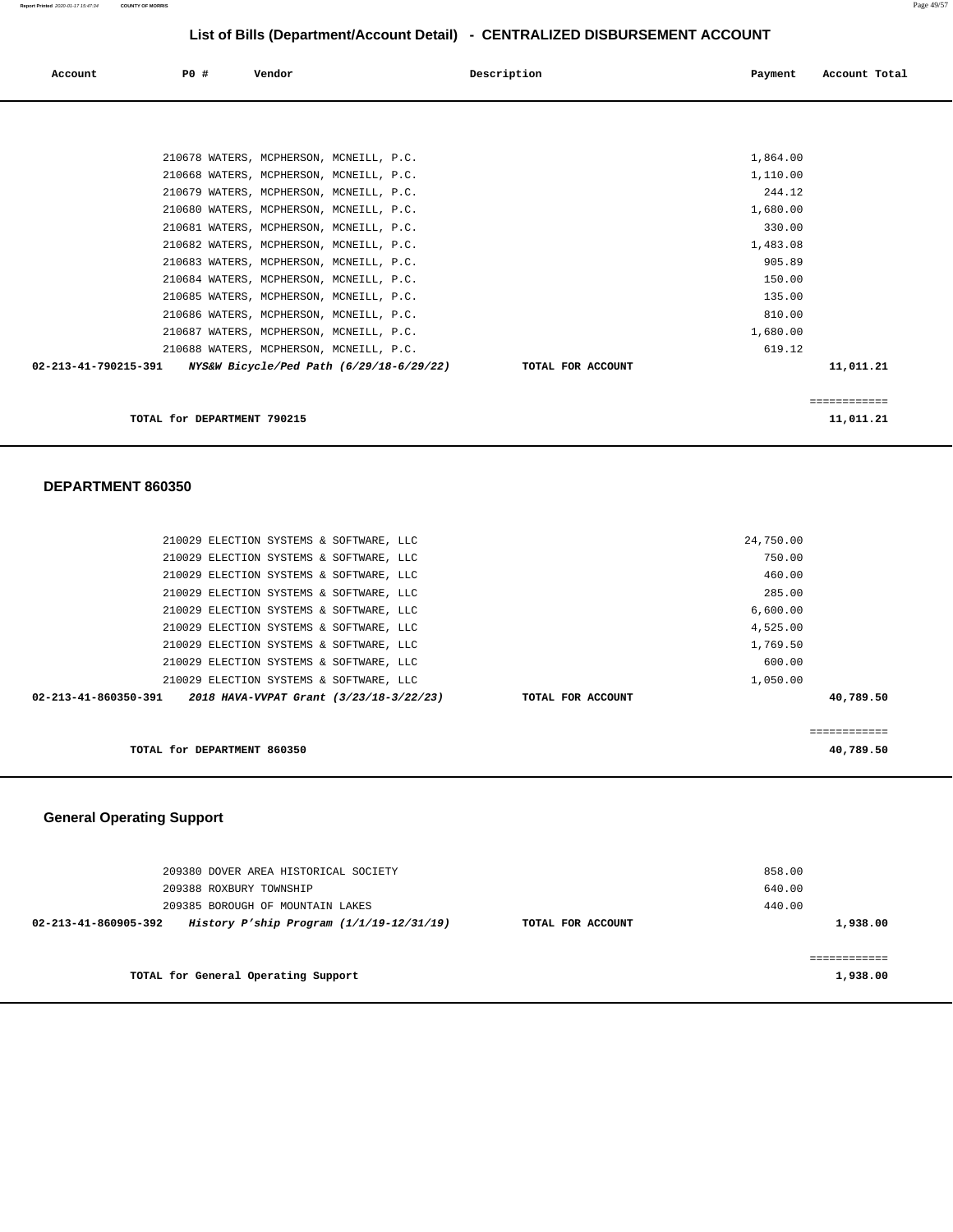| Account              | PO# | Vendor                      |                                                                                     | Description       | Payment            | Account Total |
|----------------------|-----|-----------------------------|-------------------------------------------------------------------------------------|-------------------|--------------------|---------------|
|                      |     |                             |                                                                                     |                   |                    |               |
|                      |     |                             | 210678 WATERS, MCPHERSON, MCNEILL, P.C.                                             |                   | 1,864.00           |               |
|                      |     |                             | 210668 WATERS, MCPHERSON, MCNEILL, P.C.<br>210679 WATERS, MCPHERSON, MCNEILL, P.C.  |                   | 1,110.00<br>244.12 |               |
|                      |     |                             | 210680 WATERS, MCPHERSON, MCNEILL, P.C.<br>210681 WATERS, MCPHERSON, MCNEILL, P.C.  |                   | 1,680.00<br>330.00 |               |
|                      |     |                             | 210682 WATERS, MCPHERSON, MCNEILL, P.C.<br>210683 WATERS, MCPHERSON, MCNEILL, P.C.  |                   | 1,483.08<br>905.89 |               |
|                      |     |                             | 210684 WATERS, MCPHERSON, MCNEILL, P.C.<br>210685 WATERS, MCPHERSON, MCNEILL, P.C.  |                   | 150.00<br>135.00   |               |
|                      |     |                             | 210686 WATERS, MCPHERSON, MCNEILL, P.C.<br>210687 WATERS, MCPHERSON, MCNEILL, P.C.  |                   | 810.00<br>1,680.00 |               |
| 02-213-41-790215-391 |     |                             | 210688 WATERS, MCPHERSON, MCNEILL, P.C.<br>NYS&W Bicycle/Ped Path (6/29/18-6/29/22) | TOTAL FOR ACCOUNT | 619.12             | 11,011.21     |
|                      |     |                             |                                                                                     |                   |                    | ============  |
|                      |     | TOTAL for DEPARTMENT 790215 |                                                                                     |                   |                    | 11,011.21     |

#### **DEPARTMENT 860350**

| 210029 ELECTION SYSTEMS & SOFTWARE, LLC |                                         |                   | 24,750.00 |           |
|-----------------------------------------|-----------------------------------------|-------------------|-----------|-----------|
| 210029 ELECTION SYSTEMS & SOFTWARE, LLC |                                         |                   | 750.00    |           |
| 210029 ELECTION SYSTEMS & SOFTWARE, LLC |                                         |                   | 460.00    |           |
| 210029 ELECTION SYSTEMS & SOFTWARE, LLC |                                         |                   | 285.00    |           |
| 210029 ELECTION SYSTEMS & SOFTWARE, LLC |                                         |                   | 6,600.00  |           |
| 210029 ELECTION SYSTEMS & SOFTWARE, LLC |                                         |                   | 4,525.00  |           |
| 210029 ELECTION SYSTEMS & SOFTWARE, LLC |                                         |                   | 1,769.50  |           |
| 210029 ELECTION SYSTEMS & SOFTWARE, LLC |                                         |                   | 600.00    |           |
| 210029 ELECTION SYSTEMS & SOFTWARE, LLC |                                         |                   | 1,050.00  |           |
| 02-213-41-860350-391                    | 2018 HAVA-VVPAT Grant (3/23/18-3/22/23) | TOTAL FOR ACCOUNT |           | 40,789.50 |
|                                         |                                         |                   |           |           |
|                                         |                                         |                   |           |           |
| TOTAL for DEPARTMENT 860350             |                                         |                   |           | 40,789.50 |
|                                         |                                         |                   |           |           |

# **General Operating Support**

| 209380 DOVER AREA HISTORICAL SOCIETY<br>209388 ROXBURY TOWNSHIP<br>209385 BOROUGH OF MOUNTAIN LAKES | 858.00<br>640.00<br>440.00 |          |
|-----------------------------------------------------------------------------------------------------|----------------------------|----------|
| History P'ship Program $(1/1/19-12/31/19)$<br>$02 - 213 - 41 - 860905 - 392$                        | TOTAL FOR ACCOUNT          | 1,938.00 |
| TOTAL for General Operating Support                                                                 |                            | 1,938.00 |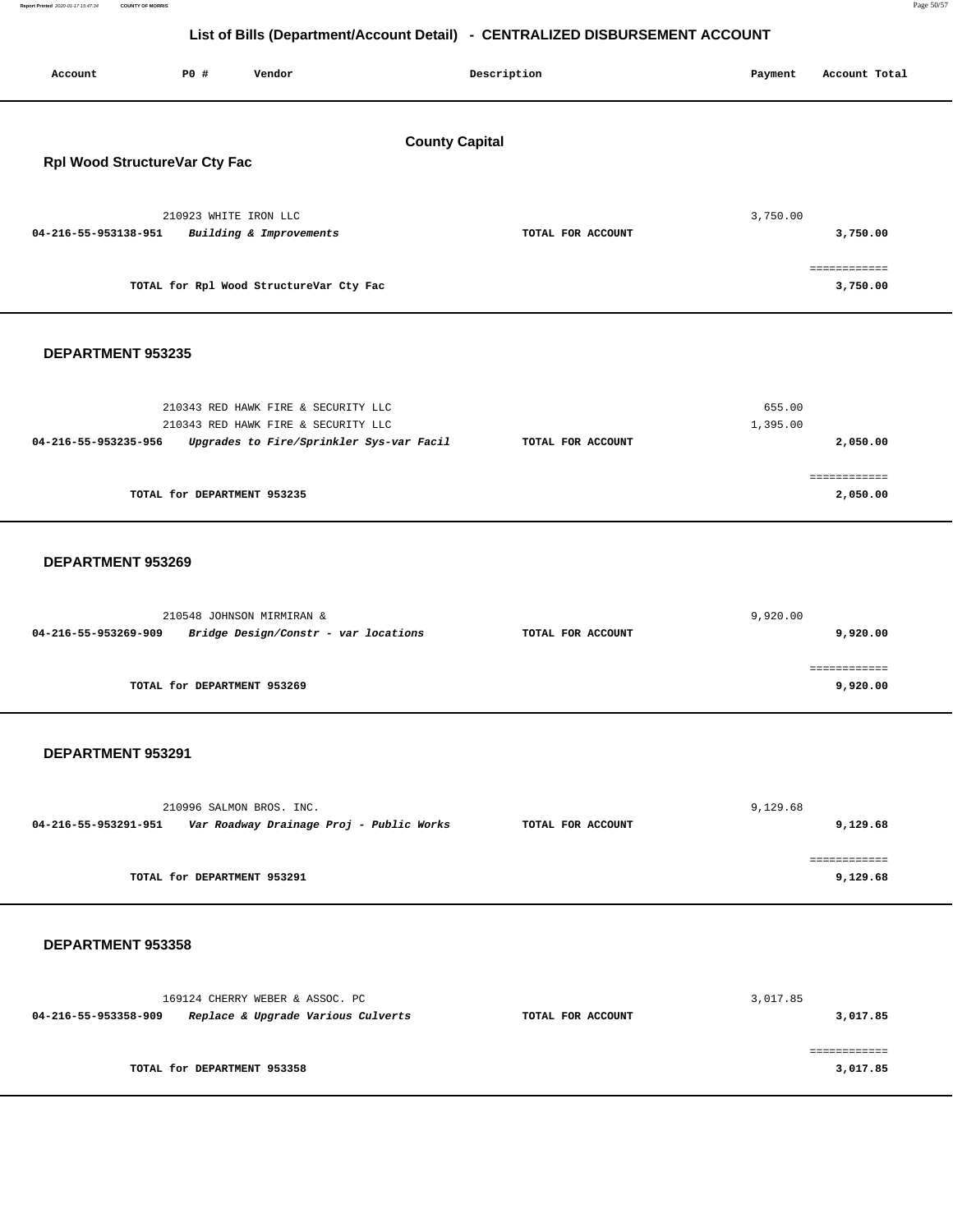**3,017.85** 

# **List of Bills (Department/Account Detail) - CENTRALIZED DISBURSEMENT ACCOUNT**

| Account                                                | P0 #                        | Vendor                                                                                                                 |  | Description       | Payment            | Account Total            |
|--------------------------------------------------------|-----------------------------|------------------------------------------------------------------------------------------------------------------------|--|-------------------|--------------------|--------------------------|
| <b>County Capital</b><br>Rpl Wood StructureVar Cty Fac |                             |                                                                                                                        |  |                   |                    |                          |
| 04-216-55-953138-951                                   |                             | 210923 WHITE IRON LLC<br>Building & Improvements                                                                       |  | TOTAL FOR ACCOUNT | 3,750.00           | 3,750.00<br>============ |
|                                                        |                             | TOTAL for Rpl Wood StructureVar Cty Fac                                                                                |  |                   |                    | 3,750.00                 |
| DEPARTMENT 953235                                      |                             |                                                                                                                        |  |                   |                    |                          |
| 04-216-55-953235-956                                   |                             | 210343 RED HAWK FIRE & SECURITY LLC<br>210343 RED HAWK FIRE & SECURITY LLC<br>Upgrades to Fire/Sprinkler Sys-var Facil |  | TOTAL FOR ACCOUNT | 655.00<br>1,395.00 | 2,050.00                 |
|                                                        | TOTAL for DEPARTMENT 953235 |                                                                                                                        |  |                   |                    | ============<br>2,050.00 |
| DEPARTMENT 953269                                      |                             |                                                                                                                        |  |                   |                    |                          |
| 04-216-55-953269-909                                   |                             | 210548 JOHNSON MIRMIRAN &<br>Bridge Design/Constr - var locations                                                      |  | TOTAL FOR ACCOUNT | 9,920.00           | 9,920.00                 |
|                                                        | TOTAL for DEPARTMENT 953269 |                                                                                                                        |  |                   |                    | ============<br>9,920.00 |
| DEPARTMENT 953291                                      |                             |                                                                                                                        |  |                   |                    |                          |
| 04-216-55-953291-951                                   |                             | 210996 SALMON BROS. INC.<br>Var Roadway Drainage Proj - Public Works                                                   |  | TOTAL FOR ACCOUNT | 9,129.68           | 9,129.68<br>============ |
|                                                        | TOTAL for DEPARTMENT 953291 |                                                                                                                        |  |                   |                    | 9,129.68                 |
| DEPARTMENT 953358                                      |                             |                                                                                                                        |  |                   |                    |                          |
| 04-216-55-953358-909                                   |                             | 169124 CHERRY WEBER & ASSOC. PC<br>Replace & Upgrade Various Culverts                                                  |  | TOTAL FOR ACCOUNT | 3,017.85           | 3,017.85<br>============ |

**TOTAL for DEPARTMENT 953358**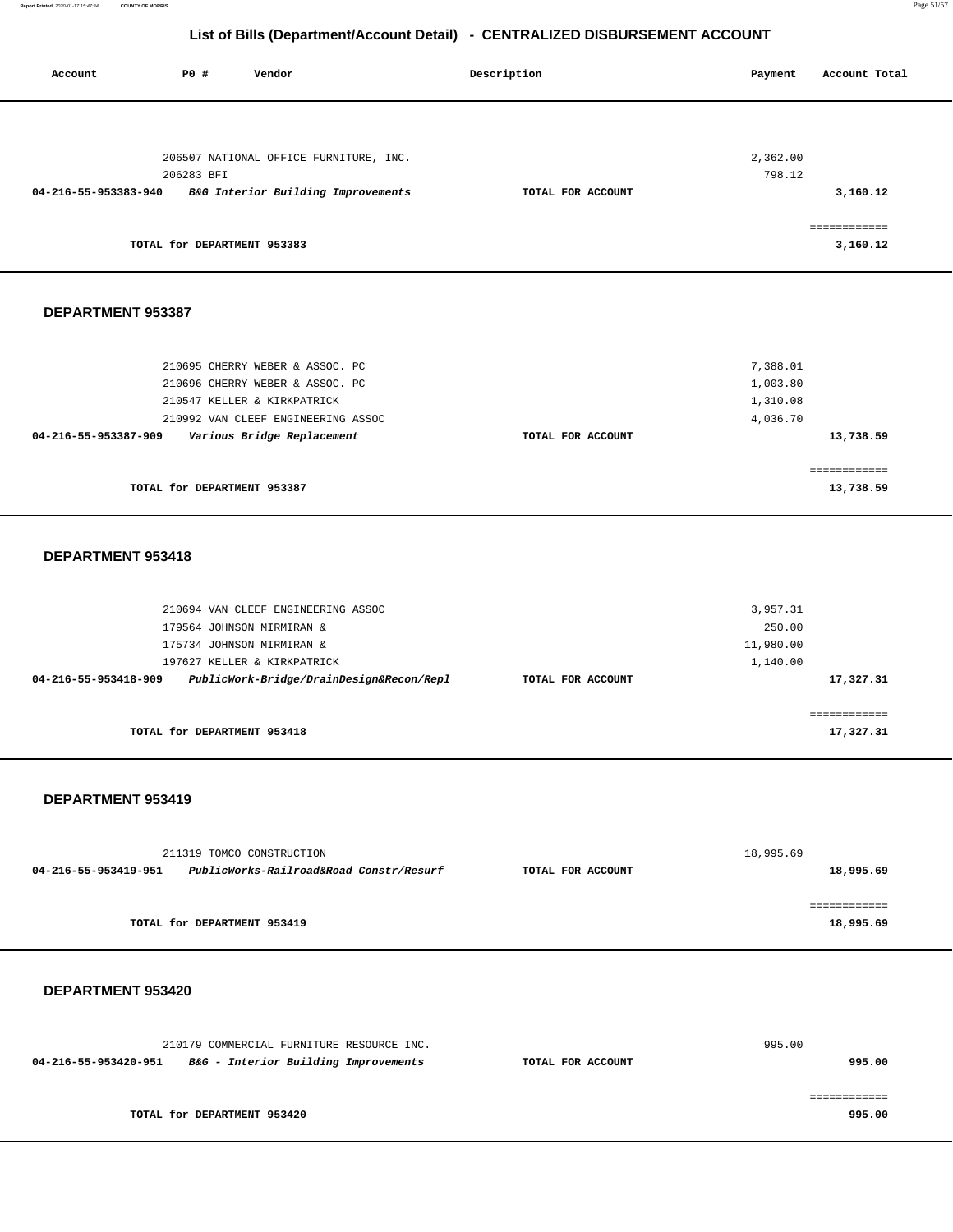| Account              | <b>PO #</b>                 | Vendor                                 | Description       | Account Total<br>Payment |
|----------------------|-----------------------------|----------------------------------------|-------------------|--------------------------|
|                      |                             |                                        |                   |                          |
|                      |                             | 206507 NATIONAL OFFICE FURNITURE, INC. |                   | 2,362.00                 |
| 04-216-55-953383-940 | 206283 BFI                  | B&G Interior Building Improvements     | TOTAL FOR ACCOUNT | 798.12<br>3,160.12       |
|                      | TOTAL for DEPARTMENT 953383 |                                        |                   | eeeeeeeeeee<br>3,160.12  |

#### **DEPARTMENT 953387**

| TOTAL for DEPARTMENT 953387                        |                   | 13,738.59 |
|----------------------------------------------------|-------------------|-----------|
|                                                    |                   |           |
| Various Bridge Replacement<br>04-216-55-953387-909 | TOTAL FOR ACCOUNT | 13,738.59 |
| 210992 VAN CLEEF ENGINEERING ASSOC                 |                   | 4,036.70  |
| 210547 KELLER & KIRKPATRICK                        |                   | 1,310.08  |
| 210696 CHERRY WEBER & ASSOC. PC                    |                   | 1,003.80  |
| 210695 CHERRY WEBER & ASSOC. PC                    |                   | 7,388.01  |
|                                                    |                   |           |

#### **DEPARTMENT 953418**

| 3,957.31  |
|-----------|
| 250.00    |
| 11,980.00 |
| 1,140.00  |
| 17,327.31 |
|           |
|           |
| 17,327.31 |
|           |

#### **DEPARTMENT 953419**

|                      | 211319 TOMCO CONSTRUCTION               |                   | 18,995.69 |
|----------------------|-----------------------------------------|-------------------|-----------|
| 04-216-55-953419-951 | PublicWorks-Railroad&Road Constr/Resurf | TOTAL FOR ACCOUNT | 18,995.69 |
|                      |                                         |                   |           |
|                      |                                         |                   |           |
|                      | TOTAL for DEPARTMENT 953419             |                   | 18,995.69 |
|                      |                                         |                   |           |

| 210179 COMMERCIAL FURNITURE RESOURCE INC.                    |                   | 995.00 |
|--------------------------------------------------------------|-------------------|--------|
| B&G - Interior Building Improvements<br>04-216-55-953420-951 | TOTAL FOR ACCOUNT | 995.00 |
|                                                              |                   |        |
|                                                              |                   |        |
| TOTAL for DEPARTMENT 953420                                  |                   | 995.00 |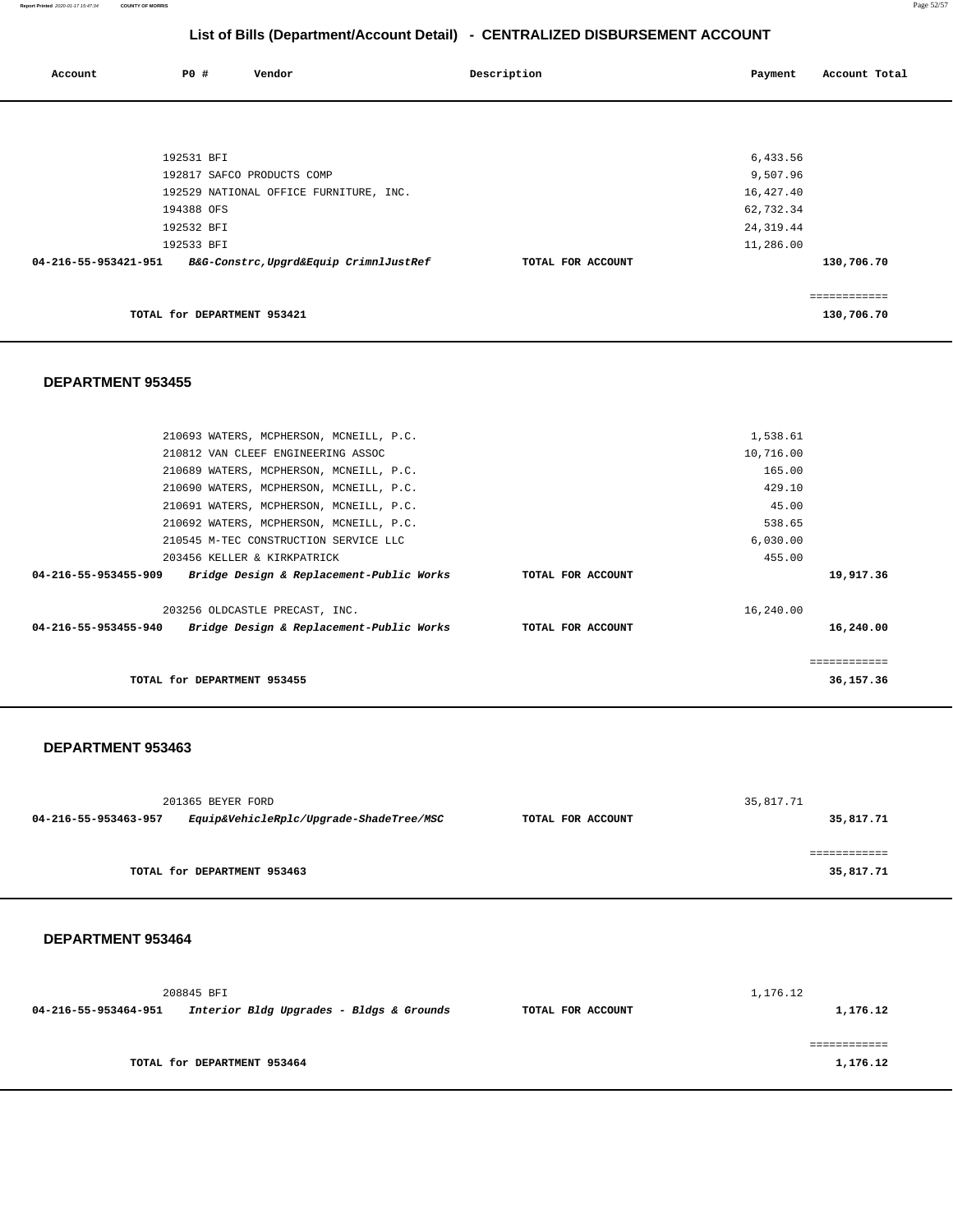| Account              | <b>PO #</b>                 | Vendor                                 | Description       | Payment    | Account Total |
|----------------------|-----------------------------|----------------------------------------|-------------------|------------|---------------|
|                      |                             |                                        |                   |            |               |
|                      |                             |                                        |                   |            |               |
|                      | 192531 BFI                  |                                        |                   | 6,433.56   |               |
|                      |                             | 192817 SAFCO PRODUCTS COMP             |                   | 9,507.96   |               |
|                      |                             | 192529 NATIONAL OFFICE FURNITURE, INC. |                   | 16,427.40  |               |
|                      | 194388 OFS                  |                                        |                   | 62,732.34  |               |
|                      | 192532 BFI                  |                                        |                   | 24, 319.44 |               |
|                      | 192533 BFI                  |                                        |                   | 11,286.00  |               |
| 04-216-55-953421-951 |                             | B&G-Constrc,Upgrd&Equip CrimnlJustRef  | TOTAL FOR ACCOUNT |            | 130,706.70    |
|                      |                             |                                        |                   |            |               |
|                      | TOTAL for DEPARTMENT 953421 |                                        |                   |            | 130,706.70    |

#### **DEPARTMENT 953455**

|                      | 210693 WATERS, MCPHERSON, MCNEILL, P.C.  |                   | 1,538.61    |  |
|----------------------|------------------------------------------|-------------------|-------------|--|
|                      | 210812 VAN CLEEF ENGINEERING ASSOC       |                   | 10,716.00   |  |
|                      | 210689 WATERS, MCPHERSON, MCNEILL, P.C.  |                   | 165.00      |  |
|                      | 210690 WATERS, MCPHERSON, MCNEILL, P.C.  |                   | 429.10      |  |
|                      | 210691 WATERS, MCPHERSON, MCNEILL, P.C.  |                   | 45.00       |  |
|                      | 210692 WATERS, MCPHERSON, MCNEILL, P.C.  |                   | 538.65      |  |
|                      | 210545 M-TEC CONSTRUCTION SERVICE LLC    |                   | 6,030.00    |  |
|                      | 203456 KELLER & KIRKPATRICK              |                   | 455.00      |  |
| 04-216-55-953455-909 | Bridge Design & Replacement-Public Works | TOTAL FOR ACCOUNT | 19,917.36   |  |
|                      | 203256 OLDCASTLE PRECAST, INC.           |                   | 16,240.00   |  |
| 04-216-55-953455-940 | Bridge Design & Replacement-Public Works | TOTAL FOR ACCOUNT | 16,240.00   |  |
|                      |                                          |                   |             |  |
|                      |                                          |                   | =========== |  |
|                      | TOTAL for DEPARTMENT 953455              |                   | 36,157.36   |  |
|                      |                                          |                   |             |  |

#### **DEPARTMENT 953463**

|                      | 201365 BEYER FORD                       |                   | 35,817.71 |
|----------------------|-----------------------------------------|-------------------|-----------|
| 04-216-55-953463-957 | Equip&VehicleRplc/Upgrade-ShadeTree/MSC | TOTAL FOR ACCOUNT | 35,817.71 |
|                      |                                         |                   |           |
|                      |                                         |                   |           |
|                      | TOTAL for DEPARTMENT 953463             |                   | 35,817.71 |
|                      |                                         |                   |           |

|                      | 208845 BFI                               |                   | 1,176.12 |
|----------------------|------------------------------------------|-------------------|----------|
| 04-216-55-953464-951 | Interior Bldg Upgrades - Bldgs & Grounds | TOTAL FOR ACCOUNT | 1,176.12 |
|                      |                                          |                   |          |
|                      |                                          |                   |          |
|                      | TOTAL for DEPARTMENT 953464              |                   | 1,176.12 |
|                      |                                          |                   |          |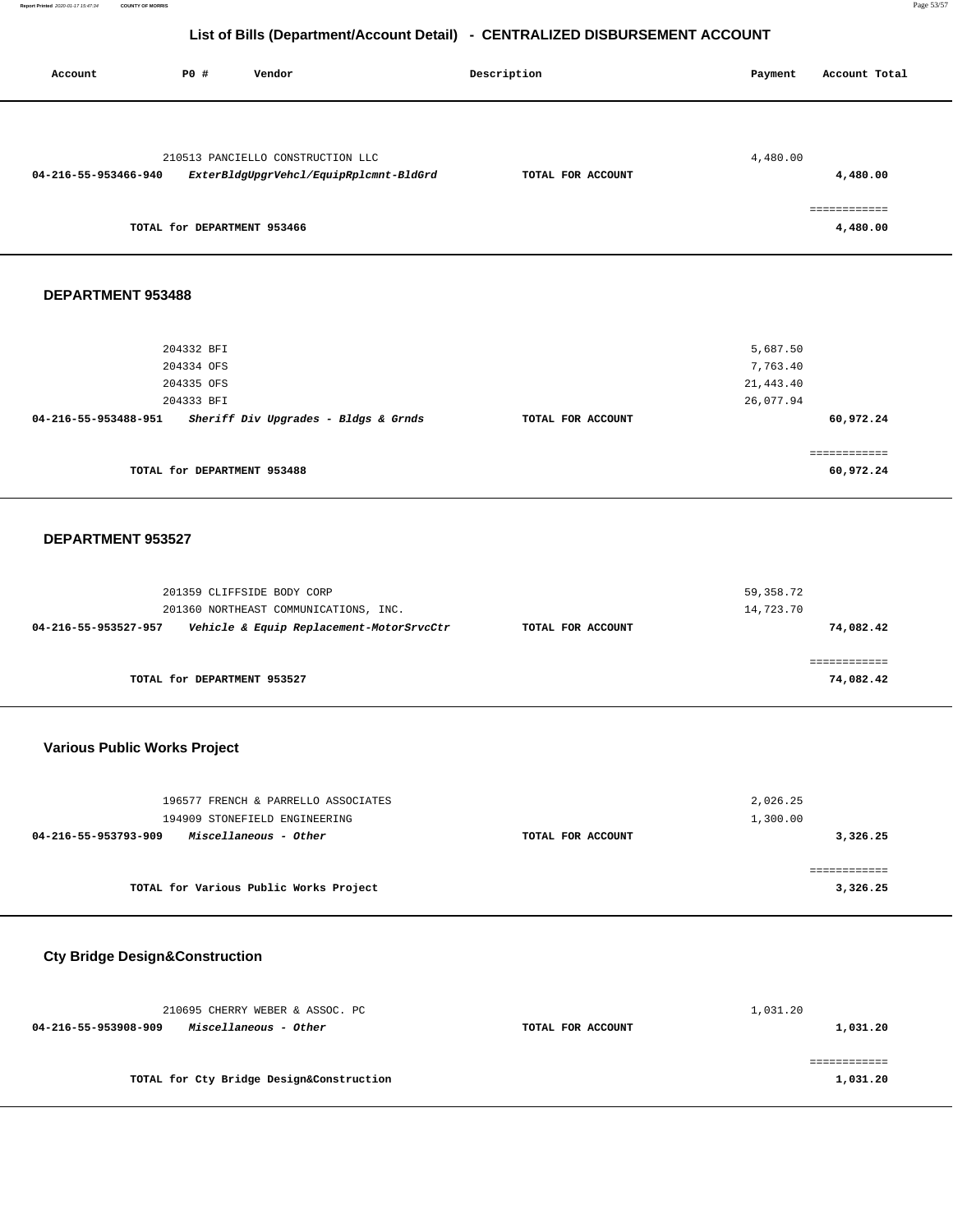| Account              | <b>PO #</b>                 | Vendor                                 | Description       | Payment  | Account Total |
|----------------------|-----------------------------|----------------------------------------|-------------------|----------|---------------|
|                      |                             |                                        |                   |          |               |
|                      |                             | 210513 PANCIELLO CONSTRUCTION LLC      |                   | 4,480.00 |               |
| 04-216-55-953466-940 |                             | ExterBldgUpgrVehcl/EquipRplcmnt-BldGrd | TOTAL FOR ACCOUNT |          | 4,480.00      |
|                      |                             |                                        |                   |          | ============  |
|                      | TOTAL for DEPARTMENT 953466 |                                        |                   |          | 4,480.00      |
|                      |                             |                                        |                   |          |               |
|                      |                             |                                        |                   |          |               |
|                      |                             |                                        |                   |          |               |

### **DEPARTMENT 953488**

| 204332 BFI                                                   | 5,687.50                       |
|--------------------------------------------------------------|--------------------------------|
| 204334 OFS                                                   | 7,763.40                       |
| 204335 OFS                                                   | 21,443.40                      |
| 204333 BFI                                                   | 26,077.94                      |
| Sheriff Div Upgrades - Bldgs & Grnds<br>04-216-55-953488-951 | 60,972.24<br>TOTAL FOR ACCOUNT |
|                                                              |                                |
|                                                              |                                |
| TOTAL for DEPARTMENT 953488                                  | 60,972.24                      |
|                                                              |                                |

#### **DEPARTMENT 953527**

| 201359 CLIFFSIDE BODY CORP<br>201360 NORTHEAST COMMUNICATIONS, INC. |                   | 59,358.72<br>14,723.70 |
|---------------------------------------------------------------------|-------------------|------------------------|
| Vehicle & Equip Replacement-MotorSrvcCtr<br>04-216-55-953527-957    | TOTAL FOR ACCOUNT | 74,082.42              |
| TOTAL for DEPARTMENT 953527                                         |                   | 74,082.42              |

# **Various Public Works Project**

| 196577 FRENCH & PARRELLO ASSOCIATES<br>194909 STONEFIELD ENGINEERING |                   | 2,026.25<br>1,300.00 |
|----------------------------------------------------------------------|-------------------|----------------------|
| 04-216-55-953793-909<br>Miscellaneous - Other                        | TOTAL FOR ACCOUNT | 3,326.25             |
|                                                                      |                   |                      |
| TOTAL for Various Public Works Project                               |                   | 3,326.25             |

# **Cty Bridge Design&Construction**

| 210695 CHERRY WEBER & ASSOC. PC               |                   | 1,031.20 |
|-----------------------------------------------|-------------------|----------|
| 04-216-55-953908-909<br>Miscellaneous - Other | TOTAL FOR ACCOUNT | 1,031.20 |
|                                               |                   |          |
|                                               |                   |          |
| TOTAL for Cty Bridge Design&Construction      |                   | 1,031.20 |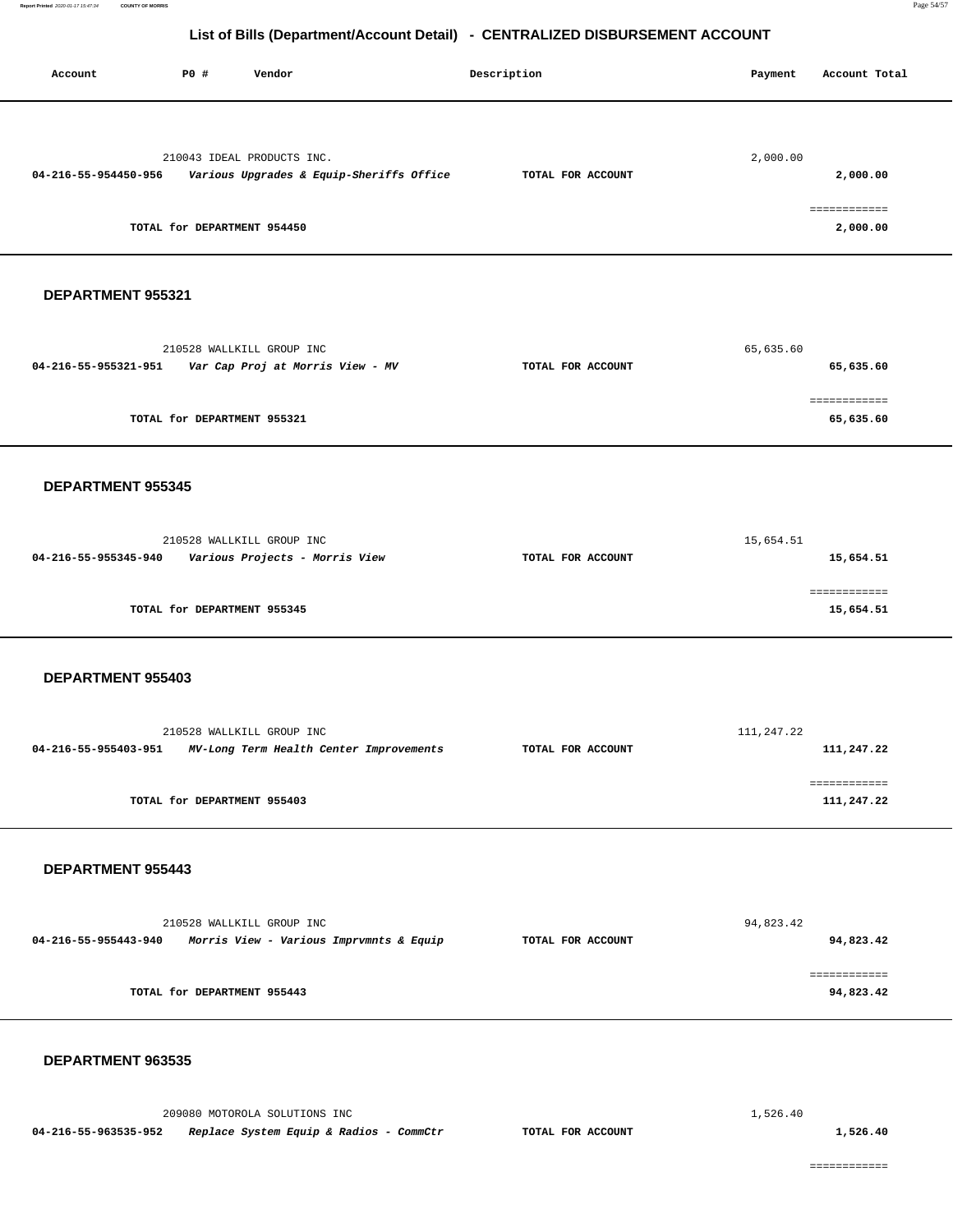| Account                                                      | P0 # | Vendor                                                        |                                          | Description       | Payment    | Account Total                              |
|--------------------------------------------------------------|------|---------------------------------------------------------------|------------------------------------------|-------------------|------------|--------------------------------------------|
| 04-216-55-954450-956                                         |      | 210043 IDEAL PRODUCTS INC.<br>TOTAL for DEPARTMENT 954450     | Various Upgrades & Equip-Sheriffs Office | TOTAL FOR ACCOUNT | 2,000.00   | 2,000.00<br><b>EEEEEEEEEEE</b><br>2,000.00 |
| DEPARTMENT 955321                                            |      |                                                               |                                          |                   |            |                                            |
| 04-216-55-955321-951                                         |      | 210528 WALLKILL GROUP INC<br>Var Cap Proj at Morris View - MV |                                          | TOTAL FOR ACCOUNT | 65,635.60  | 65,635.60                                  |
|                                                              |      | TOTAL for DEPARTMENT 955321                                   |                                          |                   |            | ============<br>65,635.60                  |
| DEPARTMENT 955345                                            |      |                                                               |                                          |                   |            |                                            |
| 04-216-55-955345-940 Various Projects - Morris View          |      | 210528 WALLKILL GROUP INC                                     |                                          | TOTAL FOR ACCOUNT | 15,654.51  | 15,654.51                                  |
|                                                              |      | TOTAL for DEPARTMENT 955345                                   |                                          |                   |            | 15,654.51                                  |
| DEPARTMENT 955403                                            |      |                                                               |                                          |                   |            |                                            |
| 04-216-55-955403-951                                         |      | 210528 WALLKILL GROUP INC                                     | MV-Long Term Health Center Improvements  | TOTAL FOR ACCOUNT | 111,247.22 | 111,247.22                                 |
|                                                              |      | TOTAL for DEPARTMENT 955403                                   |                                          |                   |            | ============<br>111,247.22                 |
| <b>DEPARTMENT 955443</b>                                     |      |                                                               |                                          |                   |            |                                            |
| 04-216-55-955443-940 Morris View - Various Imprvmnts & Equip |      | 210528 WALLKILL GROUP INC                                     |                                          | TOTAL FOR ACCOUNT | 94,823.42  | 94,823.42                                  |
|                                                              |      | TOTAL for DEPARTMENT 955443                                   |                                          |                   |            | ============<br>94,823.42                  |
| DEPARTMENT 963535                                            |      |                                                               |                                          |                   |            |                                            |
|                                                              |      | 209080 MOTOROLA SOLUTIONS INC                                 |                                          |                   | 1,526.40   |                                            |
| 04-216-55-963535-952                                         |      |                                                               | Replace System Equip & Radios - CommCtr  | TOTAL FOR ACCOUNT |            | 1,526.40                                   |

============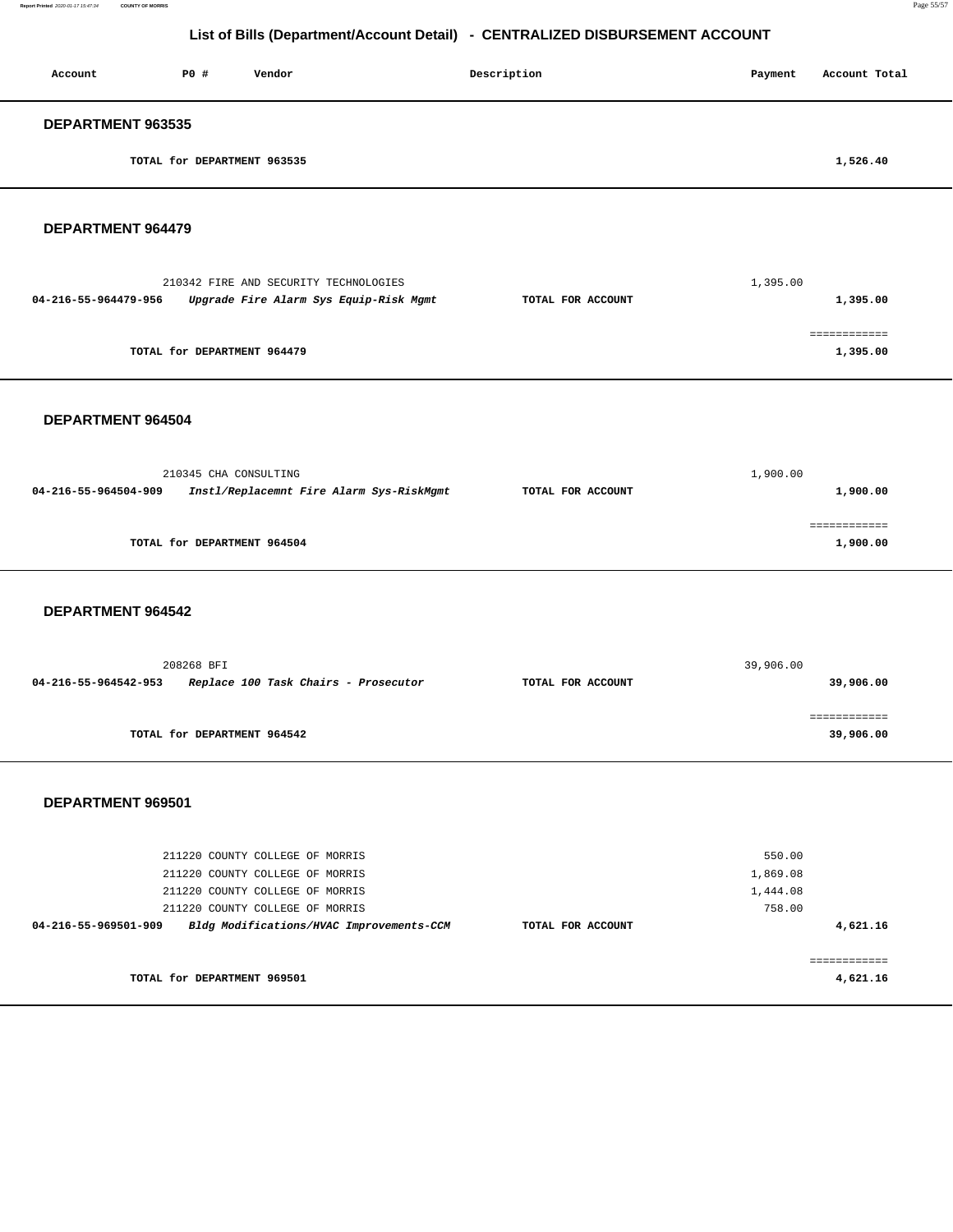| Account                  | P0 #                        | Vendor | Description | Payment | Account Total |
|--------------------------|-----------------------------|--------|-------------|---------|---------------|
| <b>DEPARTMENT 963535</b> |                             |        |             |         |               |
|                          | TOTAL for DEPARTMENT 963535 |        |             |         | 1,526.40      |

#### **DEPARTMENT 964479**

| 210342 FIRE AND SECURITY TECHNOLOGIES                          |                   | 1,395.00 |
|----------------------------------------------------------------|-------------------|----------|
| Upgrade Fire Alarm Sys Equip-Risk Mgmt<br>04-216-55-964479-956 | TOTAL FOR ACCOUNT | 1,395.00 |
|                                                                |                   |          |
|                                                                |                   |          |
| TOTAL for DEPARTMENT 964479                                    |                   | 1,395.00 |

#### **DEPARTMENT 964504**

| 1,900.00 |
|----------|
| 1,900.00 |
| 1,900.00 |
|          |

#### **DEPARTMENT 964542**

| 208268 BFI                                                   | 39,906.00         |           |
|--------------------------------------------------------------|-------------------|-----------|
| Replace 100 Task Chairs - Prosecutor<br>04-216-55-964542-953 | TOTAL FOR ACCOUNT | 39,906.00 |
|                                                              |                   |           |
|                                                              |                   |           |
| TOTAL for DEPARTMENT 964542                                  |                   | 39,906.00 |

|                      | 211220 COUNTY COLLEGE OF MORRIS<br>211220 COUNTY COLLEGE OF MORRIS |                                          |                   | 550.00<br>1,869.08 |          |
|----------------------|--------------------------------------------------------------------|------------------------------------------|-------------------|--------------------|----------|
|                      | 211220 COUNTY COLLEGE OF MORRIS<br>211220 COUNTY COLLEGE OF MORRIS |                                          |                   | 1,444.08<br>758.00 |          |
| 04-216-55-969501-909 |                                                                    | Bldg Modifications/HVAC Improvements-CCM | TOTAL FOR ACCOUNT |                    | 4,621.16 |
|                      | TOTAL for DEPARTMENT 969501                                        |                                          |                   |                    | 4,621.16 |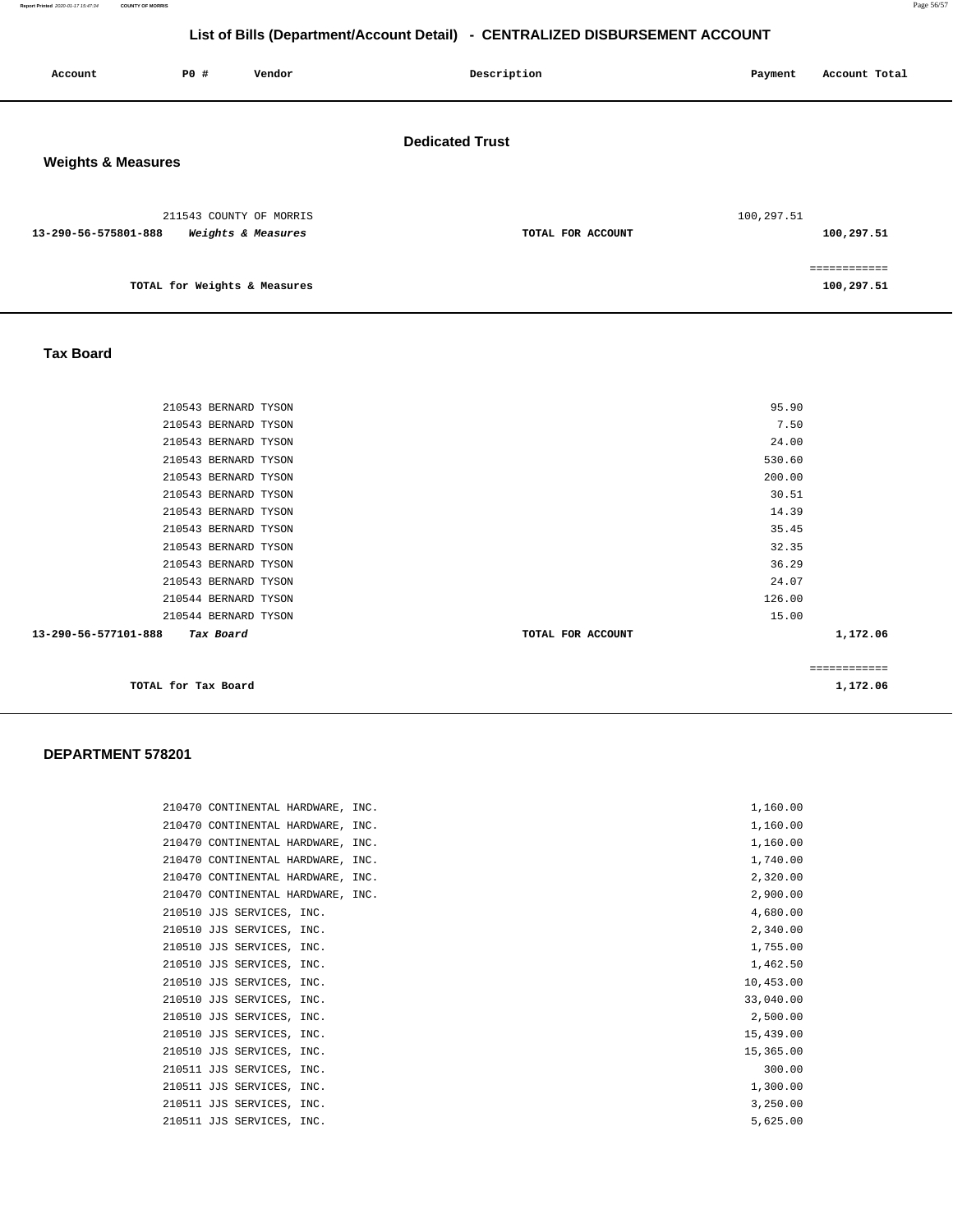| Account                       | PO#                          | Vendor                                        | Description            | Payment    | Account Total             |
|-------------------------------|------------------------------|-----------------------------------------------|------------------------|------------|---------------------------|
| <b>Weights &amp; Measures</b> |                              |                                               | <b>Dedicated Trust</b> |            |                           |
| 13-290-56-575801-888          |                              | 211543 COUNTY OF MORRIS<br>Weights & Measures | TOTAL FOR ACCOUNT      | 100,297.51 | 100,297.51                |
|                               | TOTAL for Weights & Measures |                                               |                        |            | eeeeeeeeeee<br>100,297.51 |

### **Tax Board**

| 210543 BERNARD TYSON              | 95.90             |              |
|-----------------------------------|-------------------|--------------|
| 210543 BERNARD TYSON              | 7.50              |              |
| 210543 BERNARD TYSON              | 24.00             |              |
| 210543 BERNARD TYSON              | 530.60            |              |
| 210543 BERNARD TYSON              | 200.00            |              |
| 210543 BERNARD TYSON              | 30.51             |              |
| 210543 BERNARD TYSON              | 14.39             |              |
| 210543 BERNARD TYSON              | 35.45             |              |
| 210543 BERNARD TYSON              | 32.35             |              |
| 210543 BERNARD TYSON              | 36.29             |              |
| 210543 BERNARD TYSON              | 24.07             |              |
| 210544 BERNARD TYSON              | 126.00            |              |
| 210544 BERNARD TYSON              | 15.00             |              |
| 13-290-56-577101-888<br>Tax Board | TOTAL FOR ACCOUNT | 1,172.06     |
|                                   |                   |              |
|                                   |                   | ------------ |
| TOTAL for Tax Board               |                   | 1,172.06     |
|                                   |                   |              |

| 210470 CONTINENTAL HARDWARE, INC. | 1,160.00  |
|-----------------------------------|-----------|
| 210470 CONTINENTAL HARDWARE, INC. | 1,160.00  |
| 210470 CONTINENTAL HARDWARE, INC. | 1,160.00  |
| 210470 CONTINENTAL HARDWARE, INC. | 1,740.00  |
| 210470 CONTINENTAL HARDWARE, INC. | 2,320.00  |
| 210470 CONTINENTAL HARDWARE, INC. | 2,900.00  |
| 210510 JJS SERVICES, INC.         | 4,680.00  |
| 210510 JJS SERVICES, INC.         | 2,340.00  |
| 210510 JJS SERVICES, INC.         | 1,755.00  |
| 210510 JJS SERVICES, INC.         | 1,462.50  |
| 210510 JJS SERVICES, INC.         | 10,453.00 |
| 210510 JJS SERVICES, INC.         | 33,040.00 |
| 210510 JJS SERVICES, INC.         | 2,500.00  |
| 210510 JJS SERVICES, INC.         | 15,439.00 |
| 210510 JJS SERVICES, INC.         | 15,365.00 |
| 210511 JJS SERVICES, INC.         | 300.00    |
| 210511 JJS SERVICES, INC.         | 1,300.00  |
| 210511 JJS SERVICES, INC.         | 3,250.00  |
| 210511 JJS SERVICES, INC.         | 5.625.00  |